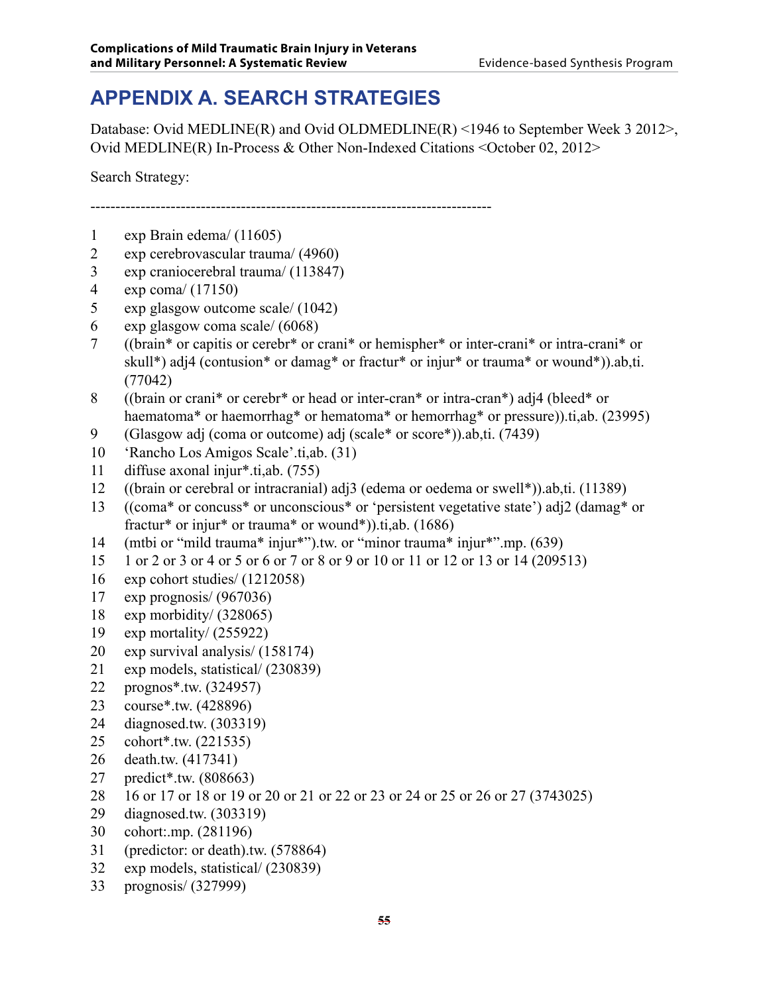# **APPENDIX A. SEARCH STRATEGIES**

Database: Ovid MEDLINE(R) and Ovid OLDMEDLINE(R) <1946 to September Week 3 2012>, Ovid MEDLINE(R) In-Process & Other Non-Indexed Citations <October 02, 2012>

Search Strategy:

--------------------------------------------------------------------------------

- exp Brain edema/ (11605)
- exp cerebrovascular trauma/ (4960)
- exp craniocerebral trauma/ (113847)
- exp coma/ (17150)
- exp glasgow outcome scale/ (1042)
- exp glasgow coma scale/ (6068)
- ((brain\* or capitis or cerebr\* or crani\* or hemispher\* or inter-crani\* or intra-crani\* or skull\*) adj4 (contusion\* or damag\* or fractur\* or injur\* or trauma\* or wound\*)).ab,ti. (77042)
- ((brain or crani\* or cerebr\* or head or inter-cran\* or intra-cran\*) adj4 (bleed\* or haematoma<sup>\*</sup> or haemorrhag<sup>\*</sup> or hematoma<sup>\*</sup> or hemorrhag<sup>\*</sup> or pressure)).ti,ab. (23995)
- (Glasgow adj (coma or outcome) adj (scale\* or score\*)).ab,ti. (7439)
- 'Rancho Los Amigos Scale'.ti,ab. (31)
- diffuse axonal injur\*.ti,ab. (755)
- ((brain or cerebral or intracranial) adj3 (edema or oedema or swell\*)).ab,ti. (11389)
- ((coma\* or concuss\* or unconscious\* or 'persistent vegetative state') adj2 (damag\* or fractur\* or injur\* or trauma\* or wound\*)).ti,ab. (1686)
- (mtbi or "mild trauma\* injur\*").tw. or "minor trauma\* injur\*".mp. (639)
- 1 or 2 or 3 or 4 or 5 or 6 or 7 or 8 or 9 or 10 or 11 or 12 or 13 or 14 (209513)
- exp cohort studies/ (1212058)
- exp prognosis/ (967036)
- exp morbidity/ (328065)
- exp mortality/ (255922)
- exp survival analysis/ (158174)
- exp models, statistical/ (230839)
- prognos\*.tw. (324957)
- course\*.tw. (428896)
- diagnosed.tw. (303319)
- cohort\*.tw. (221535)
- death.tw. (417341)
- predict\*.tw. (808663)
- 16 or 17 or 18 or 19 or 20 or 21 or 22 or 23 or 24 or 25 or 26 or 27 (3743025)
- diagnosed.tw. (303319)
- cohort:.mp. (281196)
- (predictor: or death).tw. (578864)
- exp models, statistical/ (230839)
- prognosis/ (327999)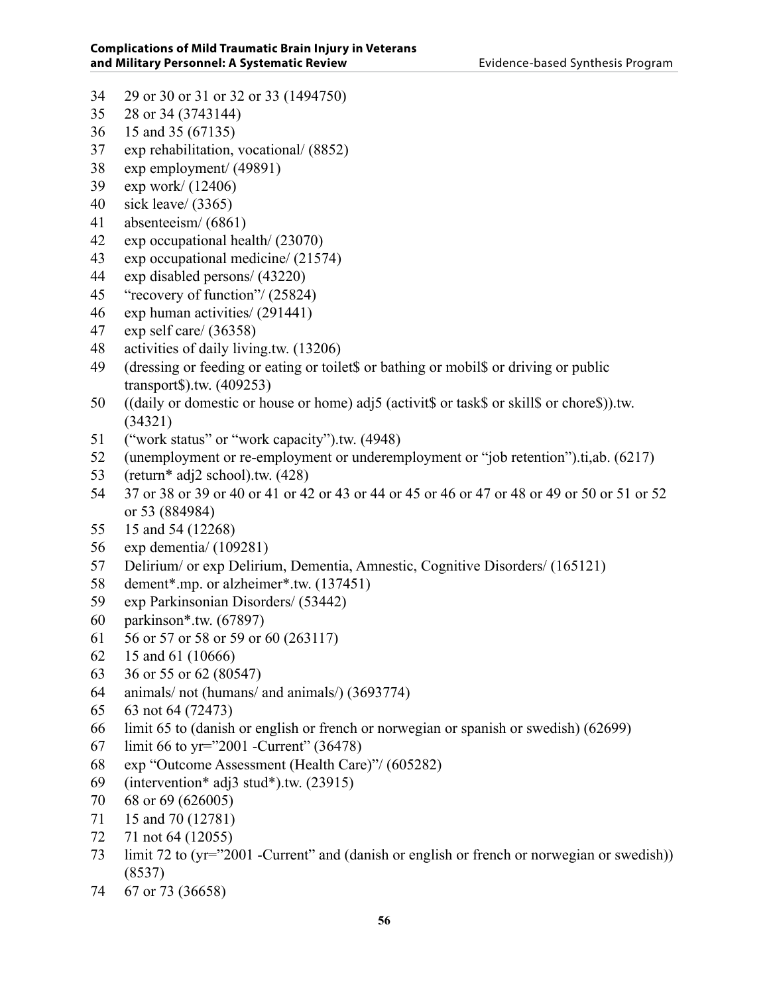- 29 or 30 or 31 or 32 or 33 (1494750)
- 28 or 34 (3743144)
- 15 and 35 (67135)
- exp rehabilitation, vocational/ (8852)
- exp employment/ (49891)
- exp work/ (12406)
- sick leave/ (3365)
- absenteeism/ (6861)
- exp occupational health/ (23070)
- exp occupational medicine/ (21574)
- exp disabled persons/ (43220)
- "recovery of function"/ (25824)
- exp human activities/ (291441)
- exp self care/ (36358)
- activities of daily living.tw. (13206)
- (dressing or feeding or eating or toilet\$ or bathing or mobil\$ or driving or public transport\$).tw. (409253)
- ((daily or domestic or house or home) adj5 (activit\$ or task\$ or skill\$ or chore\$)).tw. (34321)
- ("work status" or "work capacity").tw. (4948)
- (unemployment or re-employment or underemployment or "job retention").ti,ab. (6217)
- (return\* adj2 school).tw. (428)
- 37 or 38 or 39 or 40 or 41 or 42 or 43 or 44 or 45 or 46 or 47 or 48 or 49 or 50 or 51 or 52 or 53 (884984)
- 15 and 54 (12268)
- exp dementia/ (109281)
- Delirium/ or exp Delirium, Dementia, Amnestic, Cognitive Disorders/ (165121)
- dement\*.mp. or alzheimer\*.tw. (137451)
- exp Parkinsonian Disorders/ (53442)
- parkinson\*.tw. (67897)
- 56 or 57 or 58 or 59 or 60 (263117)
- 15 and 61 (10666)
- 36 or 55 or 62 (80547)
- animals/ not (humans/ and animals/) (3693774)
- 63 not 64 (72473)
- limit 65 to (danish or english or french or norwegian or spanish or swedish) (62699)
- limit 66 to yr="2001 -Current" (36478)
- exp "Outcome Assessment (Health Care)"/ (605282)
- (intervention\* adj3 stud\*).tw. (23915)
- 68 or 69 (626005)
- 15 and 70 (12781)
- 71 not 64 (12055)
- limit 72 to (yr="2001 -Current" and (danish or english or french or norwegian or swedish)) (8537)
- 67 or 73 (36658)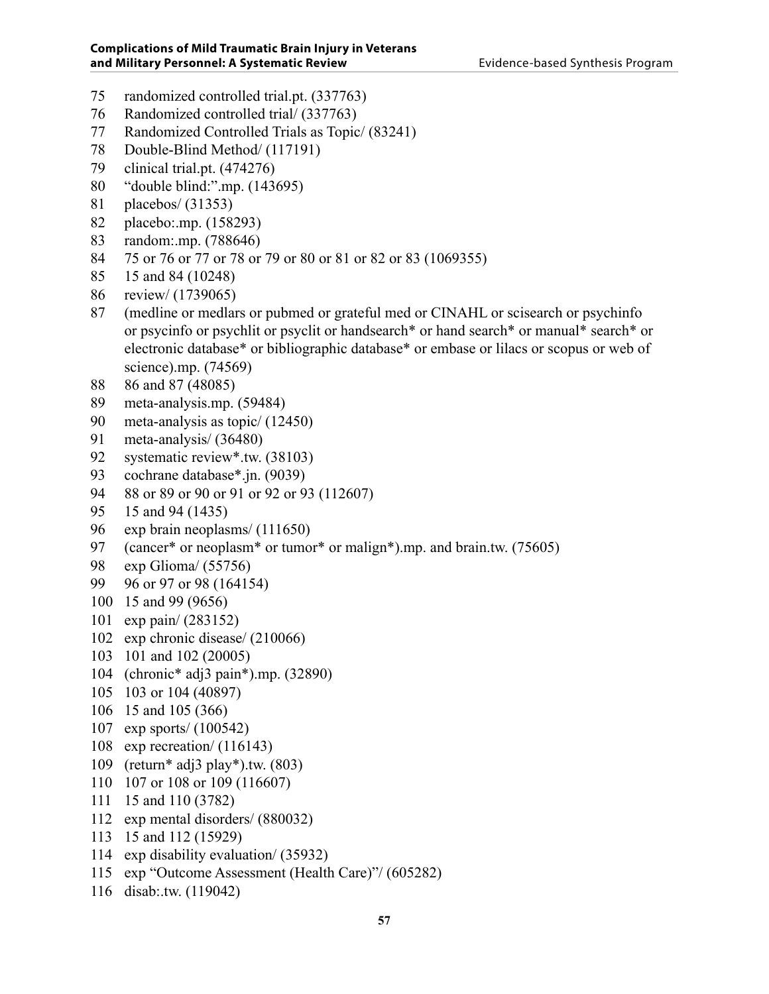- randomized controlled trial.pt. (337763)
- Randomized controlled trial/ (337763)
- Randomized Controlled Trials as Topic/ (83241)
- Double-Blind Method/ (117191)
- clinical trial.pt. (474276)
- "double blind:".mp. (143695)
- placebos/ (31353)
- placebo:.mp. (158293)
- random:.mp. (788646)
- 75 or 76 or 77 or 78 or 79 or 80 or 81 or 82 or 83 (1069355)
- 15 and 84 (10248)
- review/ (1739065)
- (medline or medlars or pubmed or grateful med or CINAHL or scisearch or psychinfo or psycinfo or psychlit or psyclit or handsearch\* or hand search\* or manual\* search\* or electronic database\* or bibliographic database\* or embase or lilacs or scopus or web of science).mp. (74569)
- 86 and 87 (48085)
- meta-analysis.mp. (59484)
- meta-analysis as topic/ (12450)
- meta-analysis/ (36480)
- systematic review\*.tw. (38103)
- cochrane database\*.jn. (9039)
- 88 or 89 or 90 or 91 or 92 or 93 (112607)
- 15 and 94 (1435)
- 96 exp brain neoplasms/ (111650)
- 97 (cancer\* or neoplasm\* or tumor\* or malign\*).mp. and brain.tw. (75605)
- exp Glioma/ (55756)
- 96 or 97 or 98 (164154)
- 15 and 99 (9656)
- exp pain/ (283152)
- exp chronic disease/ (210066)
- 101 and 102 (20005)
- (chronic\* adj3 pain\*).mp. (32890)
- 103 or 104 (40897)
- 15 and 105 (366)
- exp sports/ (100542)
- exp recreation/ (116143)
- (return\* adj3 play\*).tw. (803)
- 107 or 108 or 109 (116607)
- 15 and 110 (3782)
- exp mental disorders/ (880032)
- 15 and 112 (15929)
- exp disability evaluation/ (35932)
- exp "Outcome Assessment (Health Care)"/ (605282)
- disab:.tw. (119042)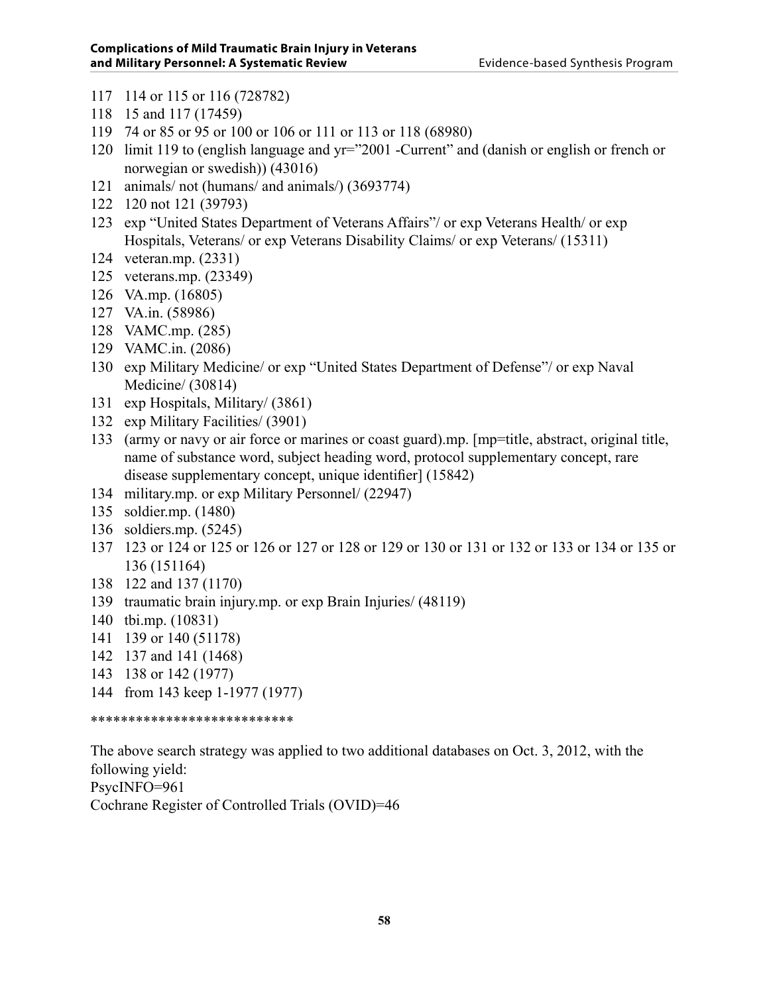- 114 or 115 or 116 (728782)
- 15 and 117 (17459)
- 74 or 85 or 95 or 100 or 106 or 111 or 113 or 118 (68980)
- limit 119 to (english language and yr="2001 -Current" and (danish or english or french or norwegian or swedish)) (43016)
- animals/ not (humans/ and animals/) (3693774)
- 120 not 121 (39793)
- exp "United States Department of Veterans Affairs"/ or exp Veterans Health/ or exp Hospitals, Veterans/ or exp Veterans Disability Claims/ or exp Veterans/ (15311)
- veteran.mp. (2331)
- veterans.mp. (23349)
- VA.mp. (16805)
- VA.in. (58986)
- VAMC.mp. (285)
- VAMC.in. (2086)
- exp Military Medicine/ or exp "United States Department of Defense"/ or exp Naval Medicine/ (30814)
- exp Hospitals, Military/ (3861)
- exp Military Facilities/ (3901)
- (army or navy or air force or marines or coast guard).mp. [mp=title, abstract, original title, name of substance word, subject heading word, protocol supplementary concept, rare disease supplementary concept, unique identifier] (15842)
- military.mp. or exp Military Personnel/ (22947)
- soldier.mp. (1480)
- soldiers.mp. (5245)
- 123 or 124 or 125 or 126 or 127 or 128 or 129 or 130 or 131 or 132 or 133 or 134 or 135 or 136 (151164)
- 122 and 137 (1170)
- traumatic brain injury.mp. or exp Brain Injuries/ (48119)
- tbi.mp. (10831)
- 139 or 140 (51178)
- 137 and 141 (1468)
- 138 or 142 (1977)
- from 143 keep 1-1977 (1977)

\*\*\*\*\*\*\*\*\*\*\*\*\*\*\*\*\*\*\*\*\*\*\*\*\*\*\*

The above search strategy was applied to two additional databases on Oct. 3, 2012, with the following yield: PsycINFO=961

Cochrane Register of Controlled Trials (OVID)=46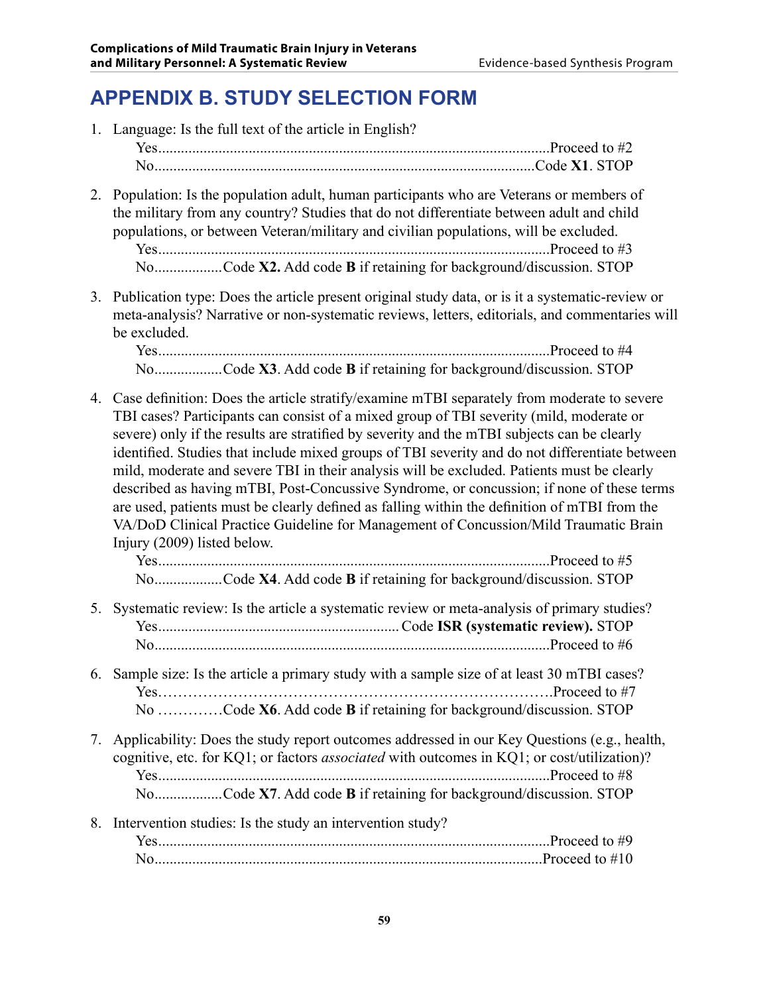# **APPENDIX B. STUDY SELECTION FORM**

|    | 1. Language: Is the full text of the article in English?                                                                                                                                                                                                                                                                                                                                                                                                                                                                                                                                                                                                                                                                                                                                                    |
|----|-------------------------------------------------------------------------------------------------------------------------------------------------------------------------------------------------------------------------------------------------------------------------------------------------------------------------------------------------------------------------------------------------------------------------------------------------------------------------------------------------------------------------------------------------------------------------------------------------------------------------------------------------------------------------------------------------------------------------------------------------------------------------------------------------------------|
|    |                                                                                                                                                                                                                                                                                                                                                                                                                                                                                                                                                                                                                                                                                                                                                                                                             |
|    |                                                                                                                                                                                                                                                                                                                                                                                                                                                                                                                                                                                                                                                                                                                                                                                                             |
| 2. | Population: Is the population adult, human participants who are Veterans or members of<br>the military from any country? Studies that do not differentiate between adult and child<br>populations, or between Veteran/military and civilian populations, will be excluded.<br>NoCode X2. Add code B if retaining for background/discussion. STOP                                                                                                                                                                                                                                                                                                                                                                                                                                                            |
|    | 3. Publication type: Does the article present original study data, or is it a systematic-review or<br>meta-analysis? Narrative or non-systematic reviews, letters, editorials, and commentaries will<br>be excluded.                                                                                                                                                                                                                                                                                                                                                                                                                                                                                                                                                                                        |
|    |                                                                                                                                                                                                                                                                                                                                                                                                                                                                                                                                                                                                                                                                                                                                                                                                             |
|    | NoCode X3. Add code B if retaining for background/discussion. STOP                                                                                                                                                                                                                                                                                                                                                                                                                                                                                                                                                                                                                                                                                                                                          |
|    | 4. Case definition: Does the article stratify/examine mTBI separately from moderate to severe<br>TBI cases? Participants can consist of a mixed group of TBI severity (mild, moderate or<br>severe) only if the results are stratified by severity and the mTBI subjects can be clearly<br>identified. Studies that include mixed groups of TBI severity and do not differentiate between<br>mild, moderate and severe TBI in their analysis will be excluded. Patients must be clearly<br>described as having mTBI, Post-Concussive Syndrome, or concussion; if none of these terms<br>are used, patients must be clearly defined as falling within the definition of mTBI from the<br>VA/DoD Clinical Practice Guideline for Management of Concussion/Mild Traumatic Brain<br>Injury (2009) listed below. |
|    | NoCode X4. Add code B if retaining for background/discussion. STOP                                                                                                                                                                                                                                                                                                                                                                                                                                                                                                                                                                                                                                                                                                                                          |
|    | 5. Systematic review: Is the article a systematic review or meta-analysis of primary studies?                                                                                                                                                                                                                                                                                                                                                                                                                                                                                                                                                                                                                                                                                                               |
|    | 6. Sample size: Is the article a primary study with a sample size of at least 30 mTBI cases?                                                                                                                                                                                                                                                                                                                                                                                                                                                                                                                                                                                                                                                                                                                |
|    | No Code X6. Add code B if retaining for background/discussion. STOP                                                                                                                                                                                                                                                                                                                                                                                                                                                                                                                                                                                                                                                                                                                                         |
| 7. | Applicability: Does the study report outcomes addressed in our Key Questions (e.g., health,<br>cognitive, etc. for KQ1; or factors <i>associated</i> with outcomes in KQ1; or cost/utilization)?<br>NoCode X7. Add code B if retaining for background/discussion. STOP                                                                                                                                                                                                                                                                                                                                                                                                                                                                                                                                      |
| 8. | Intervention studies: Is the study an intervention study?                                                                                                                                                                                                                                                                                                                                                                                                                                                                                                                                                                                                                                                                                                                                                   |
|    |                                                                                                                                                                                                                                                                                                                                                                                                                                                                                                                                                                                                                                                                                                                                                                                                             |
|    |                                                                                                                                                                                                                                                                                                                                                                                                                                                                                                                                                                                                                                                                                                                                                                                                             |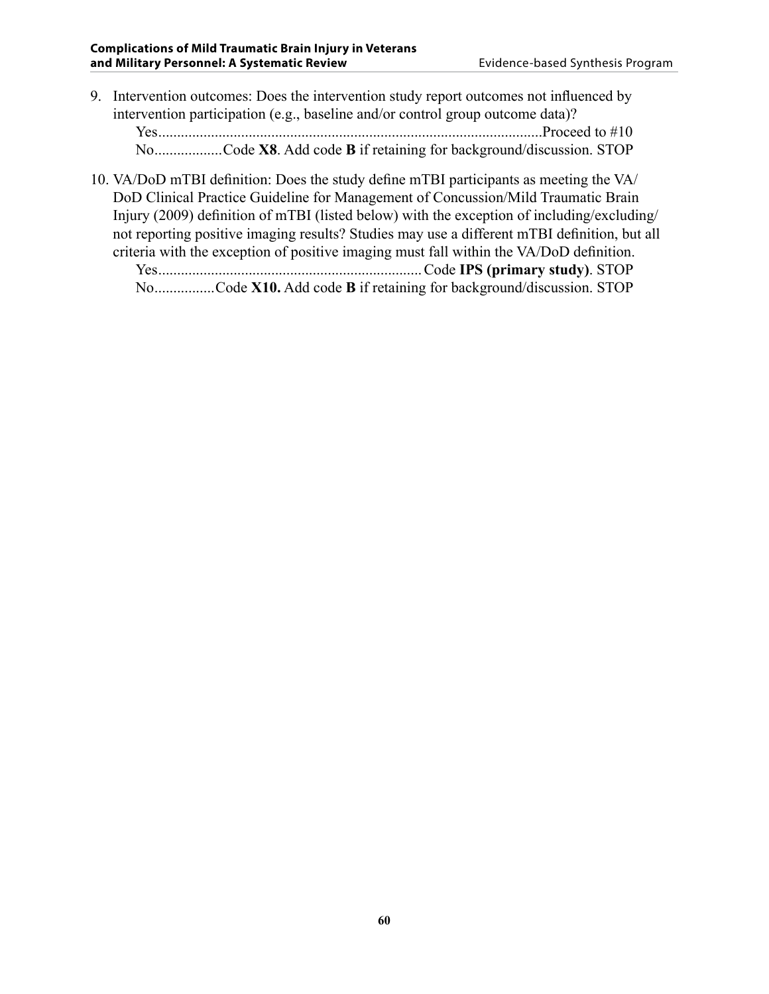- 9. Intervention outcomes: Does the intervention study report outcomes not influenced by intervention participation (e.g., baseline and/or control group outcome data)? Yes......................................................................................................Proceed to #10 No..................Code **X8**. Add code **B** if retaining for background/discussion. STOP
- 10. VA/DoD mTBI definition: Does the study define mTBI participants as meeting the VA/ DoD Clinical Practice Guideline for Management of Concussion/Mild Traumatic Brain Injury (2009) definition of mTBI (listed below) with the exception of including/excluding/ not reporting positive imaging results? Studies may use a different mTBI definition, but all criteria with the exception of positive imaging must fall within the VA/DoD definition. Yes......................................................................Code **IPS (primary study)**. STOP

No................Code **X10.** Add code **B** if retaining for background/discussion. STOP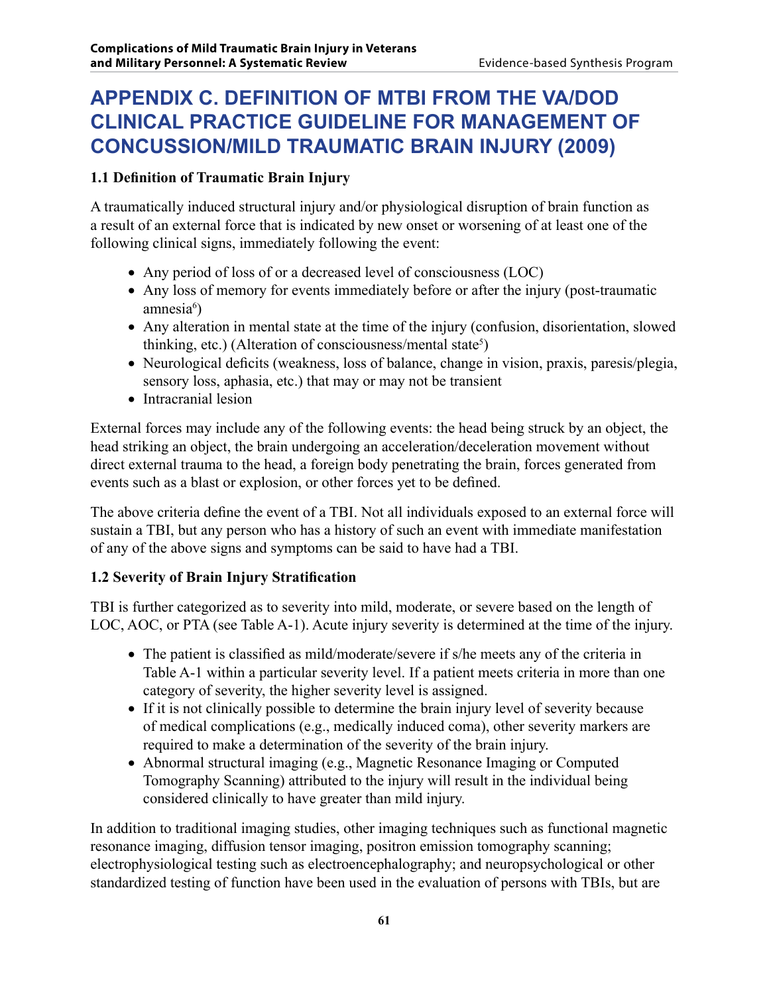# **APPENDIX C. Definition of mTBI from the VA/DoD Clinical Practice Guideline for Management of Concussion/Mild Traumatic Brain Injury (2009)**

### **1.1 Definition of Traumatic Brain Injury**

A traumatically induced structural injury and/or physiological disruption of brain function as a result of an external force that is indicated by new onset or worsening of at least one of the following clinical signs, immediately following the event:

- Any period of loss of or a decreased level of consciousness (LOC)
- Any loss of memory for events immediately before or after the injury (post-traumatic amnesia<sup>6</sup>)
- Any alteration in mental state at the time of the injury (confusion, disorientation, slowed thinking, etc.) (Alteration of consciousness/mental state<sup>5</sup>)
- Neurological deficits (weakness, loss of balance, change in vision, praxis, paresis/plegia, sensory loss, aphasia, etc.) that may or may not be transient
- Intracranial lesion

External forces may include any of the following events: the head being struck by an object, the head striking an object, the brain undergoing an acceleration/deceleration movement without direct external trauma to the head, a foreign body penetrating the brain, forces generated from events such as a blast or explosion, or other forces yet to be defined.

The above criteria define the event of a TBI. Not all individuals exposed to an external force will sustain a TBI, but any person who has a history of such an event with immediate manifestation of any of the above signs and symptoms can be said to have had a TBI.

### **1.2 Severity of Brain Injury Stratification**

TBI is further categorized as to severity into mild, moderate, or severe based on the length of LOC, AOC, or PTA (see Table A-1). Acute injury severity is determined at the time of the injury.

- The patient is classified as mild/moderate/severe if s/he meets any of the criteria in Table A-1 within a particular severity level. If a patient meets criteria in more than one category of severity, the higher severity level is assigned.
- If it is not clinically possible to determine the brain injury level of severity because of medical complications (e.g., medically induced coma), other severity markers are required to make a determination of the severity of the brain injury.
- Abnormal structural imaging (e.g., Magnetic Resonance Imaging or Computed Tomography Scanning) attributed to the injury will result in the individual being considered clinically to have greater than mild injury.

In addition to traditional imaging studies, other imaging techniques such as functional magnetic resonance imaging, diffusion tensor imaging, positron emission tomography scanning; electrophysiological testing such as electroencephalography; and neuropsychological or other standardized testing of function have been used in the evaluation of persons with TBIs, but are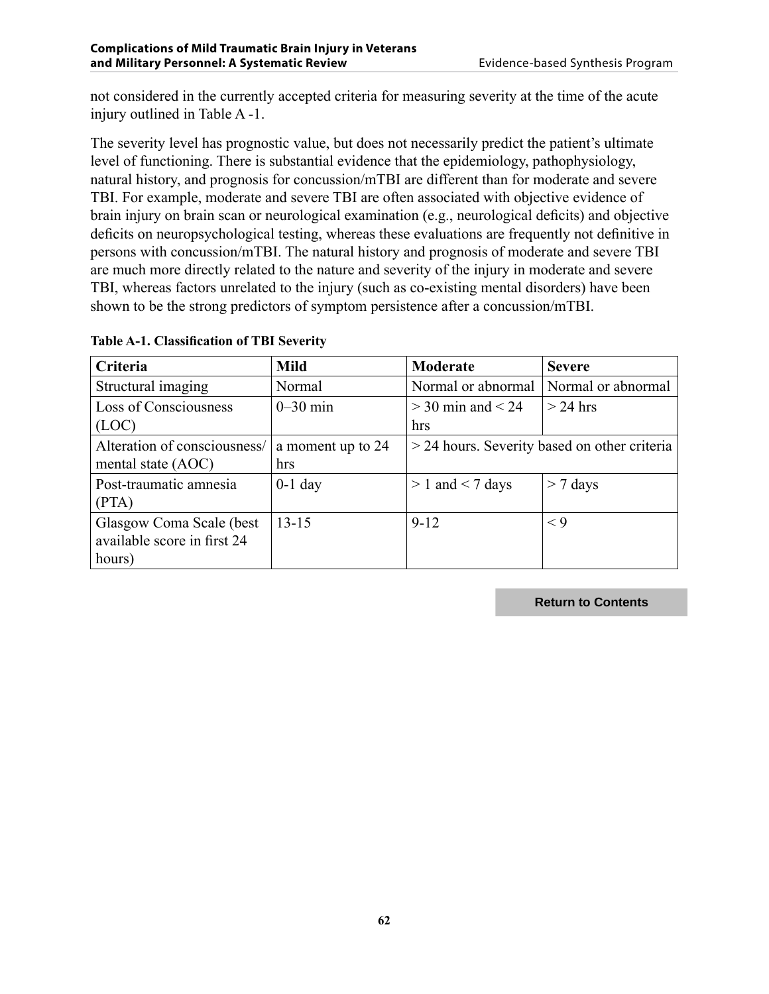not considered in the currently accepted criteria for measuring severity at the time of the acute injury outlined in Table A -1.

The severity level has prognostic value, but does not necessarily predict the patient's ultimate level of functioning. There is substantial evidence that the epidemiology, pathophysiology, natural history, and prognosis for concussion/mTBI are different than for moderate and severe TBI. For example, moderate and severe TBI are often associated with objective evidence of brain injury on brain scan or neurological examination (e.g., neurological deficits) and objective deficits on neuropsychological testing, whereas these evaluations are frequently not definitive in persons with concussion/mTBI. The natural history and prognosis of moderate and severe TBI are much more directly related to the nature and severity of the injury in moderate and severe TBI, whereas factors unrelated to the injury (such as co-existing mental disorders) have been shown to be the strong predictors of symptom persistence after a concussion/mTBI.

| Criteria                     | <b>Mild</b>       | Moderate                                       | <b>Severe</b>      |  |
|------------------------------|-------------------|------------------------------------------------|--------------------|--|
| Structural imaging           | Normal            | Normal or abnormal                             | Normal or abnormal |  |
| Loss of Consciousness        | $0-30$ min        | $>$ 30 min and $<$ 24                          | $>$ 24 hrs         |  |
| (LOC)                        |                   | hrs                                            |                    |  |
| Alteration of consciousness/ | a moment up to 24 | $>$ 24 hours. Severity based on other criteria |                    |  |
| mental state (AOC)           | hrs               |                                                |                    |  |
| Post-traumatic amnesia       | $0-1$ day         | $> 1$ and $< 7$ days                           | $>$ 7 days         |  |
| (PTA)                        |                   |                                                |                    |  |
| Glasgow Coma Scale (best     | $13 - 15$         | $9-12$                                         | $\leq 9$           |  |
| available score in first 24  |                   |                                                |                    |  |
| hours)                       |                   |                                                |                    |  |

**Table A-1. Classification of TBI Severity**

**Return to Contents**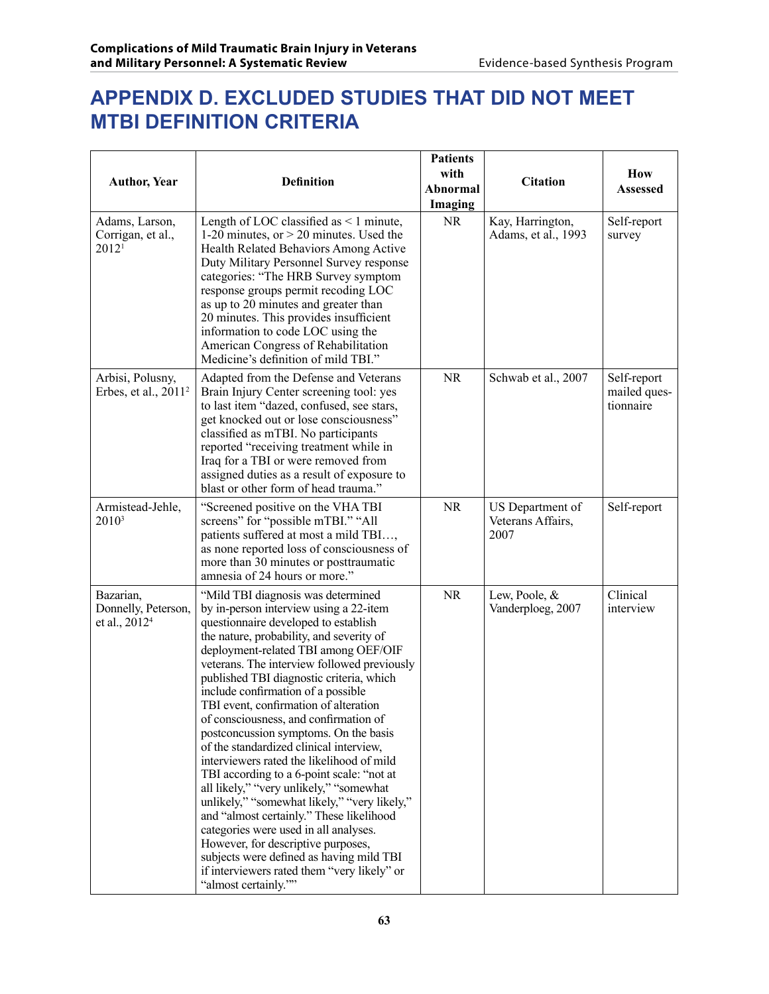# **APPENDIX D. Excluded studies that did not meet mTBI definition criteria**

| <b>Author, Year</b>                                           | <b>Definition</b>                                                                                                                                                                                                                                                                                                                                                                                                                                                                                                                                                                                                                                                                                                                                                                                                                                                                                                                                  | <b>Patients</b><br>with<br>Abnormal<br>Imaging | <b>Citation</b>                               | How<br>Assessed                          |
|---------------------------------------------------------------|----------------------------------------------------------------------------------------------------------------------------------------------------------------------------------------------------------------------------------------------------------------------------------------------------------------------------------------------------------------------------------------------------------------------------------------------------------------------------------------------------------------------------------------------------------------------------------------------------------------------------------------------------------------------------------------------------------------------------------------------------------------------------------------------------------------------------------------------------------------------------------------------------------------------------------------------------|------------------------------------------------|-----------------------------------------------|------------------------------------------|
| Adams, Larson,<br>Corrigan, et al.,<br>2012 <sup>1</sup>      | Length of LOC classified as $\leq 1$ minute,<br>1-20 minutes, or $>$ 20 minutes. Used the<br>Health Related Behaviors Among Active<br>Duty Military Personnel Survey response<br>categories: "The HRB Survey symptom<br>response groups permit recoding LOC<br>as up to 20 minutes and greater than<br>20 minutes. This provides insufficient<br>information to code LOC using the<br>American Congress of Rehabilitation<br>Medicine's definition of mild TBI."                                                                                                                                                                                                                                                                                                                                                                                                                                                                                   | <b>NR</b>                                      | Kay, Harrington,<br>Adams, et al., 1993       | Self-report<br>survey                    |
| Arbisi, Polusny,<br>Erbes, et al., 2011 <sup>2</sup>          | Adapted from the Defense and Veterans<br>Brain Injury Center screening tool: yes<br>to last item "dazed, confused, see stars,<br>get knocked out or lose consciousness"<br>classified as mTBI. No participants<br>reported "receiving treatment while in<br>Iraq for a TBI or were removed from<br>assigned duties as a result of exposure to<br>blast or other form of head trauma."                                                                                                                                                                                                                                                                                                                                                                                                                                                                                                                                                              | <b>NR</b>                                      | Schwab et al., 2007                           | Self-report<br>mailed ques-<br>tionnaire |
| Armistead-Jehle,<br>$2010^3$                                  | "Screened positive on the VHA TBI<br>screens" for "possible mTBI." "All<br>patients suffered at most a mild TBI,<br>as none reported loss of consciousness of<br>more than 30 minutes or posttraumatic<br>amnesia of 24 hours or more."                                                                                                                                                                                                                                                                                                                                                                                                                                                                                                                                                                                                                                                                                                            | <b>NR</b>                                      | US Department of<br>Veterans Affairs,<br>2007 | Self-report                              |
| Bazarian,<br>Donnelly, Peterson,<br>et al., 2012 <sup>4</sup> | "Mild TBI diagnosis was determined<br>by in-person interview using a 22-item<br>questionnaire developed to establish<br>the nature, probability, and severity of<br>deployment-related TBI among OEF/OIF<br>veterans. The interview followed previously<br>published TBI diagnostic criteria, which<br>include confirmation of a possible<br>TBI event, confirmation of alteration<br>of consciousness, and confirmation of<br>postconcussion symptoms. On the basis<br>of the standardized clinical interview,<br>interviewers rated the likelihood of mild<br>TBI according to a 6-point scale: "not at<br>all likely," "very unlikely," "somewhat<br>unlikely," "somewhat likely," "very likely,"<br>and "almost certainly." These likelihood<br>categories were used in all analyses.<br>However, for descriptive purposes,<br>subjects were defined as having mild TBI<br>if interviewers rated them "very likely" or<br>"almost certainly."" | <b>NR</b>                                      | Lew, Poole, &<br>Vanderploeg, 2007            | Clinical<br>interview                    |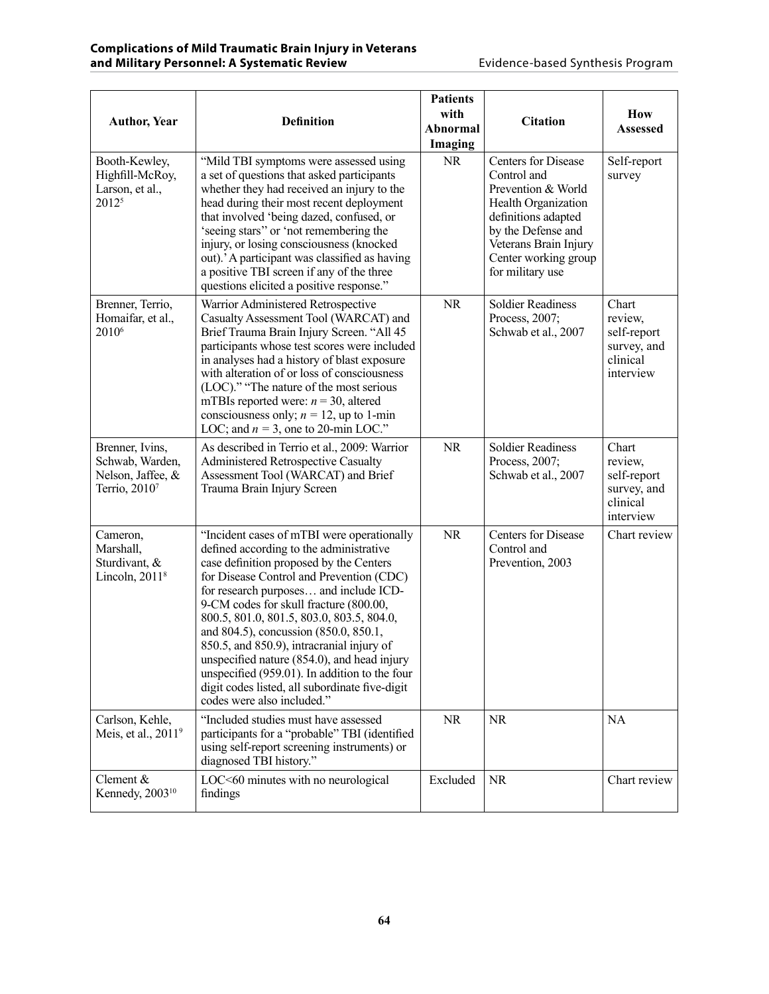| <b>Author, Year</b>                                                                  | <b>Definition</b>                                                                                                                                                                                                                                                                                                                                                                                                                                                                                                                                                                   | <b>Patients</b><br>with<br><b>Abnormal</b><br>Imaging | <b>Citation</b>                                                                                                                                                                                          | How<br><b>Assessed</b>                                                  |
|--------------------------------------------------------------------------------------|-------------------------------------------------------------------------------------------------------------------------------------------------------------------------------------------------------------------------------------------------------------------------------------------------------------------------------------------------------------------------------------------------------------------------------------------------------------------------------------------------------------------------------------------------------------------------------------|-------------------------------------------------------|----------------------------------------------------------------------------------------------------------------------------------------------------------------------------------------------------------|-------------------------------------------------------------------------|
| Booth-Kewley,<br>Highfill-McRoy,<br>Larson, et al.,<br>20125                         | "Mild TBI symptoms were assessed using<br>a set of questions that asked participants<br>whether they had received an injury to the<br>head during their most recent deployment<br>that involved 'being dazed, confused, or<br>'seeing stars" or 'not remembering the<br>injury, or losing consciousness (knocked<br>out).' A participant was classified as having<br>a positive TBI screen if any of the three<br>questions elicited a positive response."                                                                                                                          | <b>NR</b>                                             | <b>Centers for Disease</b><br>Control and<br>Prevention & World<br>Health Organization<br>definitions adapted<br>by the Defense and<br>Veterans Brain Injury<br>Center working group<br>for military use | Self-report<br>survey                                                   |
| Brenner, Terrio,<br>Homaifar, et al.,<br>2010 <sup>6</sup>                           | Warrior Administered Retrospective<br>Casualty Assessment Tool (WARCAT) and<br>Brief Trauma Brain Injury Screen. "All 45<br>participants whose test scores were included<br>in analyses had a history of blast exposure<br>with alteration of or loss of consciousness<br>(LOC)." "The nature of the most serious<br>mTBIs reported were: $n = 30$ , altered<br>consciousness only; $n = 12$ , up to 1-min<br>LOC; and $n = 3$ , one to 20-min LOC."                                                                                                                                | <b>NR</b>                                             | <b>Soldier Readiness</b><br>Process, 2007;<br>Schwab et al., 2007                                                                                                                                        | Chart<br>review,<br>self-report<br>survey, and<br>clinical<br>interview |
| Brenner, Ivins,<br>Schwab, Warden,<br>Nelson, Jaffee, &<br>Terrio, 2010 <sup>7</sup> | As described in Terrio et al., 2009: Warrior<br><b>Administered Retrospective Casualty</b><br>Assessment Tool (WARCAT) and Brief<br>Trauma Brain Injury Screen                                                                                                                                                                                                                                                                                                                                                                                                                      | <b>NR</b>                                             | <b>Soldier Readiness</b><br>Process, 2007;<br>Schwab et al., 2007                                                                                                                                        | Chart<br>review,<br>self-report<br>survey, and<br>clinical<br>interview |
| Cameron,<br>Marshall,<br>Sturdivant, &<br>Lincoln, $20118$                           | "Incident cases of mTBI were operationally<br>defined according to the administrative<br>case definition proposed by the Centers<br>for Disease Control and Prevention (CDC)<br>for research purposes and include ICD-<br>9-CM codes for skull fracture (800.00,<br>800.5, 801.0, 801.5, 803.0, 803.5, 804.0,<br>and 804.5), concussion (850.0, 850.1,<br>850.5, and 850.9), intracranial injury of<br>unspecified nature (854.0), and head injury<br>unspecified (959.01). In addition to the four<br>digit codes listed, all subordinate five-digit<br>codes were also included." | <b>NR</b>                                             | <b>Centers for Disease</b><br>Control and<br>Prevention, 2003                                                                                                                                            | Chart review                                                            |
| Carlson, Kehle,<br>Meis, et al., 2011 <sup>9</sup>                                   | "Included studies must have assessed<br>participants for a "probable" TBI (identified<br>using self-report screening instruments) or<br>diagnosed TBI history."                                                                                                                                                                                                                                                                                                                                                                                                                     | <b>NR</b>                                             | <b>NR</b>                                                                                                                                                                                                | <b>NA</b>                                                               |
| Clement &<br>Kennedy, 2003 <sup>10</sup>                                             | LOC<60 minutes with no neurological<br>findings                                                                                                                                                                                                                                                                                                                                                                                                                                                                                                                                     | Excluded                                              | <b>NR</b>                                                                                                                                                                                                | Chart review                                                            |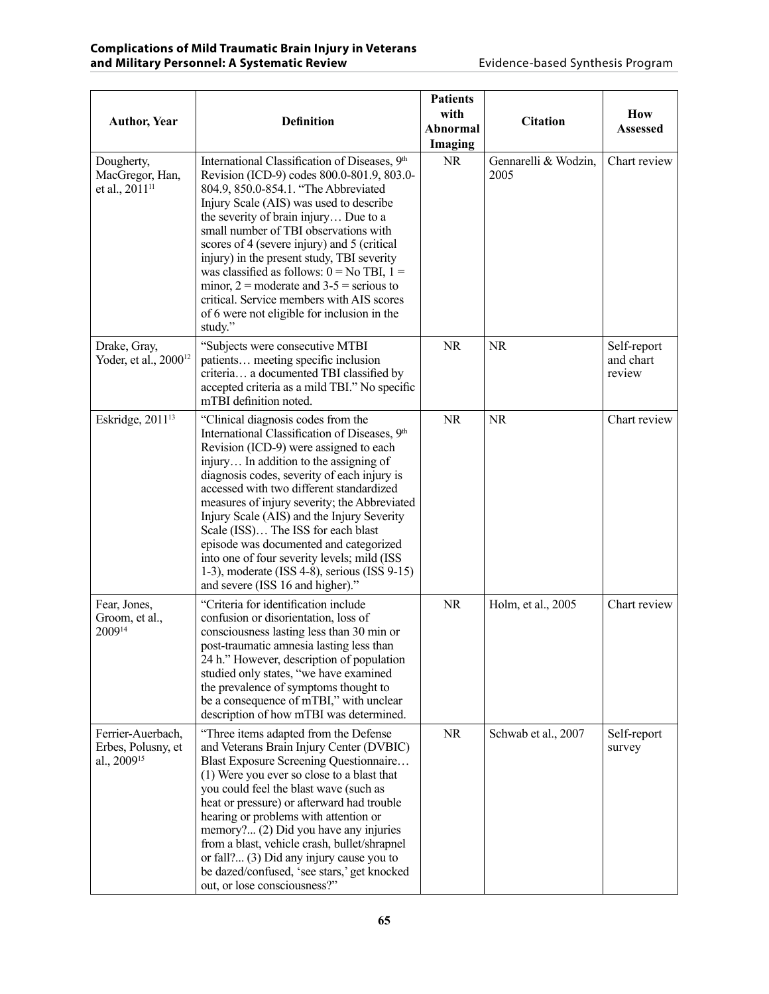| <b>Author, Year</b>                                                | <b>Definition</b>                                                                                                                                                                                                                                                                                                                                                                                                                                                                                                                                                                   | <b>Patients</b><br>with<br>Abnormal<br>Imaging | <b>Citation</b>              | How<br><b>Assessed</b>             |
|--------------------------------------------------------------------|-------------------------------------------------------------------------------------------------------------------------------------------------------------------------------------------------------------------------------------------------------------------------------------------------------------------------------------------------------------------------------------------------------------------------------------------------------------------------------------------------------------------------------------------------------------------------------------|------------------------------------------------|------------------------------|------------------------------------|
| Dougherty,<br>MacGregor, Han,<br>et al., 2011 <sup>11</sup>        | International Classification of Diseases, 9th<br>Revision (ICD-9) codes 800.0-801.9, 803.0-<br>804.9, 850.0-854.1. "The Abbreviated<br>Injury Scale (AIS) was used to describe<br>the severity of brain injury Due to a<br>small number of TBI observations with<br>scores of 4 (severe injury) and 5 (critical<br>injury) in the present study, TBI severity<br>was classified as follows: $0 = No$ TBI, $1 =$<br>minor, $2 =$ moderate and $3 - 5 =$ serious to<br>critical. Service members with AIS scores<br>of 6 were not eligible for inclusion in the<br>study."            | <b>NR</b>                                      | Gennarelli & Wodzin,<br>2005 | Chart review                       |
| Drake, Gray,<br>Yoder, et al., 2000 <sup>12</sup>                  | "Subjects were consecutive MTBI<br>patients meeting specific inclusion<br>criteria a documented TBI classified by<br>accepted criteria as a mild TBI." No specific<br>mTBI definition noted.                                                                                                                                                                                                                                                                                                                                                                                        | <b>NR</b>                                      | <b>NR</b>                    | Self-report<br>and chart<br>review |
| Eskridge, 2011 <sup>13</sup>                                       | "Clinical diagnosis codes from the<br>International Classification of Diseases, 9th<br>Revision (ICD-9) were assigned to each<br>injury In addition to the assigning of<br>diagnosis codes, severity of each injury is<br>accessed with two different standardized<br>measures of injury severity; the Abbreviated<br>Injury Scale (AIS) and the Injury Severity<br>Scale (ISS) The ISS for each blast<br>episode was documented and categorized<br>into one of four severity levels; mild (ISS<br>1-3), moderate (ISS 4-8), serious (ISS 9-15)<br>and severe (ISS 16 and higher)." | <b>NR</b>                                      | <b>NR</b>                    | Chart review                       |
| Fear, Jones,<br>Groom, et al.,<br>200914                           | "Criteria for identification include<br>confusion or disorientation, loss of<br>consciousness lasting less than 30 min or<br>post-traumatic amnesia lasting less than<br>24 h." However, description of population<br>studied only states, "we have examined<br>the prevalence of symptoms thought to<br>be a consequence of mTBI," with unclear<br>description of how mTBI was determined.                                                                                                                                                                                         | <b>NR</b>                                      | Holm, et al., 2005           | Chart review                       |
| Ferrier-Auerbach,<br>Erbes, Polusny, et<br>al., 2009 <sup>15</sup> | "Three items adapted from the Defense<br>and Veterans Brain Injury Center (DVBIC)<br>Blast Exposure Screening Questionnaire<br>(1) Were you ever so close to a blast that<br>you could feel the blast wave (such as<br>heat or pressure) or afterward had trouble<br>hearing or problems with attention or<br>memory? (2) Did you have any injuries<br>from a blast, vehicle crash, bullet/shrapnel<br>or fall? (3) Did any injury cause you to<br>be dazed/confused, 'see stars,' get knocked<br>out, or lose consciousness?"                                                      | <b>NR</b>                                      | Schwab et al., 2007          | Self-report<br>survey              |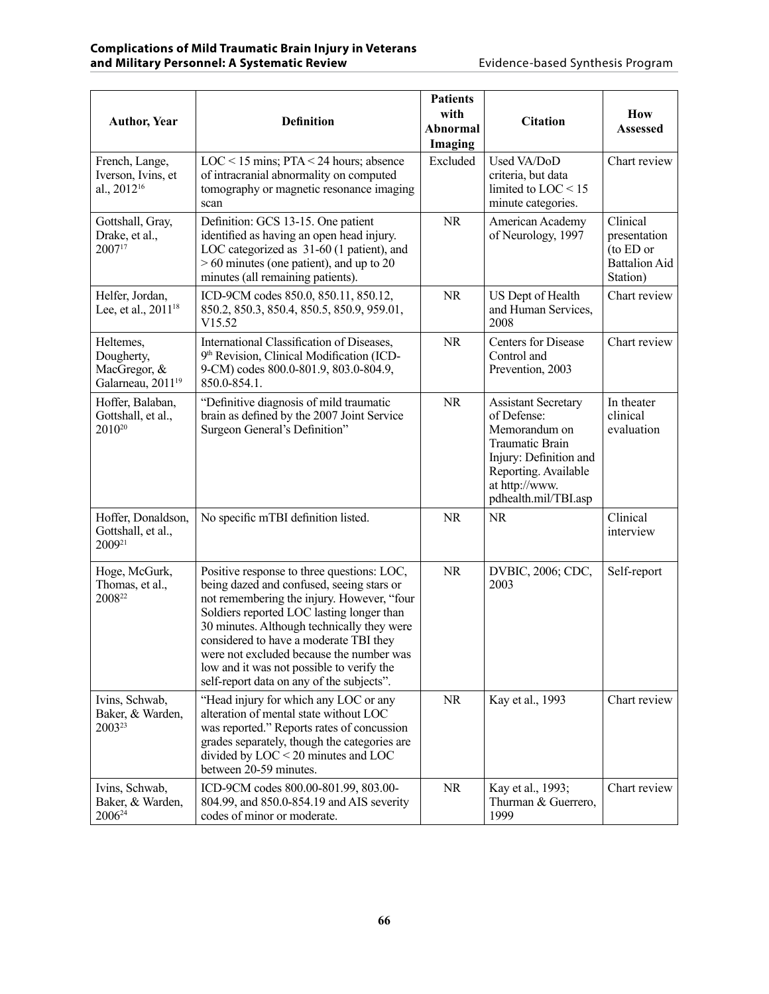| <b>Author, Year</b>                                                      | <b>Definition</b>                                                                                                                                                                                                                                                                                                                                                                                                | <b>Patients</b><br>with<br><b>Abnormal</b><br>Imaging | <b>Citation</b>                                                                                                                                                           | How<br><b>Assessed</b>                                                    |
|--------------------------------------------------------------------------|------------------------------------------------------------------------------------------------------------------------------------------------------------------------------------------------------------------------------------------------------------------------------------------------------------------------------------------------------------------------------------------------------------------|-------------------------------------------------------|---------------------------------------------------------------------------------------------------------------------------------------------------------------------------|---------------------------------------------------------------------------|
| French, Lange,<br>Iverson, Ivins, et<br>al., 2012 <sup>16</sup>          | $LOC < 15$ mins; $PTA < 24$ hours; absence<br>of intracranial abnormality on computed<br>tomography or magnetic resonance imaging<br>scan                                                                                                                                                                                                                                                                        | Excluded                                              | Used VA/DoD<br>criteria, but data<br>limited to LOC < 15<br>minute categories.                                                                                            | Chart review                                                              |
| Gottshall, Gray,<br>Drake, et al.,<br>200717                             | Definition: GCS 13-15. One patient<br>identified as having an open head injury.<br>LOC categorized as 31-60 (1 patient), and<br>$> 60$ minutes (one patient), and up to 20<br>minutes (all remaining patients).                                                                                                                                                                                                  | <b>NR</b>                                             | American Academy<br>of Neurology, 1997                                                                                                                                    | Clinical<br>presentation<br>(to ED or<br><b>Battalion Aid</b><br>Station) |
| Helfer, Jordan,<br>Lee, et al., 2011 <sup>18</sup>                       | ICD-9CM codes 850.0, 850.11, 850.12,<br>850.2, 850.3, 850.4, 850.5, 850.9, 959.01,<br>V15.52                                                                                                                                                                                                                                                                                                                     | NR.                                                   | US Dept of Health<br>and Human Services,<br>2008                                                                                                                          | Chart review                                                              |
| Heltemes,<br>Dougherty,<br>MacGregor, &<br>Galarneau, 2011 <sup>19</sup> | International Classification of Diseases,<br>9th Revision, Clinical Modification (ICD-<br>9-CM) codes 800.0-801.9, 803.0-804.9,<br>850.0-854.1.                                                                                                                                                                                                                                                                  | <b>NR</b>                                             | <b>Centers for Disease</b><br>Control and<br>Prevention, 2003                                                                                                             | Chart review                                                              |
| Hoffer, Balaban,<br>Gottshall, et al.,<br>2010 <sup>20</sup>             | "Definitive diagnosis of mild traumatic<br>brain as defined by the 2007 Joint Service<br>Surgeon General's Definition"                                                                                                                                                                                                                                                                                           | <b>NR</b>                                             | <b>Assistant Secretary</b><br>of Defense:<br>Memorandum on<br>Traumatic Brain<br>Injury: Definition and<br>Reporting. Available<br>at http://www.<br>pdhealth.mil/TBI.asp | In theater<br>clinical<br>evaluation                                      |
| Hoffer, Donaldson,<br>Gottshall, et al.,<br>200921                       | No specific mTBI definition listed.                                                                                                                                                                                                                                                                                                                                                                              | <b>NR</b>                                             | <b>NR</b>                                                                                                                                                                 | Clinical<br>interview                                                     |
| Hoge, McGurk,<br>Thomas, et al.,<br>200822                               | Positive response to three questions: LOC,<br>being dazed and confused, seeing stars or<br>not remembering the injury. However, "four<br>Soldiers reported LOC lasting longer than<br>30 minutes. Although technically they were<br>considered to have a moderate TBI they<br>were not excluded because the number was<br>low and it was not possible to verify the<br>self-report data on any of the subjects". | <b>NR</b>                                             | DVBIC, 2006; CDC,<br>2003                                                                                                                                                 | Self-report                                                               |
| Ivins, Schwab,<br>Baker, & Warden,<br>2003 <sup>23</sup>                 | "Head injury for which any LOC or any<br>alteration of mental state without LOC<br>was reported." Reports rates of concussion<br>grades separately, though the categories are<br>divided by $LOC < 20$ minutes and $LOC$<br>between 20-59 minutes.                                                                                                                                                               | <b>NR</b>                                             | Kay et al., 1993                                                                                                                                                          | Chart review                                                              |
| Ivins, Schwab,<br>Baker, & Warden,<br>2006 <sup>24</sup>                 | ICD-9CM codes 800.00-801.99, 803.00-<br>804.99, and 850.0-854.19 and AIS severity<br>codes of minor or moderate.                                                                                                                                                                                                                                                                                                 | <b>NR</b>                                             | Kay et al., 1993;<br>Thurman & Guerrero,<br>1999                                                                                                                          | Chart review                                                              |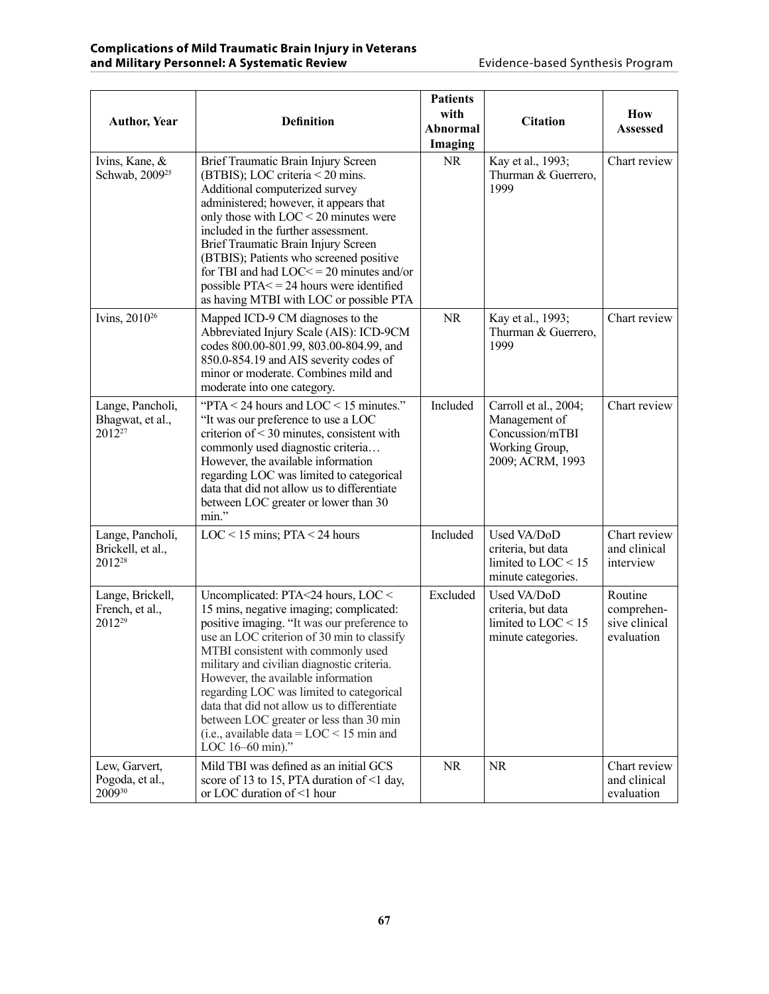| <b>Author, Year</b>                                         | <b>Definition</b>                                                                                                                                                                                                                                                                                                                                                                                                                                                                                            | <b>Patients</b><br>with<br>Abnormal<br>Imaging | <b>Citation</b>                                                                                 | How<br>Assessed                                      |
|-------------------------------------------------------------|--------------------------------------------------------------------------------------------------------------------------------------------------------------------------------------------------------------------------------------------------------------------------------------------------------------------------------------------------------------------------------------------------------------------------------------------------------------------------------------------------------------|------------------------------------------------|-------------------------------------------------------------------------------------------------|------------------------------------------------------|
| Ivins, Kane, &<br>Schwab, 2009 <sup>25</sup>                | Brief Traumatic Brain Injury Screen<br>(BTBIS); LOC criteria < 20 mins.<br>Additional computerized survey<br>administered; however, it appears that<br>only those with $LOC < 20$ minutes were<br>included in the further assessment.<br>Brief Traumatic Brain Injury Screen<br>(BTBIS); Patients who screened positive<br>for TBI and had $LOC \le 20$ minutes and/or<br>possible PTA $\le$ = 24 hours were identified<br>as having MTBI with LOC or possible PTA                                           | <b>NR</b>                                      | Kay et al., 1993;<br>Thurman & Guerrero,<br>1999                                                | Chart review                                         |
| Ivins, 2010 <sup>26</sup>                                   | Mapped ICD-9 CM diagnoses to the<br>Abbreviated Injury Scale (AIS): ICD-9CM<br>codes 800.00-801.99, 803.00-804.99, and<br>850.0-854.19 and AIS severity codes of<br>minor or moderate. Combines mild and<br>moderate into one category.                                                                                                                                                                                                                                                                      | <b>NR</b>                                      | Kay et al., 1993;<br>Thurman & Guerrero,<br>1999                                                | Chart review                                         |
| Lange, Pancholi,<br>Bhagwat, et al.,<br>2012 <sup>27</sup>  | "PTA < 24 hours and LOC < 15 minutes."<br>"It was our preference to use a LOC<br>criterion of $<$ 30 minutes, consistent with<br>commonly used diagnostic criteria<br>However, the available information<br>regarding LOC was limited to categorical<br>data that did not allow us to differentiate<br>between LOC greater or lower than 30<br>min."                                                                                                                                                         | Included                                       | Carroll et al., 2004;<br>Management of<br>Concussion/mTBI<br>Working Group,<br>2009; ACRM, 1993 | Chart review                                         |
| Lange, Pancholi,<br>Brickell, et al.,<br>2012 <sup>28</sup> | $LOC < 15$ mins; $PTA < 24$ hours                                                                                                                                                                                                                                                                                                                                                                                                                                                                            | Included                                       | Used VA/DoD<br>criteria, but data<br>limited to $LOC < 15$<br>minute categories.                | Chart review<br>and clinical<br>interview            |
| Lange, Brickell,<br>French, et al.,<br>2012 <sup>29</sup>   | Uncomplicated: PTA<24 hours, LOC <<br>15 mins, negative imaging; complicated:<br>positive imaging. "It was our preference to<br>use an LOC criterion of 30 min to classify<br>MTBI consistent with commonly used<br>military and civilian diagnostic criteria.<br>However, the available information<br>regarding LOC was limited to categorical<br>data that did not allow us to differentiate<br>between LOC greater or less than 30 min<br>(i.e., available data = $LOC < 15$ min and<br>LOC 16-60 min)." | Excluded                                       | Used VA/DoD<br>criteria, but data<br>limited to $LOC < 15$<br>minute categories.                | Routine<br>comprehen-<br>sive clinical<br>evaluation |
| Lew, Garvert,<br>Pogoda, et al.,<br>200930                  | Mild TBI was defined as an initial GCS<br>score of 13 to 15, PTA duration of $\leq 1$ day,<br>or LOC duration of <1 hour                                                                                                                                                                                                                                                                                                                                                                                     | <b>NR</b>                                      | <b>NR</b>                                                                                       | Chart review<br>and clinical<br>evaluation           |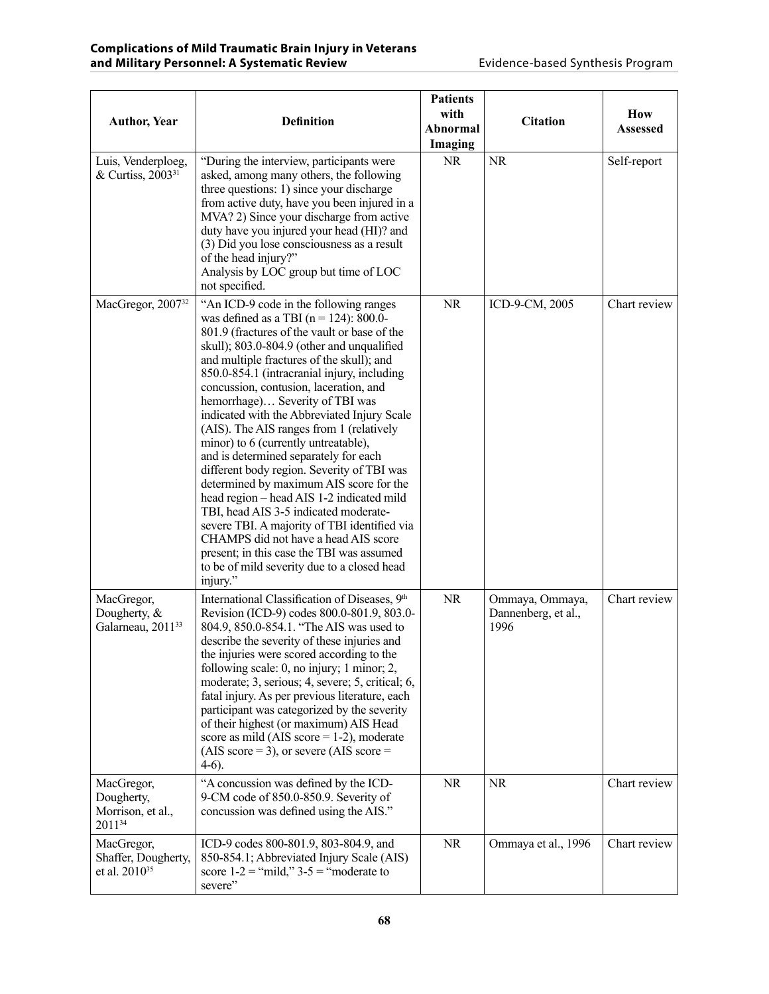| <b>Author, Year</b>                                            | <b>Definition</b>                                                                                                                                                                                                                                                                                                                                                                                                                                                                                                                                                                                                                                                                                                                                                                                                                                                                                                      | <b>Patients</b><br>with<br>Abnormal<br>Imaging | <b>Citation</b>                                | How<br><b>Assessed</b> |
|----------------------------------------------------------------|------------------------------------------------------------------------------------------------------------------------------------------------------------------------------------------------------------------------------------------------------------------------------------------------------------------------------------------------------------------------------------------------------------------------------------------------------------------------------------------------------------------------------------------------------------------------------------------------------------------------------------------------------------------------------------------------------------------------------------------------------------------------------------------------------------------------------------------------------------------------------------------------------------------------|------------------------------------------------|------------------------------------------------|------------------------|
| Luis, Venderploeg,<br>& Curtiss, 2003 <sup>31</sup>            | "During the interview, participants were<br>asked, among many others, the following<br>three questions: 1) since your discharge<br>from active duty, have you been injured in a<br>MVA? 2) Since your discharge from active<br>duty have you injured your head (HI)? and<br>(3) Did you lose consciousness as a result<br>of the head injury?"<br>Analysis by LOC group but time of LOC<br>not specified.                                                                                                                                                                                                                                                                                                                                                                                                                                                                                                              | <b>NR</b>                                      | <b>NR</b>                                      | Self-report            |
| MacGregor, 2007 <sup>32</sup>                                  | "An ICD-9 code in the following ranges<br>was defined as a TBI ( $n = 124$ ): 800.0-<br>801.9 (fractures of the vault or base of the<br>skull); 803.0-804.9 (other and unqualified<br>and multiple fractures of the skull); and<br>850.0-854.1 (intracranial injury, including<br>concussion, contusion, laceration, and<br>hemorrhage) Severity of TBI was<br>indicated with the Abbreviated Injury Scale<br>(AIS). The AIS ranges from 1 (relatively<br>minor) to 6 (currently untreatable),<br>and is determined separately for each<br>different body region. Severity of TBI was<br>determined by maximum AIS score for the<br>head region – head AIS 1-2 indicated mild<br>TBI, head AIS 3-5 indicated moderate-<br>severe TBI. A majority of TBI identified via<br>CHAMPS did not have a head AIS score<br>present; in this case the TBI was assumed<br>to be of mild severity due to a closed head<br>injury." | <b>NR</b>                                      | ICD-9-CM, 2005                                 | Chart review           |
| MacGregor,<br>Dougherty, $\&$<br>Galarneau, 2011 <sup>33</sup> | International Classification of Diseases, 9th<br>Revision (ICD-9) codes 800.0-801.9, 803.0-<br>804.9, 850.0-854.1. "The AIS was used to<br>describe the severity of these injuries and<br>the injuries were scored according to the<br>following scale: 0, no injury; 1 minor; 2,<br>moderate; 3, serious; 4, severe; 5, critical; 6,<br>fatal injury. As per previous literature, each<br>participant was categorized by the severity<br>of their highest (or maximum) AIS Head<br>score as mild (AIS score $= 1-2$ ), moderate<br>$(AIS score = 3)$ , or severe $(AIS score =$<br>$4-6$ ).                                                                                                                                                                                                                                                                                                                           | <b>NR</b>                                      | Ommaya, Ommaya,<br>Dannenberg, et al.,<br>1996 | Chart review           |
| MacGregor,<br>Dougherty,<br>Morrison, et al.,<br>201134        | "A concussion was defined by the ICD-<br>9-CM code of 850.0-850.9. Severity of<br>concussion was defined using the AIS."                                                                                                                                                                                                                                                                                                                                                                                                                                                                                                                                                                                                                                                                                                                                                                                               | <b>NR</b>                                      | <b>NR</b>                                      | Chart review           |
| MacGregor,<br>Shaffer, Dougherty,<br>et al. 2010 <sup>35</sup> | ICD-9 codes 800-801.9, 803-804.9, and<br>850-854.1; Abbreviated Injury Scale (AIS)<br>score $1-2$ = "mild," $3-5$ = "moderate to<br>severe"                                                                                                                                                                                                                                                                                                                                                                                                                                                                                                                                                                                                                                                                                                                                                                            | <b>NR</b>                                      | Ommaya et al., 1996                            | Chart review           |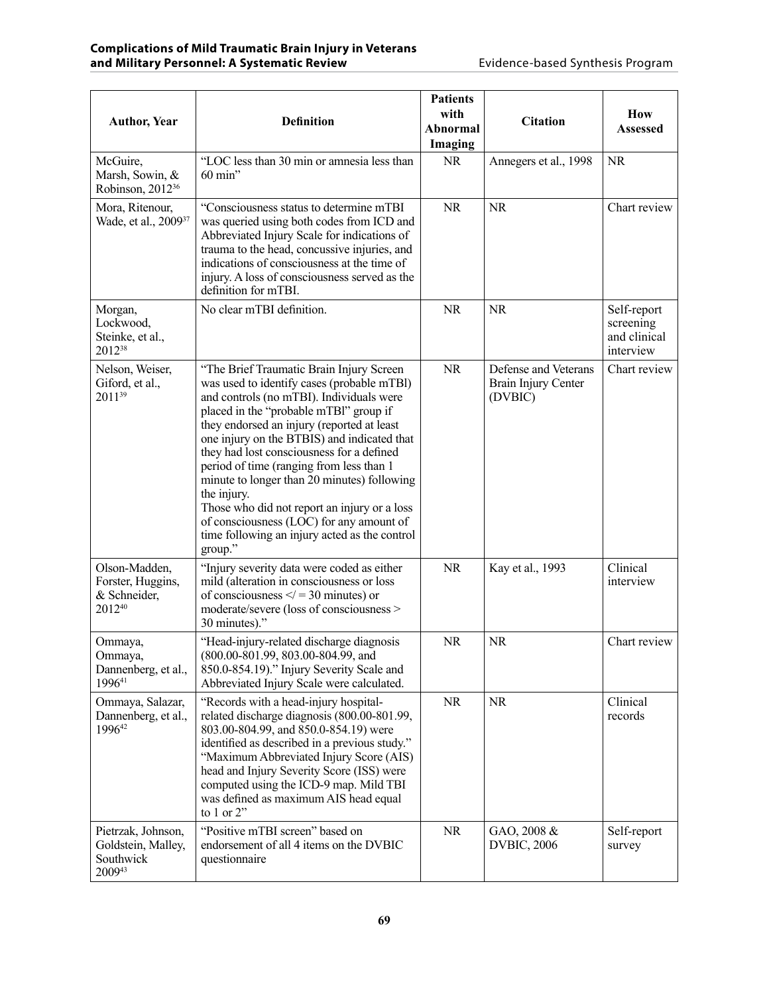| <b>Author, Year</b>                                             | <b>Definition</b>                                                                                                                                                                                                                                                                                                                                                                                                                                                                                                                                                                        | <b>Patients</b><br>with<br>Abnormal<br>Imaging | <b>Citation</b>                                        | How<br><b>Assessed</b>                                |
|-----------------------------------------------------------------|------------------------------------------------------------------------------------------------------------------------------------------------------------------------------------------------------------------------------------------------------------------------------------------------------------------------------------------------------------------------------------------------------------------------------------------------------------------------------------------------------------------------------------------------------------------------------------------|------------------------------------------------|--------------------------------------------------------|-------------------------------------------------------|
| McGuire,<br>Marsh, Sowin, &<br>Robinson, 2012 <sup>36</sup>     | "LOC less than 30 min or amnesia less than<br>60 min"                                                                                                                                                                                                                                                                                                                                                                                                                                                                                                                                    | <b>NR</b>                                      | Annegers et al., 1998                                  | <b>NR</b>                                             |
| Mora, Ritenour,<br>Wade, et al., 2009 <sup>37</sup>             | "Consciousness status to determine mTBI<br>was queried using both codes from ICD and<br>Abbreviated Injury Scale for indications of<br>trauma to the head, concussive injuries, and<br>indications of consciousness at the time of<br>injury. A loss of consciousness served as the<br>definition for mTBI.                                                                                                                                                                                                                                                                              | <b>NR</b>                                      | <b>NR</b>                                              | Chart review                                          |
| Morgan,<br>Lockwood,<br>Steinke, et al.,<br>201238              | No clear mTBI definition.                                                                                                                                                                                                                                                                                                                                                                                                                                                                                                                                                                | <b>NR</b>                                      | <b>NR</b>                                              | Self-report<br>screening<br>and clinical<br>interview |
| Nelson, Weiser,<br>Giford, et al.,<br>201139                    | "The Brief Traumatic Brain Injury Screen<br>was used to identify cases (probable mTBI)<br>and controls (no mTBI). Individuals were<br>placed in the "probable mTBl" group if<br>they endorsed an injury (reported at least<br>one injury on the BTBIS) and indicated that<br>they had lost consciousness for a defined<br>period of time (ranging from less than 1<br>minute to longer than 20 minutes) following<br>the injury.<br>Those who did not report an injury or a loss<br>of consciousness (LOC) for any amount of<br>time following an injury acted as the control<br>group." | <b>NR</b>                                      | Defense and Veterans<br>Brain Injury Center<br>(DVBIC) | Chart review                                          |
| Olson-Madden,<br>Forster, Huggins,<br>& Schneider,<br>201240    | "Injury severity data were coded as either<br>mild (alteration in consciousness or loss<br>of consciousness $\leq$ = 30 minutes) or<br>moderate/severe (loss of consciousness ><br>30 minutes)."                                                                                                                                                                                                                                                                                                                                                                                         | <b>NR</b>                                      | Kay et al., 1993                                       | Clinical<br>interview                                 |
| Ommaya,<br>Ommaya,<br>Dannenberg, et al.,<br>199641             | "Head-injury-related discharge diagnosis<br>(800.00-801.99, 803.00-804.99, and<br>850.0-854.19)." Injury Severity Scale and<br>Abbreviated Injury Scale were calculated.                                                                                                                                                                                                                                                                                                                                                                                                                 | <b>NR</b>                                      | <b>NR</b>                                              | Chart review                                          |
| Ommaya, Salazar,<br>Dannenberg, et al.,<br>199642               | "Records with a head-injury hospital-<br>related discharge diagnosis (800.00-801.99,<br>803.00-804.99, and 850.0-854.19) were<br>identified as described in a previous study."<br>"Maximum Abbreviated Injury Score (AIS)<br>head and Injury Severity Score (ISS) were<br>computed using the ICD-9 map. Mild TBI<br>was defined as maximum AIS head equal<br>to $1$ or $2$ "                                                                                                                                                                                                             | NR.                                            | <b>NR</b>                                              | Clinical<br>records                                   |
| Pietrzak, Johnson,<br>Goldstein, Malley,<br>Southwick<br>200943 | "Positive mTBI screen" based on<br>endorsement of all 4 items on the DVBIC<br>questionnaire                                                                                                                                                                                                                                                                                                                                                                                                                                                                                              | <b>NR</b>                                      | GAO, 2008 &<br><b>DVBIC, 2006</b>                      | Self-report<br>survey                                 |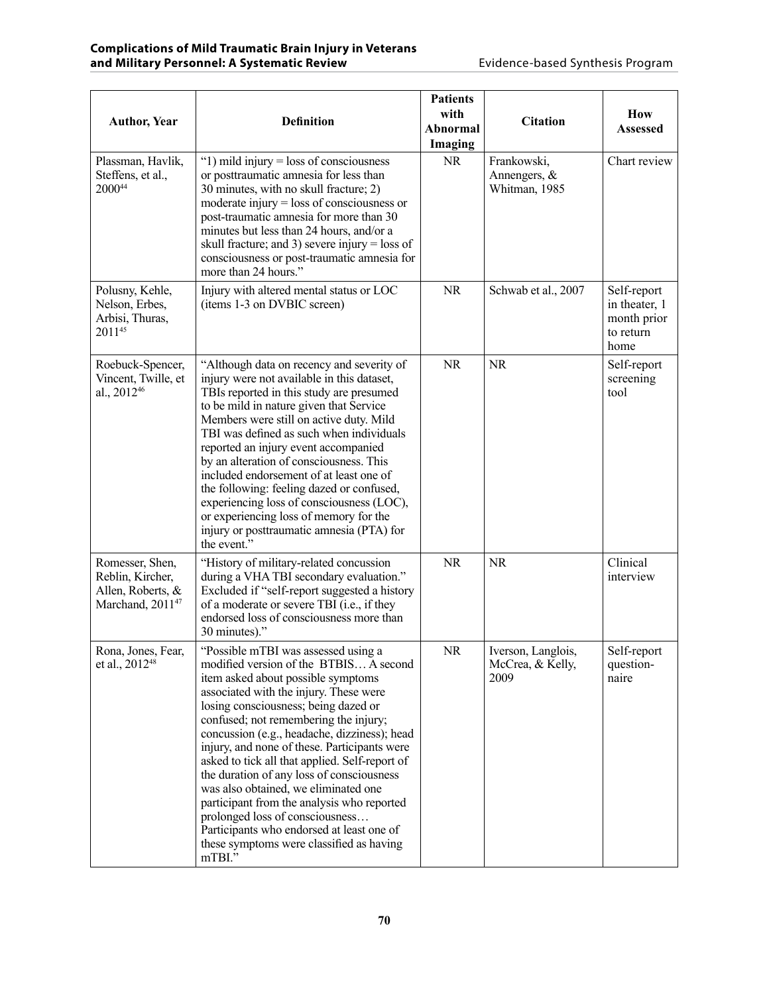| <b>Author, Year</b>                                                                      | <b>Definition</b>                                                                                                                                                                                                                                                                                                                                                                                                                                                                                                                                                                                                                                                         | <b>Patients</b><br>with<br>Abnormal<br>Imaging | <b>Citation</b>                                | How<br><b>Assessed</b>                                           |
|------------------------------------------------------------------------------------------|---------------------------------------------------------------------------------------------------------------------------------------------------------------------------------------------------------------------------------------------------------------------------------------------------------------------------------------------------------------------------------------------------------------------------------------------------------------------------------------------------------------------------------------------------------------------------------------------------------------------------------------------------------------------------|------------------------------------------------|------------------------------------------------|------------------------------------------------------------------|
| Plassman, Havlik,<br>Steffens, et al.,<br>200044                                         | " $1)$ mild injury = loss of consciousness<br>or posttraumatic amnesia for less than<br>30 minutes, with no skull fracture; 2)<br>moderate injury $=$ loss of consciousness or<br>post-traumatic amnesia for more than 30<br>minutes but less than 24 hours, and/or a<br>skull fracture; and 3) severe injury = loss of<br>consciousness or post-traumatic amnesia for<br>more than 24 hours."                                                                                                                                                                                                                                                                            | <b>NR</b>                                      | Frankowski,<br>Annengers, &<br>Whitman, 1985   | Chart review                                                     |
| Polusny, Kehle,<br>Nelson, Erbes,<br>Arbisi, Thuras,<br>201145                           | Injury with altered mental status or LOC<br>(items 1-3 on DVBIC screen)                                                                                                                                                                                                                                                                                                                                                                                                                                                                                                                                                                                                   | <b>NR</b>                                      | Schwab et al., 2007                            | Self-report<br>in theater, 1<br>month prior<br>to return<br>home |
| Roebuck-Spencer,<br>Vincent, Twille, et<br>al., 2012 <sup>46</sup>                       | "Although data on recency and severity of<br>injury were not available in this dataset,<br>TBIs reported in this study are presumed<br>to be mild in nature given that Service<br>Members were still on active duty. Mild<br>TBI was defined as such when individuals<br>reported an injury event accompanied<br>by an alteration of consciousness. This<br>included endorsement of at least one of<br>the following: feeling dazed or confused,<br>experiencing loss of consciousness (LOC),<br>or experiencing loss of memory for the<br>injury or posttraumatic amnesia (PTA) for<br>the event."                                                                       | <b>NR</b>                                      | <b>NR</b>                                      | Self-report<br>screening<br>tool                                 |
| Romesser, Shen,<br>Reblin, Kircher,<br>Allen, Roberts, &<br>Marchand, 2011 <sup>47</sup> | "History of military-related concussion<br>during a VHA TBI secondary evaluation."<br>Excluded if "self-report suggested a history<br>of a moderate or severe TBI (i.e., if they<br>endorsed loss of consciousness more than<br>30 minutes)."                                                                                                                                                                                                                                                                                                                                                                                                                             | <b>NR</b>                                      | <b>NR</b>                                      | Clinical<br>interview                                            |
| Rona, Jones, Fear,<br>et al., 2012 <sup>48</sup>                                         | "Possible mTBI was assessed using a<br>modified version of the BTBIS A second<br>item asked about possible symptoms<br>associated with the injury. These were<br>losing consciousness; being dazed or<br>confused; not remembering the injury;<br>concussion (e.g., headache, dizziness); head<br>injury, and none of these. Participants were<br>asked to tick all that applied. Self-report of<br>the duration of any loss of consciousness<br>was also obtained, we eliminated one<br>participant from the analysis who reported<br>prolonged loss of consciousness<br>Participants who endorsed at least one of<br>these symptoms were classified as having<br>mTBI." | NR                                             | Iverson, Langlois,<br>McCrea, & Kelly,<br>2009 | Self-report<br>question-<br>naire                                |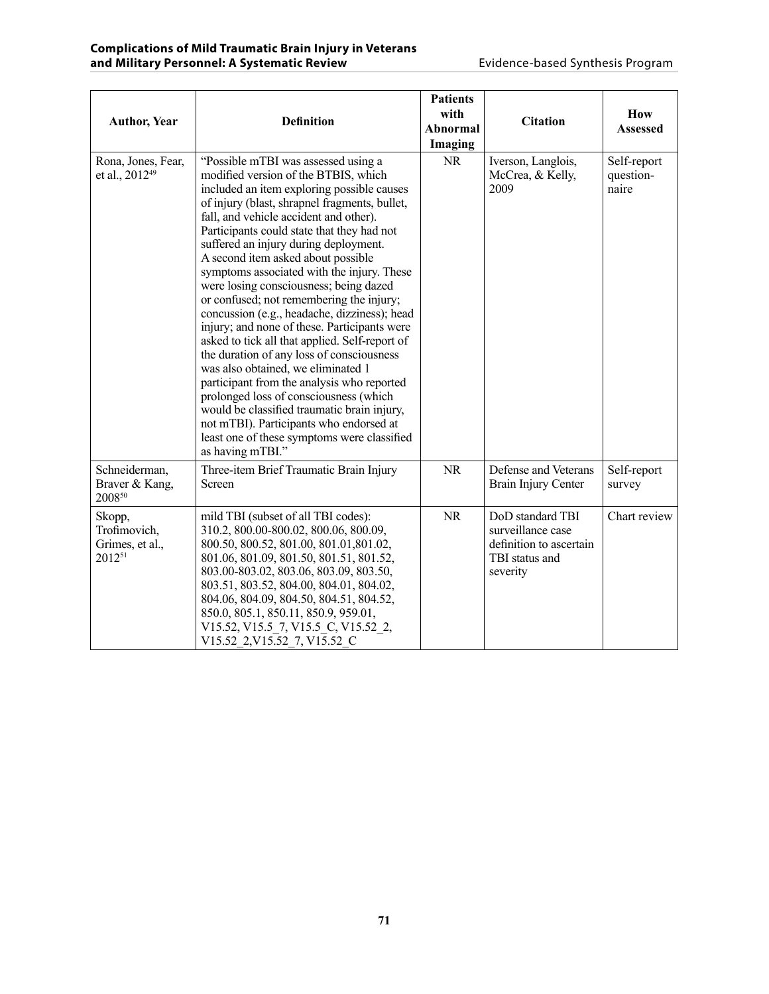| <b>Author, Year</b>                                 | <b>Definition</b>                                                                                                                                                                                                                                                                                                                                                                                                                                                                                                                                                                                                                                                                                                                                                                                                                                                                                                                                                               | <b>Patients</b><br>with<br><b>Abnormal</b><br>Imaging | <b>Citation</b>                                                                                | How<br><b>Assessed</b>            |
|-----------------------------------------------------|---------------------------------------------------------------------------------------------------------------------------------------------------------------------------------------------------------------------------------------------------------------------------------------------------------------------------------------------------------------------------------------------------------------------------------------------------------------------------------------------------------------------------------------------------------------------------------------------------------------------------------------------------------------------------------------------------------------------------------------------------------------------------------------------------------------------------------------------------------------------------------------------------------------------------------------------------------------------------------|-------------------------------------------------------|------------------------------------------------------------------------------------------------|-----------------------------------|
| Rona, Jones, Fear,<br>et al., 2012 <sup>49</sup>    | "Possible mTBI was assessed using a<br>modified version of the BTBIS, which<br>included an item exploring possible causes<br>of injury (blast, shrapnel fragments, bullet,<br>fall, and vehicle accident and other).<br>Participants could state that they had not<br>suffered an injury during deployment.<br>A second item asked about possible<br>symptoms associated with the injury. These<br>were losing consciousness; being dazed<br>or confused; not remembering the injury;<br>concussion (e.g., headache, dizziness); head<br>injury; and none of these. Participants were<br>asked to tick all that applied. Self-report of<br>the duration of any loss of consciousness<br>was also obtained, we eliminated 1<br>participant from the analysis who reported<br>prolonged loss of consciousness (which<br>would be classified traumatic brain injury,<br>not mTBI). Participants who endorsed at<br>least one of these symptoms were classified<br>as having mTBI." | <b>NR</b>                                             | Iverson, Langlois,<br>McCrea, & Kelly,<br>2009                                                 | Self-report<br>question-<br>naire |
| Schneiderman,<br>Braver & Kang,<br>200850           | Three-item Brief Traumatic Brain Injury<br>Screen                                                                                                                                                                                                                                                                                                                                                                                                                                                                                                                                                                                                                                                                                                                                                                                                                                                                                                                               | <b>NR</b>                                             | Defense and Veterans<br>Brain Injury Center                                                    | Self-report<br>survey             |
| Skopp,<br>Trofimovich,<br>Grimes, et al.,<br>201251 | mild TBI (subset of all TBI codes):<br>310.2, 800.00-800.02, 800.06, 800.09,<br>800.50, 800.52, 801.00, 801.01, 801.02,<br>801.06, 801.09, 801.50, 801.51, 801.52,<br>803.00-803.02, 803.06, 803.09, 803.50,<br>803.51, 803.52, 804.00, 804.01, 804.02,<br>804.06, 804.09, 804.50, 804.51, 804.52,<br>850.0, 805.1, 850.11, 850.9, 959.01,<br>V15.52, V15.5_7, V15.5_C, V15.52_2,<br>V15.52 2, V15.52 7, V15.52 C                                                                                                                                                                                                                                                                                                                                                                                                                                                                                                                                                               | <b>NR</b>                                             | DoD standard TBI<br>surveillance case<br>definition to ascertain<br>TBI status and<br>severity | Chart review                      |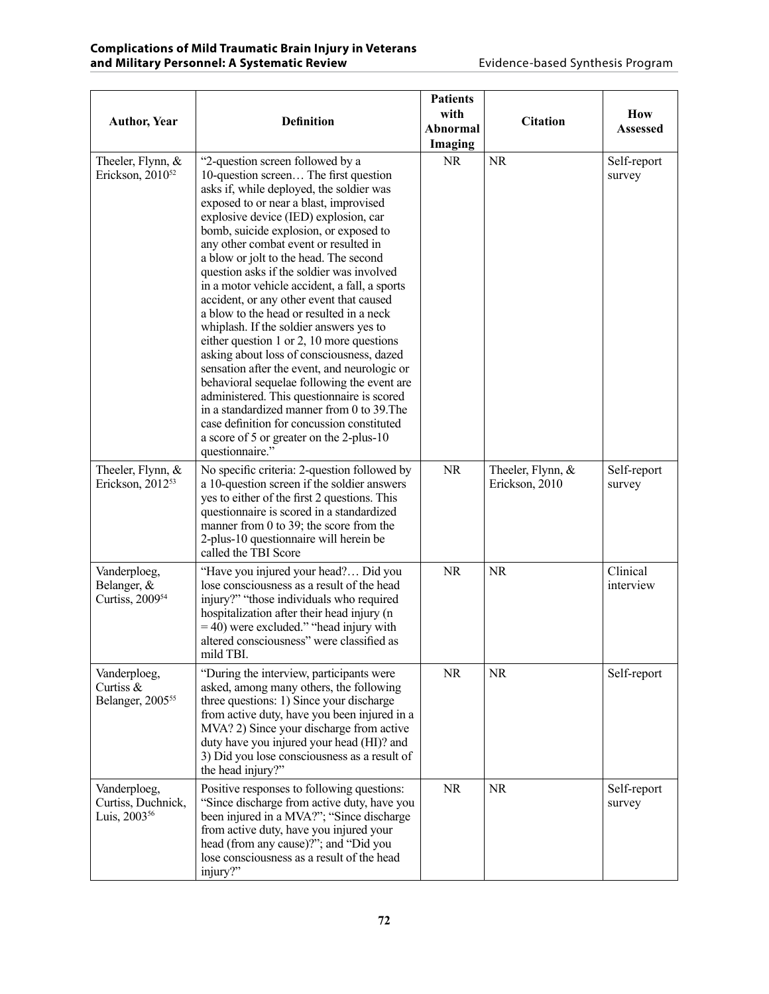| <b>Author, Year</b>                                            | <b>Definition</b>                                                                                                                                                                                                                                                                                                                                                                                                                                                                                                                                                                                                                                                                                                                                                                                                                                                                                                                                                        | <b>Patients</b><br>with<br>Abnormal<br>Imaging | <b>Citation</b>                     | How<br>Assessed       |
|----------------------------------------------------------------|--------------------------------------------------------------------------------------------------------------------------------------------------------------------------------------------------------------------------------------------------------------------------------------------------------------------------------------------------------------------------------------------------------------------------------------------------------------------------------------------------------------------------------------------------------------------------------------------------------------------------------------------------------------------------------------------------------------------------------------------------------------------------------------------------------------------------------------------------------------------------------------------------------------------------------------------------------------------------|------------------------------------------------|-------------------------------------|-----------------------|
| Theeler, Flynn, &<br>Erickson, $2010^{52}$                     | "2-question screen followed by a<br>10-question screen The first question<br>asks if, while deployed, the soldier was<br>exposed to or near a blast, improvised<br>explosive device (IED) explosion, car<br>bomb, suicide explosion, or exposed to<br>any other combat event or resulted in<br>a blow or jolt to the head. The second<br>question asks if the soldier was involved<br>in a motor vehicle accident, a fall, a sports<br>accident, or any other event that caused<br>a blow to the head or resulted in a neck<br>whiplash. If the soldier answers yes to<br>either question 1 or 2, 10 more questions<br>asking about loss of consciousness, dazed<br>sensation after the event, and neurologic or<br>behavioral sequelae following the event are<br>administered. This questionnaire is scored<br>in a standardized manner from 0 to 39. The<br>case definition for concussion constituted<br>a score of 5 or greater on the 2-plus-10<br>questionnaire." | <b>NR</b>                                      | <b>NR</b>                           | Self-report<br>survey |
| Theeler, Flynn, &<br>Erickson, 2012 <sup>53</sup>              | No specific criteria: 2-question followed by<br>a 10-question screen if the soldier answers<br>yes to either of the first 2 questions. This<br>questionnaire is scored in a standardized<br>manner from 0 to 39; the score from the<br>2-plus-10 questionnaire will herein be<br>called the TBI Score                                                                                                                                                                                                                                                                                                                                                                                                                                                                                                                                                                                                                                                                    | <b>NR</b>                                      | Theeler, Flynn, &<br>Erickson, 2010 | Self-report<br>survey |
| Vanderploeg,<br>Belanger, &<br>Curtiss, 2009 <sup>54</sup>     | "Have you injured your head? Did you<br>lose consciousness as a result of the head<br>injury?" "those individuals who required<br>hospitalization after their head injury (n<br>$=$ 40) were excluded." "head injury with<br>altered consciousness" were classified as<br>mild TBI.                                                                                                                                                                                                                                                                                                                                                                                                                                                                                                                                                                                                                                                                                      | <b>NR</b>                                      | <b>NR</b>                           | Clinical<br>interview |
| Vanderploeg,<br>Curtiss &<br>Belanger, 2005 <sup>55</sup>      | "During the interview, participants were<br>asked, among many others, the following<br>three questions: 1) Since your discharge<br>from active duty, have you been injured in a<br>MVA? 2) Since your discharge from active<br>duty have you injured your head (HI)? and<br>3) Did you lose consciousness as a result of<br>the head injury?"                                                                                                                                                                                                                                                                                                                                                                                                                                                                                                                                                                                                                            | <b>NR</b>                                      | <b>NR</b>                           | Self-report           |
| Vanderploeg,<br>Curtiss, Duchnick,<br>Luis, 2003 <sup>56</sup> | Positive responses to following questions:<br>"Since discharge from active duty, have you<br>been injured in a MVA?"; "Since discharge<br>from active duty, have you injured your<br>head (from any cause)?"; and "Did you<br>lose consciousness as a result of the head<br>injury?"                                                                                                                                                                                                                                                                                                                                                                                                                                                                                                                                                                                                                                                                                     | <b>NR</b>                                      | <b>NR</b>                           | Self-report<br>survey |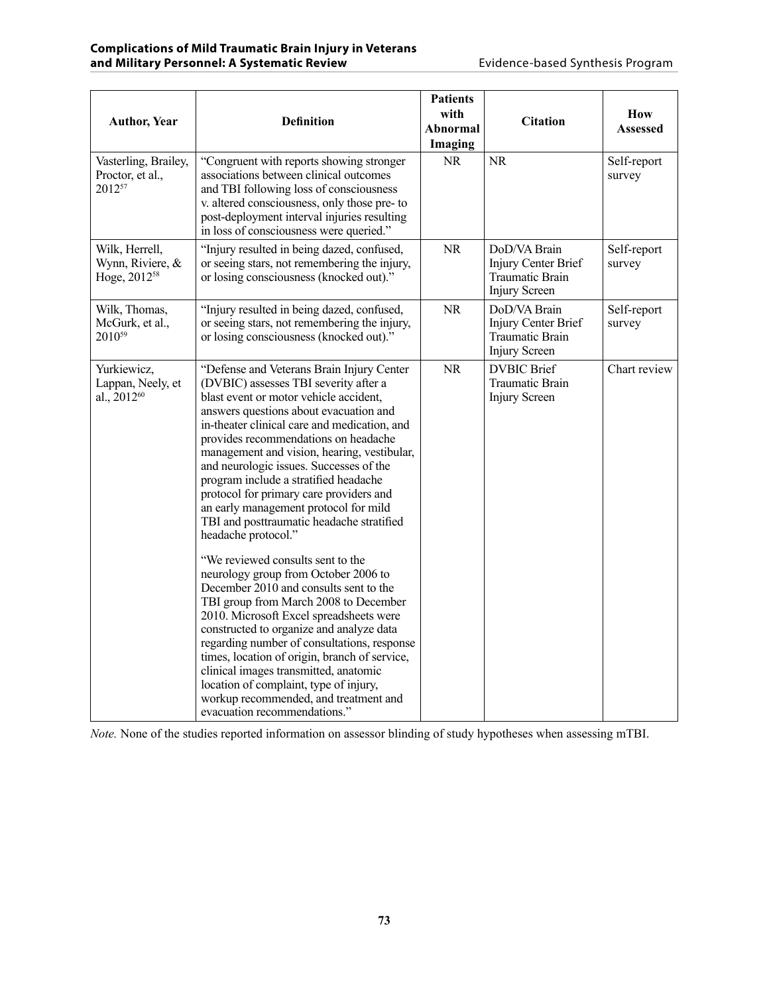| <b>Author, Year</b>                                            | <b>Definition</b>                                                                                                                                                                                                                                                                                                                                                                                                                                                                                                                                                                                                                                                                                                                                                                                                                                                                                                                                                                                                                                                            | <b>Patients</b><br>with<br>Abnormal<br>Imaging | <b>Citation</b>                                                                       | How<br><b>Assessed</b> |
|----------------------------------------------------------------|------------------------------------------------------------------------------------------------------------------------------------------------------------------------------------------------------------------------------------------------------------------------------------------------------------------------------------------------------------------------------------------------------------------------------------------------------------------------------------------------------------------------------------------------------------------------------------------------------------------------------------------------------------------------------------------------------------------------------------------------------------------------------------------------------------------------------------------------------------------------------------------------------------------------------------------------------------------------------------------------------------------------------------------------------------------------------|------------------------------------------------|---------------------------------------------------------------------------------------|------------------------|
| Vasterling, Brailey,<br>Proctor, et al.,<br>201257             | "Congruent with reports showing stronger<br>associations between clinical outcomes<br>and TBI following loss of consciousness<br>v. altered consciousness, only those pre- to<br>post-deployment interval injuries resulting<br>in loss of consciousness were queried."                                                                                                                                                                                                                                                                                                                                                                                                                                                                                                                                                                                                                                                                                                                                                                                                      | <b>NR</b>                                      | <b>NR</b>                                                                             | Self-report<br>survey  |
| Wilk, Herrell,<br>Wynn, Riviere, &<br>Hoge, 2012 <sup>58</sup> | "Injury resulted in being dazed, confused,<br>or seeing stars, not remembering the injury,<br>or losing consciousness (knocked out)."                                                                                                                                                                                                                                                                                                                                                                                                                                                                                                                                                                                                                                                                                                                                                                                                                                                                                                                                        | <b>NR</b>                                      | DoD/VA Brain<br>Injury Center Brief<br><b>Traumatic Brain</b><br><b>Injury Screen</b> | Self-report<br>survey  |
| Wilk, Thomas,<br>McGurk, et al.,<br>2010 <sup>59</sup>         | "Injury resulted in being dazed, confused,<br>or seeing stars, not remembering the injury,<br>or losing consciousness (knocked out)."                                                                                                                                                                                                                                                                                                                                                                                                                                                                                                                                                                                                                                                                                                                                                                                                                                                                                                                                        | NR.                                            | DoD/VA Brain<br>Injury Center Brief<br>Traumatic Brain<br>Injury Screen               | Self-report<br>survey  |
| Yurkiewicz,<br>Lappan, Neely, et<br>al., 2012 <sup>60</sup>    | "Defense and Veterans Brain Injury Center<br>(DVBIC) assesses TBI severity after a<br>blast event or motor vehicle accident,<br>answers questions about evacuation and<br>in-theater clinical care and medication, and<br>provides recommendations on headache<br>management and vision, hearing, vestibular,<br>and neurologic issues. Successes of the<br>program include a stratified headache<br>protocol for primary care providers and<br>an early management protocol for mild<br>TBI and posttraumatic headache stratified<br>headache protocol."<br>"We reviewed consults sent to the<br>neurology group from October 2006 to<br>December 2010 and consults sent to the<br>TBI group from March 2008 to December<br>2010. Microsoft Excel spreadsheets were<br>constructed to organize and analyze data<br>regarding number of consultations, response<br>times, location of origin, branch of service,<br>clinical images transmitted, anatomic<br>location of complaint, type of injury,<br>workup recommended, and treatment and<br>evacuation recommendations." | <b>NR</b>                                      | <b>DVBIC Brief</b><br>Traumatic Brain<br>Injury Screen                                | Chart review           |

*Note.* None of the studies reported information on assessor blinding of study hypotheses when assessing mTBI.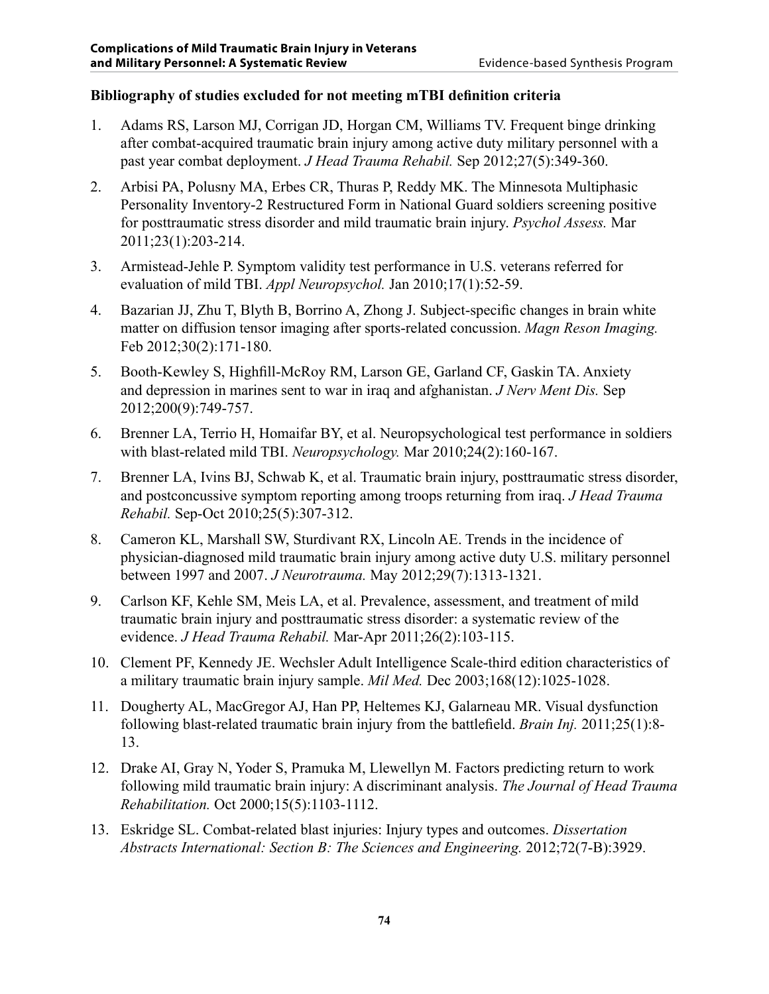### **Bibliography of studies excluded for not meeting mTBI definition criteria**

- 1. Adams RS, Larson MJ, Corrigan JD, Horgan CM, Williams TV. Frequent binge drinking after combat-acquired traumatic brain injury among active duty military personnel with a past year combat deployment. *J Head Trauma Rehabil.* Sep 2012;27(5):349-360.
- 2. Arbisi PA, Polusny MA, Erbes CR, Thuras P, Reddy MK. The Minnesota Multiphasic Personality Inventory-2 Restructured Form in National Guard soldiers screening positive for posttraumatic stress disorder and mild traumatic brain injury. *Psychol Assess.* Mar 2011;23(1):203-214.
- 3. Armistead-Jehle P. Symptom validity test performance in U.S. veterans referred for evaluation of mild TBI. *Appl Neuropsychol.* Jan 2010;17(1):52-59.
- 4. Bazarian JJ, Zhu T, Blyth B, Borrino A, Zhong J. Subject-specific changes in brain white matter on diffusion tensor imaging after sports-related concussion. *Magn Reson Imaging.*  Feb 2012;30(2):171-180.
- 5. Booth-Kewley S, Highfill-McRoy RM, Larson GE, Garland CF, Gaskin TA. Anxiety and depression in marines sent to war in iraq and afghanistan. *J Nerv Ment Dis.* Sep 2012;200(9):749-757.
- 6. Brenner LA, Terrio H, Homaifar BY, et al. Neuropsychological test performance in soldiers with blast-related mild TBI. *Neuropsychology.* Mar 2010;24(2):160-167.
- 7. Brenner LA, Ivins BJ, Schwab K, et al. Traumatic brain injury, posttraumatic stress disorder, and postconcussive symptom reporting among troops returning from iraq. *J Head Trauma Rehabil.* Sep-Oct 2010;25(5):307-312.
- 8. Cameron KL, Marshall SW, Sturdivant RX, Lincoln AE. Trends in the incidence of physician-diagnosed mild traumatic brain injury among active duty U.S. military personnel between 1997 and 2007. *J Neurotrauma.* May 2012;29(7):1313-1321.
- 9. Carlson KF, Kehle SM, Meis LA, et al. Prevalence, assessment, and treatment of mild traumatic brain injury and posttraumatic stress disorder: a systematic review of the evidence. *J Head Trauma Rehabil.* Mar-Apr 2011;26(2):103-115.
- 10. Clement PF, Kennedy JE. Wechsler Adult Intelligence Scale-third edition characteristics of a military traumatic brain injury sample. *Mil Med.* Dec 2003;168(12):1025-1028.
- 11. Dougherty AL, MacGregor AJ, Han PP, Heltemes KJ, Galarneau MR. Visual dysfunction following blast-related traumatic brain injury from the battlefield. *Brain Inj.* 2011;25(1):8- 13.
- 12. Drake AI, Gray N, Yoder S, Pramuka M, Llewellyn M. Factors predicting return to work following mild traumatic brain injury: A discriminant analysis. *The Journal of Head Trauma Rehabilitation.* Oct 2000;15(5):1103-1112.
- 13. Eskridge SL. Combat-related blast injuries: Injury types and outcomes. *Dissertation Abstracts International: Section B: The Sciences and Engineering.* 2012;72(7-B):3929.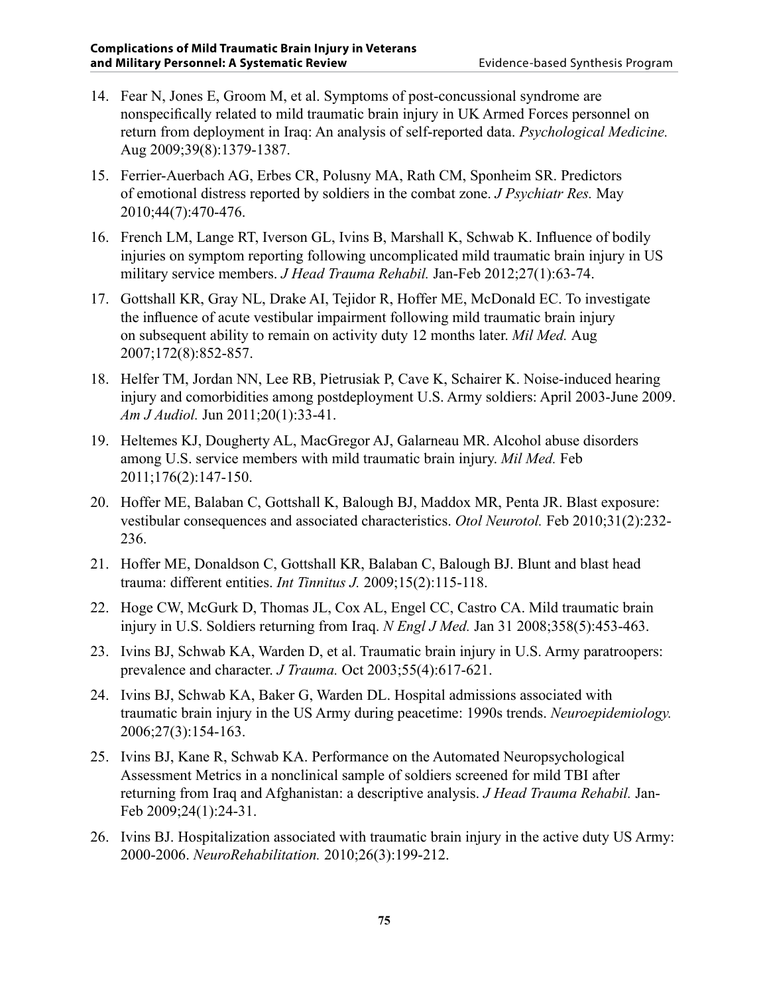- 14. Fear N, Jones E, Groom M, et al. Symptoms of post-concussional syndrome are nonspecifically related to mild traumatic brain injury in UK Armed Forces personnel on return from deployment in Iraq: An analysis of self-reported data. *Psychological Medicine.*  Aug 2009;39(8):1379-1387.
- 15. Ferrier-Auerbach AG, Erbes CR, Polusny MA, Rath CM, Sponheim SR. Predictors of emotional distress reported by soldiers in the combat zone. *J Psychiatr Res.* May 2010;44(7):470-476.
- 16. French LM, Lange RT, Iverson GL, Ivins B, Marshall K, Schwab K. Influence of bodily injuries on symptom reporting following uncomplicated mild traumatic brain injury in US military service members. *J Head Trauma Rehabil.* Jan-Feb 2012;27(1):63-74.
- 17. Gottshall KR, Gray NL, Drake AI, Tejidor R, Hoffer ME, McDonald EC. To investigate the influence of acute vestibular impairment following mild traumatic brain injury on subsequent ability to remain on activity duty 12 months later. *Mil Med.* Aug 2007;172(8):852-857.
- 18. Helfer TM, Jordan NN, Lee RB, Pietrusiak P, Cave K, Schairer K. Noise-induced hearing injury and comorbidities among postdeployment U.S. Army soldiers: April 2003-June 2009. *Am J Audiol.* Jun 2011;20(1):33-41.
- 19. Heltemes KJ, Dougherty AL, MacGregor AJ, Galarneau MR. Alcohol abuse disorders among U.S. service members with mild traumatic brain injury. *Mil Med.* Feb 2011;176(2):147-150.
- 20. Hoffer ME, Balaban C, Gottshall K, Balough BJ, Maddox MR, Penta JR. Blast exposure: vestibular consequences and associated characteristics. *Otol Neurotol.* Feb 2010;31(2):232- 236.
- 21. Hoffer ME, Donaldson C, Gottshall KR, Balaban C, Balough BJ. Blunt and blast head trauma: different entities. *Int Tinnitus J.* 2009;15(2):115-118.
- 22. Hoge CW, McGurk D, Thomas JL, Cox AL, Engel CC, Castro CA. Mild traumatic brain injury in U.S. Soldiers returning from Iraq. *N Engl J Med.* Jan 31 2008;358(5):453-463.
- 23. Ivins BJ, Schwab KA, Warden D, et al. Traumatic brain injury in U.S. Army paratroopers: prevalence and character. *J Trauma.* Oct 2003;55(4):617-621.
- 24. Ivins BJ, Schwab KA, Baker G, Warden DL. Hospital admissions associated with traumatic brain injury in the US Army during peacetime: 1990s trends. *Neuroepidemiology.*  2006;27(3):154-163.
- 25. Ivins BJ, Kane R, Schwab KA. Performance on the Automated Neuropsychological Assessment Metrics in a nonclinical sample of soldiers screened for mild TBI after returning from Iraq and Afghanistan: a descriptive analysis. *J Head Trauma Rehabil.* Jan-Feb 2009;24(1):24-31.
- 26. Ivins BJ. Hospitalization associated with traumatic brain injury in the active duty US Army: 2000-2006. *NeuroRehabilitation.* 2010;26(3):199-212.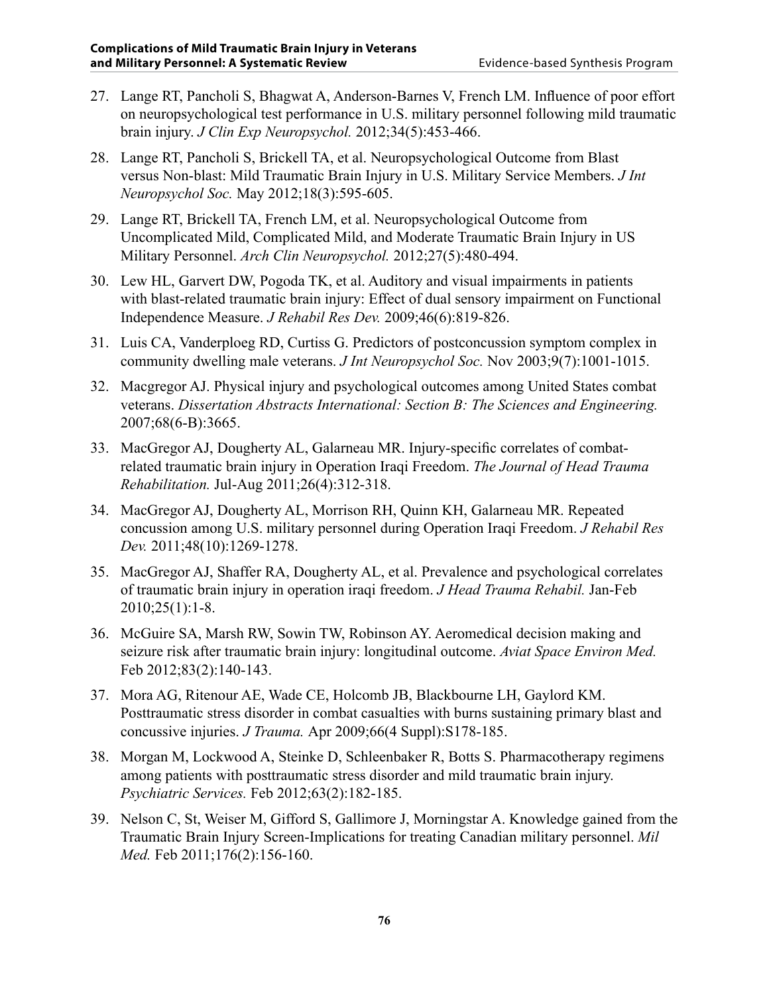- 27. Lange RT, Pancholi S, Bhagwat A, Anderson-Barnes V, French LM. Influence of poor effort on neuropsychological test performance in U.S. military personnel following mild traumatic brain injury. *J Clin Exp Neuropsychol.* 2012;34(5):453-466.
- 28. Lange RT, Pancholi S, Brickell TA, et al. Neuropsychological Outcome from Blast versus Non-blast: Mild Traumatic Brain Injury in U.S. Military Service Members. *J Int Neuropsychol Soc.* May 2012;18(3):595-605.
- 29. Lange RT, Brickell TA, French LM, et al. Neuropsychological Outcome from Uncomplicated Mild, Complicated Mild, and Moderate Traumatic Brain Injury in US Military Personnel. *Arch Clin Neuropsychol.* 2012;27(5):480-494.
- 30. Lew HL, Garvert DW, Pogoda TK, et al. Auditory and visual impairments in patients with blast-related traumatic brain injury: Effect of dual sensory impairment on Functional Independence Measure. *J Rehabil Res Dev.* 2009;46(6):819-826.
- 31. Luis CA, Vanderploeg RD, Curtiss G. Predictors of postconcussion symptom complex in community dwelling male veterans. *J Int Neuropsychol Soc.* Nov 2003;9(7):1001-1015.
- 32. Macgregor AJ. Physical injury and psychological outcomes among United States combat veterans. *Dissertation Abstracts International: Section B: The Sciences and Engineering.*  2007;68(6-B):3665.
- 33. MacGregor AJ, Dougherty AL, Galarneau MR. Injury-specific correlates of combatrelated traumatic brain injury in Operation Iraqi Freedom. *The Journal of Head Trauma Rehabilitation.* Jul-Aug 2011;26(4):312-318.
- 34. MacGregor AJ, Dougherty AL, Morrison RH, Quinn KH, Galarneau MR. Repeated concussion among U.S. military personnel during Operation Iraqi Freedom. *J Rehabil Res Dev.* 2011;48(10):1269-1278.
- 35. MacGregor AJ, Shaffer RA, Dougherty AL, et al. Prevalence and psychological correlates of traumatic brain injury in operation iraqi freedom. *J Head Trauma Rehabil.* Jan-Feb 2010;25(1):1-8.
- 36. McGuire SA, Marsh RW, Sowin TW, Robinson AY. Aeromedical decision making and seizure risk after traumatic brain injury: longitudinal outcome. *Aviat Space Environ Med.*  Feb 2012;83(2):140-143.
- 37. Mora AG, Ritenour AE, Wade CE, Holcomb JB, Blackbourne LH, Gaylord KM. Posttraumatic stress disorder in combat casualties with burns sustaining primary blast and concussive injuries. *J Trauma.* Apr 2009;66(4 Suppl):S178-185.
- 38. Morgan M, Lockwood A, Steinke D, Schleenbaker R, Botts S. Pharmacotherapy regimens among patients with posttraumatic stress disorder and mild traumatic brain injury. *Psychiatric Services.* Feb 2012;63(2):182-185.
- 39. Nelson C, St, Weiser M, Gifford S, Gallimore J, Morningstar A. Knowledge gained from the Traumatic Brain Injury Screen-Implications for treating Canadian military personnel. *Mil Med.* Feb 2011;176(2):156-160.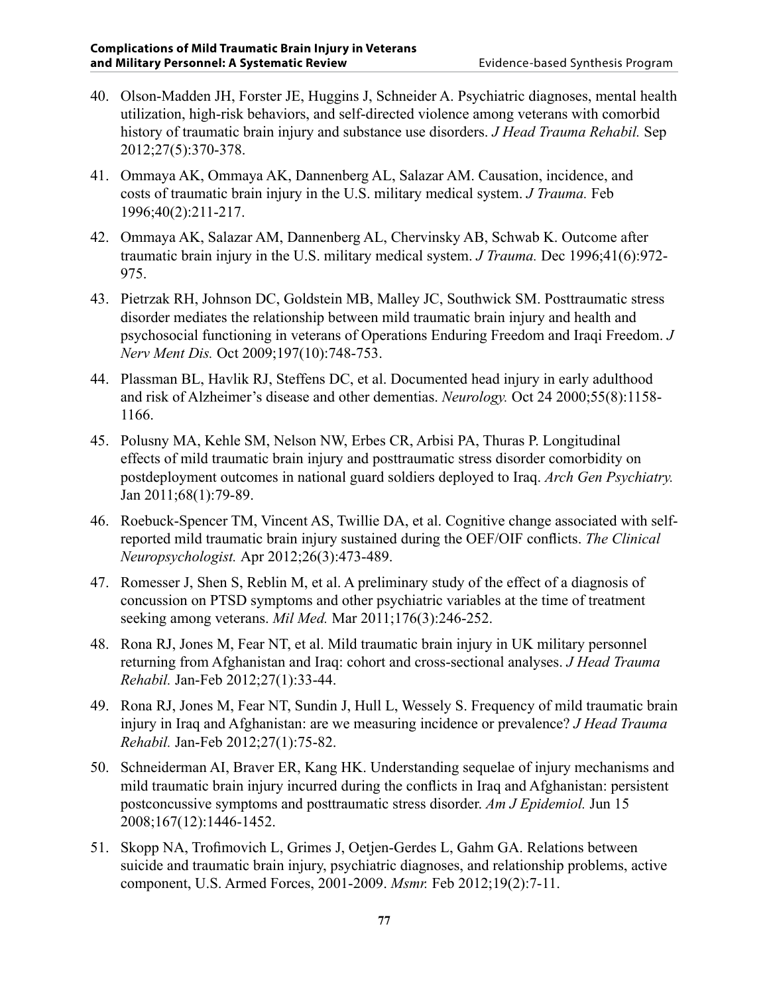- 40. Olson-Madden JH, Forster JE, Huggins J, Schneider A. Psychiatric diagnoses, mental health utilization, high-risk behaviors, and self-directed violence among veterans with comorbid history of traumatic brain injury and substance use disorders. *J Head Trauma Rehabil.* Sep 2012;27(5):370-378.
- 41. Ommaya AK, Ommaya AK, Dannenberg AL, Salazar AM. Causation, incidence, and costs of traumatic brain injury in the U.S. military medical system. *J Trauma.* Feb 1996;40(2):211-217.
- 42. Ommaya AK, Salazar AM, Dannenberg AL, Chervinsky AB, Schwab K. Outcome after traumatic brain injury in the U.S. military medical system. *J Trauma.* Dec 1996;41(6):972- 975.
- 43. Pietrzak RH, Johnson DC, Goldstein MB, Malley JC, Southwick SM. Posttraumatic stress disorder mediates the relationship between mild traumatic brain injury and health and psychosocial functioning in veterans of Operations Enduring Freedom and Iraqi Freedom. *J Nerv Ment Dis.* Oct 2009;197(10):748-753.
- 44. Plassman BL, Havlik RJ, Steffens DC, et al. Documented head injury in early adulthood and risk of Alzheimer's disease and other dementias. *Neurology.* Oct 24 2000;55(8):1158- 1166.
- 45. Polusny MA, Kehle SM, Nelson NW, Erbes CR, Arbisi PA, Thuras P. Longitudinal effects of mild traumatic brain injury and posttraumatic stress disorder comorbidity on postdeployment outcomes in national guard soldiers deployed to Iraq. *Arch Gen Psychiatry.*  Jan 2011;68(1):79-89.
- 46. Roebuck-Spencer TM, Vincent AS, Twillie DA, et al. Cognitive change associated with selfreported mild traumatic brain injury sustained during the OEF/OIF conflicts. *The Clinical Neuropsychologist.* Apr 2012;26(3):473-489.
- 47. Romesser J, Shen S, Reblin M, et al. A preliminary study of the effect of a diagnosis of concussion on PTSD symptoms and other psychiatric variables at the time of treatment seeking among veterans. *Mil Med.* Mar 2011;176(3):246-252.
- 48. Rona RJ, Jones M, Fear NT, et al. Mild traumatic brain injury in UK military personnel returning from Afghanistan and Iraq: cohort and cross-sectional analyses. *J Head Trauma Rehabil.* Jan-Feb 2012;27(1):33-44.
- 49. Rona RJ, Jones M, Fear NT, Sundin J, Hull L, Wessely S. Frequency of mild traumatic brain injury in Iraq and Afghanistan: are we measuring incidence or prevalence? *J Head Trauma Rehabil.* Jan-Feb 2012;27(1):75-82.
- 50. Schneiderman AI, Braver ER, Kang HK. Understanding sequelae of injury mechanisms and mild traumatic brain injury incurred during the conflicts in Iraq and Afghanistan: persistent postconcussive symptoms and posttraumatic stress disorder. *Am J Epidemiol.* Jun 15 2008;167(12):1446-1452.
- 51. Skopp NA, Trofimovich L, Grimes J, Oetjen-Gerdes L, Gahm GA. Relations between suicide and traumatic brain injury, psychiatric diagnoses, and relationship problems, active component, U.S. Armed Forces, 2001-2009. *Msmr.* Feb 2012;19(2):7-11.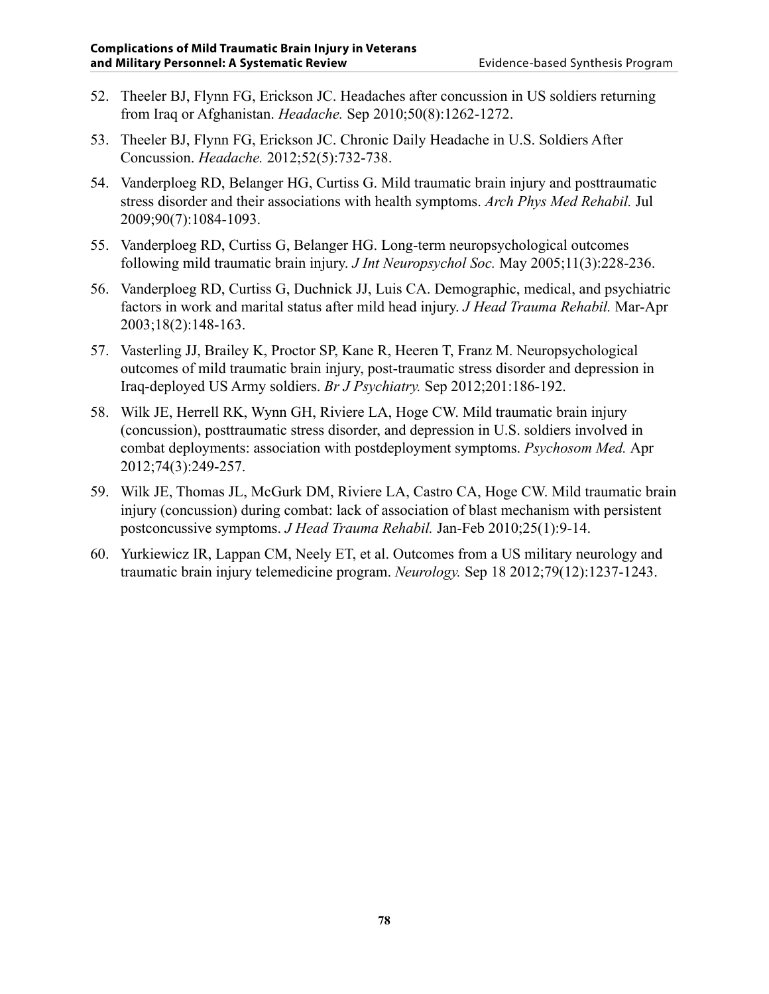- 52. Theeler BJ, Flynn FG, Erickson JC. Headaches after concussion in US soldiers returning from Iraq or Afghanistan. *Headache.* Sep 2010;50(8):1262-1272.
- 53. Theeler BJ, Flynn FG, Erickson JC. Chronic Daily Headache in U.S. Soldiers After Concussion. *Headache.* 2012;52(5):732-738.
- 54. Vanderploeg RD, Belanger HG, Curtiss G. Mild traumatic brain injury and posttraumatic stress disorder and their associations with health symptoms. *Arch Phys Med Rehabil.* Jul 2009;90(7):1084-1093.
- 55. Vanderploeg RD, Curtiss G, Belanger HG. Long-term neuropsychological outcomes following mild traumatic brain injury. *J Int Neuropsychol Soc.* May 2005;11(3):228-236.
- 56. Vanderploeg RD, Curtiss G, Duchnick JJ, Luis CA. Demographic, medical, and psychiatric factors in work and marital status after mild head injury. *J Head Trauma Rehabil.* Mar-Apr 2003;18(2):148-163.
- 57. Vasterling JJ, Brailey K, Proctor SP, Kane R, Heeren T, Franz M. Neuropsychological outcomes of mild traumatic brain injury, post-traumatic stress disorder and depression in Iraq-deployed US Army soldiers. *Br J Psychiatry.* Sep 2012;201:186-192.
- 58. Wilk JE, Herrell RK, Wynn GH, Riviere LA, Hoge CW. Mild traumatic brain injury (concussion), posttraumatic stress disorder, and depression in U.S. soldiers involved in combat deployments: association with postdeployment symptoms. *Psychosom Med.* Apr 2012;74(3):249-257.
- 59. Wilk JE, Thomas JL, McGurk DM, Riviere LA, Castro CA, Hoge CW. Mild traumatic brain injury (concussion) during combat: lack of association of blast mechanism with persistent postconcussive symptoms. *J Head Trauma Rehabil.* Jan-Feb 2010;25(1):9-14.
- 60. Yurkiewicz IR, Lappan CM, Neely ET, et al. Outcomes from a US military neurology and traumatic brain injury telemedicine program. *Neurology.* Sep 18 2012;79(12):1237-1243.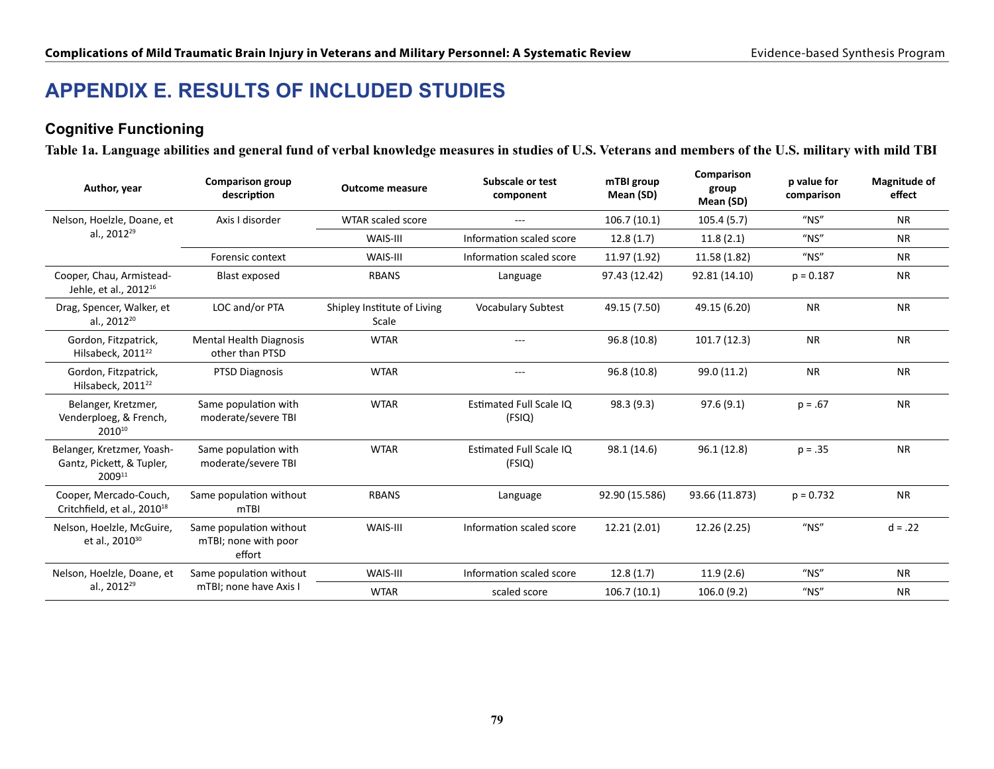# **APPENDIX E. Results of included studies**

### **Cognitive Functioning**

**Table 1a. Language abilities and general fund of verbal knowledge measures in studies of U.S. Veterans and members of the U.S. military with mild TBI**

| Author, year                                                        | <b>Comparison group</b><br>description                    | <b>Outcome measure</b>               | Subscale or test<br>component     | mTBI group<br>Mean (SD) | Comparison<br>group<br>Mean (SD) | p value for<br>comparison | <b>Magnitude of</b><br>effect |
|---------------------------------------------------------------------|-----------------------------------------------------------|--------------------------------------|-----------------------------------|-------------------------|----------------------------------|---------------------------|-------------------------------|
| Nelson, Hoelzle, Doane, et                                          | Axis I disorder                                           | WTAR scaled score                    | $\cdots$                          | 106.7(10.1)             | 105.4(5.7)                       | $''$ NS"                  | <b>NR</b>                     |
| al., 2012 <sup>29</sup>                                             |                                                           | WAIS-III                             | Information scaled score          | 12.8(1.7)               | 11.8(2.1)                        | $''$ NS"                  | <b>NR</b>                     |
|                                                                     | Forensic context                                          | WAIS-III                             | Information scaled score          | 11.97 (1.92)            | 11.58 (1.82)                     | $''$ NS"                  | <b>NR</b>                     |
| Cooper, Chau, Armistead-<br>Jehle, et al., 2012 <sup>16</sup>       | <b>Blast exposed</b>                                      | <b>RBANS</b>                         | Language                          | 97.43 (12.42)           | 92.81 (14.10)                    | $p = 0.187$               | <b>NR</b>                     |
| Drag, Spencer, Walker, et<br>al., 2012 <sup>20</sup>                | LOC and/or PTA                                            | Shipley Institute of Living<br>Scale | <b>Vocabulary Subtest</b>         | 49.15 (7.50)            | 49.15 (6.20)                     | <b>NR</b>                 | <b>NR</b>                     |
| Gordon, Fitzpatrick,<br>Hilsabeck, 2011 <sup>22</sup>               | <b>Mental Health Diagnosis</b><br>other than PTSD         | <b>WTAR</b>                          | $---$                             | 96.8 (10.8)             | 101.7(12.3)                      | <b>NR</b>                 | <b>NR</b>                     |
| Gordon, Fitzpatrick,<br>Hilsabeck. 2011 <sup>22</sup>               | <b>PTSD Diagnosis</b>                                     | <b>WTAR</b>                          | $---$                             | 96.8 (10.8)             | 99.0 (11.2)                      | <b>NR</b>                 | <b>NR</b>                     |
| Belanger, Kretzmer,<br>Venderploeg, & French,<br>2010 <sup>10</sup> | Same population with<br>moderate/severe TBI               | <b>WTAR</b>                          | Estimated Full Scale IQ<br>(FSIQ) | 98.3(9.3)               | 97.6(9.1)                        | $p = .67$                 | <b>NR</b>                     |
| Belanger, Kretzmer, Yoash-<br>Gantz, Pickett, & Tupler,<br>200911   | Same population with<br>moderate/severe TBI               | <b>WTAR</b>                          | Estimated Full Scale IQ<br>(FSIQ) | 98.1 (14.6)             | 96.1 (12.8)                      | $p = .35$                 | <b>NR</b>                     |
| Cooper, Mercado-Couch,<br>Critchfield, et al., 2010 <sup>18</sup>   | Same population without<br>mTBI                           | <b>RBANS</b>                         | Language                          | 92.90 (15.586)          | 93.66 (11.873)                   | $p = 0.732$               | <b>NR</b>                     |
| Nelson, Hoelzle, McGuire,<br>et al., 2010 <sup>30</sup>             | Same population without<br>mTBI; none with poor<br>effort | WAIS-III                             | Information scaled score          | 12.21(2.01)             | 12.26 (2.25)                     | $''$ NS"                  | $d = .22$                     |
| Nelson, Hoelzle, Doane, et                                          | Same population without                                   | WAIS-III                             | Information scaled score          | 12.8(1.7)               | 11.9(2.6)                        | $''$ NS"                  | <b>NR</b>                     |
| al., 2012 <sup>29</sup>                                             | mTBI; none have Axis I                                    | <b>WTAR</b>                          | scaled score                      | 106.7(10.1)             | 106.0(9.2)                       | $''$ NS"                  | <b>NR</b>                     |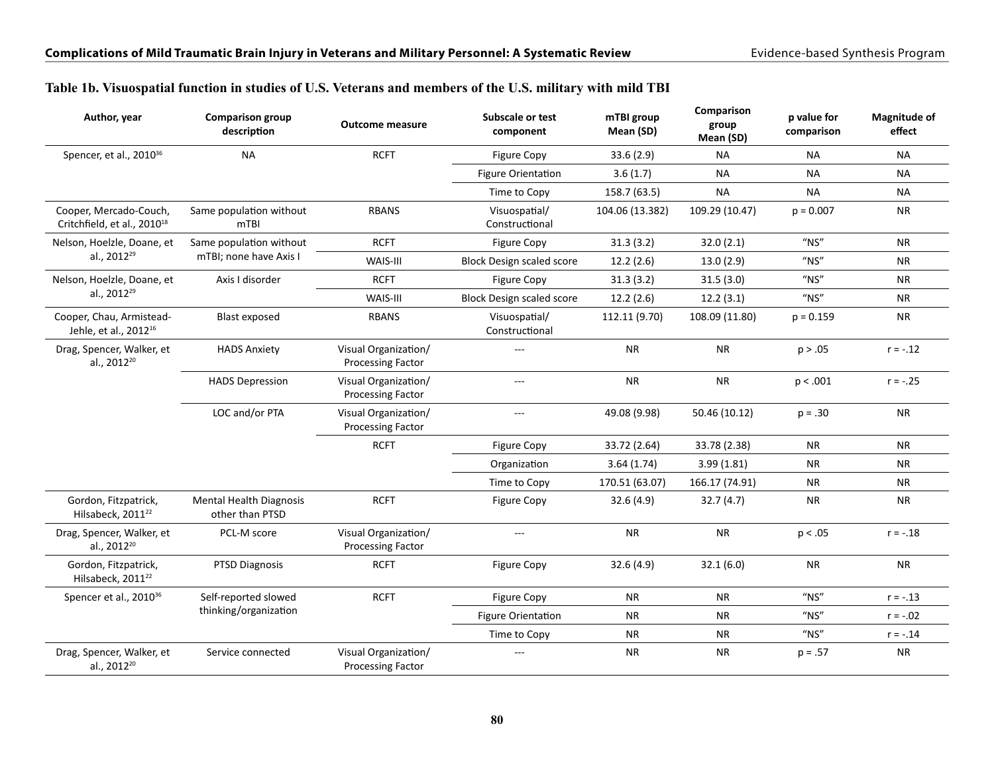|  |  | Table 1b. Visuospatial function in studies of U.S. Veterans and members of the U.S. military with mild TBI |  |  |  |
|--|--|------------------------------------------------------------------------------------------------------------|--|--|--|
|  |  |                                                                                                            |  |  |  |

| Author, year                                                      | <b>Comparison group</b><br>description            | <b>Outcome measure</b>                           | Subscale or test<br>component    | mTBI group<br>Mean (SD) | Comparison<br>group<br>Mean (SD) | p value for<br>comparison | <b>Magnitude of</b><br>effect |
|-------------------------------------------------------------------|---------------------------------------------------|--------------------------------------------------|----------------------------------|-------------------------|----------------------------------|---------------------------|-------------------------------|
| Spencer, et al., 2010 <sup>36</sup>                               | <b>NA</b>                                         | <b>RCFT</b>                                      | <b>Figure Copy</b>               | 33.6(2.9)               | <b>NA</b>                        | <b>NA</b>                 | <b>NA</b>                     |
|                                                                   |                                                   |                                                  | <b>Figure Orientation</b>        | 3.6(1.7)                | NA.                              | <b>NA</b>                 | <b>NA</b>                     |
|                                                                   |                                                   |                                                  | Time to Copy                     | 158.7 (63.5)            | <b>NA</b>                        | <b>NA</b>                 | <b>NA</b>                     |
| Cooper, Mercado-Couch,<br>Critchfield, et al., 2010 <sup>18</sup> | Same population without<br>m <sub>TBI</sub>       | <b>RBANS</b>                                     | Visuospatial/<br>Constructional  | 104.06 (13.382)         | 109.29 (10.47)                   | $p = 0.007$               | <b>NR</b>                     |
| Nelson, Hoelzle, Doane, et                                        | Same population without                           | <b>RCFT</b>                                      | <b>Figure Copy</b>               | 31.3(3.2)               | 32.0(2.1)                        | $''$ NS"                  | <b>NR</b>                     |
| al., 2012 <sup>29</sup>                                           | mTBI; none have Axis I                            | WAIS-III                                         | <b>Block Design scaled score</b> | 12.2(2.6)               | 13.0(2.9)                        | $''$ NS"                  | <b>NR</b>                     |
| Nelson, Hoelzle, Doane, et                                        | Axis I disorder                                   | <b>RCFT</b>                                      | <b>Figure Copy</b>               | 31.3(3.2)               | 31.5(3.0)                        | $"$ NS"                   | <b>NR</b>                     |
| al., 2012 <sup>29</sup>                                           |                                                   | WAIS-III                                         | <b>Block Design scaled score</b> | 12.2(2.6)               | 12.2(3.1)                        | $''$ NS"                  | <b>NR</b>                     |
| Cooper, Chau, Armistead-<br>Jehle, et al., 2012 <sup>16</sup>     | <b>Blast exposed</b>                              | <b>RBANS</b>                                     | Visuospatial/<br>Constructional  | 112.11 (9.70)           | 108.09 (11.80)                   | $p = 0.159$               | <b>NR</b>                     |
| Drag, Spencer, Walker, et<br>al., 2012 <sup>20</sup>              | <b>HADS Anxiety</b>                               | Visual Organization/<br><b>Processing Factor</b> | $\overline{a}$                   | <b>NR</b>               | <b>NR</b>                        | p > .05                   | $r = -.12$                    |
|                                                                   | <b>HADS Depression</b>                            | Visual Organization/<br><b>Processing Factor</b> | ---                              | <b>NR</b>               | ${\sf NR}$                       | p < .001                  | $r = -.25$                    |
|                                                                   | LOC and/or PTA                                    | Visual Organization/<br><b>Processing Factor</b> | ---                              | 49.08 (9.98)            | 50.46 (10.12)                    | $p = .30$                 | <b>NR</b>                     |
|                                                                   |                                                   | <b>RCFT</b>                                      | <b>Figure Copy</b>               | 33.72 (2.64)            | 33.78 (2.38)                     | <b>NR</b>                 | <b>NR</b>                     |
|                                                                   |                                                   |                                                  | Organization                     | 3.64(1.74)              | 3.99(1.81)                       | <b>NR</b>                 | <b>NR</b>                     |
|                                                                   |                                                   |                                                  | Time to Copy                     | 170.51 (63.07)          | 166.17 (74.91)                   | <b>NR</b>                 | <b>NR</b>                     |
| Gordon, Fitzpatrick,<br>Hilsabeck, 2011 <sup>22</sup>             | <b>Mental Health Diagnosis</b><br>other than PTSD | <b>RCFT</b>                                      | <b>Figure Copy</b>               | 32.6(4.9)               | 32.7(4.7)                        | <b>NR</b>                 | <b>NR</b>                     |
| Drag, Spencer, Walker, et<br>al., 2012 <sup>20</sup>              | PCL-M score                                       | Visual Organization/<br><b>Processing Factor</b> | ---                              | <b>NR</b>               | <b>NR</b>                        | p < .05                   | $r = -.18$                    |
| Gordon, Fitzpatrick,<br>Hilsabeck, 2011 <sup>22</sup>             | PTSD Diagnosis                                    | <b>RCFT</b>                                      | <b>Figure Copy</b>               | 32.6 (4.9)              | 32.1(6.0)                        | <b>NR</b>                 | <b>NR</b>                     |
| Spencer et al., 2010 <sup>36</sup>                                | Self-reported slowed                              | <b>RCFT</b>                                      | Figure Copy                      | <b>NR</b>               | <b>NR</b>                        | $"$ NS"                   | $r = -.13$                    |
|                                                                   | thinking/organization                             |                                                  | <b>Figure Orientation</b>        | <b>NR</b>               | <b>NR</b>                        | $"$ NS"                   | $r = -.02$                    |
|                                                                   |                                                   |                                                  | Time to Copy                     | <b>NR</b>               | <b>NR</b>                        | $''$ NS"                  | $r = -.14$                    |
| Drag, Spencer, Walker, et<br>al., 2012 <sup>20</sup>              | Service connected                                 | Visual Organization/<br><b>Processing Factor</b> | ---                              | <b>NR</b>               | NR.                              | $p = .57$                 | <b>NR</b>                     |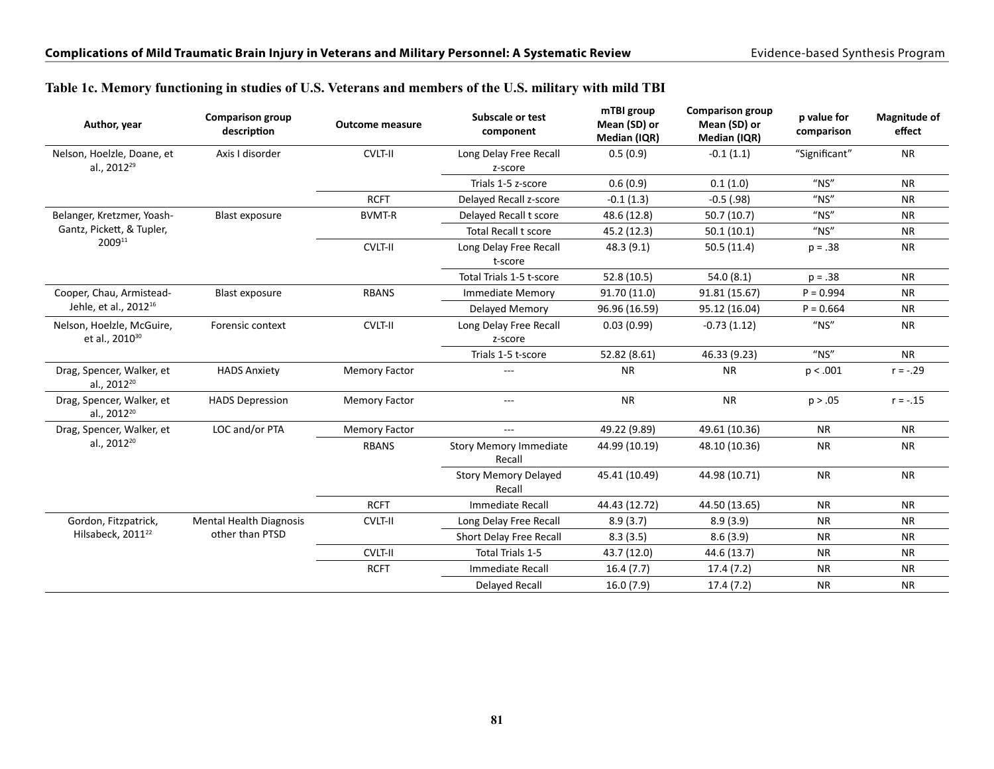|  | Table 1c. Memory functioning in studies of U.S. Veterans and members of the U.S. military with mild TBI |  |
|--|---------------------------------------------------------------------------------------------------------|--|
|  |                                                                                                         |  |

| Author, year                                            | <b>Comparison group</b><br>description | <b>Outcome measure</b> | Subscale or test<br>component           | mTBI group<br>Mean (SD) or<br>Median (IQR) | <b>Comparison group</b><br>Mean (SD) or<br>Median (IQR) | p value for<br>comparison | <b>Magnitude of</b><br>effect |
|---------------------------------------------------------|----------------------------------------|------------------------|-----------------------------------------|--------------------------------------------|---------------------------------------------------------|---------------------------|-------------------------------|
| Nelson, Hoelzle, Doane, et<br>al., 2012 <sup>29</sup>   | Axis I disorder                        | <b>CVLT-II</b>         | Long Delay Free Recall<br>z-score       | 0.5(0.9)                                   | $-0.1(1.1)$                                             | "Significant"             | <b>NR</b>                     |
|                                                         |                                        |                        | Trials 1-5 z-score                      | 0.6(0.9)                                   | 0.1(1.0)                                                | $''$ NS"                  | <b>NR</b>                     |
|                                                         |                                        | <b>RCFT</b>            | Delayed Recall z-score                  | $-0.1(1.3)$                                | $-0.5$ (.98)                                            | $"$ NS"                   | <b>NR</b>                     |
| Belanger, Kretzmer, Yoash-                              | <b>Blast exposure</b>                  | <b>BVMT-R</b>          | Delayed Recall t score                  | 48.6 (12.8)                                | 50.7 (10.7)                                             | $''$ NS"                  | <b>NR</b>                     |
| Gantz, Pickett, & Tupler,                               |                                        |                        | <b>Total Recall t score</b>             | 45.2 (12.3)                                | 50.1(10.1)                                              | $''$ NS"                  | <b>NR</b>                     |
| 200911                                                  |                                        | CVLT-II                | Long Delay Free Recall<br>t-score       | 48.3 (9.1)                                 | 50.5(11.4)                                              | $p = .38$                 | <b>NR</b>                     |
|                                                         |                                        |                        | Total Trials 1-5 t-score                | 52.8 (10.5)                                | 54.0 (8.1)                                              | $p = .38$                 | <b>NR</b>                     |
| Cooper, Chau, Armistead-                                | <b>Blast exposure</b>                  | <b>RBANS</b>           | <b>Immediate Memory</b>                 | 91.70 (11.0)                               | 91.81 (15.67)                                           | $P = 0.994$               | <b>NR</b>                     |
| Jehle, et al., 2012 <sup>16</sup>                       |                                        |                        | Delayed Memory                          | 96.96 (16.59)                              | 95.12 (16.04)                                           | $P = 0.664$               | <b>NR</b>                     |
| Nelson, Hoelzle, McGuire,<br>et al., 2010 <sup>30</sup> | Forensic context                       | <b>CVLT-II</b>         | Long Delay Free Recall<br>z-score       | 0.03(0.99)                                 | $-0.73(1.12)$                                           | $''$ NS"                  | <b>NR</b>                     |
|                                                         |                                        |                        | Trials 1-5 t-score                      | 52.82 (8.61)                               | 46.33 (9.23)                                            | $''$ NS"                  | <b>NR</b>                     |
| Drag, Spencer, Walker, et<br>al., 2012 <sup>20</sup>    | <b>HADS Anxiety</b>                    | <b>Memory Factor</b>   | ---                                     | <b>NR</b>                                  | <b>NR</b>                                               | p < .001                  | $r = -.29$                    |
| Drag, Spencer, Walker, et<br>al., 2012 <sup>20</sup>    | <b>HADS Depression</b>                 | <b>Memory Factor</b>   | ---                                     | <b>NR</b>                                  | <b>NR</b>                                               | p > .05                   | $r = -.15$                    |
| Drag, Spencer, Walker, et                               | LOC and/or PTA                         | <b>Memory Factor</b>   | $\qquad \qquad - -$                     | 49.22 (9.89)                               | 49.61 (10.36)                                           | <b>NR</b>                 | <b>NR</b>                     |
| al., 2012 <sup>20</sup>                                 |                                        | <b>RBANS</b>           | <b>Story Memory Immediate</b><br>Recall | 44.99 (10.19)                              | 48.10 (10.36)                                           | <b>NR</b>                 | <b>NR</b>                     |
|                                                         |                                        |                        | <b>Story Memory Delayed</b><br>Recall   | 45.41 (10.49)                              | 44.98 (10.71)                                           | <b>NR</b>                 | <b>NR</b>                     |
|                                                         |                                        | <b>RCFT</b>            | Immediate Recall                        | 44.43 (12.72)                              | 44.50 (13.65)                                           | <b>NR</b>                 | <b>NR</b>                     |
| Gordon, Fitzpatrick,                                    | <b>Mental Health Diagnosis</b>         | <b>CVLT-II</b>         | Long Delay Free Recall                  | 8.9(3.7)                                   | 8.9(3.9)                                                | <b>NR</b>                 | <b>NR</b>                     |
| Hilsabeck, 2011 <sup>22</sup>                           | other than PTSD                        |                        | Short Delay Free Recall                 | 8.3(3.5)                                   | 8.6(3.9)                                                | <b>NR</b>                 | <b>NR</b>                     |
|                                                         |                                        | <b>CVLT-II</b>         | Total Trials 1-5                        | 43.7 (12.0)                                | 44.6 (13.7)                                             | <b>NR</b>                 | <b>NR</b>                     |
|                                                         |                                        | <b>RCFT</b>            | <b>Immediate Recall</b>                 | 16.4(7.7)                                  | 17.4 (7.2)                                              | <b>NR</b>                 | <b>NR</b>                     |
|                                                         |                                        |                        | Delayed Recall                          | 16.0(7.9)                                  | 17.4(7.2)                                               | <b>NR</b>                 | <b>NR</b>                     |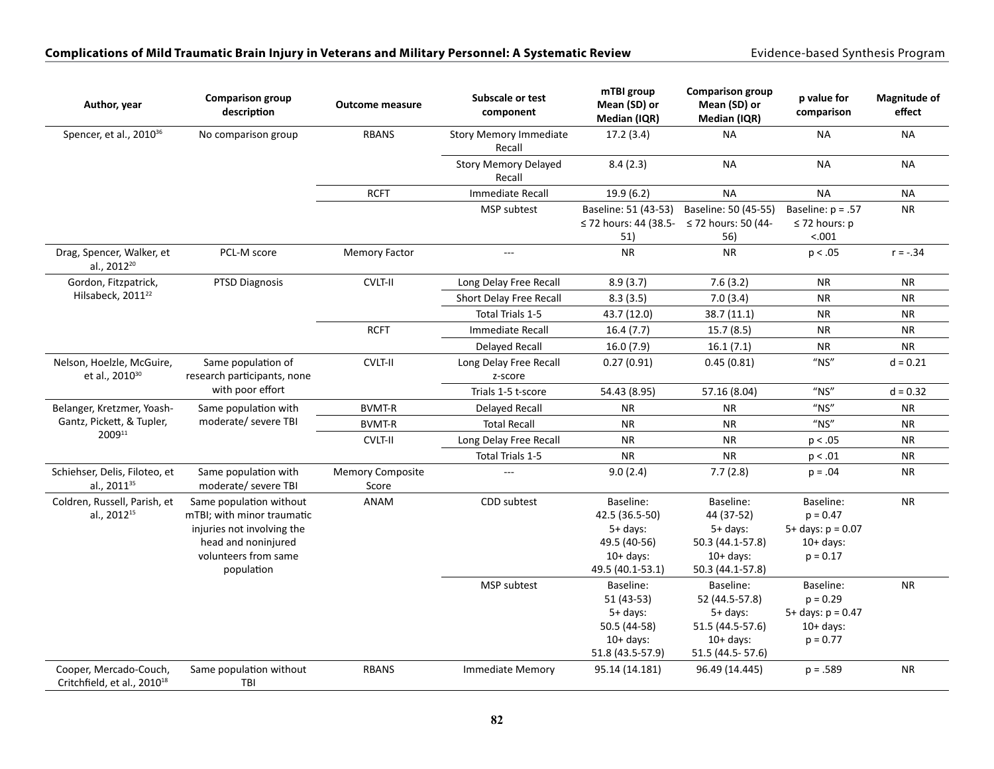| Author, year                                                      | <b>Comparison group</b><br>description                                                                                                           | <b>Outcome measure</b>           | Subscale or test<br>component           | mTBI group<br>Mean (SD) or<br>Median (IQR)                                                   | <b>Comparison group</b><br>Mean (SD) or<br>Median (IQR)                                          | p value for<br>comparison                                                     | <b>Magnitude of</b><br>effect |
|-------------------------------------------------------------------|--------------------------------------------------------------------------------------------------------------------------------------------------|----------------------------------|-----------------------------------------|----------------------------------------------------------------------------------------------|--------------------------------------------------------------------------------------------------|-------------------------------------------------------------------------------|-------------------------------|
| Spencer, et al., 2010 <sup>36</sup>                               | No comparison group                                                                                                                              | <b>RBANS</b>                     | <b>Story Memory Immediate</b><br>Recall | 17.2(3.4)                                                                                    | <b>NA</b>                                                                                        | <b>NA</b>                                                                     | <b>NA</b>                     |
|                                                                   |                                                                                                                                                  |                                  | <b>Story Memory Delayed</b><br>Recall   | 8.4(2.3)                                                                                     | <b>NA</b>                                                                                        | <b>NA</b>                                                                     | <b>NA</b>                     |
|                                                                   |                                                                                                                                                  | <b>RCFT</b>                      | <b>Immediate Recall</b>                 | 19.9 (6.2)                                                                                   | <b>NA</b>                                                                                        | <b>NA</b>                                                                     | <b>NA</b>                     |
|                                                                   |                                                                                                                                                  |                                  | <b>MSP</b> subtest                      | Baseline: 51 (43-53)<br>≤ 72 hours: 44 (38.5- ≤ 72 hours: 50 (44-<br>51)                     | Baseline: 50 (45-55)<br>56)                                                                      | Baseline: $p = .57$<br>$\leq$ 72 hours: p<br>< .001                           | <b>NR</b>                     |
| Drag, Spencer, Walker, et<br>al., 2012 <sup>20</sup>              | PCL-M score                                                                                                                                      | <b>Memory Factor</b>             | $\overline{a}$                          | <b>NR</b>                                                                                    | <b>NR</b>                                                                                        | p < .05                                                                       | $r = -.34$                    |
| Gordon, Fitzpatrick,                                              | <b>PTSD Diagnosis</b>                                                                                                                            | CVLT-II                          | Long Delay Free Recall                  | 8.9(3.7)                                                                                     | 7.6(3.2)                                                                                         | <b>NR</b>                                                                     | <b>NR</b>                     |
| Hilsabeck, 2011 <sup>22</sup>                                     |                                                                                                                                                  |                                  | Short Delay Free Recall                 | 8.3(3.5)                                                                                     | 7.0(3.4)                                                                                         | ${\sf NR}$                                                                    | ${\sf NR}$                    |
|                                                                   |                                                                                                                                                  |                                  | Total Trials 1-5                        | 43.7 (12.0)                                                                                  | 38.7 (11.1)                                                                                      | ${\sf NR}$                                                                    | ${\sf NR}$                    |
|                                                                   |                                                                                                                                                  | <b>RCFT</b>                      | <b>Immediate Recall</b>                 | 16.4(7.7)                                                                                    | 15.7(8.5)                                                                                        | <b>NR</b>                                                                     | <b>NR</b>                     |
|                                                                   |                                                                                                                                                  |                                  | <b>Delayed Recall</b>                   | 16.0(7.9)                                                                                    | 16.1(7.1)                                                                                        | <b>NR</b>                                                                     | <b>NR</b>                     |
| Nelson, Hoelzle, McGuire,<br>et al., 2010 <sup>30</sup>           | Same population of<br>research participants, none                                                                                                | <b>CVLT-II</b>                   | Long Delay Free Recall<br>z-score       | 0.27(0.91)                                                                                   | 0.45(0.81)                                                                                       | $"$ NS"                                                                       | $d = 0.21$                    |
|                                                                   | with poor effort                                                                                                                                 |                                  | Trials 1-5 t-score                      | 54.43 (8.95)                                                                                 | 57.16 (8.04)                                                                                     | $"$ NS"                                                                       | $d = 0.32$                    |
| Belanger, Kretzmer, Yoash-                                        | Same population with                                                                                                                             | <b>BVMT-R</b>                    | <b>Delayed Recall</b>                   | <b>NR</b>                                                                                    | <b>NR</b>                                                                                        | $''$ NS"                                                                      | <b>NR</b>                     |
| Gantz, Pickett, & Tupler,                                         | moderate/ severe TBI                                                                                                                             | <b>BVMT-R</b>                    | <b>Total Recall</b>                     | <b>NR</b>                                                                                    | <b>NR</b>                                                                                        | $''$ NS"                                                                      | <b>NR</b>                     |
| 200911                                                            |                                                                                                                                                  | <b>CVLT-II</b>                   | Long Delay Free Recall                  | <b>NR</b>                                                                                    | <b>NR</b>                                                                                        | p < .05                                                                       | ${\sf NR}$                    |
|                                                                   |                                                                                                                                                  |                                  | Total Trials 1-5                        | <b>NR</b>                                                                                    | <b>NR</b>                                                                                        | p < .01                                                                       | ${\sf NR}$                    |
| Schiehser, Delis, Filoteo, et<br>al., 2011 <sup>35</sup>          | Same population with<br>moderate/ severe TBI                                                                                                     | <b>Memory Composite</b><br>Score | $\overline{a}$                          | 9.0(2.4)                                                                                     | 7.7(2.8)                                                                                         | $p = .04$                                                                     | ${\sf NR}$                    |
| Coldren, Russell, Parish, et<br>al., 2012 <sup>15</sup>           | Same population without<br>mTBI; with minor traumatic<br>injuries not involving the<br>head and noninjured<br>volunteers from same<br>population | <b>ANAM</b>                      | CDD subtest                             | Baseline:<br>42.5 (36.5-50)<br>$5+$ days:<br>49.5 (40-56)<br>$10+$ days:<br>49.5 (40.1-53.1) | Baseline:<br>44 (37-52)<br>$5+$ days:<br>50.3 (44.1-57.8)<br>$10+$ days:<br>50.3 (44.1-57.8)     | Baseline:<br>$p = 0.47$<br>$5+$ days: $p = 0.07$<br>$10+$ days:<br>$p = 0.17$ | <b>NR</b>                     |
|                                                                   |                                                                                                                                                  |                                  | MSP subtest                             | Baseline:<br>51 (43-53)<br>$5+$ days:<br>50.5 (44-58)<br>$10+$ days:<br>51.8 (43.5-57.9)     | Baseline:<br>52 (44.5-57.8)<br>5+ days:<br>51.5 (44.5-57.6)<br>$10+$ days:<br>51.5 (44.5 - 57.6) | Baseline:<br>$p = 0.29$<br>$5+$ days: $p = 0.47$<br>$10+$ days:<br>$p = 0.77$ | <b>NR</b>                     |
| Cooper, Mercado-Couch,<br>Critchfield, et al., 2010 <sup>18</sup> | Same population without<br>TBI                                                                                                                   | <b>RBANS</b>                     | <b>Immediate Memory</b>                 | 95.14 (14.181)                                                                               | 96.49 (14.445)                                                                                   | $p = .589$                                                                    | <b>NR</b>                     |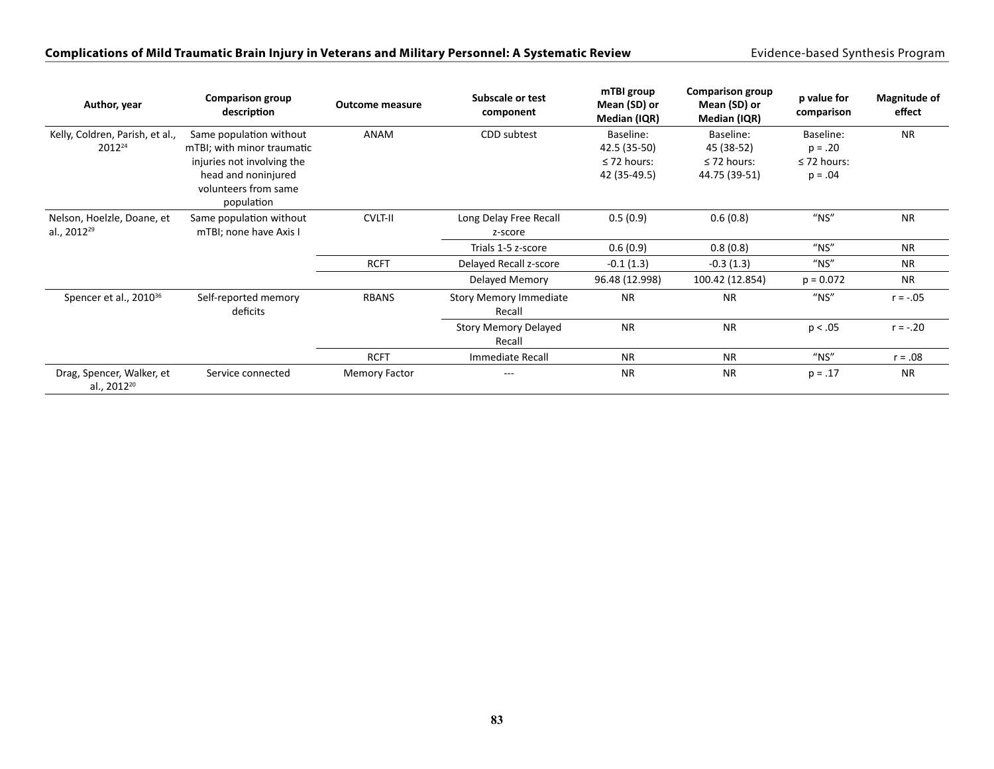| Author, year                                         | <b>Comparison group</b><br>description | <b>Outcome measure</b> | Subscale or test<br>component           | mTBI group<br>Mean (SD) or<br>Median (IQR) | <b>Comparison group</b><br>Mean (SD) or<br>Median (IQR) | p value for<br>comparison | <b>Magnitude of</b><br>effect |
|------------------------------------------------------|----------------------------------------|------------------------|-----------------------------------------|--------------------------------------------|---------------------------------------------------------|---------------------------|-------------------------------|
| Kelly, Coldren, Parish, et al.,                      | Same population without                | ANAM                   | CDD subtest                             | Baseline:                                  | Baseline:                                               | Baseline:                 | <b>NR</b>                     |
| 2012 <sup>24</sup>                                   | mTBI; with minor traumatic             |                        |                                         | 42.5 (35-50)                               | 45 (38-52)                                              | $p = .20$                 |                               |
|                                                      | injuries not involving the             |                        |                                         | $\leq$ 72 hours:                           | $\leq$ 72 hours:                                        | $\leq$ 72 hours:          |                               |
|                                                      | head and noninjured                    |                        |                                         | 42 (35-49.5)                               | 44.75 (39-51)                                           | $p = .04$                 |                               |
|                                                      | volunteers from same<br>population     |                        |                                         |                                            |                                                         |                           |                               |
| Nelson, Hoelzle, Doane, et                           | Same population without                | <b>CVLT-II</b>         | Long Delay Free Recall                  | 0.5(0.9)                                   | 0.6(0.8)                                                | $''$ NS"                  | <b>NR</b>                     |
| al., 2012 <sup>29</sup>                              | mTBI; none have Axis I                 |                        | z-score                                 |                                            |                                                         |                           |                               |
|                                                      |                                        |                        | Trials 1-5 z-score                      | 0.6(0.9)                                   | 0.8(0.8)                                                | $"$ NS"                   | <b>NR</b>                     |
|                                                      |                                        | <b>RCFT</b>            | Delayed Recall z-score                  | $-0.1(1.3)$                                | $-0.3(1.3)$                                             | $"$ NS"                   | <b>NR</b>                     |
|                                                      |                                        |                        | Delayed Memory                          | 96.48 (12.998)                             | 100.42 (12.854)                                         | $p = 0.072$               | <b>NR</b>                     |
| Spencer et al., 2010 <sup>36</sup>                   | Self-reported memory<br>deficits       | <b>RBANS</b>           | <b>Story Memory Immediate</b><br>Recall | <b>NR</b>                                  | <b>NR</b>                                               | $''$ NS"                  | $r = -.05$                    |
|                                                      |                                        |                        | <b>Story Memory Delayed</b><br>Recall   | <b>NR</b>                                  | <b>NR</b>                                               | p < .05                   | $r = -.20$                    |
|                                                      |                                        | <b>RCFT</b>            | Immediate Recall                        | <b>NR</b>                                  | <b>NR</b>                                               | $"$ NS"                   | $r = .08$                     |
| Drag, Spencer, Walker, et<br>al., 2012 <sup>20</sup> | Service connected                      | <b>Memory Factor</b>   | $---$                                   | <b>NR</b>                                  | <b>NR</b>                                               | $p = .17$                 | <b>NR</b>                     |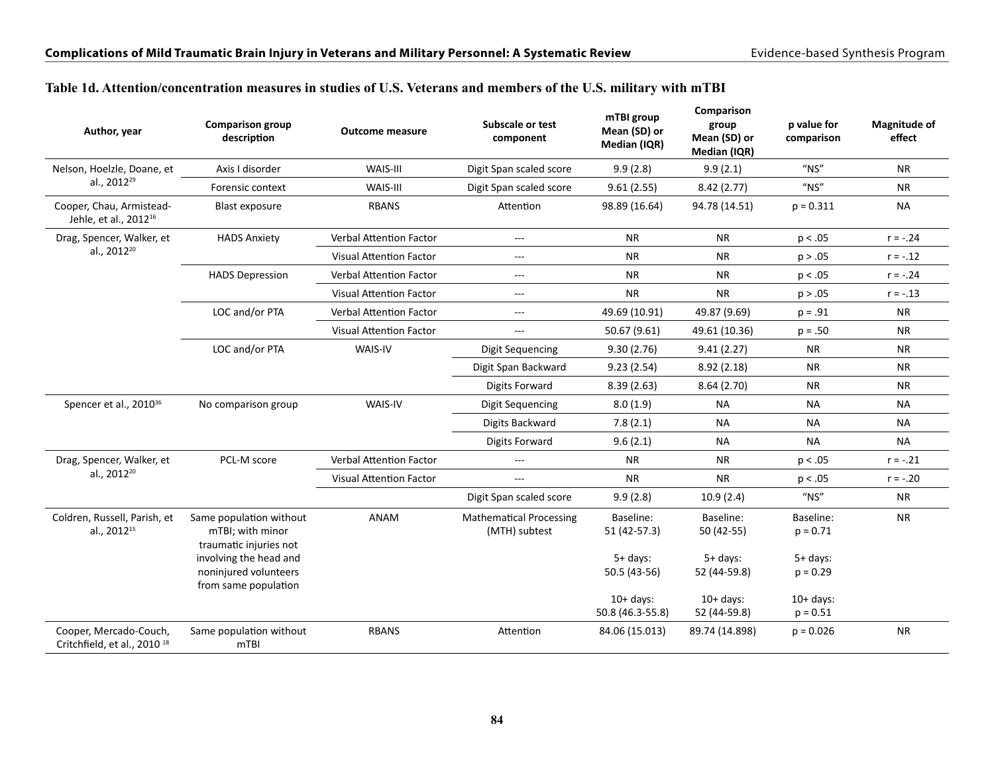| Author, year                                                      | <b>Comparison group</b><br>description                                  | <b>Outcome measure</b>         | Subscale or test<br>component                                                                                                                                                                                                                                                                                                                                                                                                                                                                                                                                                                                                                                                                                                                                                                                                                                                                                                                                                                                                    | mTBI group<br>Mean (SD) or<br>Median (IQR) | Comparison<br>group<br>Mean (SD) or<br>Median (IQR) | p value for<br>comparison               | <b>Magnitude of</b><br>effect |
|-------------------------------------------------------------------|-------------------------------------------------------------------------|--------------------------------|----------------------------------------------------------------------------------------------------------------------------------------------------------------------------------------------------------------------------------------------------------------------------------------------------------------------------------------------------------------------------------------------------------------------------------------------------------------------------------------------------------------------------------------------------------------------------------------------------------------------------------------------------------------------------------------------------------------------------------------------------------------------------------------------------------------------------------------------------------------------------------------------------------------------------------------------------------------------------------------------------------------------------------|--------------------------------------------|-----------------------------------------------------|-----------------------------------------|-------------------------------|
| Nelson, Hoelzle, Doane, et                                        | Axis I disorder                                                         | WAIS-III                       | Digit Span scaled score                                                                                                                                                                                                                                                                                                                                                                                                                                                                                                                                                                                                                                                                                                                                                                                                                                                                                                                                                                                                          | 9.9(2.8)                                   | 9.9(2.1)                                            | $^{\prime\prime}$ NS"                   | <b>NR</b>                     |
| al., 2012 <sup>29</sup>                                           | Forensic context                                                        | WAIS-III                       | Digit Span scaled score<br>9.61(2.55)<br>8.42(2.77)<br>Attention<br>98.89 (16.64)<br>94.78 (14.51)<br><b>NR</b><br><b>NR</b><br>---<br><b>NR</b><br><b>NR</b><br>$---$<br><b>NR</b><br><b>NR</b><br>$---$<br><b>NR</b><br><b>NR</b><br>$\cdots$<br>49.69 (10.91)<br>49.87 (9.69)<br>---<br>50.67 (9.61)<br>49.61 (10.36)<br>---<br>Digit Sequencing<br>9.30(2.76)<br>9.41(2.27)<br>Digit Span Backward<br>9.23(2.54)<br>8.92(2.18)<br>Digits Forward<br>8.64(2.70)<br>8.39(2.63)<br>8.0(1.9)<br>Digit Sequencing<br><b>NA</b><br>Digits Backward<br>7.8(2.1)<br><b>NA</b><br>9.6(2.1)<br><b>NA</b><br>Digits Forward<br><b>NR</b><br>NR.<br>$---$<br><b>NR</b><br><b>NR</b><br>---<br>9.9(2.8)<br>10.9(2.4)<br>Digit Span scaled score<br><b>Mathematical Processing</b><br>Baseline:<br>Baseline:<br>(MTH) subtest<br>51 (42-57.3)<br>50 (42-55)<br>$5+$ days:<br>$5+$ days:<br>50.5 (43-56)<br>52 (44-59.8)<br>$10+$ days:<br>$10+$ days:<br>50.8 (46.3-55.8)<br>52 (44-59.8)<br>Attention<br>84.06 (15.013)<br>89.74 (14.898) | $''$ NS"                                   | <b>NR</b>                                           |                                         |                               |
| Cooper, Chau, Armistead-<br>Jehle, et al., 2012 <sup>16</sup>     | Blast exposure                                                          | <b>RBANS</b>                   |                                                                                                                                                                                                                                                                                                                                                                                                                                                                                                                                                                                                                                                                                                                                                                                                                                                                                                                                                                                                                                  |                                            |                                                     | $p = 0.311$                             | <b>NA</b>                     |
| Drag, Spencer, Walker, et                                         | <b>HADS Anxiety</b>                                                     | <b>Verbal Attention Factor</b> |                                                                                                                                                                                                                                                                                                                                                                                                                                                                                                                                                                                                                                                                                                                                                                                                                                                                                                                                                                                                                                  |                                            |                                                     | p < .05                                 | $r = -.24$                    |
| al., 2012 <sup>20</sup>                                           |                                                                         | <b>Visual Attention Factor</b> |                                                                                                                                                                                                                                                                                                                                                                                                                                                                                                                                                                                                                                                                                                                                                                                                                                                                                                                                                                                                                                  |                                            |                                                     | p > .05                                 | $r = -.12$                    |
|                                                                   | <b>HADS Depression</b>                                                  | <b>Verbal Attention Factor</b> |                                                                                                                                                                                                                                                                                                                                                                                                                                                                                                                                                                                                                                                                                                                                                                                                                                                                                                                                                                                                                                  |                                            |                                                     | p < .05                                 | $r = -.24$                    |
|                                                                   |                                                                         | <b>Visual Attention Factor</b> |                                                                                                                                                                                                                                                                                                                                                                                                                                                                                                                                                                                                                                                                                                                                                                                                                                                                                                                                                                                                                                  |                                            |                                                     | p > .05                                 | $r = -.13$                    |
|                                                                   | LOC and/or PTA                                                          | <b>Verbal Attention Factor</b> |                                                                                                                                                                                                                                                                                                                                                                                                                                                                                                                                                                                                                                                                                                                                                                                                                                                                                                                                                                                                                                  |                                            |                                                     | $p = .91$                               | <b>NR</b>                     |
|                                                                   |                                                                         | <b>Visual Attention Factor</b> |                                                                                                                                                                                                                                                                                                                                                                                                                                                                                                                                                                                                                                                                                                                                                                                                                                                                                                                                                                                                                                  |                                            |                                                     | $p = .50$                               | <b>NR</b>                     |
|                                                                   | LOC and/or PTA                                                          | WAIS-IV                        |                                                                                                                                                                                                                                                                                                                                                                                                                                                                                                                                                                                                                                                                                                                                                                                                                                                                                                                                                                                                                                  |                                            |                                                     | <b>NR</b>                               | <b>NR</b>                     |
|                                                                   |                                                                         |                                |                                                                                                                                                                                                                                                                                                                                                                                                                                                                                                                                                                                                                                                                                                                                                                                                                                                                                                                                                                                                                                  |                                            |                                                     | <b>NR</b>                               | <b>NR</b>                     |
|                                                                   |                                                                         |                                |                                                                                                                                                                                                                                                                                                                                                                                                                                                                                                                                                                                                                                                                                                                                                                                                                                                                                                                                                                                                                                  |                                            |                                                     | <b>NR</b>                               | <b>NR</b>                     |
| Spencer et al., 2010 <sup>36</sup>                                | No comparison group                                                     | WAIS-IV                        |                                                                                                                                                                                                                                                                                                                                                                                                                                                                                                                                                                                                                                                                                                                                                                                                                                                                                                                                                                                                                                  |                                            |                                                     | <b>NA</b>                               | <b>NA</b>                     |
|                                                                   |                                                                         |                                |                                                                                                                                                                                                                                                                                                                                                                                                                                                                                                                                                                                                                                                                                                                                                                                                                                                                                                                                                                                                                                  |                                            |                                                     | NA.                                     | NA.                           |
|                                                                   |                                                                         |                                |                                                                                                                                                                                                                                                                                                                                                                                                                                                                                                                                                                                                                                                                                                                                                                                                                                                                                                                                                                                                                                  |                                            |                                                     | <b>NA</b>                               | <b>NA</b>                     |
| Drag, Spencer, Walker, et                                         | PCL-M score                                                             | <b>Verbal Attention Factor</b> |                                                                                                                                                                                                                                                                                                                                                                                                                                                                                                                                                                                                                                                                                                                                                                                                                                                                                                                                                                                                                                  |                                            |                                                     | p < .05                                 | $r = -.21$                    |
| al., 2012 <sup>20</sup>                                           |                                                                         | Visual Attention Factor        |                                                                                                                                                                                                                                                                                                                                                                                                                                                                                                                                                                                                                                                                                                                                                                                                                                                                                                                                                                                                                                  |                                            |                                                     | p < .05                                 | $r = -.20$                    |
|                                                                   |                                                                         |                                |                                                                                                                                                                                                                                                                                                                                                                                                                                                                                                                                                                                                                                                                                                                                                                                                                                                                                                                                                                                                                                  |                                            |                                                     | $^{\prime\prime}$ NS"                   | <b>NR</b>                     |
| Coldren, Russell, Parish, et<br>al., 2012 <sup>15</sup>           | Same population without<br>mTBI; with minor<br>traumatic injuries not   | ANAM                           |                                                                                                                                                                                                                                                                                                                                                                                                                                                                                                                                                                                                                                                                                                                                                                                                                                                                                                                                                                                                                                  |                                            |                                                     | Baseline:<br>$p = 0.71$                 | <b>NR</b>                     |
|                                                                   | involving the head and<br>noninjured volunteers<br>from same population |                                |                                                                                                                                                                                                                                                                                                                                                                                                                                                                                                                                                                                                                                                                                                                                                                                                                                                                                                                                                                                                                                  |                                            |                                                     | $5+$ days:<br>$p = 0.29$<br>$10+$ days: |                               |
|                                                                   |                                                                         |                                |                                                                                                                                                                                                                                                                                                                                                                                                                                                                                                                                                                                                                                                                                                                                                                                                                                                                                                                                                                                                                                  |                                            |                                                     | $p = 0.51$                              |                               |
| Cooper, Mercado-Couch,<br>Critchfield, et al., 2010 <sup>18</sup> | Same population without<br>m <sub>TBI</sub>                             | <b>RBANS</b>                   |                                                                                                                                                                                                                                                                                                                                                                                                                                                                                                                                                                                                                                                                                                                                                                                                                                                                                                                                                                                                                                  |                                            |                                                     | $p = 0.026$                             | <b>NR</b>                     |

#### **Table 1d. Attention/concentration measures in studies of U.S. Veterans and members of the U.S. military with mTBI**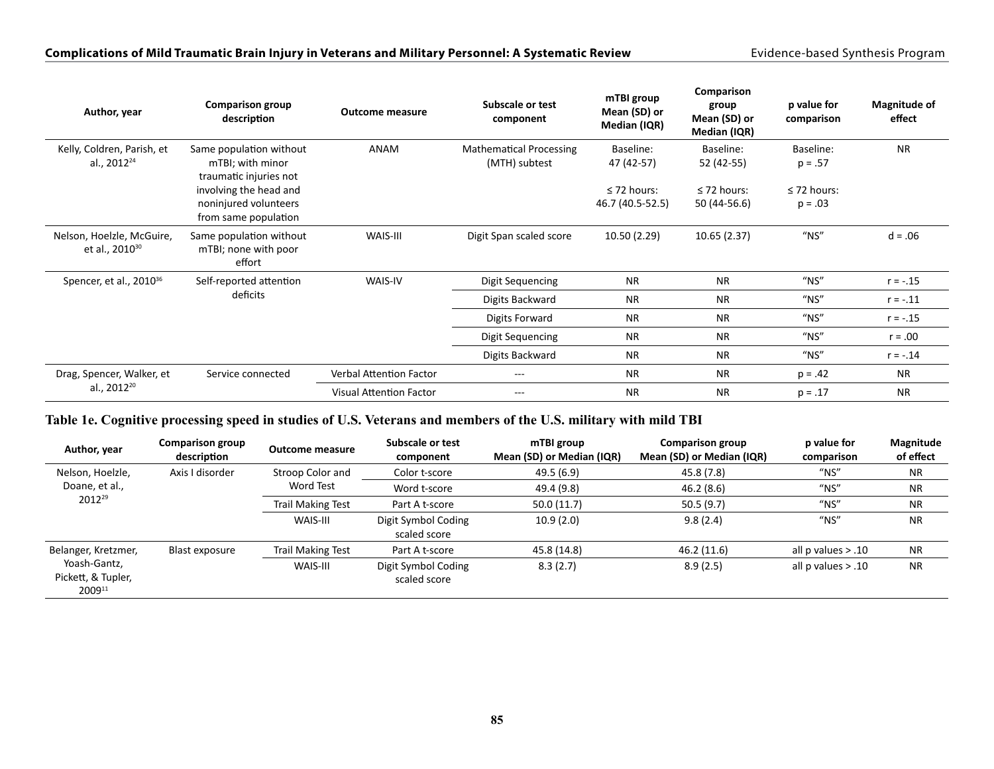| Author, year                                            | <b>Comparison group</b><br>description                                  | <b>Outcome measure</b>         | Subscale or test<br>component                   | mTBI group<br>Mean (SD) or<br>Median (IQR) | Comparison<br>group<br>Mean (SD) or<br>Median (IQR) | p value for<br>comparison     | <b>Magnitude of</b><br>effect |
|---------------------------------------------------------|-------------------------------------------------------------------------|--------------------------------|-------------------------------------------------|--------------------------------------------|-----------------------------------------------------|-------------------------------|-------------------------------|
| Kelly, Coldren, Parish, et<br>al., 2012 <sup>24</sup>   | Same population without<br>mTBI; with minor<br>traumatic injuries not   | ANAM                           | <b>Mathematical Processing</b><br>(MTH) subtest | Baseline:<br>47 (42-57)                    | Baseline:<br>52 (42-55)                             | Baseline:<br>$p = .57$        | <b>NR</b>                     |
|                                                         | involving the head and<br>noninjured volunteers<br>from same population |                                |                                                 | $\leq$ 72 hours:<br>46.7 (40.5-52.5)       | $\leq$ 72 hours:<br>50 (44-56.6)                    | $\leq$ 72 hours:<br>$p = .03$ |                               |
| Nelson, Hoelzle, McGuire,<br>et al., 2010 <sup>30</sup> | Same population without<br>mTBI; none with poor<br>effort               | WAIS-III                       | Digit Span scaled score                         | 10.50 (2.29)                               | 10.65(2.37)                                         | $"$ NS"                       | $d = .06$                     |
| Spencer, et al., 2010 <sup>36</sup>                     | Self-reported attention                                                 | WAIS-IV                        | Digit Sequencing                                | <b>NR</b>                                  | <b>NR</b>                                           | $"$ NS"                       | $r = -.15$                    |
|                                                         | deficits                                                                |                                | Digits Backward                                 | <b>NR</b>                                  | <b>NR</b>                                           | $"$ NS"                       | $r = -.11$                    |
|                                                         |                                                                         |                                | Digits Forward                                  | <b>NR</b>                                  | <b>NR</b>                                           | $''$ NS"                      | $r = -.15$                    |
|                                                         |                                                                         |                                | Digit Sequencing                                | <b>NR</b>                                  | <b>NR</b>                                           | $"$ NS"                       | $r = .00$                     |
|                                                         |                                                                         |                                | Digits Backward                                 | <b>NR</b>                                  | <b>NR</b>                                           | $"$ NS"                       | $r = -.14$                    |
| Drag, Spencer, Walker, et                               | Service connected                                                       | <b>Verbal Attention Factor</b> | $---$                                           | <b>NR</b>                                  | <b>NR</b>                                           | $p = .42$                     | <b>NR</b>                     |
| al., 2012 <sup>20</sup>                                 |                                                                         | <b>Visual Attention Factor</b> | $---$                                           | <b>NR</b>                                  | <b>NR</b>                                           | $p = .17$                     | <b>NR</b>                     |

### **Table 1e. Cognitive processing speed in studies of U.S. Veterans and members of the U.S. military with mild TBI**

| Author, year                                 | <b>Comparison group</b><br>description | <b>Outcome measure</b> | Subscale or test<br>component       | mTBI group<br>Mean (SD) or Median (IQR) | <b>Comparison group</b><br>Mean (SD) or Median (IQR) | p value for<br>comparison              | Magnitude<br>of effect |
|----------------------------------------------|----------------------------------------|------------------------|-------------------------------------|-----------------------------------------|------------------------------------------------------|----------------------------------------|------------------------|
| Nelson, Hoelzle,                             | Axis I disorder                        | Stroop Color and       | Color t-score                       | 49.5 (6.9)                              | 45.8 (7.8)                                           | $^{\prime\prime}$ NS $^{\prime\prime}$ | NR.                    |
| Doane, et al.,                               |                                        | Word Test              | Word t-score                        | 49.4 (9.8)                              | 46.2 (8.6)                                           | $"$ NS"                                | <b>NR</b>              |
| 2012 <sup>29</sup>                           |                                        | Trail Making Test      | Part A t-score                      | 50.0(11.7)                              | 50.5(9.7)                                            | $"$ NS"                                | <b>NR</b>              |
|                                              |                                        | WAIS-III               | Digit Symbol Coding<br>scaled score | 10.9(2.0)                               | 9.8(2.4)                                             | $"$ NS"                                | <b>NR</b>              |
| Belanger, Kretzmer,                          | Blast exposure                         | Trail Making Test      | Part A t-score                      | 45.8 (14.8)                             | 46.2 (11.6)                                          | all $p$ values $> .10$                 | <b>NR</b>              |
| Yoash-Gantz,<br>Pickett, & Tupler,<br>200911 |                                        | WAIS-III               | Digit Symbol Coding<br>scaled score | 8.3(2.7)                                | 8.9(2.5)                                             | all $p$ values $> .10$                 | <b>NR</b>              |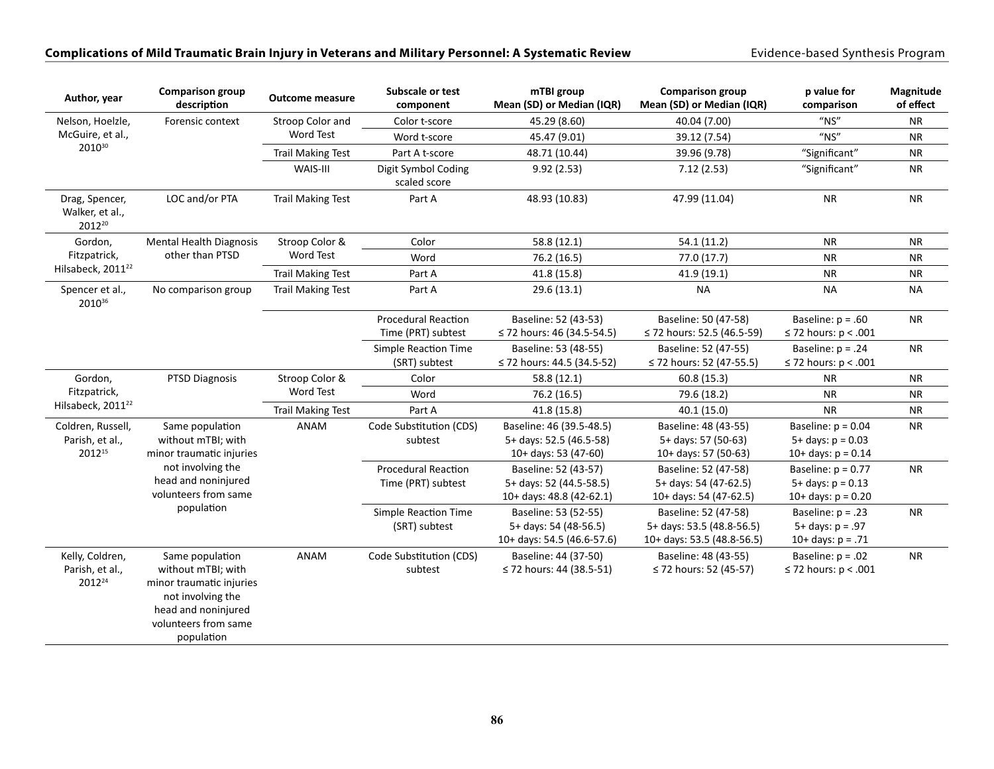| Author, year                                               | <b>Comparison group</b><br>description                                                                                                              | <b>Outcome measure</b>   | <b>Subscale or test</b><br>component             | mTBI group<br>Mean (SD) or Median (IQR)                                     | <b>Comparison group</b><br>Mean (SD) or Median (IQR)                            | p value for<br>comparison                                             | Magnitude<br>of effect |
|------------------------------------------------------------|-----------------------------------------------------------------------------------------------------------------------------------------------------|--------------------------|--------------------------------------------------|-----------------------------------------------------------------------------|---------------------------------------------------------------------------------|-----------------------------------------------------------------------|------------------------|
| Nelson, Hoelzle,                                           | Forensic context                                                                                                                                    | Stroop Color and         | Color t-score                                    | 45.29 (8.60)                                                                | 40.04 (7.00)                                                                    | $''$ NS"                                                              | <b>NR</b>              |
| McGuire, et al.,                                           |                                                                                                                                                     | Word Test                | Word t-score                                     | 45.47 (9.01)                                                                | 39.12 (7.54)                                                                    | $''$ NS"                                                              | <b>NR</b>              |
| 201030                                                     |                                                                                                                                                     | <b>Trail Making Test</b> | Part A t-score                                   | 48.71 (10.44)                                                               | 39.96 (9.78)                                                                    | "Significant"                                                         | <b>NR</b>              |
|                                                            |                                                                                                                                                     | WAIS-III                 | Digit Symbol Coding<br>scaled score              | 9.92(2.53)                                                                  | 7.12(2.53)                                                                      | "Significant"                                                         | <b>NR</b>              |
| Drag, Spencer,<br>Walker, et al.,<br>201220                | LOC and/or PTA                                                                                                                                      | <b>Trail Making Test</b> | Part A                                           | 48.93 (10.83)                                                               | 47.99 (11.04)                                                                   | <b>NR</b>                                                             | <b>NR</b>              |
| Gordon,                                                    | <b>Mental Health Diagnosis</b>                                                                                                                      | Stroop Color &           | Color                                            | 58.8 (12.1)                                                                 | 54.1(11.2)                                                                      | <b>NR</b>                                                             | <b>NR</b>              |
| Fitzpatrick,                                               | other than PTSD                                                                                                                                     | Word Test                | Word                                             | 76.2 (16.5)                                                                 | 77.0 (17.7)                                                                     | <b>NR</b>                                                             | <b>NR</b>              |
| Hilsabeck, 2011 <sup>22</sup>                              |                                                                                                                                                     | <b>Trail Making Test</b> | Part A                                           | 41.8 (15.8)                                                                 | 41.9 (19.1)                                                                     | <b>NR</b>                                                             | <b>NR</b>              |
| Spencer et al.,<br>201036                                  | No comparison group                                                                                                                                 | <b>Trail Making Test</b> | Part A                                           | 29.6(13.1)                                                                  | <b>NA</b>                                                                       | <b>NA</b>                                                             | <b>NA</b>              |
|                                                            |                                                                                                                                                     |                          | <b>Procedural Reaction</b><br>Time (PRT) subtest | Baseline: 52 (43-53)<br>≤ 72 hours: 46 (34.5-54.5)                          | Baseline: 50 (47-58)<br>≤ 72 hours: 52.5 (46.5-59)                              | Baseline: $p = .60$<br>$\leq$ 72 hours: p < .001                      | <b>NR</b>              |
|                                                            |                                                                                                                                                     |                          | Simple Reaction Time<br>(SRT) subtest            | Baseline: 53 (48-55)<br>≤ 72 hours: 44.5 (34.5-52)                          | Baseline: 52 (47-55)<br>≤ 72 hours: 52 (47-55.5)                                | Baseline: $p = .24$<br>$\leq$ 72 hours: p < .001                      | <b>NR</b>              |
| Gordon,                                                    | <b>PTSD Diagnosis</b>                                                                                                                               | Stroop Color &           | Color                                            | 58.8 (12.1)                                                                 | 60.8 (15.3)                                                                     | <b>NR</b>                                                             | <b>NR</b>              |
| Fitzpatrick,                                               |                                                                                                                                                     | Word Test                | Word                                             | 76.2 (16.5)                                                                 | 79.6 (18.2)                                                                     | <b>NR</b>                                                             | <b>NR</b>              |
| Hilsabeck, 2011 <sup>22</sup>                              |                                                                                                                                                     | <b>Trail Making Test</b> | Part A                                           | 41.8 (15.8)                                                                 | 40.1 (15.0)                                                                     | <b>NR</b>                                                             | <b>NR</b>              |
| Coldren, Russell,<br>Parish, et al.,<br>2012 <sup>15</sup> | Same population<br>without mTBI; with<br>minor traumatic injuries                                                                                   | ANAM                     | Code Substitution (CDS)<br>subtest               | Baseline: 46 (39.5-48.5)<br>5+ days: 52.5 (46.5-58)<br>10+ days: 53 (47-60) | Baseline: 48 (43-55)<br>5+ days: 57 (50-63)<br>10+ days: 57 (50-63)             | Baseline: $p = 0.04$<br>$5+$ days: $p = 0.03$<br>10+ days: $p = 0.14$ | <b>NR</b>              |
|                                                            | not involving the<br>head and noninjured<br>volunteers from same                                                                                    |                          | <b>Procedural Reaction</b><br>Time (PRT) subtest | Baseline: 52 (43-57)<br>5+ days: 52 (44.5-58.5)<br>10+ days: 48.8 (42-62.1) | Baseline: 52 (47-58)<br>5+ days: 54 (47-62.5)<br>10+ days: 54 (47-62.5)         | Baseline: $p = 0.77$<br>$5+$ days: $p = 0.13$<br>10+ days: $p = 0.20$ | <b>NR</b>              |
|                                                            | population                                                                                                                                          |                          | Simple Reaction Time<br>(SRT) subtest            | Baseline: 53 (52-55)<br>5+ days: 54 (48-56.5)<br>10+ days: 54.5 (46.6-57.6) | Baseline: 52 (47-58)<br>5+ days: 53.5 (48.8-56.5)<br>10+ days: 53.5 (48.8-56.5) | Baseline: $p = .23$<br>$5 + days: p = .97$<br>10+ days: $p = .71$     | <b>NR</b>              |
| Kelly, Coldren,<br>Parish, et al.,<br>2012 <sup>24</sup>   | Same population<br>without mTBI; with<br>minor traumatic injuries<br>not involving the<br>head and noninjured<br>volunteers from same<br>population | ANAM                     | Code Substitution (CDS)<br>subtest               | Baseline: 44 (37-50)<br>≤ 72 hours: 44 (38.5-51)                            | Baseline: 48 (43-55)<br>≤ 72 hours: 52 (45-57)                                  | Baseline: $p = .02$<br>$\leq$ 72 hours: p < .001                      | <b>NR</b>              |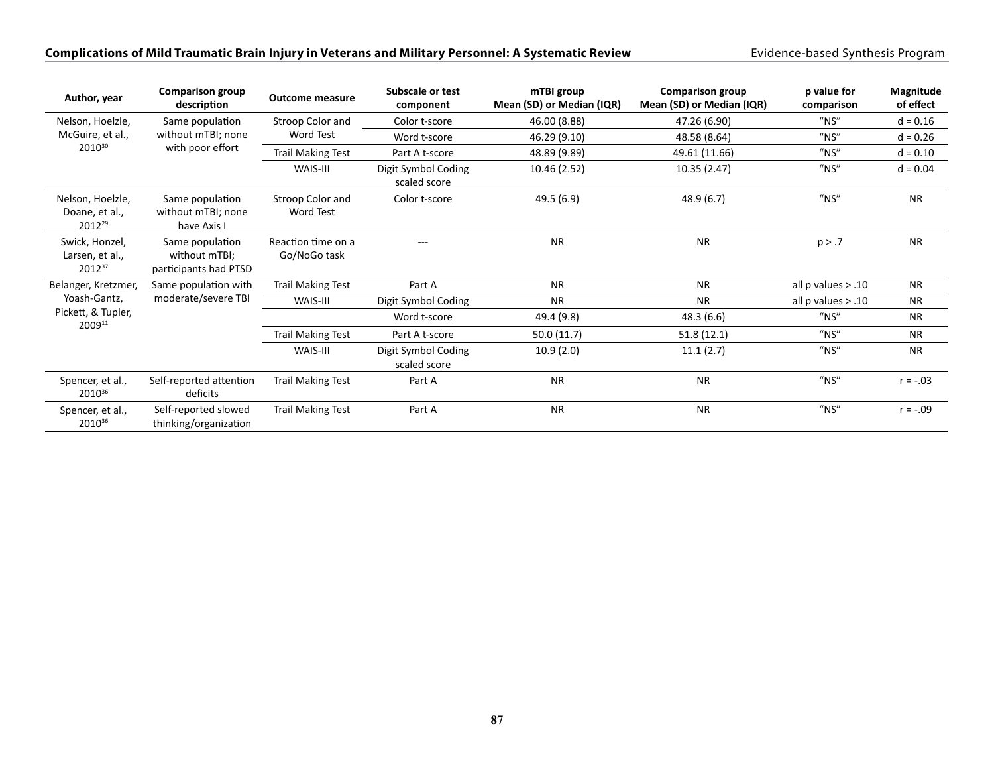| Author, year                                                        | <b>Comparison group</b><br>description                    | <b>Outcome measure</b>               | Subscale or test<br>component       | mTBI group<br>Mean (SD) or Median (IQR) | <b>Comparison group</b><br>Mean (SD) or Median (IQR) | p value for<br>comparison | Magnitude<br>of effect |
|---------------------------------------------------------------------|-----------------------------------------------------------|--------------------------------------|-------------------------------------|-----------------------------------------|------------------------------------------------------|---------------------------|------------------------|
| Nelson, Hoelzle,<br>McGuire, et al.,<br>201030                      | Same population<br>without mTBI; none<br>with poor effort | Stroop Color and<br>Word Test        | Color t-score                       | 46.00 (8.88)                            | 47.26 (6.90)                                         | $"$ NS"                   | $d = 0.16$             |
|                                                                     |                                                           |                                      | Word t-score                        | 46.29 (9.10)                            | 48.58 (8.64)                                         | $"$ NS"                   | $d = 0.26$             |
|                                                                     |                                                           | <b>Trail Making Test</b>             | Part A t-score                      | 48.89 (9.89)                            | 49.61 (11.66)                                        | $''$ NS"                  | $d = 0.10$             |
|                                                                     |                                                           | WAIS-III                             | Digit Symbol Coding<br>scaled score | 10.46 (2.52)                            | 10.35 (2.47)                                         | $"$ NS"                   | $d = 0.04$             |
| Nelson, Hoelzle,<br>Doane, et al.,<br>2012 <sup>29</sup>            | Same population<br>without mTBI: none<br>have Axis I      | Stroop Color and<br><b>Word Test</b> | Color t-score                       | 49.5 (6.9)                              | 48.9 (6.7)                                           | $"$ NS"                   | <b>NR</b>              |
| Swick, Honzel,<br>Larsen, et al.,<br>201237                         | Same population<br>without mTBI;<br>participants had PTSD | Reaction time on a<br>Go/NoGo task   | $- - -$                             | <b>NR</b>                               | <b>NR</b>                                            | p > .7                    | <b>NR</b>              |
| Belanger, Kretzmer,<br>Yoash-Gantz,<br>Pickett, & Tupler,<br>200911 | Same population with<br>moderate/severe TBI               | <b>Trail Making Test</b>             | Part A                              | <b>NR</b>                               | <b>NR</b>                                            | all $p$ values $> .10$    | <b>NR</b>              |
|                                                                     |                                                           | WAIS-III                             | Digit Symbol Coding                 | <b>NR</b>                               | <b>NR</b>                                            | all $p$ values $> .10$    | <b>NR</b>              |
|                                                                     |                                                           |                                      | Word t-score                        | 49.4 (9.8)                              | 48.3(6.6)                                            | $"$ NS"                   | <b>NR</b>              |
|                                                                     |                                                           | <b>Trail Making Test</b>             | Part A t-score                      | 50.0(11.7)                              | 51.8(12.1)                                           | $''$ NS"                  | <b>NR</b>              |
|                                                                     |                                                           | WAIS-III                             | Digit Symbol Coding<br>scaled score | 10.9(2.0)                               | 11.1(2.7)                                            | $"$ NS"                   | <b>NR</b>              |
| Spencer, et al.,<br>201036                                          | Self-reported attention<br>deficits                       | <b>Trail Making Test</b>             | Part A                              | <b>NR</b>                               | <b>NR</b>                                            | $"$ NS"                   | $r = -.03$             |
| Spencer, et al.,<br>2010 <sup>36</sup>                              | Self-reported slowed<br>thinking/organization             | <b>Trail Making Test</b>             | Part A                              | <b>NR</b>                               | <b>NR</b>                                            | $"$ NS"                   | $r = -.09$             |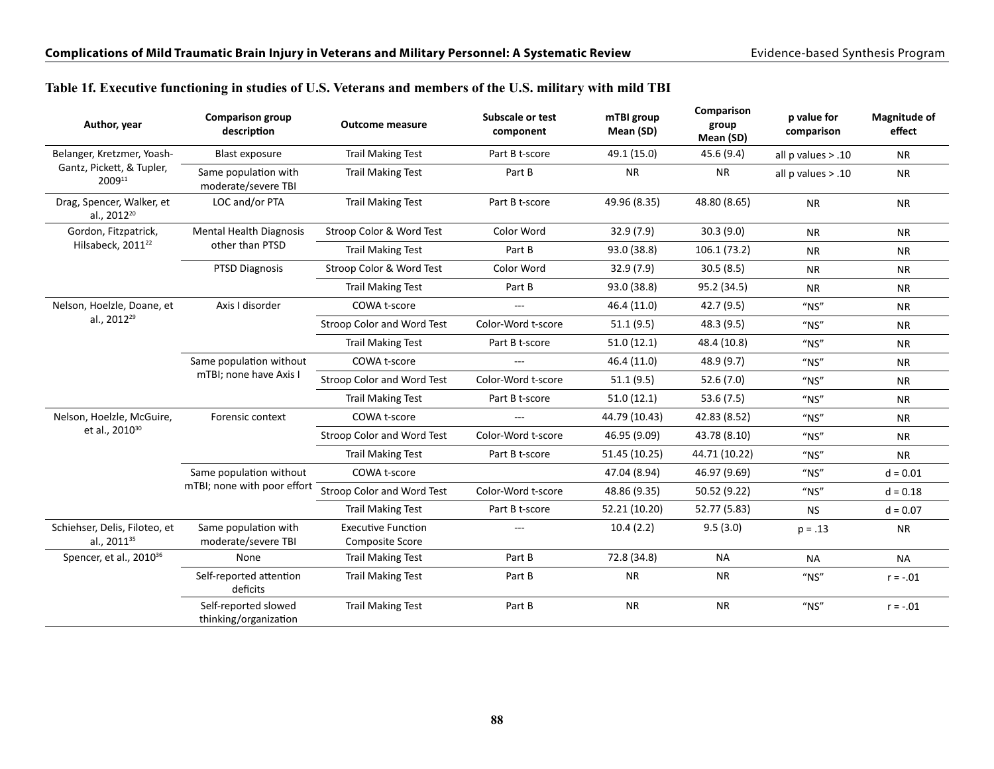Self-reported slowed thinking/organization

#### **Author, year Comparison group description Outcome measure Subscale or test component mTBI group Mean (SD) Comparison group Mean (SD) p value for comparison Magnitude of effect** Belanger, Kretzmer, Yoash-Gantz, Pickett, & Tupler, 200911 Blast exposure Trail Making Test Part B t-score 49.1 (15.0) 45.6 (9.4) all p values > .10 NR Same population with moderate/severe TBI Trail Making Test **Part B** NR NR all p values > .10 NR Drag, Spencer, Walker, et al., 2012<sup>20</sup> LOC and/or PTA Trail Making Test Part B t-score 49.96 (8.35) 48.80 (8.65) NR NR Gordon, Fitzpatrick, Hilsabeck, 2011<sup>22</sup> Mental Health Diagnosis other than PTSD Stroop Color & Word Test Color Word 32.9 (7.9) 30.3 (9.0) NR NR NR Trail Making Test **Part B** 93.0 (38.8) 106.1 (73.2) NR NR PTSD Diagnosis Stroop Color & Word Test Color Word 32.9 (7.9) 30.5 (8.5) NR NR NR Trail Making Test Part B 93.0 (38.8) 95.2 (34.5) NR NR Nelson, Hoelzle, Doane, et al., 2012<sup>29</sup> Axis I disorder COWA t-score --- 46.4 (11.0) 42.7 (9.5) "NS" NR Stroop Color and Word Test Color-Word t-score 51.1 (9.5) 48.3 (9.5) "NS" NR Trail Making Test **Part B t-score** 51.0 (12.1) 48.4 (10.8) "NS" NR Same population without mTBI; none have Axis I COWA t-score --- 46.4 (11.0) 48.9 (9.7) "NS" NR Stroop Color and Word Test Color-Word t-score 51.1 (9.5) 52.6 (7.0) "NS" NR Trail Making Test **Part B t-score** 51.0 (12.1) 53.6 (7.5) "NS" NR Nelson, Hoelzle, McGuire, et al., 2010<sup>30</sup> Forensic context COWA t-score --- 44.79 (10.43) 42.83 (8.52) "NS" NR Stroop Color and Word Test Color-Word t-score 46.95 (9.09) 43.78 (8.10) "NS" NR Trail Making Test Part B t-score 51.45 (10.25) 44.71 (10.22) "NS" NR Same population without mTBI; none with poor effort Stroop Color and Word Test Color-Word t-score 48.86 (9.35) 50.52 (9.22) "NS" d=0.18 COWA t-score 47.04 (8.94) 46.97 (9.69) "NS" d = 0.01 Trail Making Test **Part B t-score** 52.21 (10.20) 52.77 (5.83) NS d = 0.07 Schiehser, Delis, Filoteo, et al., 201135 Same population with moderate/severe TBI Executive Function Composite Score ---10.4 (2.2) 9.5 (3.0) p = .13 NR Spencer, et al., 2010<sup>36</sup> None Trail Making Test Part B 72.8 (34.8) NA NA NA NA NA Self-reported attention deficits Trail Making Test **Part B** NR NR "NS" r = -.01

#### **Table 1f. Executive functioning in studies of U.S. Veterans and members of the U.S. military with mild TBI**

Trail Making Test  $Part B$  NR NR "NS" r = -.01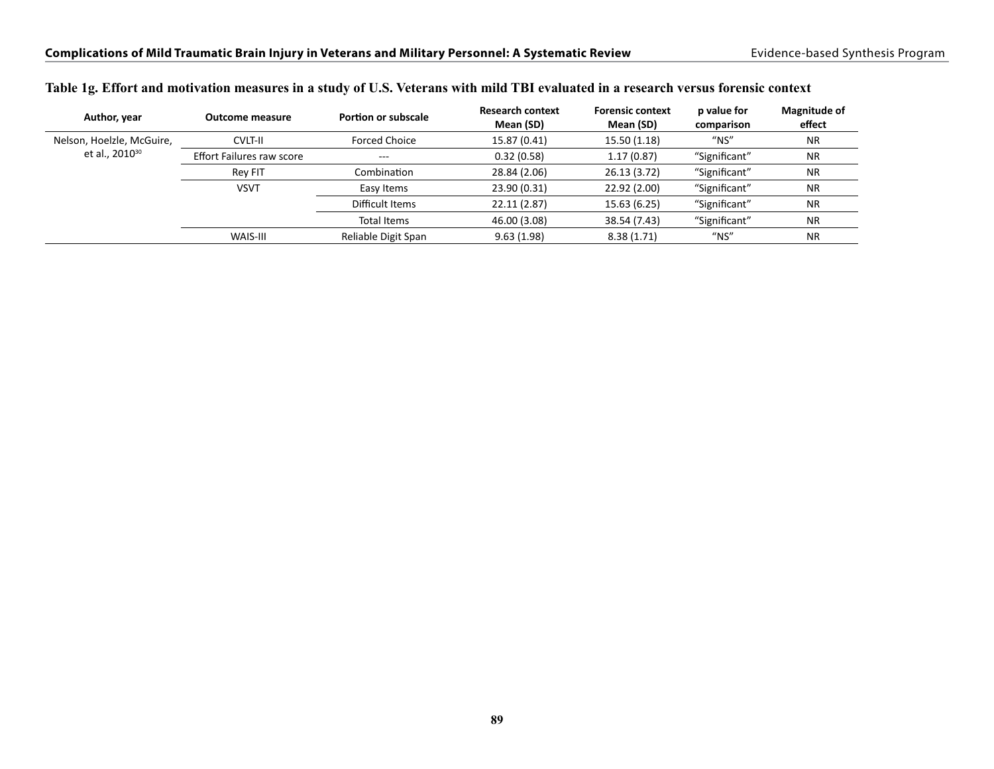| Author, year               | <b>Outcome measure</b>           | Portion or subscale  | <b>Research context</b><br>Mean (SD) | <b>Forensic context</b><br>Mean (SD) | p value for<br>comparison              | Magnitude of<br>effect |
|----------------------------|----------------------------------|----------------------|--------------------------------------|--------------------------------------|----------------------------------------|------------------------|
| Nelson, Hoelzle, McGuire,  | <b>CVLT-II</b>                   | <b>Forced Choice</b> | 15.87 (0.41)                         | 15.50 (1.18)                         | $"$ NS"                                | <b>NR</b>              |
| et al., 2010 <sup>30</sup> | <b>Effort Failures raw score</b> | $---$                | 0.32(0.58)                           | 1.17(0.87)                           | "Significant"                          | <b>NR</b>              |
|                            | <b>Rev FIT</b>                   | Combination          | 28.84 (2.06)                         | 26.13(3.72)                          | "Significant"                          | <b>NR</b>              |
|                            | <b>VSVT</b>                      | Easy Items           | 23.90 (0.31)                         | 22.92 (2.00)                         | "Significant"                          | <b>NR</b>              |
|                            |                                  | Difficult Items      | 22.11 (2.87)                         | 15.63 (6.25)                         | "Significant"                          | <b>NR</b>              |
|                            |                                  | Total Items          | 46.00 (3.08)                         | 38.54 (7.43)                         | "Significant"                          | <b>NR</b>              |
|                            | WAIS-III                         | Reliable Digit Span  | 9.63(1.98)                           | 8.38(1.71)                           | $^{\prime\prime}$ NS $^{\prime\prime}$ | <b>NR</b>              |

#### **Table 1g. Effort and motivation measures in a study of U.S. Veterans with mild TBI evaluated in a research versus forensic context**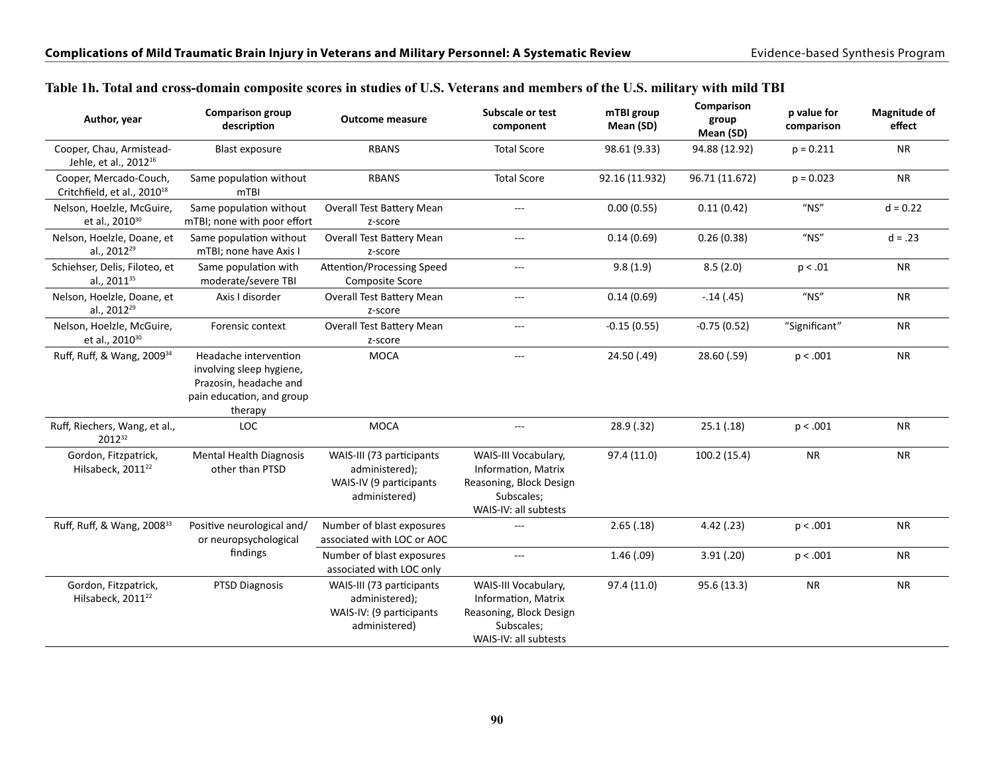| Author, year                                                      | <b>Comparison group</b><br>description                                                                              | <b>Outcome measure</b>                                                                   | Subscale or test<br>component                                                                                 | mTBI group<br>Mean (SD) | Comparison<br>group<br>Mean (SD) | p value for<br>comparison | <b>Magnitude of</b><br>effect |
|-------------------------------------------------------------------|---------------------------------------------------------------------------------------------------------------------|------------------------------------------------------------------------------------------|---------------------------------------------------------------------------------------------------------------|-------------------------|----------------------------------|---------------------------|-------------------------------|
| Cooper, Chau, Armistead-<br>Jehle, et al., 2012 <sup>16</sup>     | Blast exposure                                                                                                      | <b>RBANS</b>                                                                             | <b>Total Score</b>                                                                                            | 98.61 (9.33)            | 94.88 (12.92)                    | $p = 0.211$               | <b>NR</b>                     |
| Cooper, Mercado-Couch,<br>Critchfield, et al., 2010 <sup>18</sup> | Same population without<br>m <sub>TBI</sub>                                                                         | <b>RBANS</b>                                                                             | <b>Total Score</b>                                                                                            | 92.16 (11.932)          | 96.71 (11.672)                   | $p = 0.023$               | <b>NR</b>                     |
| Nelson, Hoelzle, McGuire,<br>et al., 2010 <sup>30</sup>           | Same population without<br>mTBI; none with poor effort                                                              | Overall Test Battery Mean<br>z-score                                                     | $\overline{a}$                                                                                                | 0.00(0.55)              | 0.11(0.42)                       | $"$ NS"                   | $d = 0.22$                    |
| Nelson, Hoelzle, Doane, et<br>al., 2012 <sup>29</sup>             | Same population without<br>mTBI; none have Axis I                                                                   | Overall Test Battery Mean<br>z-score                                                     | $\sim$ $\sim$                                                                                                 | 0.14(0.69)              | 0.26(0.38)                       | $''$ NS"                  | $d = .23$                     |
| Schiehser, Delis, Filoteo, et<br>al., 2011 <sup>35</sup>          | Same population with<br>moderate/severe TBI                                                                         | Attention/Processing Speed<br><b>Composite Score</b>                                     | $\overline{a}$                                                                                                | 9.8(1.9)                | 8.5(2.0)                         | p < .01                   | <b>NR</b>                     |
| Nelson, Hoelzle, Doane, et<br>al., 2012 <sup>29</sup>             | Axis I disorder                                                                                                     | Overall Test Battery Mean<br>z-score                                                     | $\overline{a}$                                                                                                | 0.14(0.69)              | $-.14(.45)$                      | $"$ NS"                   | <b>NR</b>                     |
| Nelson, Hoelzle, McGuire,<br>et al., 2010 <sup>30</sup>           | Forensic context                                                                                                    | <b>Overall Test Battery Mean</b><br>z-score                                              | ---                                                                                                           | $-0.15(0.55)$           | $-0.75(0.52)$                    | "Significant"             | <b>NR</b>                     |
| Ruff, Ruff, & Wang, 2009 <sup>34</sup>                            | Headache intervention<br>involving sleep hygiene,<br>Prazosin, headache and<br>pain education, and group<br>therapy | <b>MOCA</b>                                                                              | ---                                                                                                           | 24.50 (.49)             | 28.60 (.59)                      | p < .001                  | <b>NR</b>                     |
| Ruff, Riechers, Wang, et al.,<br>201232                           | LOC                                                                                                                 | <b>MOCA</b>                                                                              | $\overline{a}$                                                                                                | 28.9 (.32)              | 25.1(.18)                        | p < .001                  | <b>NR</b>                     |
| Gordon, Fitzpatrick,<br>Hilsabeck, 2011 <sup>22</sup>             | <b>Mental Health Diagnosis</b><br>other than PTSD                                                                   | WAIS-III (73 participants<br>administered);<br>WAIS-IV (9 participants<br>administered)  | WAIS-III Vocabulary,<br>Information, Matrix<br>Reasoning, Block Design<br>Subscales;<br>WAIS-IV: all subtests | 97.4 (11.0)             | 100.2 (15.4)                     | <b>NR</b>                 | <b>NR</b>                     |
| Ruff, Ruff, & Wang, 2008 <sup>33</sup>                            | Positive neurological and/<br>or neuropsychological<br>findings                                                     | Number of blast exposures<br>associated with LOC or AOC                                  | ---                                                                                                           | 2.65(.18)               | 4.42 (.23)                       | p < .001                  | <b>NR</b>                     |
|                                                                   |                                                                                                                     | Number of blast exposures<br>associated with LOC only                                    | $---$                                                                                                         | 1.46(0.09)              | 3.91(.20)                        | p < .001                  | <b>NR</b>                     |
| Gordon, Fitzpatrick,<br>Hilsabeck, 2011 <sup>22</sup>             | <b>PTSD Diagnosis</b>                                                                                               | WAIS-III (73 participants<br>administered);<br>WAIS-IV: (9 participants<br>administered) | WAIS-III Vocabulary,<br>Information, Matrix<br>Reasoning, Block Design<br>Subscales;<br>WAIS-IV: all subtests | 97.4(11.0)              | 95.6(13.3)                       | <b>NR</b>                 | <b>NR</b>                     |

### **Table 1h. Total and cross-domain composite scores in studies of U.S. Veterans and members of the U.S. military with mild TBI**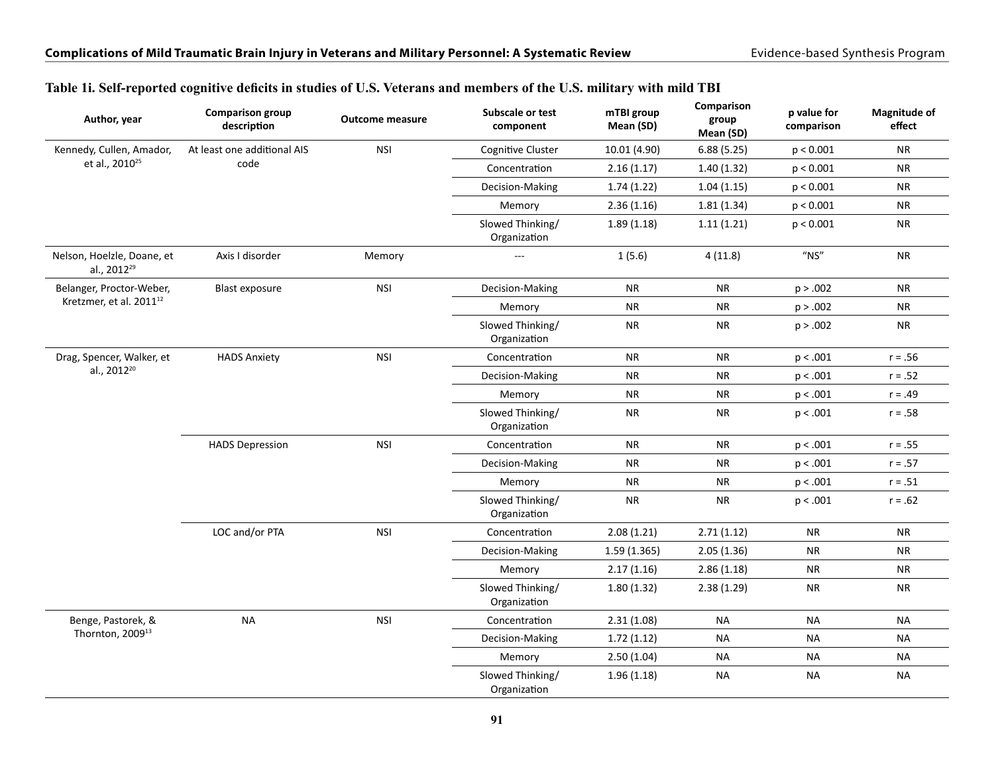| Author, year                                          | <b>Comparison group</b><br>description | <b>Outcome measure</b> | Subscale or test<br>component    | mTBI group<br>Mean (SD) | Comparison<br>group<br>Mean (SD) | p value for<br>comparison | <b>Magnitude of</b><br>effect |
|-------------------------------------------------------|----------------------------------------|------------------------|----------------------------------|-------------------------|----------------------------------|---------------------------|-------------------------------|
| Kennedy, Cullen, Amador,                              | At least one additional AIS            | <b>NSI</b>             | Cognitive Cluster                | 10.01 (4.90)            | 6.88(5.25)                       | p < 0.001                 | <b>NR</b>                     |
| et al., 2010 <sup>25</sup>                            | code                                   |                        | Concentration                    | 2.16(1.17)              | 1.40(1.32)                       | p < 0.001                 | <b>NR</b>                     |
|                                                       |                                        |                        | Decision-Making                  | 1.74(1.22)              | 1.04(1.15)                       | p < 0.001                 | <b>NR</b>                     |
|                                                       |                                        |                        | Memory                           | 2.36(1.16)              | 1.81(1.34)                       | p < 0.001                 | <b>NR</b>                     |
|                                                       |                                        |                        | Slowed Thinking/<br>Organization | 1.89(1.18)              | 1.11(1.21)                       | p < 0.001                 | <b>NR</b>                     |
| Nelson, Hoelzle, Doane, et<br>al., 2012 <sup>29</sup> | Axis I disorder                        | Memory                 | $\overline{a}$                   | 1(5.6)                  | 4(11.8)                          | $^{\prime\prime}$ NS"     | <b>NR</b>                     |
| Belanger, Proctor-Weber,                              | <b>Blast exposure</b>                  | <b>NSI</b>             | Decision-Making                  | <b>NR</b>               | <b>NR</b>                        | p > .002                  | <b>NR</b>                     |
| Kretzmer, et al. 2011 <sup>12</sup>                   |                                        |                        | Memory                           | <b>NR</b>               | <b>NR</b>                        | p > .002                  | <b>NR</b>                     |
|                                                       |                                        |                        | Slowed Thinking/<br>Organization | <b>NR</b>               | <b>NR</b>                        | p > .002                  | <b>NR</b>                     |
| Drag, Spencer, Walker, et                             | <b>HADS Anxiety</b>                    | <b>NSI</b>             | Concentration                    | <b>NR</b>               | <b>NR</b>                        | p < .001                  | $r = .56$                     |
| al., 2012 <sup>20</sup>                               |                                        |                        | Decision-Making                  | <b>NR</b>               | <b>NR</b>                        | p < .001                  | $r = .52$                     |
|                                                       |                                        |                        | Memory                           | <b>NR</b>               | <b>NR</b>                        | p < .001                  | $r = .49$                     |
|                                                       |                                        |                        | Slowed Thinking/<br>Organization | <b>NR</b>               | <b>NR</b>                        | p < .001                  | $r = .58$                     |
|                                                       | <b>HADS Depression</b>                 | <b>NSI</b>             | Concentration                    | <b>NR</b>               | <b>NR</b>                        | p < .001                  | $r = .55$                     |
|                                                       |                                        |                        | Decision-Making                  | <b>NR</b>               | <b>NR</b>                        | p < .001                  | $r = .57$                     |
|                                                       |                                        |                        | Memory                           | <b>NR</b>               | <b>NR</b>                        | p < .001                  | $r = .51$                     |
|                                                       |                                        |                        | Slowed Thinking/<br>Organization | <b>NR</b>               | NR                               | p < .001                  | $r = .62$                     |
|                                                       | LOC and/or PTA                         | <b>NSI</b>             | Concentration                    | 2.08(1.21)              | 2.71(1.12)                       | <b>NR</b>                 | ${\sf NR}$                    |
|                                                       |                                        |                        | Decision-Making                  | 1.59(1.365)             | 2.05(1.36)                       | <b>NR</b>                 | <b>NR</b>                     |
|                                                       |                                        |                        | Memory                           | 2.17(1.16)              | 2.86(1.18)                       | <b>NR</b>                 | <b>NR</b>                     |
|                                                       |                                        |                        | Slowed Thinking/<br>Organization | 1.80(1.32)              | 2.38(1.29)                       | <b>NR</b>                 | <b>NR</b>                     |
| Benge, Pastorek, &                                    | <b>NA</b>                              | <b>NSI</b>             | Concentration                    | 2.31(1.08)              | NA                               | <b>NA</b>                 | <b>NA</b>                     |
| Thornton, 2009 <sup>13</sup>                          |                                        |                        | Decision-Making                  | 1.72(1.12)              | NA                               | <b>NA</b>                 | <b>NA</b>                     |
|                                                       |                                        |                        | Memory                           | 2.50(1.04)              | NA                               | <b>NA</b>                 | <b>NA</b>                     |
|                                                       |                                        |                        | Slowed Thinking/<br>Organization | 1.96(1.18)              | NA                               | <b>NA</b>                 | <b>NA</b>                     |

#### **Table 1i. Self-reported cognitive deficits in studies of U.S. Veterans and members of the U.S. military with mild TBI**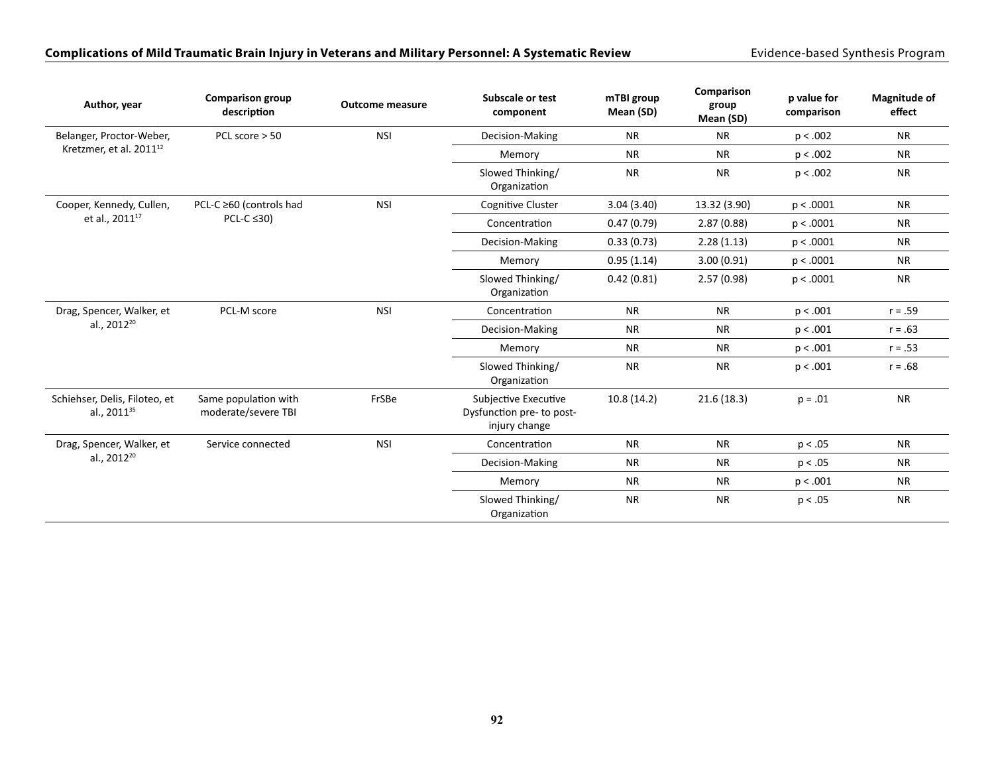#### Complications of Mild Traumatic Brain Injury in Veterans and Military Personnel: A Systematic Review **Exidence-based Synthesis Program**

| Author, year                                             | <b>Comparison group</b><br>description      | <b>Outcome measure</b> | Subscale or test<br>component                                      | mTBI group<br>Mean (SD) | Comparison<br>group<br>Mean (SD) | p value for<br>comparison | Magnitude of<br>effect |
|----------------------------------------------------------|---------------------------------------------|------------------------|--------------------------------------------------------------------|-------------------------|----------------------------------|---------------------------|------------------------|
| Belanger, Proctor-Weber,                                 | PCL score > 50                              | <b>NSI</b>             | Decision-Making                                                    | <b>NR</b>               | <b>NR</b>                        | p < .002                  | <b>NR</b>              |
| Kretzmer, et al. 2011 <sup>12</sup>                      |                                             |                        | Memory                                                             | <b>NR</b>               | <b>NR</b>                        | p < .002                  | <b>NR</b>              |
|                                                          |                                             |                        | Slowed Thinking/<br>Organization                                   | <b>NR</b>               | <b>NR</b>                        | p < .002                  | <b>NR</b>              |
| Cooper, Kennedy, Cullen,                                 | PCL-C ≥60 (controls had<br>$PCL-C \leq 30$  | <b>NSI</b>             | <b>Cognitive Cluster</b>                                           | 3.04(3.40)              | 13.32 (3.90)                     | p < .0001                 | <b>NR</b>              |
| et al., 2011 <sup>17</sup>                               |                                             |                        | Concentration                                                      | 0.47(0.79)              | 2.87(0.88)                       | p < .0001                 | <b>NR</b>              |
|                                                          |                                             |                        | Decision-Making                                                    | 0.33(0.73)              | 2.28(1.13)                       | p < .0001                 | <b>NR</b>              |
|                                                          |                                             |                        | Memory                                                             | 0.95(1.14)              | 3.00(0.91)                       | p < .0001                 | <b>NR</b>              |
|                                                          |                                             |                        | Slowed Thinking/<br>Organization                                   | 0.42(0.81)              | 2.57(0.98)                       | p < .0001                 | <b>NR</b>              |
| Drag, Spencer, Walker, et                                | PCL-M score                                 | <b>NSI</b>             | Concentration                                                      | <b>NR</b>               | <b>NR</b>                        | p < .001                  | $r = .59$              |
| al., 2012 <sup>20</sup>                                  |                                             |                        | Decision-Making                                                    | <b>NR</b>               | <b>NR</b>                        | p < .001                  | $r = .63$              |
|                                                          |                                             |                        | Memory                                                             | <b>NR</b>               | <b>NR</b>                        | p < .001                  | $r = .53$              |
|                                                          |                                             |                        | Slowed Thinking/<br>Organization                                   | <b>NR</b>               | <b>NR</b>                        | p < .001                  | $r = .68$              |
| Schiehser, Delis, Filoteo, et<br>al., 2011 <sup>35</sup> | Same population with<br>moderate/severe TBI | FrSBe                  | Subjective Executive<br>Dysfunction pre- to post-<br>injury change | 10.8(14.2)              | 21.6(18.3)                       | $p = .01$                 | <b>NR</b>              |
| Drag, Spencer, Walker, et                                | Service connected                           | <b>NSI</b>             | Concentration                                                      | <b>NR</b>               | <b>NR</b>                        | p < .05                   | <b>NR</b>              |
| al., 2012 <sup>20</sup>                                  |                                             |                        | Decision-Making                                                    | <b>NR</b>               | <b>NR</b>                        | p < .05                   | <b>NR</b>              |
|                                                          |                                             |                        | Memory                                                             | <b>NR</b>               | <b>NR</b>                        | p < .001                  | <b>NR</b>              |
|                                                          |                                             |                        | Slowed Thinking/<br>Organization                                   | <b>NR</b>               | <b>NR</b>                        | p < .05                   | <b>NR</b>              |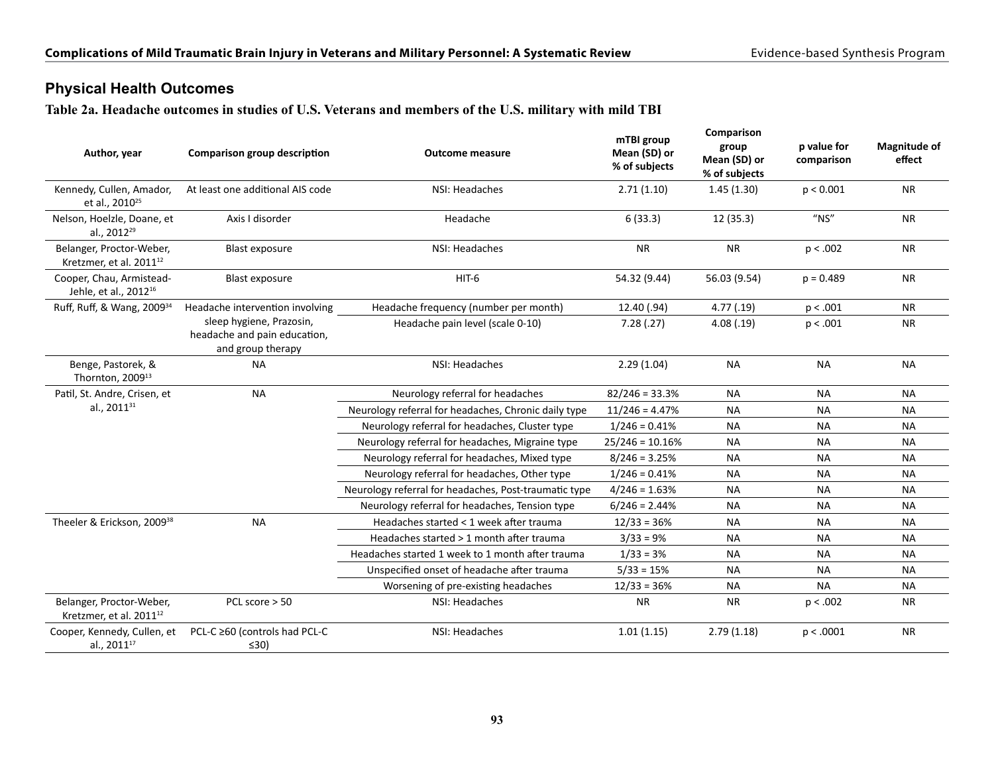## **Physical Health Outcomes**

**Table 2a. Headache outcomes in studies of U.S. Veterans and members of the U.S. military with mild TBI**

| Author, year                                                    | Comparison group description                                                  | <b>Outcome measure</b>                                | mTBI group<br>Mean (SD) or<br>% of subjects | Comparison<br>group<br>Mean (SD) or<br>% of subjects | p value for<br>comparison | <b>Magnitude of</b><br>effect |
|-----------------------------------------------------------------|-------------------------------------------------------------------------------|-------------------------------------------------------|---------------------------------------------|------------------------------------------------------|---------------------------|-------------------------------|
| Kennedy, Cullen, Amador,<br>et al., 2010 <sup>25</sup>          | At least one additional AIS code                                              | NSI: Headaches                                        | 2.71(1.10)                                  | 1.45(1.30)                                           | p < 0.001                 | <b>NR</b>                     |
| Nelson, Hoelzle, Doane, et<br>al., 2012 <sup>29</sup>           | Axis I disorder                                                               | Headache                                              | 6(33.3)                                     | 12 (35.3)                                            | $''$ NS"                  | <b>NR</b>                     |
| Belanger, Proctor-Weber,<br>Kretzmer, et al. 2011 <sup>12</sup> | <b>Blast exposure</b>                                                         | NSI: Headaches                                        | <b>NR</b>                                   | <b>NR</b>                                            | p < .002                  | <b>NR</b>                     |
| Cooper, Chau, Armistead-<br>Jehle, et al., 2012 <sup>16</sup>   | <b>Blast exposure</b>                                                         | HIT-6                                                 | 54.32 (9.44)                                | 56.03 (9.54)                                         | $p = 0.489$               | <b>NR</b>                     |
| Ruff, Ruff, & Wang, 2009 <sup>34</sup>                          | Headache intervention involving                                               | Headache frequency (number per month)                 | 12.40 (.94)                                 | 4.77(0.19)                                           | p < .001                  | <b>NR</b>                     |
|                                                                 | sleep hygiene, Prazosin,<br>headache and pain education,<br>and group therapy | Headache pain level (scale 0-10)                      | 7.28(.27)                                   | 4.08(.19)                                            | p < .001                  | <b>NR</b>                     |
| Benge, Pastorek, &<br>Thornton, 2009 <sup>13</sup>              | <b>NA</b>                                                                     | NSI: Headaches                                        | 2.29(1.04)                                  | <b>NA</b>                                            | <b>NA</b>                 | <b>NA</b>                     |
| Patil, St. Andre, Crisen, et                                    | <b>NA</b>                                                                     | Neurology referral for headaches                      | $82/246 = 33.3%$                            | <b>NA</b>                                            | <b>NA</b>                 | <b>NA</b>                     |
| al., 2011 <sup>31</sup>                                         |                                                                               | Neurology referral for headaches, Chronic daily type  | $11/246 = 4.47%$                            | <b>NA</b>                                            | <b>NA</b>                 | <b>NA</b>                     |
|                                                                 |                                                                               | Neurology referral for headaches, Cluster type        | $1/246 = 0.41%$                             | <b>NA</b>                                            | <b>NA</b>                 | <b>NA</b>                     |
|                                                                 |                                                                               | Neurology referral for headaches, Migraine type       | $25/246 = 10.16%$                           | <b>NA</b>                                            | <b>NA</b>                 | <b>NA</b>                     |
|                                                                 |                                                                               | Neurology referral for headaches, Mixed type          | $8/246 = 3.25%$                             | <b>NA</b>                                            | <b>NA</b>                 | <b>NA</b>                     |
|                                                                 |                                                                               | Neurology referral for headaches, Other type          | $1/246 = 0.41%$                             | NА                                                   | <b>NA</b>                 | NА                            |
|                                                                 |                                                                               | Neurology referral for headaches, Post-traumatic type | $4/246 = 1.63%$                             | <b>NA</b>                                            | <b>NA</b>                 | <b>NA</b>                     |
|                                                                 |                                                                               | Neurology referral for headaches, Tension type        | $6/246 = 2.44%$                             | <b>NA</b>                                            | <b>NA</b>                 | <b>NA</b>                     |
| Theeler & Erickson, 2009 <sup>38</sup>                          | <b>NA</b>                                                                     | Headaches started < 1 week after trauma               | $12/33 = 36%$                               | <b>NA</b>                                            | <b>NA</b>                 | <b>NA</b>                     |
|                                                                 |                                                                               | Headaches started > 1 month after trauma              | $3/33 = 9%$                                 | <b>NA</b>                                            | <b>NA</b>                 | <b>NA</b>                     |
|                                                                 |                                                                               | Headaches started 1 week to 1 month after trauma      | $1/33 = 3%$                                 | <b>NA</b>                                            | <b>NA</b>                 | <b>NA</b>                     |
|                                                                 |                                                                               | Unspecified onset of headache after trauma            | $5/33 = 15%$                                | <b>NA</b>                                            | <b>NA</b>                 | <b>NA</b>                     |
|                                                                 |                                                                               | Worsening of pre-existing headaches                   | $12/33 = 36%$                               | <b>NA</b>                                            | <b>NA</b>                 | <b>NA</b>                     |
| Belanger, Proctor-Weber,<br>Kretzmer, et al. 2011 <sup>12</sup> | PCL score $> 50$                                                              | NSI: Headaches                                        | <b>NR</b>                                   | <b>NR</b>                                            | p < .002                  | <b>NR</b>                     |
| Cooper, Kennedy, Cullen, et<br>al., 2011 <sup>17</sup>          | PCL-C ≥60 (controls had PCL-C<br>$\leq 30$                                    | NSI: Headaches                                        | 1.01(1.15)                                  | 2.79(1.18)                                           | p < .0001                 | <b>NR</b>                     |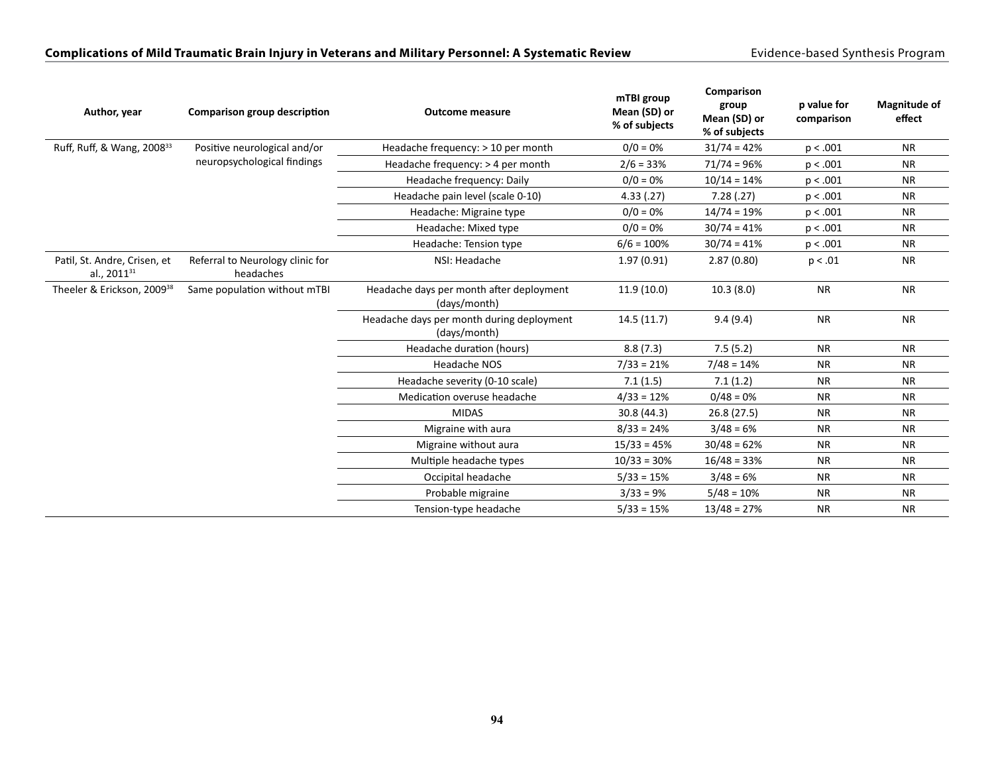#### Complications of Mild Traumatic Brain Injury in Veterans and Military Personnel: A Systematic Review **Exidence-based Synthesis Program**

| Author, year                                            | Comparison group description                  | <b>Outcome measure</b>                                    | mTBI group<br>Mean (SD) or<br>% of subjects | Comparison<br>group<br>Mean (SD) or<br>% of subjects | p value for<br>comparison | <b>Magnitude of</b><br>effect |
|---------------------------------------------------------|-----------------------------------------------|-----------------------------------------------------------|---------------------------------------------|------------------------------------------------------|---------------------------|-------------------------------|
| Ruff, Ruff, & Wang, 2008 <sup>33</sup>                  | Positive neurological and/or                  | Headache frequency: > 10 per month                        | $0/0 = 0\%$                                 | $31/74 = 42%$                                        | p < .001                  | <b>NR</b>                     |
|                                                         | neuropsychological findings                   | Headache frequency: > 4 per month                         | $2/6 = 33%$                                 | $71/74 = 96%$                                        | p < .001                  | <b>NR</b>                     |
|                                                         |                                               | Headache frequency: Daily                                 | $0/0 = 0\%$                                 | $10/14 = 14%$                                        | p < .001                  | <b>NR</b>                     |
|                                                         |                                               | Headache pain level (scale 0-10)                          | 4.33(0.27)                                  | 7.28(.27)                                            | p < .001                  | <b>NR</b>                     |
|                                                         |                                               | Headache: Migraine type                                   | $0/0 = 0\%$                                 | $14/74 = 19%$                                        | p < .001                  | <b>NR</b>                     |
|                                                         |                                               | Headache: Mixed type                                      | $0/0 = 0\%$                                 | $30/74 = 41%$                                        | p < .001                  | <b>NR</b>                     |
|                                                         |                                               | Headache: Tension type                                    | $6/6 = 100%$                                | $30/74 = 41%$                                        | p < .001                  | <b>NR</b>                     |
| Patil, St. Andre, Crisen, et<br>al., 2011 <sup>31</sup> | Referral to Neurology clinic for<br>headaches | NSI: Headache                                             | 1.97(0.91)                                  | 2.87(0.80)                                           | p < .01                   | <b>NR</b>                     |
| Theeler & Erickson, 2009 <sup>38</sup>                  | Same population without mTBI                  | Headache days per month after deployment<br>(days/month)  | 11.9(10.0)                                  | 10.3(8.0)                                            | <b>NR</b>                 | <b>NR</b>                     |
|                                                         |                                               | Headache days per month during deployment<br>(days/month) | 14.5(11.7)                                  | 9.4(9.4)                                             | <b>NR</b>                 | <b>NR</b>                     |
|                                                         |                                               | Headache duration (hours)                                 | 8.8(7.3)                                    | 7.5(5.2)                                             | <b>NR</b>                 | <b>NR</b>                     |
|                                                         |                                               | Headache NOS                                              | $7/33 = 21%$                                | $7/48 = 14%$                                         | <b>NR</b>                 | <b>NR</b>                     |
|                                                         |                                               | Headache severity (0-10 scale)                            | 7.1(1.5)                                    | 7.1(1.2)                                             | <b>NR</b>                 | <b>NR</b>                     |
|                                                         |                                               | Medication overuse headache                               | $4/33 = 12%$                                | $0/48 = 0%$                                          | <b>NR</b>                 | <b>NR</b>                     |
|                                                         |                                               | <b>MIDAS</b>                                              | 30.8 (44.3)                                 | 26.8 (27.5)                                          | <b>NR</b>                 | <b>NR</b>                     |
|                                                         |                                               | Migraine with aura                                        | $8/33 = 24%$                                | $3/48 = 6%$                                          | <b>NR</b>                 | <b>NR</b>                     |
|                                                         |                                               | Migraine without aura                                     | $15/33 = 45%$                               | $30/48 = 62%$                                        | <b>NR</b>                 | <b>NR</b>                     |
|                                                         |                                               | Multiple headache types                                   | $10/33 = 30%$                               | $16/48 = 33%$                                        | <b>NR</b>                 | <b>NR</b>                     |
|                                                         |                                               | Occipital headache                                        | $5/33 = 15%$                                | $3/48 = 6%$                                          | <b>NR</b>                 | <b>NR</b>                     |
|                                                         |                                               | Probable migraine                                         | $3/33 = 9%$                                 | $5/48 = 10%$                                         | <b>NR</b>                 | <b>NR</b>                     |
|                                                         |                                               | Tension-type headache                                     | $5/33 = 15%$                                | $13/48 = 27%$                                        | <b>NR</b>                 | <b>NR</b>                     |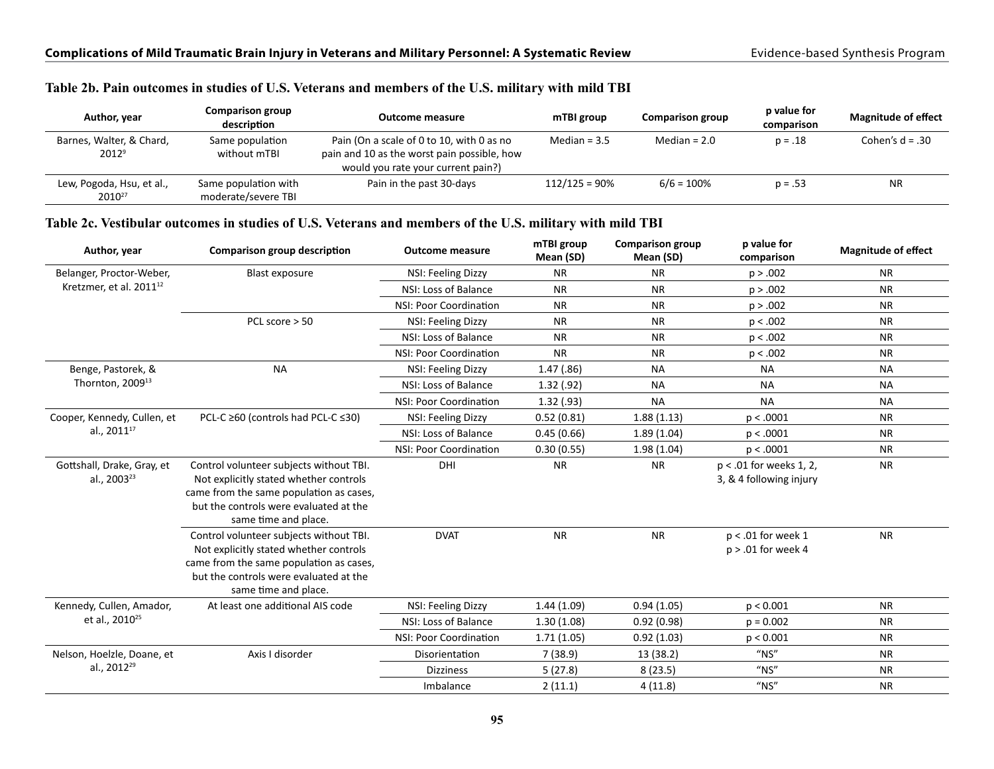#### **Table 2b. Pain outcomes in studies of U.S. Veterans and members of the U.S. military with mild TBI**

| Author, year                                    | Comparison group<br>description             | <b>Outcome measure</b>                                                                                                         | mTBI group       | <b>Comparison group</b> | p value for<br>comparison | <b>Magnitude of effect</b> |
|-------------------------------------------------|---------------------------------------------|--------------------------------------------------------------------------------------------------------------------------------|------------------|-------------------------|---------------------------|----------------------------|
| Barnes, Walter, & Chard,<br>$2012^9$            | Same population<br>without mTBI             | Pain (On a scale of 0 to 10, with 0 as no<br>pain and 10 as the worst pain possible, how<br>would you rate your current pain?) | Median = $3.5$   | Median = $2.0$          | $p = .18$                 | Cohen's $d = .30$          |
| Lew, Pogoda, Hsu, et al.,<br>2010 <sup>27</sup> | Same population with<br>moderate/severe TBI | Pain in the past 30-days                                                                                                       | $112/125 = 90\%$ | $6/6 = 100\%$           | $p = .53$                 | <b>NR</b>                  |

#### **Table 2c. Vestibular outcomes in studies of U.S. Veterans and members of the U.S. military with mild TBI**

| Author, year                                          | Comparison group description                                                                                                                                                                   | <b>Outcome measure</b> | mTBI group<br>Mean (SD) | <b>Comparison group</b><br>Mean (SD) | p value for<br>comparison                            | <b>Magnitude of effect</b> |
|-------------------------------------------------------|------------------------------------------------------------------------------------------------------------------------------------------------------------------------------------------------|------------------------|-------------------------|--------------------------------------|------------------------------------------------------|----------------------------|
| Belanger, Proctor-Weber,                              | <b>Blast exposure</b>                                                                                                                                                                          | NSI: Feeling Dizzy     | <b>NR</b>               | <b>NR</b>                            | p > .002                                             | <b>NR</b>                  |
| Kretzmer, et al. 2011 <sup>12</sup>                   |                                                                                                                                                                                                | NSI: Loss of Balance   | <b>NR</b>               | <b>NR</b>                            | p > .002                                             | <b>NR</b>                  |
|                                                       |                                                                                                                                                                                                | NSI: Poor Coordination | <b>NR</b>               | <b>NR</b>                            | p > .002                                             | <b>NR</b>                  |
|                                                       | PCL score > 50                                                                                                                                                                                 | NSI: Feeling Dizzy     | <b>NR</b>               | <b>NR</b>                            | p < .002                                             | <b>NR</b>                  |
|                                                       |                                                                                                                                                                                                | NSI: Loss of Balance   | <b>NR</b>               | <b>NR</b>                            | p < .002                                             | <b>NR</b>                  |
|                                                       |                                                                                                                                                                                                | NSI: Poor Coordination | <b>NR</b>               | <b>NR</b>                            | p < .002                                             | <b>NR</b>                  |
| Benge, Pastorek, &                                    | <b>NA</b>                                                                                                                                                                                      | NSI: Feeling Dizzy     | 1.47(.86)               | <b>NA</b>                            | <b>NA</b>                                            | <b>NA</b>                  |
| Thornton, 2009 <sup>13</sup>                          |                                                                                                                                                                                                | NSI: Loss of Balance   | 1.32(0.92)              | <b>NA</b>                            | <b>NA</b>                                            | <b>NA</b>                  |
|                                                       |                                                                                                                                                                                                | NSI: Poor Coordination | 1.32(0.93)              | <b>NA</b>                            | <b>NA</b>                                            | <b>NA</b>                  |
| Cooper, Kennedy, Cullen, et                           | PCL-C ≥60 (controls had PCL-C ≤30)                                                                                                                                                             | NSI: Feeling Dizzy     | 0.52(0.81)              | 1.88(1.13)                           | p < .0001                                            | <b>NR</b>                  |
| al., 2011 <sup>17</sup>                               |                                                                                                                                                                                                | NSI: Loss of Balance   | 0.45(0.66)              | 1.89(1.04)                           | p < .0001                                            | <b>NR</b>                  |
|                                                       |                                                                                                                                                                                                | NSI: Poor Coordination | 0.30(0.55)              | 1.98(1.04)                           | p < .0001                                            | <b>NR</b>                  |
| Gottshall, Drake, Gray, et<br>al., 2003 <sup>23</sup> | Control volunteer subjects without TBI.<br>Not explicitly stated whether controls<br>came from the same population as cases,<br>but the controls were evaluated at the<br>same time and place. | DHI                    | <b>NR</b>               | <b>NR</b>                            | $p < .01$ for weeks 1, 2,<br>3, & 4 following injury | <b>NR</b>                  |
|                                                       | Control volunteer subjects without TBI.<br>Not explicitly stated whether controls<br>came from the same population as cases,<br>but the controls were evaluated at the<br>same time and place. | <b>DVAT</b>            | <b>NR</b>               | <b>NR</b>                            | $p < .01$ for week 1<br>$p > .01$ for week 4         | <b>NR</b>                  |
| Kennedy, Cullen, Amador,                              | At least one additional AIS code                                                                                                                                                               | NSI: Feeling Dizzy     | 1.44(1.09)              | 0.94(1.05)                           | p < 0.001                                            | <b>NR</b>                  |
| et al., 2010 <sup>25</sup>                            |                                                                                                                                                                                                | NSI: Loss of Balance   | 1.30(1.08)              | 0.92(0.98)                           | $p = 0.002$                                          | <b>NR</b>                  |
|                                                       |                                                                                                                                                                                                | NSI: Poor Coordination | 1.71(1.05)              | 0.92(1.03)                           | p < 0.001                                            | <b>NR</b>                  |
| Nelson, Hoelzle, Doane, et                            | Axis I disorder                                                                                                                                                                                | Disorientation         | 7(38.9)                 | 13 (38.2)                            | $''$ NS"                                             | <b>NR</b>                  |
| al., 2012 <sup>29</sup>                               |                                                                                                                                                                                                | <b>Dizziness</b>       | 5(27.8)                 | 8(23.5)                              | $''$ NS"                                             | <b>NR</b>                  |
|                                                       |                                                                                                                                                                                                | Imbalance              | 2(11.1)                 | 4(11.8)                              | $''$ NS"                                             | <b>NR</b>                  |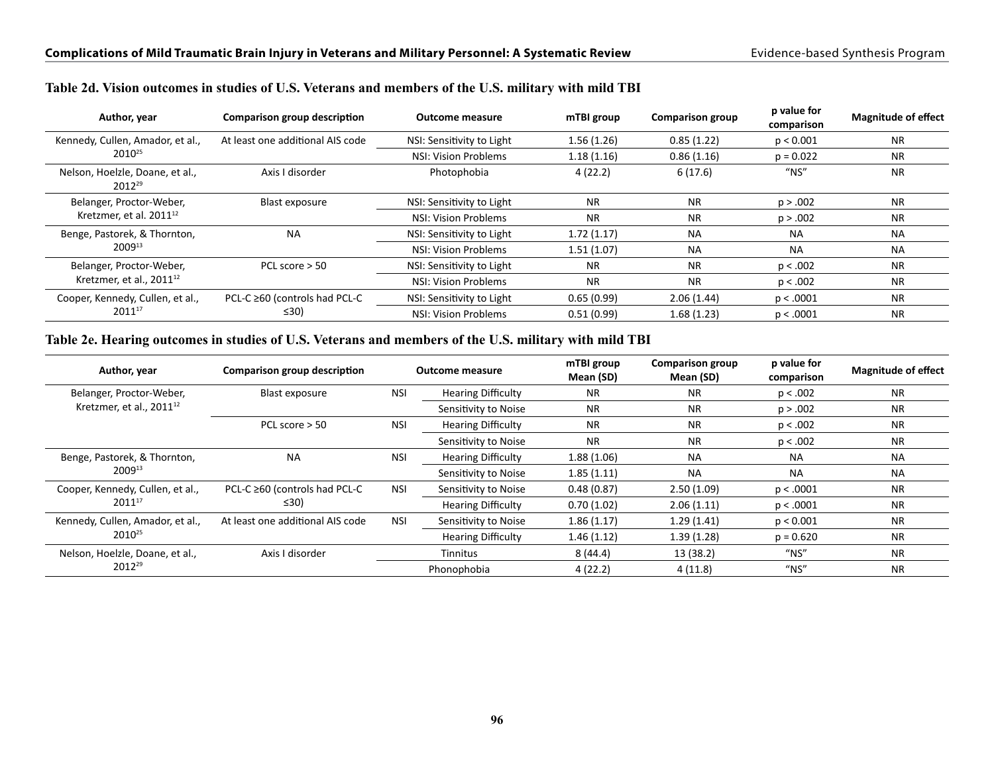| Author, year                                   | Comparison group description     | <b>Outcome measure</b>    | mTBI group | <b>Comparison group</b> | p value for<br>comparison              | <b>Magnitude of effect</b> |
|------------------------------------------------|----------------------------------|---------------------------|------------|-------------------------|----------------------------------------|----------------------------|
| Kennedy, Cullen, Amador, et al.,               | At least one additional AIS code | NSI: Sensitivity to Light | 1.56(1.26) | 0.85(1.22)              | p < 0.001                              | <b>NR</b>                  |
| $2010^{25}$                                    |                                  | NSI: Vision Problems      | 1.18(1.16) | 0.86(1.16)              | $p = 0.022$                            | <b>NR</b>                  |
| Nelson, Hoelzle, Doane, et al.,<br>$2012^{29}$ | Axis I disorder                  | Photophobia               | 4(22.2)    | 6(17.6)                 | $^{\prime\prime}$ NS $^{\prime\prime}$ | <b>NR</b>                  |
| Belanger, Proctor-Weber,                       | Blast exposure                   | NSI: Sensitivity to Light | <b>NR</b>  | <b>NR</b>               | p > .002                               | <b>NR</b>                  |
| Kretzmer, et al. 2011 <sup>12</sup>            |                                  | NSI: Vision Problems      | <b>NR</b>  | <b>NR</b>               | p > .002                               | <b>NR</b>                  |
| Benge, Pastorek, & Thornton,                   | <b>NA</b>                        | NSI: Sensitivity to Light | 1.72(1.17) | <b>NA</b>               | <b>NA</b>                              | <b>NA</b>                  |
| $2009^{13}$                                    |                                  | NSI: Vision Problems      | 1.51(1.07) | <b>NA</b>               | <b>NA</b>                              | <b>NA</b>                  |
| Belanger, Proctor-Weber,                       | PCL score $> 50$                 | NSI: Sensitivity to Light | <b>NR</b>  | <b>NR</b>               | p < .002                               | <b>NR</b>                  |
| Kretzmer, et al., $2011^{12}$                  |                                  | NSI: Vision Problems      | <b>NR</b>  | <b>NR</b>               | p < .002                               | <b>NR</b>                  |
| Cooper, Kennedy, Cullen, et al.,               | PCL-C ≥60 (controls had PCL-C    | NSI: Sensitivity to Light | 0.65(0.99) | 2.06(1.44)              | p < .0001                              | <b>NR</b>                  |
| $2011^{17}$                                    | $\leq 30$                        | NSI: Vision Problems      | 0.51(0.99) | 1.68(1.23)              | p < .0001                              | <b>NR</b>                  |

#### **Table 2d. Vision outcomes in studies of U.S. Veterans and members of the U.S. military with mild TBI**

#### **Table 2e. Hearing outcomes in studies of U.S. Veterans and members of the U.S. military with mild TBI**

| Author, year                              | Comparison group description     | <b>Outcome measure</b> |                           | mTBI group<br>Mean (SD) | <b>Comparison group</b><br>Mean (SD) | p value for<br>comparison              | <b>Magnitude of effect</b> |
|-------------------------------------------|----------------------------------|------------------------|---------------------------|-------------------------|--------------------------------------|----------------------------------------|----------------------------|
| Belanger, Proctor-Weber,                  | Blast exposure                   | <b>NSI</b>             | <b>Hearing Difficulty</b> | <b>NR</b>               | <b>NR</b>                            | p < .002                               | <b>NR</b>                  |
| Kretzmer, et al., 2011 <sup>12</sup>      |                                  |                        | Sensitivity to Noise      | <b>NR</b>               | <b>NR</b>                            | p > .002                               | <b>NR</b>                  |
|                                           | PCL score $>$ 50                 | <b>NSI</b>             | <b>Hearing Difficulty</b> | <b>NR</b>               | <b>NR</b>                            | p < .002                               | <b>NR</b>                  |
|                                           |                                  |                        | Sensitivity to Noise      | <b>NR</b>               | <b>NR</b>                            | p < .002                               | <b>NR</b>                  |
| <b>NA</b><br>Benge, Pastorek, & Thornton, |                                  | <b>NSI</b>             | <b>Hearing Difficulty</b> | 1.88(1.06)              | <b>NA</b>                            | <b>NA</b>                              | <b>NA</b>                  |
| 200913                                    |                                  |                        | Sensitivity to Noise      | 1.85(1.11)              | <b>NA</b>                            | <b>NA</b>                              | <b>NA</b>                  |
| Cooper, Kennedy, Cullen, et al.,          | PCL-C ≥60 (controls had PCL-C    | <b>NSI</b>             | Sensitivity to Noise      | 0.48(0.87)              | 2.50(1.09)                           | p < .0001                              | <b>NR</b>                  |
| 201117                                    | $\leq 30$                        |                        | <b>Hearing Difficulty</b> | 0.70(1.02)              | 2.06(1.11)                           | p < .0001                              | <b>NR</b>                  |
| Kennedy, Cullen, Amador, et al.,          | At least one additional AIS code | <b>NSI</b>             | Sensitivity to Noise      | 1.86(1.17)              | 1.29(1.41)                           | p < 0.001                              | <b>NR</b>                  |
| 2010 <sup>25</sup>                        |                                  |                        | <b>Hearing Difficulty</b> | 1.46(1.12)              | 1.39(1.28)                           | $p = 0.620$                            | <b>NR</b>                  |
| Nelson, Hoelzle, Doane, et al.,           | Axis I disorder                  |                        | Tinnitus                  | 8(44.4)                 | 13 (38.2)                            | $^{\prime\prime}$ NS $^{\prime\prime}$ | <b>NR</b>                  |
| 2012 <sup>29</sup>                        |                                  |                        | Phonophobia               | 4(22.2)                 | 4(11.8)                              | $^{\prime\prime}$ NS $^{\prime\prime}$ | <b>NR</b>                  |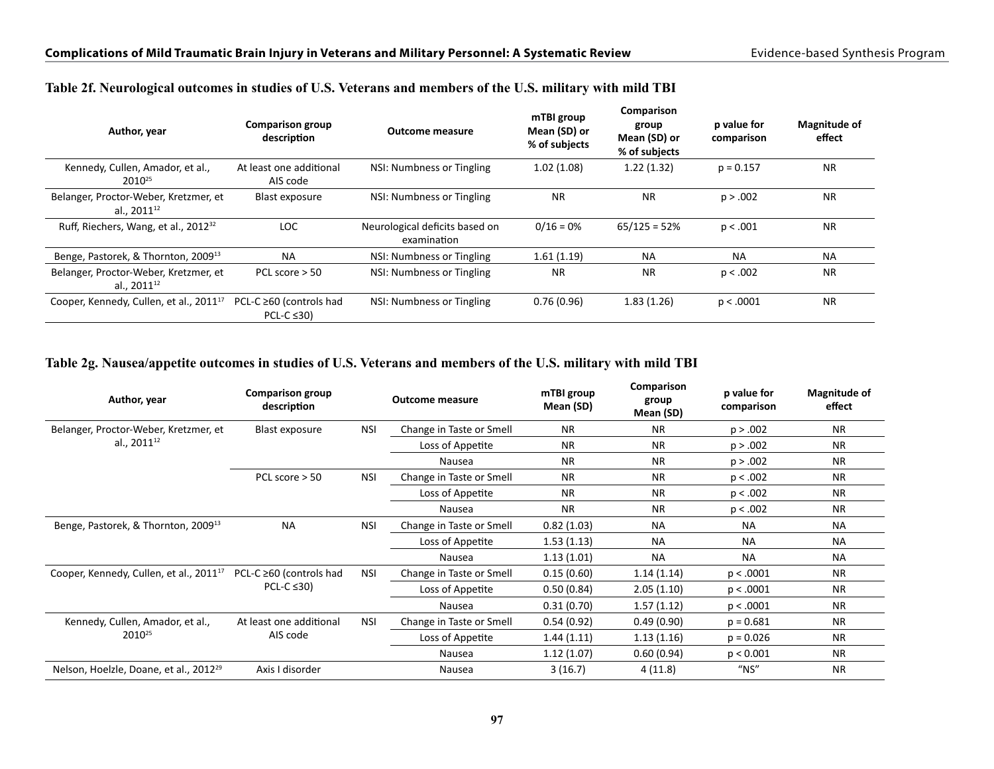| Author, year                                                     | <b>Comparison group</b><br>description      | <b>Outcome measure</b>                        | mTBI group<br>Mean (SD) or<br>% of subjects | Comparison<br>group<br>Mean (SD) or<br>% of subjects | p value for<br>comparison | <b>Magnitude of</b><br>effect |
|------------------------------------------------------------------|---------------------------------------------|-----------------------------------------------|---------------------------------------------|------------------------------------------------------|---------------------------|-------------------------------|
| Kennedy, Cullen, Amador, et al.,<br>2010 <sup>25</sup>           | At least one additional<br>AIS code         | NSI: Numbness or Tingling                     | 1.02(1.08)                                  | 1.22(1.32)                                           | $p = 0.157$               | <b>NR</b>                     |
| Belanger, Proctor-Weber, Kretzmer, et<br>al., 2011 <sup>12</sup> | Blast exposure                              | NSI: Numbness or Tingling                     | <b>NR</b>                                   | <b>NR</b>                                            | p > .002                  | <b>NR</b>                     |
| Ruff, Riechers, Wang, et al., 2012 <sup>32</sup>                 | LOC.                                        | Neurological deficits based on<br>examination | $0/16 = 0%$                                 | $65/125 = 52%$                                       | p < .001                  | <b>NR</b>                     |
| Benge, Pastorek, & Thornton, 2009 <sup>13</sup>                  | <b>NA</b>                                   | NSI: Numbness or Tingling                     | 1.61(1.19)                                  | <b>NA</b>                                            | <b>NA</b>                 | <b>NA</b>                     |
| Belanger, Proctor-Weber, Kretzmer, et<br>al., $2011^{12}$        | PCL score > 50                              | NSI: Numbness or Tingling                     | <b>NR</b>                                   | <b>NR</b>                                            | p < .002                  | <b>NR</b>                     |
| Cooper, Kennedy, Cullen, et al., 2011 <sup>17</sup>              | PCL-C ≥60 (controls had<br>PCL-C $\leq$ 30) | NSI: Numbness or Tingling                     | 0.76(0.96)                                  | 1.83(1.26)                                           | p < .0001                 | <b>NR</b>                     |

#### **Table 2f. Neurological outcomes in studies of U.S. Veterans and members of the U.S. military with mild TBI**

#### **Table 2g. Nausea/appetite outcomes in studies of U.S. Veterans and members of the U.S. military with mild TBI**

| Author, year                                                               | <b>Comparison group</b><br>description |                          | <b>Outcome measure</b>   | mTBI group<br>Mean (SD) | Comparison<br>group<br>Mean (SD) | p value for<br>comparison | Magnitude of<br>effect |
|----------------------------------------------------------------------------|----------------------------------------|--------------------------|--------------------------|-------------------------|----------------------------------|---------------------------|------------------------|
| Belanger, Proctor-Weber, Kretzmer, et                                      | Blast exposure                         | <b>NSI</b>               | Change in Taste or Smell | <b>NR</b>               | <b>NR</b>                        | p > .002                  | <b>NR</b>              |
| al., 2011 <sup>12</sup>                                                    |                                        |                          | Loss of Appetite         | <b>NR</b>               | <b>NR</b>                        | p > .002                  | <b>NR</b>              |
|                                                                            |                                        |                          | Nausea                   | <b>NR</b>               | <b>NR</b>                        | p > .002                  | <b>NR</b>              |
|                                                                            | PCL score $> 50$                       | <b>NSI</b>               | Change in Taste or Smell | <b>NR</b>               | <b>NR</b>                        | p < .002                  | <b>NR</b>              |
|                                                                            |                                        |                          | Loss of Appetite         | <b>NR</b>               | <b>NR</b>                        | p < .002                  | <b>NR</b>              |
|                                                                            |                                        |                          | Nausea                   | <b>NR</b>               | <b>NR</b>                        | p < .002                  | <b>NR</b>              |
| <b>NA</b><br><b>NSI</b><br>Benge, Pastorek, & Thornton, 2009 <sup>13</sup> |                                        | Change in Taste or Smell | 0.82(1.03)               | <b>NA</b>               | <b>NA</b>                        | <b>NA</b>                 |                        |
|                                                                            |                                        |                          | Loss of Appetite         | 1.53(1.13)              | <b>NA</b>                        | <b>NA</b>                 | <b>NA</b>              |
|                                                                            |                                        |                          | Nausea                   | 1.13(1.01)              | <b>NA</b>                        | <b>NA</b>                 | <b>NA</b>              |
| Cooper, Kennedy, Cullen, et al., 2011 <sup>17</sup>                        | PCL-C ≥60 (controls had                | <b>NSI</b>               | Change in Taste or Smell | 0.15(0.60)              | 1.14(1.14)                       | p < .0001                 | <b>NR</b>              |
|                                                                            | PCL-C $\leq$ 30)                       |                          | Loss of Appetite         | 0.50(0.84)              | 2.05(1.10)                       | p < .0001                 | <b>NR</b>              |
|                                                                            |                                        |                          | Nausea                   | 0.31(0.70)              | 1.57(1.12)                       | p < .0001                 | <b>NR</b>              |
| Kennedy, Cullen, Amador, et al.,                                           | At least one additional                | <b>NSI</b>               | Change in Taste or Smell | 0.54(0.92)              | 0.49(0.90)                       | $p = 0.681$               | <b>NR</b>              |
| 2010 <sup>25</sup>                                                         | AIS code                               |                          | Loss of Appetite         | 1.44(1.11)              | 1.13(1.16)                       | $p = 0.026$               | <b>NR</b>              |
|                                                                            |                                        |                          | Nausea                   | 1.12(1.07)              | 0.60(0.94)                       | p < 0.001                 | <b>NR</b>              |
| Nelson, Hoelzle, Doane, et al., 2012 <sup>29</sup>                         | Axis I disorder                        |                          | Nausea                   | 3(16.7)                 | 4 (11.8)                         | $"$ NS"                   | <b>NR</b>              |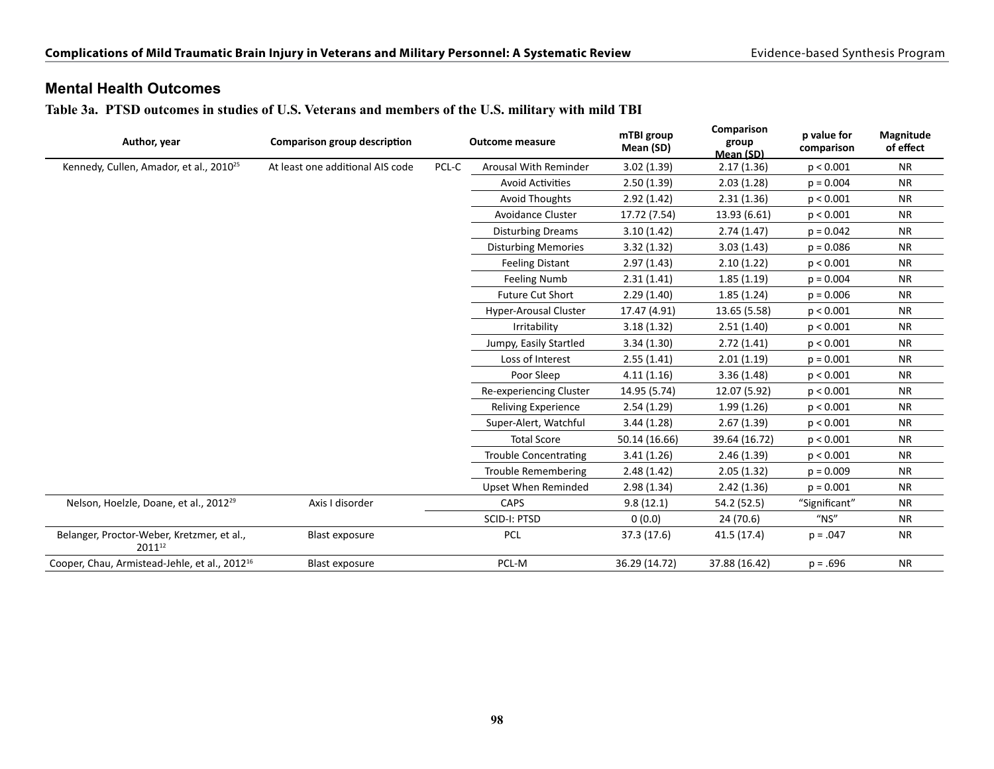### **Mental Health Outcomes**

**Table 3a. PTSD outcomes in studies of U.S. Veterans and members of the U.S. military with mild TBI**

| Author, year<br>Comparison group description<br><b>Outcome measure</b> | mTBI group<br>Mean (SD)          | Comparison<br>group<br>Mean (SD) | p value for<br>comparison    | Magnitude<br>of effect |               |               |           |
|------------------------------------------------------------------------|----------------------------------|----------------------------------|------------------------------|------------------------|---------------|---------------|-----------|
| Kennedy, Cullen, Amador, et al., 2010 <sup>25</sup>                    | At least one additional AIS code | PCL-C                            | Arousal With Reminder        | 3.02(1.39)             | 2.17(1.36)    | p < 0.001     | <b>NR</b> |
|                                                                        |                                  |                                  | <b>Avoid Activities</b>      | 2.50(1.39)             | 2.03(1.28)    | $p = 0.004$   | <b>NR</b> |
|                                                                        |                                  |                                  | <b>Avoid Thoughts</b>        | 2.92(1.42)             | 2.31(1.36)    | p < 0.001     | <b>NR</b> |
|                                                                        |                                  |                                  | Avoidance Cluster            | 17.72 (7.54)           | 13.93 (6.61)  | p < 0.001     | <b>NR</b> |
|                                                                        |                                  |                                  | <b>Disturbing Dreams</b>     | 3.10(1.42)             | 2.74(1.47)    | $p = 0.042$   | <b>NR</b> |
|                                                                        |                                  |                                  | <b>Disturbing Memories</b>   | 3.32(1.32)             | 3.03(1.43)    | $p = 0.086$   | <b>NR</b> |
|                                                                        |                                  |                                  | <b>Feeling Distant</b>       | 2.97(1.43)             | 2.10(1.22)    | p < 0.001     | <b>NR</b> |
|                                                                        |                                  |                                  | <b>Feeling Numb</b>          | 2.31(1.41)             | 1.85(1.19)    | $p = 0.004$   | <b>NR</b> |
|                                                                        |                                  |                                  | <b>Future Cut Short</b>      | 2.29(1.40)             | 1.85(1.24)    | $p = 0.006$   | <b>NR</b> |
|                                                                        |                                  |                                  | <b>Hyper-Arousal Cluster</b> | 17.47 (4.91)           | 13.65 (5.58)  | p < 0.001     | <b>NR</b> |
|                                                                        |                                  |                                  | Irritability                 | 3.18(1.32)             | 2.51(1.40)    | p < 0.001     | <b>NR</b> |
|                                                                        |                                  |                                  | Jumpy, Easily Startled       | 3.34(1.30)             | 2.72(1.41)    | p < 0.001     | <b>NR</b> |
|                                                                        |                                  |                                  | Loss of Interest             | 2.55(1.41)             | 2.01(1.19)    | $p = 0.001$   | <b>NR</b> |
|                                                                        |                                  |                                  | Poor Sleep                   | 4.11(1.16)             | 3.36(1.48)    | p < 0.001     | <b>NR</b> |
|                                                                        |                                  |                                  | Re-experiencing Cluster      | 14.95 (5.74)           | 12.07 (5.92)  | p < 0.001     | <b>NR</b> |
|                                                                        |                                  |                                  | <b>Reliving Experience</b>   | 2.54(1.29)             | 1.99(1.26)    | p < 0.001     | <b>NR</b> |
|                                                                        |                                  |                                  | Super-Alert, Watchful        | 3.44(1.28)             | 2.67(1.39)    | p < 0.001     | <b>NR</b> |
|                                                                        |                                  |                                  | <b>Total Score</b>           | 50.14 (16.66)          | 39.64 (16.72) | p < 0.001     | <b>NR</b> |
|                                                                        |                                  |                                  | <b>Trouble Concentrating</b> | 3.41(1.26)             | 2.46(1.39)    | p < 0.001     | <b>NR</b> |
|                                                                        |                                  |                                  | <b>Trouble Remembering</b>   | 2.48(1.42)             | 2.05(1.32)    | $p = 0.009$   | <b>NR</b> |
|                                                                        |                                  |                                  | <b>Upset When Reminded</b>   | 2.98(1.34)             | 2.42(1.36)    | $p = 0.001$   | <b>NR</b> |
| Nelson, Hoelzle, Doane, et al., 2012 <sup>29</sup>                     | Axis I disorder                  |                                  | <b>CAPS</b>                  | 9.8(12.1)              | 54.2 (52.5)   | "Significant" | <b>NR</b> |
|                                                                        |                                  |                                  | SCID-I: PTSD                 | 0(0.0)                 | 24 (70.6)     | $''$ NS"      | <b>NR</b> |
| Belanger, Proctor-Weber, Kretzmer, et al.,<br>201112                   | <b>Blast exposure</b>            |                                  | PCL                          | 37.3 (17.6)            | 41.5(17.4)    | $p = .047$    | <b>NR</b> |
| Cooper, Chau, Armistead-Jehle, et al., 2012 <sup>16</sup>              | <b>Blast exposure</b>            |                                  | PCL-M                        | 36.29 (14.72)          | 37.88 (16.42) | $p = .696$    | <b>NR</b> |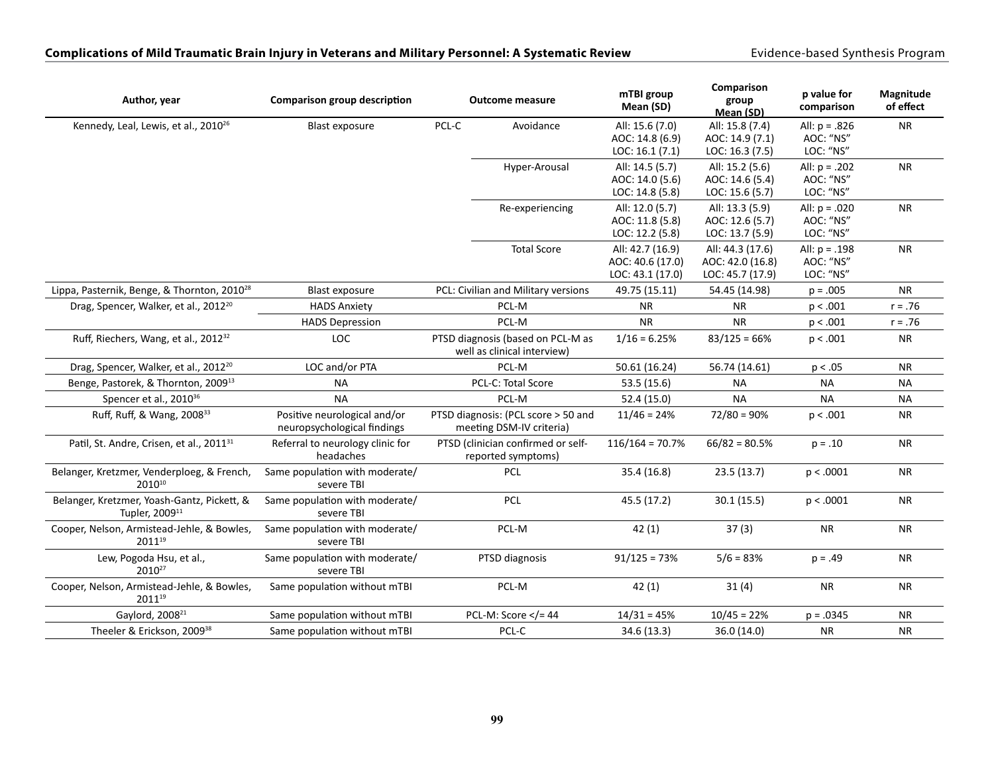#### Complications of Mild Traumatic Brain Injury in Veterans and Military Personnel: A Systematic Review **Exidence-based Synthesis Program**

| Author, year                                                              | <b>Comparison group description</b>                         | <b>Outcome measure</b>                                           |                                                                 | mTBI group<br>Mean (SD)                                  | Comparison<br>group<br>Mean (SD)                         | p value for<br>comparison                 | Magnitude<br>of effect |
|---------------------------------------------------------------------------|-------------------------------------------------------------|------------------------------------------------------------------|-----------------------------------------------------------------|----------------------------------------------------------|----------------------------------------------------------|-------------------------------------------|------------------------|
| Kennedy, Leal, Lewis, et al., 2010 <sup>26</sup>                          | <b>Blast exposure</b>                                       | PCL-C                                                            | Avoidance                                                       | All: 15.6 (7.0)<br>AOC: 14.8 (6.9)<br>LOC: 16.1 (7.1)    | All: 15.8 (7.4)<br>AOC: 14.9 (7.1)<br>LOC: 16.3 (7.5)    | All: $p = .826$<br>AOC: "NS"<br>LOC: "NS" | <b>NR</b>              |
|                                                                           |                                                             |                                                                  | Hyper-Arousal                                                   | All: 14.5 (5.7)<br>AOC: 14.0 (5.6)<br>LOC: 14.8 (5.8)    | All: 15.2 (5.6)<br>AOC: 14.6 (5.4)<br>LOC: 15.6 (5.7)    | All: $p = .202$<br>AOC: "NS"<br>LOC: "NS" | <b>NR</b>              |
|                                                                           |                                                             |                                                                  | Re-experiencing                                                 | All: 12.0 (5.7)<br>AOC: 11.8 (5.8)<br>LOC: 12.2 (5.8)    | All: 13.3 (5.9)<br>AOC: 12.6 (5.7)<br>LOC: 13.7 (5.9)    | All: $p = .020$<br>AOC: "NS"<br>LOC: "NS" | <b>NR</b>              |
|                                                                           |                                                             |                                                                  | <b>Total Score</b>                                              | All: 42.7 (16.9)<br>AOC: 40.6 (17.0)<br>LOC: 43.1 (17.0) | All: 44.3 (17.6)<br>AOC: 42.0 (16.8)<br>LOC: 45.7 (17.9) | All: $p = .198$<br>AOC: "NS"<br>LOC: "NS" | <b>NR</b>              |
| Lippa, Pasternik, Benge, & Thornton, 2010 <sup>28</sup>                   | <b>Blast exposure</b>                                       |                                                                  | PCL: Civilian and Military versions                             | 49.75 (15.11)                                            | 54.45 (14.98)                                            | $p = .005$                                | <b>NR</b>              |
| Drag, Spencer, Walker, et al., 2012 <sup>20</sup>                         | <b>HADS Anxiety</b>                                         | PCL-M                                                            |                                                                 | <b>NR</b>                                                | <b>NR</b>                                                | p < .001                                  | $r = .76$              |
|                                                                           | <b>HADS Depression</b>                                      |                                                                  | PCL-M                                                           | <b>NR</b>                                                | <b>NR</b>                                                | p < .001                                  | $r = .76$              |
| Ruff, Riechers, Wang, et al., 2012 <sup>32</sup>                          | LOC                                                         | PTSD diagnosis (based on PCL-M as<br>well as clinical interview) |                                                                 | $1/16 = 6.25%$                                           | $83/125 = 66%$                                           | p < .001                                  | ${\sf NR}$             |
| Drag, Spencer, Walker, et al., 2012 <sup>20</sup>                         | LOC and/or PTA                                              |                                                                  | PCL-M                                                           | 50.61 (16.24)                                            | 56.74 (14.61)                                            | p < .05                                   | <b>NR</b>              |
| Benge, Pastorek, & Thornton, 2009 <sup>13</sup>                           | <b>NA</b>                                                   |                                                                  | PCL-C: Total Score                                              | 53.5 (15.6)                                              | <b>NA</b>                                                | <b>NA</b>                                 | <b>NA</b>              |
| Spencer et al., 2010 <sup>36</sup>                                        | <b>NA</b>                                                   |                                                                  | PCL-M                                                           | 52.4 (15.0)                                              | <b>NA</b>                                                | <b>NA</b>                                 | <b>NA</b>              |
| Ruff, Ruff, & Wang, 2008 <sup>33</sup>                                    | Positive neurological and/or<br>neuropsychological findings |                                                                  | PTSD diagnosis: (PCL score > 50 and<br>meeting DSM-IV criteria) | $11/46 = 24%$                                            | $72/80 = 90\%$                                           | p < .001                                  | <b>NR</b>              |
| Patil, St. Andre, Crisen, et al., 2011 <sup>31</sup>                      | Referral to neurology clinic for<br>headaches               |                                                                  | PTSD (clinician confirmed or self-<br>reported symptoms)        | $116/164 = 70.7%$                                        | $66/82 = 80.5%$                                          | $p = .10$                                 | <b>NR</b>              |
| Belanger, Kretzmer, Venderploeg, & French,<br>201010                      | Same population with moderate/<br>severe TBI                |                                                                  | PCL                                                             | 35.4 (16.8)                                              | 23.5 (13.7)                                              | p < .0001                                 | <b>NR</b>              |
| Belanger, Kretzmer, Yoash-Gantz, Pickett, &<br>Tupler, 2009 <sup>11</sup> | Same population with moderate/<br>severe TBI                |                                                                  | PCL                                                             | 45.5 (17.2)                                              | 30.1(15.5)                                               | p < .0001                                 | <b>NR</b>              |
| Cooper, Nelson, Armistead-Jehle, & Bowles,<br>201119                      | Same population with moderate/<br>severe TBI                |                                                                  | PCL-M                                                           | 42(1)                                                    | 37(3)                                                    | <b>NR</b>                                 | <b>NR</b>              |
| Lew, Pogoda Hsu, et al.,<br>2010 <sup>27</sup>                            | Same population with moderate/<br>severe TBI                |                                                                  | PTSD diagnosis                                                  | $91/125 = 73%$                                           | $5/6 = 83%$                                              | $p = .49$                                 | <b>NR</b>              |
| Cooper, Nelson, Armistead-Jehle, & Bowles,<br>201119                      | Same population without mTBI                                |                                                                  | PCL-M                                                           | 42(1)                                                    | 31(4)                                                    | <b>NR</b>                                 | <b>NR</b>              |
| Gaylord, 2008 <sup>21</sup>                                               | Same population without mTBI                                |                                                                  | PCL-M: Score $\lt/=$ 44                                         | $14/31 = 45%$                                            | $10/45 = 22%$                                            | $p = .0345$                               | <b>NR</b>              |
| Theeler & Erickson, 2009 <sup>38</sup>                                    | Same population without mTBI                                |                                                                  | PCL-C                                                           | 34.6 (13.3)                                              | 36.0 (14.0)                                              | <b>NR</b>                                 | <b>NR</b>              |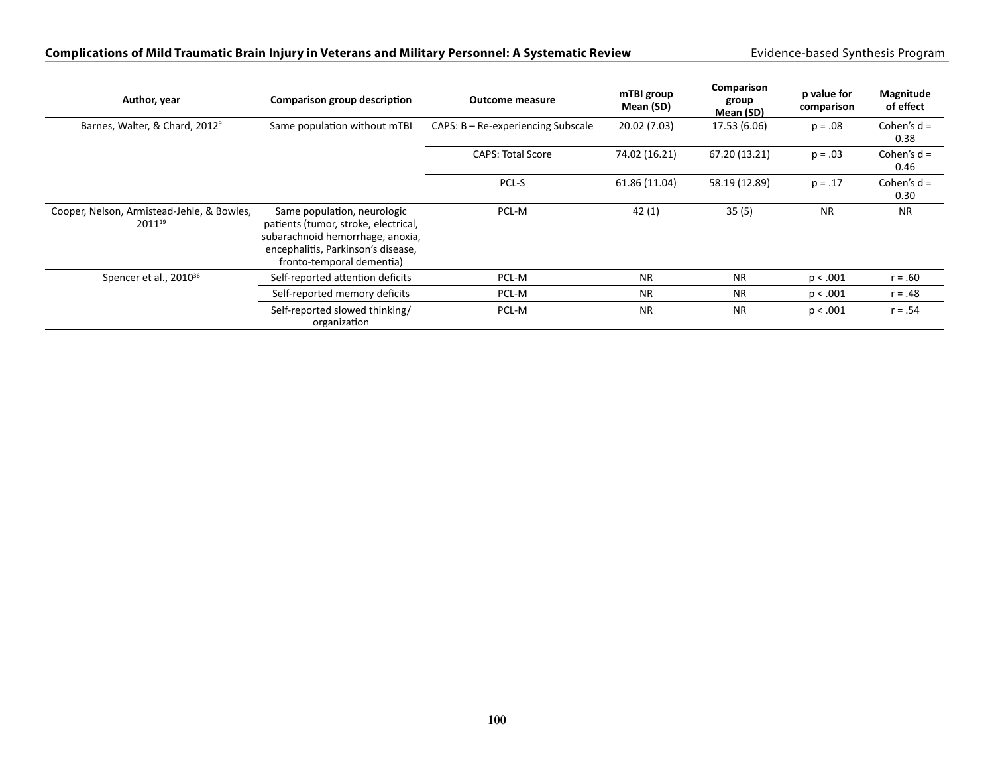#### Complications of Mild Traumatic Brain Injury in Veterans and Military Personnel: A Systematic Review **Exidence-based Synthesis Program**

| Author, year                                         | Comparison group description                                                                                                                                               | <b>Outcome measure</b>               | mTBI group<br>Mean (SD) | Comparison<br>group<br>Mean (SD) | p value for<br>comparison | Magnitude<br>of effect |
|------------------------------------------------------|----------------------------------------------------------------------------------------------------------------------------------------------------------------------------|--------------------------------------|-------------------------|----------------------------------|---------------------------|------------------------|
| Barnes, Walter, & Chard, 2012 <sup>9</sup>           | Same population without mTBI                                                                                                                                               | $CAPS: B - Re-experiencing Subscale$ | 20.02 (7.03)            | 17.53 (6.06)                     | $p = .08$                 | Cohen's $d =$<br>0.38  |
|                                                      |                                                                                                                                                                            | <b>CAPS: Total Score</b>             | 74.02 (16.21)           | 67.20 (13.21)                    | $p = .03$                 | Cohen's $d =$<br>0.46  |
|                                                      |                                                                                                                                                                            | PCL-S                                | 61.86 (11.04)           | 58.19 (12.89)                    | $p = .17$                 | Cohen's $d =$<br>0.30  |
| Cooper, Nelson, Armistead-Jehle, & Bowles,<br>201119 | Same population, neurologic<br>patients (tumor, stroke, electrical,<br>subarachnoid hemorrhage, anoxia,<br>encephalitis, Parkinson's disease,<br>fronto-temporal dementia) | PCL-M                                | 42(1)                   | 35(5)                            | <b>NR</b>                 | <b>NR</b>              |
| Spencer et al., 2010 <sup>36</sup>                   | Self-reported attention deficits                                                                                                                                           | PCL-M                                | <b>NR</b>               | <b>NR</b>                        | p < .001                  | $r = .60$              |
|                                                      | Self-reported memory deficits                                                                                                                                              | PCL-M                                | <b>NR</b>               | <b>NR</b>                        | p < .001                  | $r = .48$              |
|                                                      | Self-reported slowed thinking/<br>organization                                                                                                                             | PCL-M                                | <b>NR</b>               | <b>NR</b>                        | p < .001                  | $r = .54$              |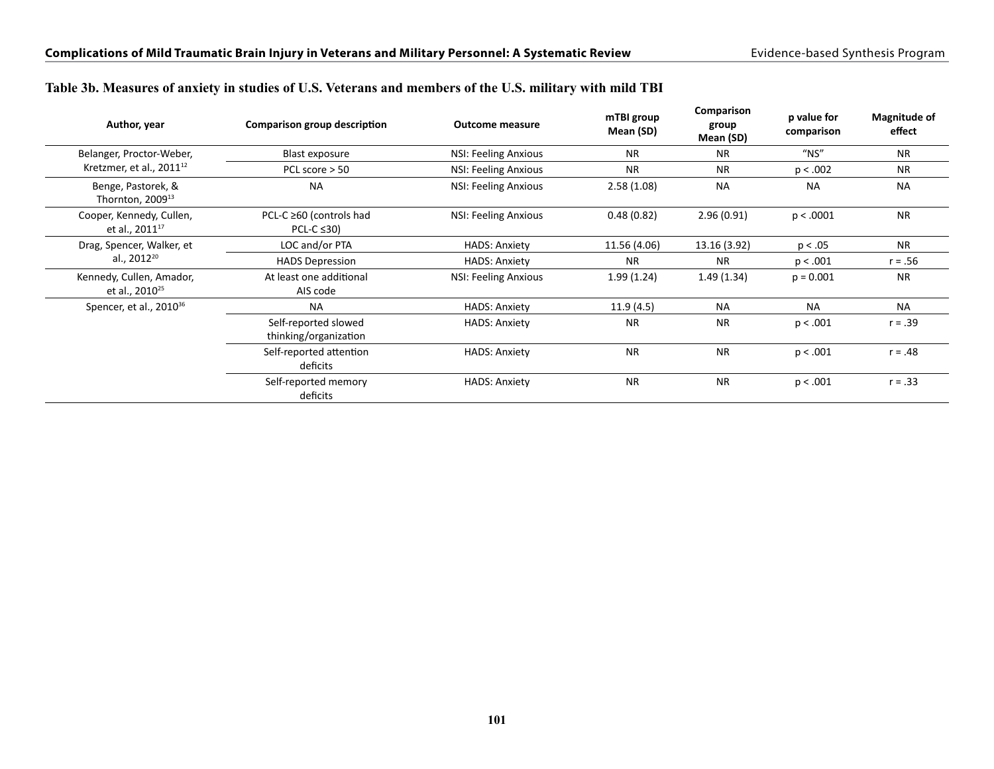| Author, year                                           | Comparison group description                  | <b>Outcome measure</b>      | mTBI group<br>Mean (SD) | Comparison<br>group<br>Mean (SD) | p value for<br>comparison | Magnitude of<br>effect |
|--------------------------------------------------------|-----------------------------------------------|-----------------------------|-------------------------|----------------------------------|---------------------------|------------------------|
| Belanger, Proctor-Weber,                               | Blast exposure                                | NSI: Feeling Anxious        | <b>NR</b>               | <b>NR</b>                        | $"$ NS"                   | <b>NR</b>              |
| Kretzmer, et al., $2011^{12}$                          | PCL score $> 50$                              | NSI: Feeling Anxious        | <b>NR</b>               | <b>NR</b>                        | p < .002                  | <b>NR</b>              |
| Benge, Pastorek, &<br>Thornton, 2009 <sup>13</sup>     | <b>NA</b>                                     | <b>NSI: Feeling Anxious</b> | 2.58(1.08)              | <b>NA</b>                        | <b>NA</b>                 | <b>NA</b>              |
| Cooper, Kennedy, Cullen,<br>et al., 2011 <sup>17</sup> | PCL-C ≥60 (controls had<br>PCL-C $\leq$ 30)   | <b>NSI: Feeling Anxious</b> | 0.48(0.82)              | 2.96(0.91)                       | p < .0001                 | <b>NR</b>              |
| Drag, Spencer, Walker, et                              | LOC and/or PTA                                | <b>HADS: Anxiety</b>        | 11.56 (4.06)            | 13.16 (3.92)                     | p < .05                   | <b>NR</b>              |
| al., 2012 <sup>20</sup>                                | <b>HADS Depression</b>                        | <b>HADS: Anxiety</b>        | <b>NR</b>               | <b>NR</b>                        | p < .001                  | $r = .56$              |
| Kennedy, Cullen, Amador,<br>et al., 2010 <sup>25</sup> | At least one additional<br>AIS code           | NSI: Feeling Anxious        | 1.99(1.24)              | 1.49(1.34)                       | $p = 0.001$               | <b>NR</b>              |
| Spencer, et al., 2010 <sup>36</sup>                    | <b>NA</b>                                     | <b>HADS: Anxiety</b>        | 11.9(4.5)               | <b>NA</b>                        | <b>NA</b>                 | <b>NA</b>              |
|                                                        | Self-reported slowed<br>thinking/organization | <b>HADS: Anxiety</b>        | <b>NR</b>               | <b>NR</b>                        | p < .001                  | $r = .39$              |
|                                                        | Self-reported attention<br>deficits           | <b>HADS: Anxiety</b>        | <b>NR</b>               | <b>NR</b>                        | p < .001                  | $r = .48$              |
|                                                        | Self-reported memory<br>deficits              | <b>HADS: Anxiety</b>        | <b>NR</b>               | <b>NR</b>                        | p < .001                  | $r = .33$              |

#### **Table 3b. Measures of anxiety in studies of U.S. Veterans and members of the U.S. military with mild TBI**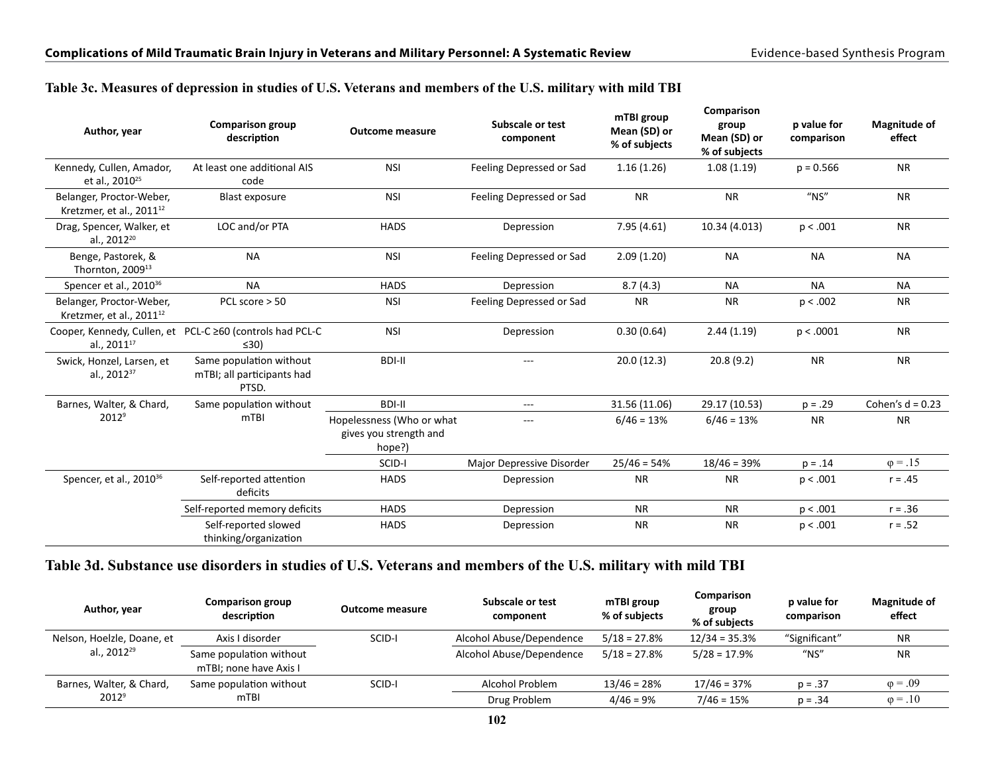#### **Table 3c. Measures of depression in studies of U.S. Veterans and members of the U.S. military with mild TBI**

| Author, year                                                     | <b>Comparison group</b><br>description                                 | <b>Outcome measure</b>                                        | Subscale or test<br>component    | mTBI group<br>Mean (SD) or<br>% of subjects | Comparison<br>group<br>Mean (SD) or<br>% of subjects | p value for<br>comparison | <b>Magnitude of</b><br>effect |
|------------------------------------------------------------------|------------------------------------------------------------------------|---------------------------------------------------------------|----------------------------------|---------------------------------------------|------------------------------------------------------|---------------------------|-------------------------------|
| Kennedy, Cullen, Amador,<br>et al., 2010 <sup>25</sup>           | At least one additional AIS<br>code                                    | <b>NSI</b>                                                    | Feeling Depressed or Sad         | 1.16(1.26)                                  | 1.08(1.19)                                           | $p = 0.566$               | <b>NR</b>                     |
| Belanger, Proctor-Weber,<br>Kretzmer, et al., 2011 <sup>12</sup> | <b>Blast exposure</b>                                                  | <b>NSI</b>                                                    | Feeling Depressed or Sad         | <b>NR</b>                                   | <b>NR</b>                                            | $''$ NS"                  | <b>NR</b>                     |
| Drag, Spencer, Walker, et<br>al., 2012 <sup>20</sup>             | LOC and/or PTA                                                         | <b>HADS</b>                                                   | Depression                       | 7.95(4.61)                                  | 10.34 (4.013)                                        | p < .001                  | <b>NR</b>                     |
| Benge, Pastorek, &<br>Thornton, 2009 <sup>13</sup>               | <b>NA</b>                                                              | <b>NSI</b>                                                    | Feeling Depressed or Sad         | 2.09(1.20)                                  | <b>NA</b>                                            | <b>NA</b>                 | <b>NA</b>                     |
| Spencer et al., 2010 <sup>36</sup>                               | <b>NA</b>                                                              | <b>HADS</b>                                                   | Depression                       | 8.7(4.3)                                    | <b>NA</b>                                            | <b>NA</b>                 | <b>NA</b>                     |
| Belanger, Proctor-Weber,<br>Kretzmer, et al., 2011 <sup>12</sup> | PCL score > 50                                                         | <b>NSI</b>                                                    | Feeling Depressed or Sad         | <b>NR</b>                                   | <b>NR</b>                                            | p < .002                  | <b>NR</b>                     |
| al., 2011 <sup>17</sup>                                          | Cooper, Kennedy, Cullen, et PCL-C ≥60 (controls had PCL-C<br>$\leq 30$ | <b>NSI</b>                                                    | Depression                       | 0.30(0.64)                                  | 2.44(1.19)                                           | p < .0001                 | <b>NR</b>                     |
| Swick, Honzel, Larsen, et<br>al., 2012 <sup>37</sup>             | Same population without<br>mTBI; all participants had<br>PTSD.         | <b>BDI-II</b>                                                 | $---$                            | 20.0(12.3)                                  | 20.8(9.2)                                            | <b>NR</b>                 | <b>NR</b>                     |
| Barnes, Walter, & Chard,                                         | Same population without                                                | <b>BDI-II</b>                                                 | $---$                            | 31.56 (11.06)                               | 29.17 (10.53)                                        | $p = .29$                 | Cohen's $d = 0.23$            |
| $2012^9$                                                         | m <sub>TBI</sub>                                                       | Hopelessness (Who or what<br>gives you strength and<br>hope?) | $---$                            | $6/46 = 13%$                                | $6/46 = 13%$                                         | <b>NR</b>                 | <b>NR</b>                     |
|                                                                  |                                                                        | SCID-I                                                        | <b>Major Depressive Disorder</b> | $25/46 = 54%$                               | $18/46 = 39%$                                        | $p = .14$                 | $\varphi = .15$               |
| Spencer, et al., 2010 <sup>36</sup>                              | Self-reported attention<br>deficits                                    | <b>HADS</b>                                                   | Depression                       | <b>NR</b>                                   | <b>NR</b>                                            | p < .001                  | $r = .45$                     |
|                                                                  | Self-reported memory deficits                                          | <b>HADS</b>                                                   | Depression                       | <b>NR</b>                                   | <b>NR</b>                                            | p < .001                  | $r = .36$                     |
|                                                                  | Self-reported slowed<br>thinking/organization                          | <b>HADS</b>                                                   | Depression                       | <b>NR</b>                                   | <b>NR</b>                                            | p < .001                  | $r = .52$                     |

### **Table 3d. Substance use disorders in studies of U.S. Veterans and members of the U.S. military with mild TBI**

| Author, year               | <b>Comparison group</b><br>description            | <b>Outcome measure</b> | Subscale or test<br>component | mTBI group<br>% of subjects | Comparison<br>group<br>% of subjects | p value for<br>comparison | <b>Magnitude of</b><br>effect |
|----------------------------|---------------------------------------------------|------------------------|-------------------------------|-----------------------------|--------------------------------------|---------------------------|-------------------------------|
| Nelson, Hoelzle, Doane, et | Axis I disorder                                   | SCID-I                 | Alcohol Abuse/Dependence      | $5/18 = 27.8%$              | $12/34 = 35.3%$                      | "Significant"             | <b>NR</b>                     |
| al., 2012 <sup>29</sup>    | Same population without<br>mTBI; none have Axis I |                        | Alcohol Abuse/Dependence      | $5/18 = 27.8%$              | $5/28 = 17.9%$                       | $"$ NS"                   | <b>NR</b>                     |
| Barnes, Walter, & Chard,   | Same population without                           | SCID-I                 | Alcohol Problem               | $13/46 = 28%$               | $17/46 = 37%$                        | $p = .37$                 | $\varphi = .09$               |
| $2012^9$                   | mTBI                                              |                        | Drug Problem                  | $4/46 = 9%$                 | $7/46 = 15%$                         | $p = .34$                 | $\omega = .10$                |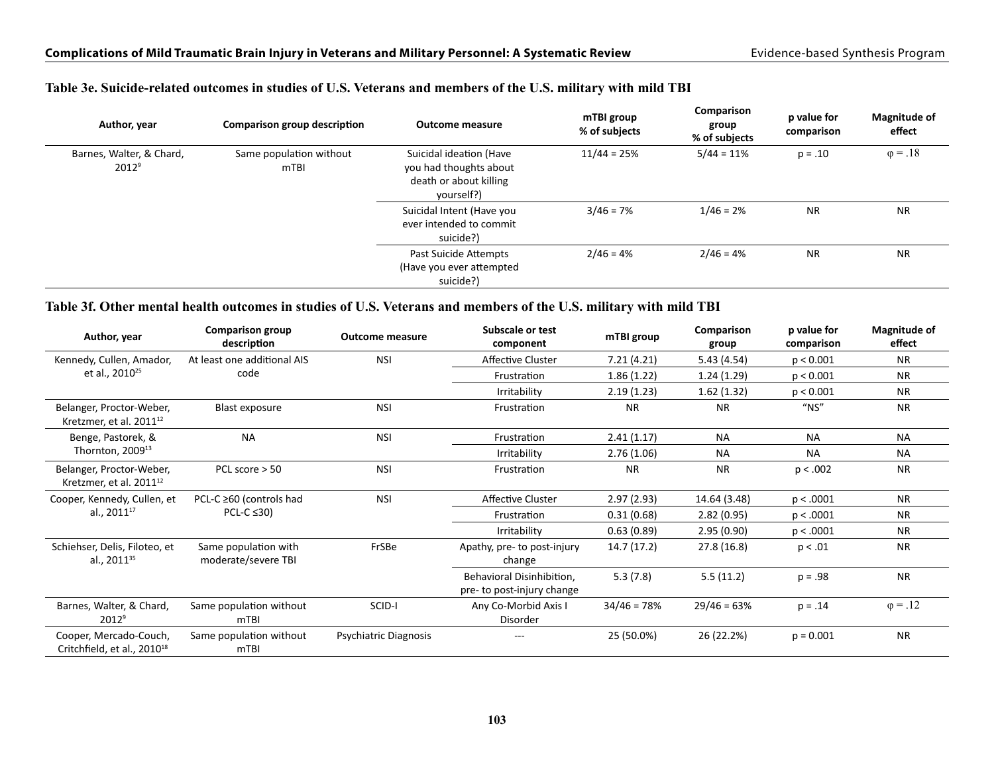|                                      | Author, year | Comparison group description    | <b>Outcome measure</b>                                                                    | mTBI group<br>% of subjects | Comparison<br>group<br>% of subjects | p value for<br>comparison | <b>Magnitude of</b><br>effect |
|--------------------------------------|--------------|---------------------------------|-------------------------------------------------------------------------------------------|-----------------------------|--------------------------------------|---------------------------|-------------------------------|
| Barnes, Walter, & Chard,<br>$2012^9$ |              | Same population without<br>mTBI | Suicidal ideation (Have<br>you had thoughts about<br>death or about killing<br>yourself?) | $11/44 = 25%$               | $5/44 = 11%$                         | $p = .10$                 | $\varphi = .18$               |
|                                      |              |                                 | Suicidal Intent (Have you<br>ever intended to commit<br>suicide?)                         | $3/46 = 7%$                 | $1/46 = 2%$                          | <b>NR</b>                 | <b>NR</b>                     |
|                                      |              |                                 | Past Suicide Attempts<br>(Have you ever attempted<br>suicide?)                            | $2/46 = 4%$                 | $2/46 = 4%$                          | <b>NR</b>                 | <b>NR</b>                     |

#### **Table 3e. Suicide-related outcomes in studies of U.S. Veterans and members of the U.S. military with mild TBI**

#### **Table 3f. Other mental health outcomes in studies of U.S. Veterans and members of the U.S. military with mild TBI**

| Author, year                                                      | <b>Comparison group</b><br>description      | <b>Outcome measure</b> | Subscale or test<br>component                           | mTBI group    | Comparison<br>group | p value for<br>comparison | <b>Magnitude of</b><br>effect |
|-------------------------------------------------------------------|---------------------------------------------|------------------------|---------------------------------------------------------|---------------|---------------------|---------------------------|-------------------------------|
| Kennedy, Cullen, Amador,                                          | At least one additional AIS                 | <b>NSI</b>             | Affective Cluster                                       | 7.21(4.21)    | 5.43(4.54)          | p < 0.001                 | <b>NR</b>                     |
| et al., 2010 <sup>25</sup>                                        | code                                        |                        | Frustration                                             | 1.86(1.22)    | 1.24(1.29)          | p < 0.001                 | <b>NR</b>                     |
|                                                                   |                                             |                        | Irritability                                            | 2.19(1.23)    | 1.62(1.32)          | p < 0.001                 | <b>NR</b>                     |
| Belanger, Proctor-Weber,<br>Kretzmer, et al. 2011 <sup>12</sup>   | Blast exposure                              | <b>NSI</b>             | Frustration                                             | <b>NR</b>     | <b>NR</b>           | $''$ NS"                  | <b>NR</b>                     |
| Benge, Pastorek, &                                                | <b>NA</b>                                   | <b>NSI</b>             | Frustration                                             | 2.41(1.17)    | <b>NA</b>           | <b>NA</b>                 | <b>NA</b>                     |
| Thornton, 2009 <sup>13</sup>                                      |                                             |                        | Irritability                                            | 2.76(1.06)    | <b>NA</b>           | <b>NA</b>                 | <b>NA</b>                     |
| Belanger, Proctor-Weber,<br>Kretzmer, et al. 2011 <sup>12</sup>   | PCL score $>$ 50                            | <b>NSI</b>             | Frustration                                             | <b>NR</b>     | <b>NR</b>           | p < .002                  | <b>NR</b>                     |
| Cooper, Kennedy, Cullen, et                                       | PCL-C ≥60 (controls had                     | <b>NSI</b>             | Affective Cluster                                       | 2.97(2.93)    | 14.64 (3.48)        | p < .0001                 | <b>NR</b>                     |
| al., 2011 <sup>17</sup>                                           | PCL-C $\leq$ 30)                            |                        | Frustration                                             | 0.31(0.68)    | 2.82(0.95)          | p < .0001                 | <b>NR</b>                     |
|                                                                   |                                             |                        | Irritability                                            | 0.63(0.89)    | 2.95(0.90)          | p < .0001                 | NR.                           |
| Schiehser, Delis, Filoteo, et<br>al., 2011 <sup>35</sup>          | Same population with<br>moderate/severe TBI | FrSBe                  | Apathy, pre- to post-injury<br>change                   | 14.7 (17.2)   | 27.8 (16.8)         | p < .01                   | <b>NR</b>                     |
|                                                                   |                                             |                        | Behavioral Disinhibition,<br>pre- to post-injury change | 5.3(7.8)      | 5.5(11.2)           | $p = .98$                 | <b>NR</b>                     |
| Barnes, Walter, & Chard,<br>2012 <sup>9</sup>                     | Same population without<br>mTBI             | SCID-I                 | Any Co-Morbid Axis I<br>Disorder                        | $34/46 = 78%$ | $29/46 = 63%$       | $p = .14$                 | $\varphi = .12$               |
| Cooper, Mercado-Couch,<br>Critchfield, et al., 2010 <sup>18</sup> | Same population without<br>m <sub>TBI</sub> | Psychiatric Diagnosis  | ---                                                     | 25 (50.0%)    | 26 (22.2%)          | $p = 0.001$               | <b>NR</b>                     |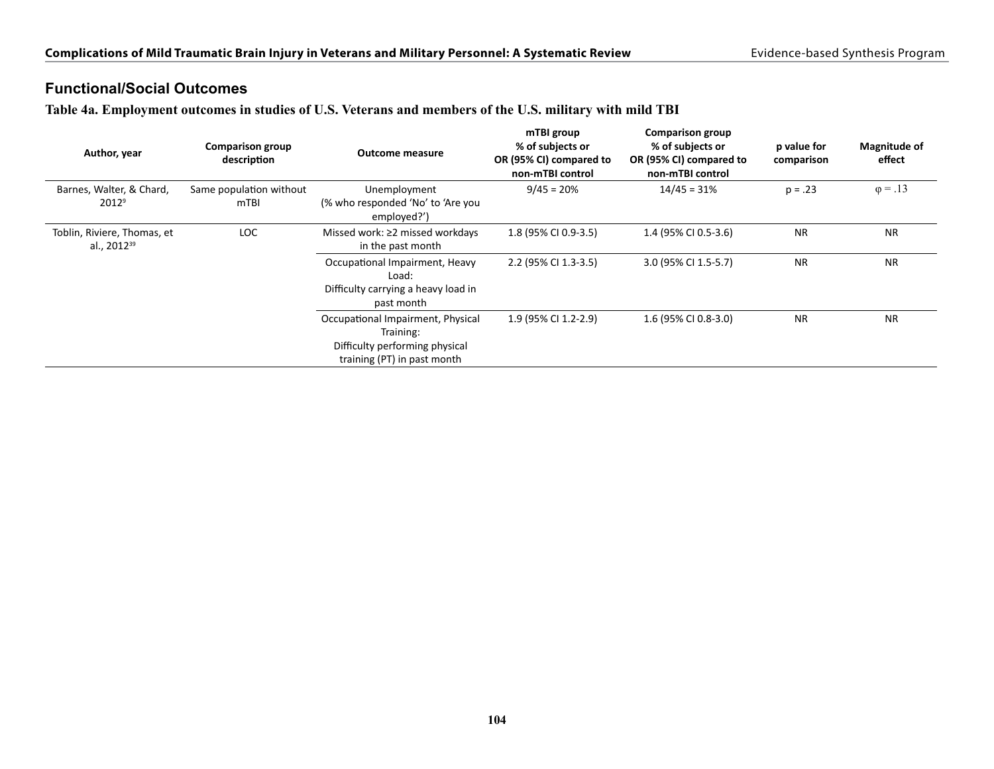## **Functional/Social Outcomes**

**Table 4a. Employment outcomes in studies of U.S. Veterans and members of the U.S. military with mild TBI**

| Author, year                                           | <b>Comparison group</b><br>description | <b>Outcome measure</b>                                                                                          | mTBI group<br>% of subjects or<br>OR (95% CI) compared to<br>non-mTBI control | <b>Comparison group</b><br>% of subjects or<br>OR (95% CI) compared to<br>non-mTBI control | p value for<br>comparison | <b>Magnitude of</b><br>effect |
|--------------------------------------------------------|----------------------------------------|-----------------------------------------------------------------------------------------------------------------|-------------------------------------------------------------------------------|--------------------------------------------------------------------------------------------|---------------------------|-------------------------------|
| Barnes, Walter, & Chard,                               | Same population without                | Unemployment                                                                                                    | $9/45 = 20%$                                                                  | $14/45 = 31%$                                                                              | $p = .23$                 | $\varphi = .13$               |
| $2012^9$                                               | mTBI                                   | (% who responded 'No' to 'Are you<br>employed?')                                                                |                                                                               |                                                                                            |                           |                               |
| Toblin, Riviere, Thomas, et<br>al., 2012 <sup>39</sup> | <b>LOC</b>                             | Missed work: $\geq$ 2 missed workdays<br>in the past month                                                      | 1.8 (95% CI 0.9-3.5)                                                          | 1.4 (95% CI 0.5-3.6)                                                                       | <b>NR</b>                 | <b>NR</b>                     |
|                                                        |                                        | Occupational Impairment, Heavy<br>Load:<br>Difficulty carrying a heavy load in<br>past month                    | 2.2 (95% CI 1.3-3.5)                                                          | 3.0 (95% CI 1.5-5.7)                                                                       | <b>NR</b>                 | <b>NR</b>                     |
|                                                        |                                        | Occupational Impairment, Physical<br>Training:<br>Difficulty performing physical<br>training (PT) in past month | 1.9 (95% CI 1.2-2.9)                                                          | 1.6 (95% CI 0.8-3.0)                                                                       | <b>NR</b>                 | <b>NR</b>                     |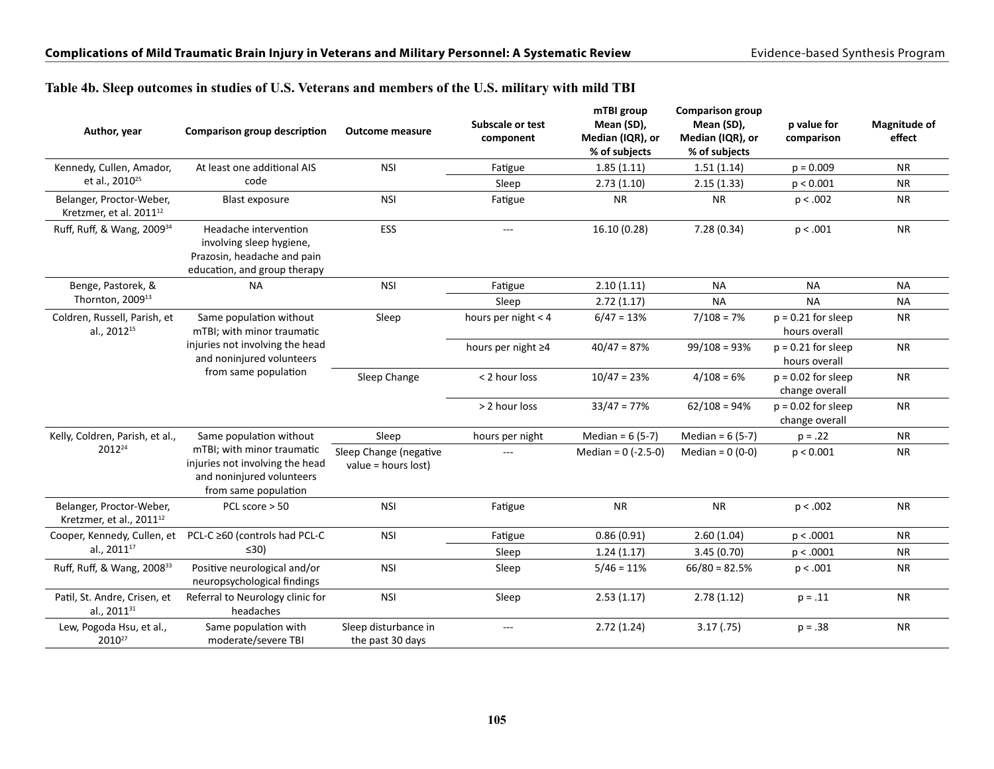#### **Table 4b. Sleep outcomes in studies of U.S. Veterans and members of the U.S. military with mild TBI**

| Author, year                                                     | <b>Comparison group description</b>                                                                                | <b>Outcome measure</b>                          | <b>Subscale or test</b><br>component | mTBI group<br>Mean (SD),<br>Median (IQR), or<br>% of subjects | <b>Comparison group</b><br>Mean (SD),<br>Median (IQR), or<br>% of subjects | p value for<br>comparison              | <b>Magnitude of</b><br>effect |
|------------------------------------------------------------------|--------------------------------------------------------------------------------------------------------------------|-------------------------------------------------|--------------------------------------|---------------------------------------------------------------|----------------------------------------------------------------------------|----------------------------------------|-------------------------------|
| Kennedy, Cullen, Amador,                                         | At least one additional AIS                                                                                        | <b>NSI</b>                                      | Fatigue                              | 1.85(1.11)                                                    | 1.51(1.14)                                                                 | $p = 0.009$                            | <b>NR</b>                     |
| et al., 2010 <sup>25</sup>                                       | code                                                                                                               |                                                 | Sleep                                | 2.73(1.10)                                                    | 2.15(1.33)                                                                 | p < 0.001                              | <b>NR</b>                     |
| Belanger, Proctor-Weber,<br>Kretzmer, et al. 2011 <sup>12</sup>  | <b>Blast exposure</b>                                                                                              | <b>NSI</b>                                      | Fatigue                              | <b>NR</b>                                                     | <b>NR</b>                                                                  | p < .002                               | <b>NR</b>                     |
| Ruff, Ruff, & Wang, 2009 <sup>34</sup>                           | Headache intervention<br>involving sleep hygiene,<br>Prazosin, headache and pain<br>education, and group therapy   | ESS                                             | $---$                                | 16.10 (0.28)                                                  | 7.28 (0.34)                                                                | p < .001                               | <b>NR</b>                     |
| Benge, Pastorek, &                                               | <b>NA</b>                                                                                                          | <b>NSI</b>                                      | Fatigue                              | 2.10(1.11)                                                    | <b>NA</b>                                                                  | <b>NA</b>                              | <b>NA</b>                     |
| Thornton, 2009 <sup>13</sup>                                     |                                                                                                                    |                                                 | Sleep                                | 2.72(1.17)                                                    | <b>NA</b>                                                                  | <b>NA</b>                              | <b>NA</b>                     |
| Coldren, Russell, Parish, et<br>al., 2012 <sup>15</sup>          | Same population without<br>mTBI; with minor traumatic                                                              | Sleep                                           | hours per night < 4                  | $6/47 = 13%$                                                  | $7/108 = 7%$                                                               | $p = 0.21$ for sleep<br>hours overall  | <b>NR</b>                     |
|                                                                  | injuries not involving the head<br>and noninjured volunteers                                                       |                                                 | hours per night ≥4                   | $40/47 = 87%$                                                 | $99/108 = 93%$                                                             | $p = 0.21$ for sleep<br>hours overall  | <b>NR</b>                     |
|                                                                  | from same population                                                                                               | Sleep Change                                    | < 2 hour loss                        | $10/47 = 23%$                                                 | $4/108 = 6%$                                                               | $p = 0.02$ for sleep<br>change overall | <b>NR</b>                     |
|                                                                  |                                                                                                                    |                                                 | > 2 hour loss                        | $33/47 = 77%$                                                 | $62/108 = 94%$                                                             | $p = 0.02$ for sleep<br>change overall | <b>NR</b>                     |
| Kelly, Coldren, Parish, et al.,                                  | Same population without                                                                                            | Sleep                                           | hours per night                      | Median = $6(5-7)$                                             | Median = $6(5-7)$                                                          | $p = .22$                              | <b>NR</b>                     |
| 2012 <sup>24</sup>                                               | mTBI; with minor traumatic<br>injuries not involving the head<br>and noninjured volunteers<br>from same population | Sleep Change (negative<br>value = hours $lost)$ | $\overline{a}$                       | Median = $0$ (-2.5-0)                                         | Median = $0(0-0)$                                                          | p < 0.001                              | <b>NR</b>                     |
| Belanger, Proctor-Weber,<br>Kretzmer, et al., 2011 <sup>12</sup> | PCL score $> 50$                                                                                                   | <b>NSI</b>                                      | Fatigue                              | <b>NR</b>                                                     | <b>NR</b>                                                                  | p < .002                               | <b>NR</b>                     |
| Cooper, Kennedy, Cullen, et                                      | PCL-C ≥60 (controls had PCL-C                                                                                      | <b>NSI</b>                                      | Fatigue                              | 0.86(0.91)                                                    | 2.60(1.04)                                                                 | p < .0001                              | <b>NR</b>                     |
| al., 2011 <sup>17</sup>                                          | $\leq 30$                                                                                                          |                                                 | Sleep                                | 1.24(1.17)                                                    | 3.45(0.70)                                                                 | p < .0001                              | <b>NR</b>                     |
| Ruff, Ruff, & Wang, 2008 <sup>33</sup>                           | Positive neurological and/or<br>neuropsychological findings                                                        | <b>NSI</b>                                      | Sleep                                | $5/46 = 11%$                                                  | $66/80 = 82.5%$                                                            | p < .001                               | <b>NR</b>                     |
| Patil, St. Andre, Crisen, et<br>al., 2011 <sup>31</sup>          | Referral to Neurology clinic for<br>headaches                                                                      | <b>NSI</b>                                      | Sleep                                | 2.53(1.17)                                                    | 2.78(1.12)                                                                 | $p = .11$                              | <b>NR</b>                     |
| Lew, Pogoda Hsu, et al.,<br>2010 <sup>27</sup>                   | Same population with<br>moderate/severe TBI                                                                        | Sleep disturbance in<br>the past 30 days        | $\cdots$                             | 2.72(1.24)                                                    | 3.17(0.75)                                                                 | $p = .38$                              | <b>NR</b>                     |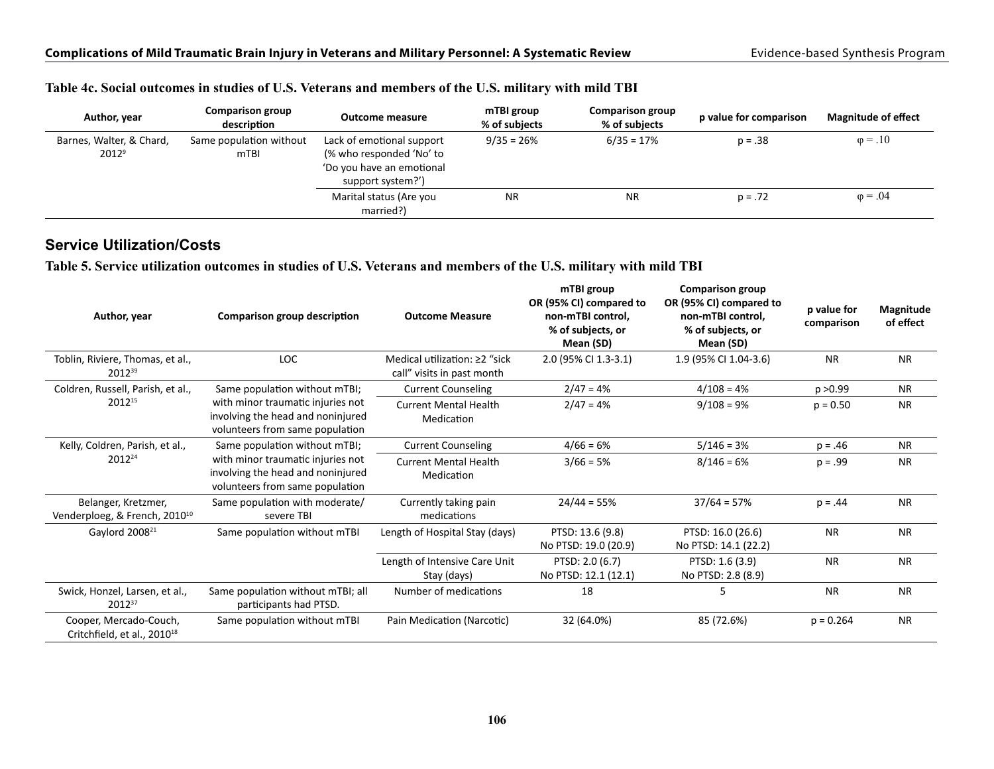| Author, year                         | <b>Comparison group</b><br>description | Outcome measure                                                                                         | mTBI group<br>% of subiects | <b>Comparison group</b><br>% of subjects | p value for comparison | <b>Magnitude of effect</b> |
|--------------------------------------|----------------------------------------|---------------------------------------------------------------------------------------------------------|-----------------------------|------------------------------------------|------------------------|----------------------------|
| Barnes, Walter, & Chard,<br>$2012^9$ | Same population without<br>mTBI        | Lack of emotional support<br>(% who responded 'No' to<br>'Do you have an emotional<br>support system?') | $9/35 = 26%$                | $6/35 = 17%$                             | $p = .38$              | $\varphi = .10$            |
|                                      |                                        | Marital status (Are you<br>married?)                                                                    | <b>NR</b>                   | <b>NR</b>                                | $p = .72$              | $\varphi = .04$            |

#### **Table 4c. Social outcomes in studies of U.S. Veterans and members of the U.S. military with mild TBI**

## **Service Utilization/Costs**

## **Table 5. Service utilization outcomes in studies of U.S. Veterans and members of the U.S. military with mild TBI**

| Author, year                                                                                                                    | Comparison group description                                | <b>Outcome Measure</b>                                            | mTBI group<br>OR (95% CI) compared to<br>non-mTBI control,<br>% of subjects, or<br>Mean (SD) | <b>Comparison group</b><br>OR (95% CI) compared to<br>non-mTBI control,<br>% of subjects, or<br>Mean (SD) | p value for<br>comparison | Magnitude<br>of effect |
|---------------------------------------------------------------------------------------------------------------------------------|-------------------------------------------------------------|-------------------------------------------------------------------|----------------------------------------------------------------------------------------------|-----------------------------------------------------------------------------------------------------------|---------------------------|------------------------|
| Toblin, Riviere, Thomas, et al.,<br>201239                                                                                      | LOC                                                         | Medical utilization: $\geq$ 2 "sick<br>call" visits in past month | 2.0 (95% CI 1.3-3.1)                                                                         | 1.9 (95% CI 1.04-3.6)                                                                                     | <b>NR</b>                 | <b>NR</b>              |
| Coldren, Russell, Parish, et al.,                                                                                               | Same population without mTBI;                               | <b>Current Counseling</b>                                         | $2/47 = 4%$                                                                                  | $4/108 = 4%$                                                                                              | p > 0.99                  | <b>NR</b>              |
| 2012 <sup>15</sup><br>with minor traumatic injuries not<br>involving the head and noninjured<br>volunteers from same population |                                                             | <b>Current Mental Health</b><br>Medication                        | $2/47 = 4%$                                                                                  | $9/108 = 9%$                                                                                              | $p = 0.50$                | <b>NR</b>              |
| Kelly, Coldren, Parish, et al.,                                                                                                 | Same population without mTBI;                               | <b>Current Counseling</b>                                         | $4/66 = 6%$                                                                                  | $5/146 = 3%$                                                                                              | $p = .46$                 | <b>NR</b>              |
| $2012^{24}$<br>with minor traumatic injuries not<br>involving the head and noninjured<br>volunteers from same population        |                                                             | <b>Current Mental Health</b><br>Medication                        | $3/66 = 5%$                                                                                  | $8/146 = 6%$                                                                                              | $p = .99$                 | <b>NR</b>              |
| Belanger, Kretzmer,<br>Venderploeg, & French, 2010 <sup>10</sup>                                                                | Same population with moderate/<br>severe TBI                | Currently taking pain<br>medications                              | $24/44 = 55%$                                                                                | $37/64 = 57%$                                                                                             | $p = .44$                 | <b>NR</b>              |
| Gaylord 2008 <sup>21</sup>                                                                                                      | Same population without mTBI                                | Length of Hospital Stay (days)                                    | PTSD: 13.6 (9.8)<br>No PTSD: 19.0 (20.9)                                                     | PTSD: 16.0 (26.6)<br>No PTSD: 14.1 (22.2)                                                                 | <b>NR</b>                 | <b>NR</b>              |
|                                                                                                                                 |                                                             | Length of Intensive Care Unit<br>Stay (days)                      | PTSD: 2.0 (6.7)<br>No PTSD: 12.1 (12.1)                                                      | PTSD: 1.6 (3.9)<br>No PTSD: 2.8 (8.9)                                                                     | <b>NR</b>                 | <b>NR</b>              |
| Swick, Honzel, Larsen, et al.,<br>201237                                                                                        | Same population without mTBI; all<br>participants had PTSD. | Number of medications                                             | 18                                                                                           | 5                                                                                                         | <b>NR</b>                 | <b>NR</b>              |
| Cooper, Mercado-Couch,<br>Critchfield, et al., 2010 <sup>18</sup>                                                               | Same population without mTBI                                | Pain Medication (Narcotic)                                        | 32 (64.0%)                                                                                   | 85 (72.6%)                                                                                                | $p = 0.264$               | <b>NR</b>              |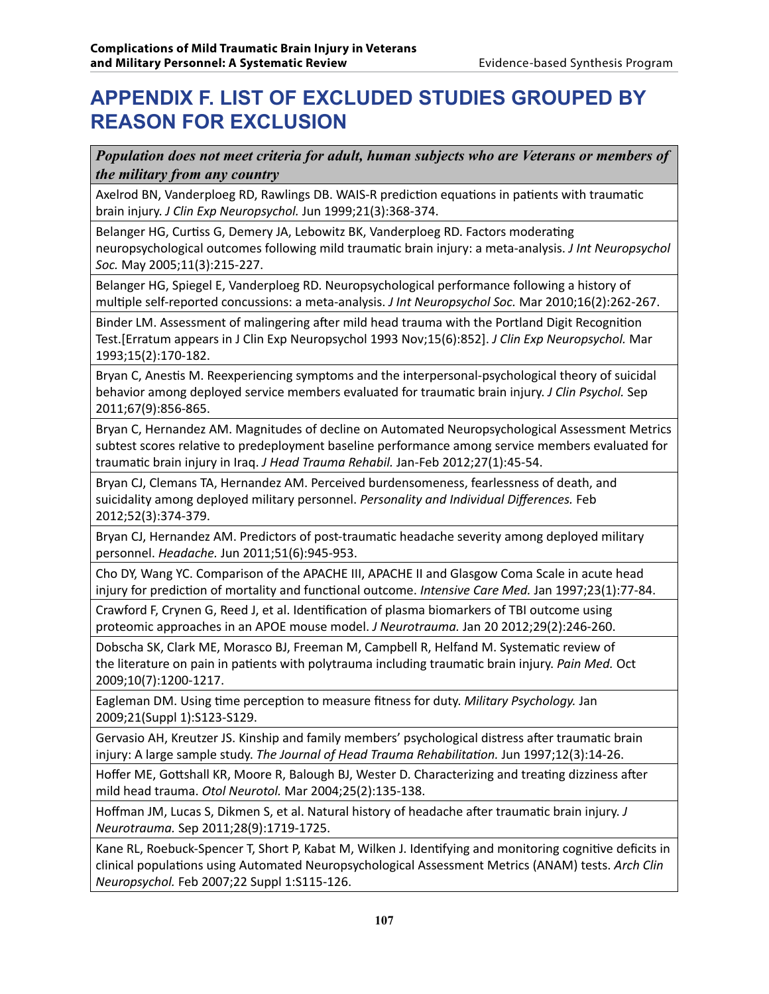# **APPENDIX F. LIST OF EXCLUDED STUDIES GROUPED BY REASON FOR EXCLUSION**

*Population does not meet criteria for adult, human subjects who are Veterans or members of the military from any country*

Axelrod BN, Vanderploeg RD, Rawlings DB. WAIS-R prediction equations in patients with traumatic brain injury. *J Clin Exp Neuropsychol.* Jun 1999;21(3):368-374.

Belanger HG, Curtiss G, Demery JA, Lebowitz BK, Vanderploeg RD. Factors moderating neuropsychological outcomes following mild traumatic brain injury: a meta-analysis. *J Int Neuropsychol Soc.* May 2005;11(3):215-227.

Belanger HG, Spiegel E, Vanderploeg RD. Neuropsychological performance following a history of multiple self-reported concussions: a meta-analysis. *J Int Neuropsychol Soc.* Mar 2010;16(2):262-267.

Binder LM. Assessment of malingering after mild head trauma with the Portland Digit Recognition Test.[Erratum appears in J Clin Exp Neuropsychol 1993 Nov;15(6):852]. *J Clin Exp Neuropsychol.* Mar 1993;15(2):170-182.

Bryan C, Anestis M. Reexperiencing symptoms and the interpersonal-psychological theory of suicidal behavior among deployed service members evaluated for traumatic brain injury. *J Clin Psychol.* Sep 2011;67(9):856-865.

Bryan C, Hernandez AM. Magnitudes of decline on Automated Neuropsychological Assessment Metrics subtest scores relative to predeployment baseline performance among service members evaluated for traumatic brain injury in Iraq. *J Head Trauma Rehabil.* Jan-Feb 2012;27(1):45-54.

Bryan CJ, Clemans TA, Hernandez AM. Perceived burdensomeness, fearlessness of death, and suicidality among deployed military personnel. *Personality and Individual Differences.* Feb 2012;52(3):374-379.

Bryan CJ, Hernandez AM. Predictors of post-traumatic headache severity among deployed military personnel. *Headache.* Jun 2011;51(6):945-953.

Cho DY, Wang YC. Comparison of the APACHE III, APACHE II and Glasgow Coma Scale in acute head injury for prediction of mortality and functional outcome. *Intensive Care Med.* Jan 1997;23(1):77-84.

Crawford F, Crynen G, Reed J, et al. Identification of plasma biomarkers of TBI outcome using proteomic approaches in an APOE mouse model. *J Neurotrauma.* Jan 20 2012;29(2):246-260.

Dobscha SK, Clark ME, Morasco BJ, Freeman M, Campbell R, Helfand M. Systematic review of the literature on pain in patients with polytrauma including traumatic brain injury. *Pain Med.* Oct 2009;10(7):1200-1217.

Eagleman DM. Using time perception to measure fitness for duty. *Military Psychology.* Jan 2009;21(Suppl 1):S123-S129.

Gervasio AH, Kreutzer JS. Kinship and family members' psychological distress after traumatic brain injury: A large sample study. *The Journal of Head Trauma Rehabilitation.* Jun 1997;12(3):14-26.

Hoffer ME, Gottshall KR, Moore R, Balough BJ, Wester D. Characterizing and treating dizziness after mild head trauma. *Otol Neurotol.* Mar 2004;25(2):135-138.

Hoffman JM, Lucas S, Dikmen S, et al. Natural history of headache after traumatic brain injury. *J Neurotrauma.* Sep 2011;28(9):1719-1725.

Kane RL, Roebuck-Spencer T, Short P, Kabat M, Wilken J. Identifying and monitoring cognitive deficits in clinical populations using Automated Neuropsychological Assessment Metrics (ANAM) tests. *Arch Clin Neuropsychol.* Feb 2007;22 Suppl 1:S115-126.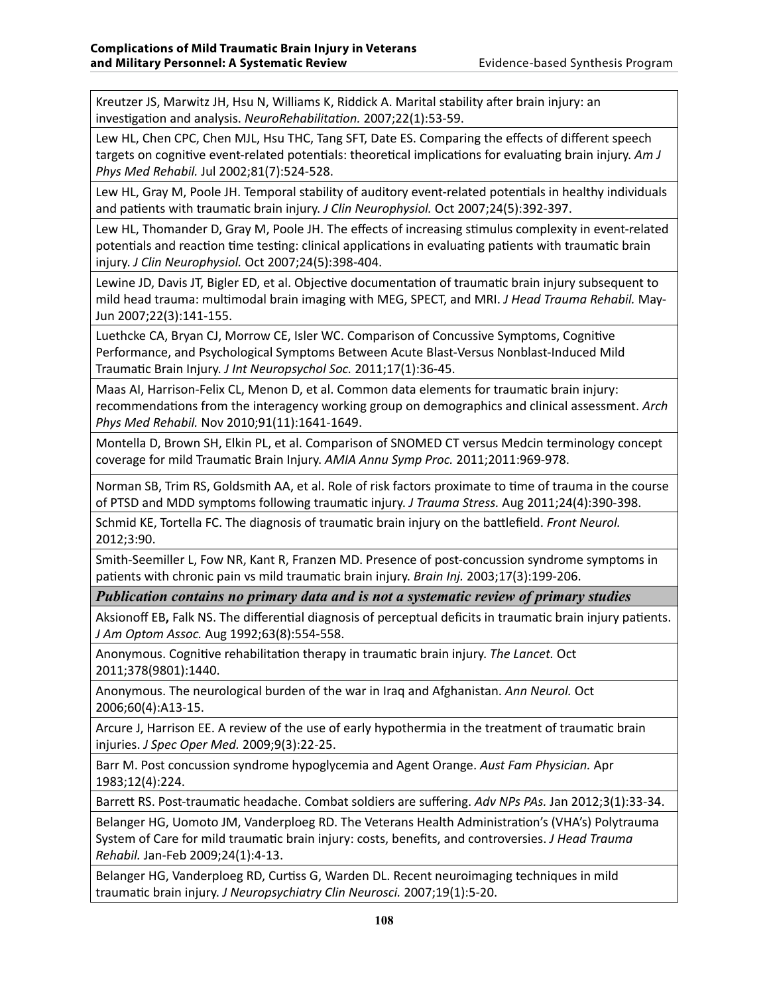Kreutzer JS, Marwitz JH, Hsu N, Williams K, Riddick A. Marital stability after brain injury: an investigation and analysis. *NeuroRehabilitation.* 2007;22(1):53-59.

Lew HL, Chen CPC, Chen MJL, Hsu THC, Tang SFT, Date ES. Comparing the effects of different speech targets on cognitive event-related potentials: theoretical implications for evaluating brain injury. *Am J Phys Med Rehabil.* Jul 2002;81(7):524-528.

Lew HL, Gray M, Poole JH. Temporal stability of auditory event-related potentials in healthy individuals and patients with traumatic brain injury. *J Clin Neurophysiol.* Oct 2007;24(5):392-397.

Lew HL, Thomander D, Gray M, Poole JH. The effects of increasing stimulus complexity in event-related potentials and reaction time testing: clinical applications in evaluating patients with traumatic brain injury. *J Clin Neurophysiol.* Oct 2007;24(5):398-404.

Lewine JD, Davis JT, Bigler ED, et al. Objective documentation of traumatic brain injury subsequent to mild head trauma: multimodal brain imaging with MEG, SPECT, and MRI. *J Head Trauma Rehabil.* May-Jun 2007;22(3):141-155.

Luethcke CA, Bryan CJ, Morrow CE, Isler WC. Comparison of Concussive Symptoms, Cognitive Performance, and Psychological Symptoms Between Acute Blast-Versus Nonblast-Induced Mild Traumatic Brain Injury. *J Int Neuropsychol Soc.* 2011;17(1):36-45.

Maas AI, Harrison-Felix CL, Menon D, et al. Common data elements for traumatic brain injury: recommendations from the interagency working group on demographics and clinical assessment. *Arch Phys Med Rehabil.* Nov 2010;91(11):1641-1649.

Montella D, Brown SH, Elkin PL, et al. Comparison of SNOMED CT versus Medcin terminology concept coverage for mild Traumatic Brain Injury. *AMIA Annu Symp Proc.* 2011;2011:969-978.

Norman SB, Trim RS, Goldsmith AA, et al. Role of risk factors proximate to time of trauma in the course of PTSD and MDD symptoms following traumatic injury. *J Trauma Stress.* Aug 2011;24(4):390-398.

Schmid KE, Tortella FC. The diagnosis of traumatic brain injury on the battlefield. *Front Neurol.*  2012;3:90.

Smith-Seemiller L, Fow NR, Kant R, Franzen MD. Presence of post-concussion syndrome symptoms in patients with chronic pain vs mild traumatic brain injury. *Brain Inj.* 2003;17(3):199-206.

*Publication contains no primary data and is not a systematic review of primary studies*

Aksionoff EB**,** Falk NS. The differential diagnosis of perceptual deficits in traumatic brain injury patients. *J Am Optom Assoc.* Aug 1992;63(8):554-558.

Anonymous. Cognitive rehabilitation therapy in traumatic brain injury. *The Lancet.* Oct 2011;378(9801):1440.

Anonymous. The neurological burden of the war in Iraq and Afghanistan. *Ann Neurol.* Oct 2006;60(4):A13-15.

Arcure J, Harrison EE. A review of the use of early hypothermia in the treatment of traumatic brain injuries. *J Spec Oper Med.* 2009;9(3):22-25.

Barr M. Post concussion syndrome hypoglycemia and Agent Orange. *Aust Fam Physician.* Apr 1983;12(4):224.

Barrett RS. Post-traumatic headache. Combat soldiers are suffering. *Adv NPs PAs.* Jan 2012;3(1):33-34.

Belanger HG, Uomoto JM, Vanderploeg RD. The Veterans Health Administration's (VHA's) Polytrauma System of Care for mild traumatic brain injury: costs, benefits, and controversies. *J Head Trauma Rehabil.* Jan-Feb 2009;24(1):4-13.

Belanger HG, Vanderploeg RD, Curtiss G, Warden DL. Recent neuroimaging techniques in mild traumatic brain injury. *J Neuropsychiatry Clin Neurosci.* 2007;19(1):5-20.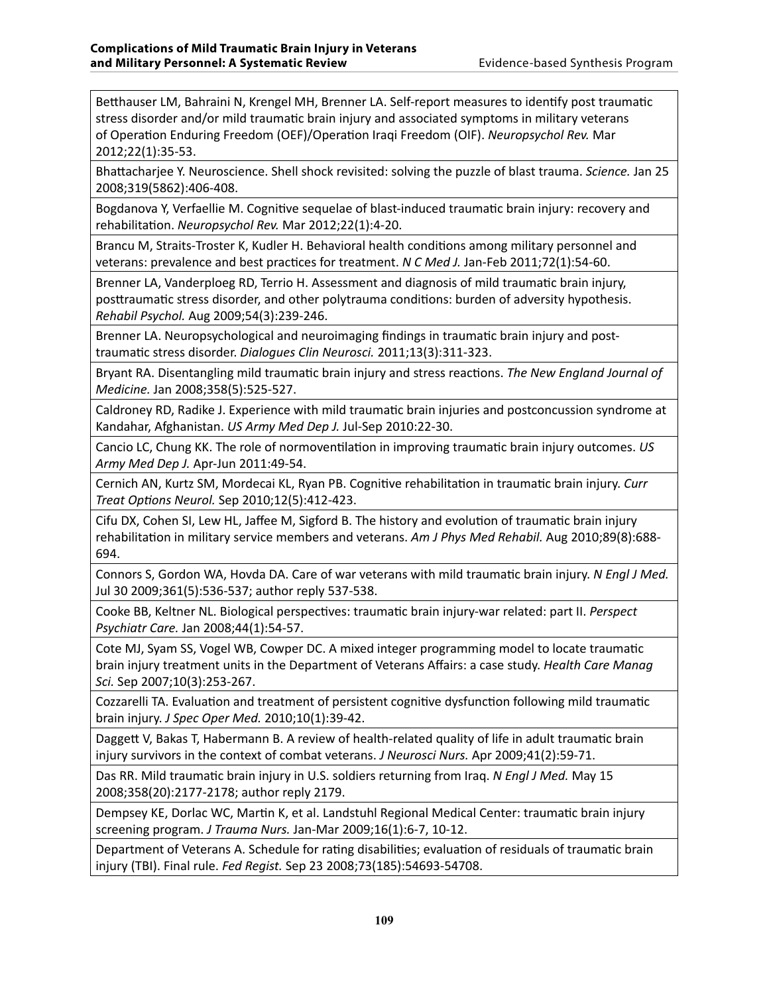Betthauser LM, Bahraini N, Krengel MH, Brenner LA. Self-report measures to identify post traumatic stress disorder and/or mild traumatic brain injury and associated symptoms in military veterans of Operation Enduring Freedom (OEF)/Operation Iraqi Freedom (OIF). *Neuropsychol Rev.* Mar 2012;22(1):35-53.

Bhattacharjee Y. Neuroscience. Shell shock revisited: solving the puzzle of blast trauma. *Science.* Jan 25 2008;319(5862):406-408.

Bogdanova Y, Verfaellie M. Cognitive sequelae of blast-induced traumatic brain injury: recovery and rehabilitation. *Neuropsychol Rev.* Mar 2012;22(1):4-20.

Brancu M, Straits-Troster K, Kudler H. Behavioral health conditions among military personnel and veterans: prevalence and best practices for treatment. *N C Med J.* Jan-Feb 2011;72(1):54-60.

Brenner LA, Vanderploeg RD, Terrio H. Assessment and diagnosis of mild traumatic brain injury, posttraumatic stress disorder, and other polytrauma conditions: burden of adversity hypothesis. *Rehabil Psychol.* Aug 2009;54(3):239-246.

Brenner LA. Neuropsychological and neuroimaging findings in traumatic brain injury and posttraumatic stress disorder. *Dialogues Clin Neurosci.* 2011;13(3):311-323.

Bryant RA. Disentangling mild traumatic brain injury and stress reactions. *The New England Journal of Medicine.* Jan 2008;358(5):525-527.

Caldroney RD, Radike J. Experience with mild traumatic brain injuries and postconcussion syndrome at Kandahar, Afghanistan. *US Army Med Dep J.* Jul-Sep 2010:22-30.

Cancio LC, Chung KK. The role of normoventilation in improving traumatic brain injury outcomes. *US Army Med Dep J.* Apr-Jun 2011:49-54.

Cernich AN, Kurtz SM, Mordecai KL, Ryan PB. Cognitive rehabilitation in traumatic brain injury. *Curr Treat Options Neurol.* Sep 2010;12(5):412-423.

Cifu DX, Cohen SI, Lew HL, Jaffee M, Sigford B. The history and evolution of traumatic brain injury rehabilitation in military service members and veterans. *Am J Phys Med Rehabil.* Aug 2010;89(8):688- 694.

Connors S, Gordon WA, Hovda DA. Care of war veterans with mild traumatic brain injury. *N Engl J Med.*  Jul 30 2009;361(5):536-537; author reply 537-538.

Cooke BB, Keltner NL. Biological perspectives: traumatic brain injury-war related: part II. *Perspect Psychiatr Care.* Jan 2008;44(1):54-57.

Cote MJ, Syam SS, Vogel WB, Cowper DC. A mixed integer programming model to locate traumatic brain injury treatment units in the Department of Veterans Affairs: a case study. *Health Care Manag Sci.* Sep 2007;10(3):253-267.

Cozzarelli TA. Evaluation and treatment of persistent cognitive dysfunction following mild traumatic brain injury. *J Spec Oper Med.* 2010;10(1):39-42.

Daggett V, Bakas T, Habermann B. A review of health-related quality of life in adult traumatic brain injury survivors in the context of combat veterans. *J Neurosci Nurs.* Apr 2009;41(2):59-71.

Das RR. Mild traumatic brain injury in U.S. soldiers returning from Iraq. *N Engl J Med.* May 15 2008;358(20):2177-2178; author reply 2179.

Dempsey KE, Dorlac WC, Martin K, et al. Landstuhl Regional Medical Center: traumatic brain injury screening program. *J Trauma Nurs.* Jan-Mar 2009;16(1):6-7, 10-12.

Department of Veterans A. Schedule for rating disabilities; evaluation of residuals of traumatic brain injury (TBI). Final rule. *Fed Regist.* Sep 23 2008;73(185):54693-54708.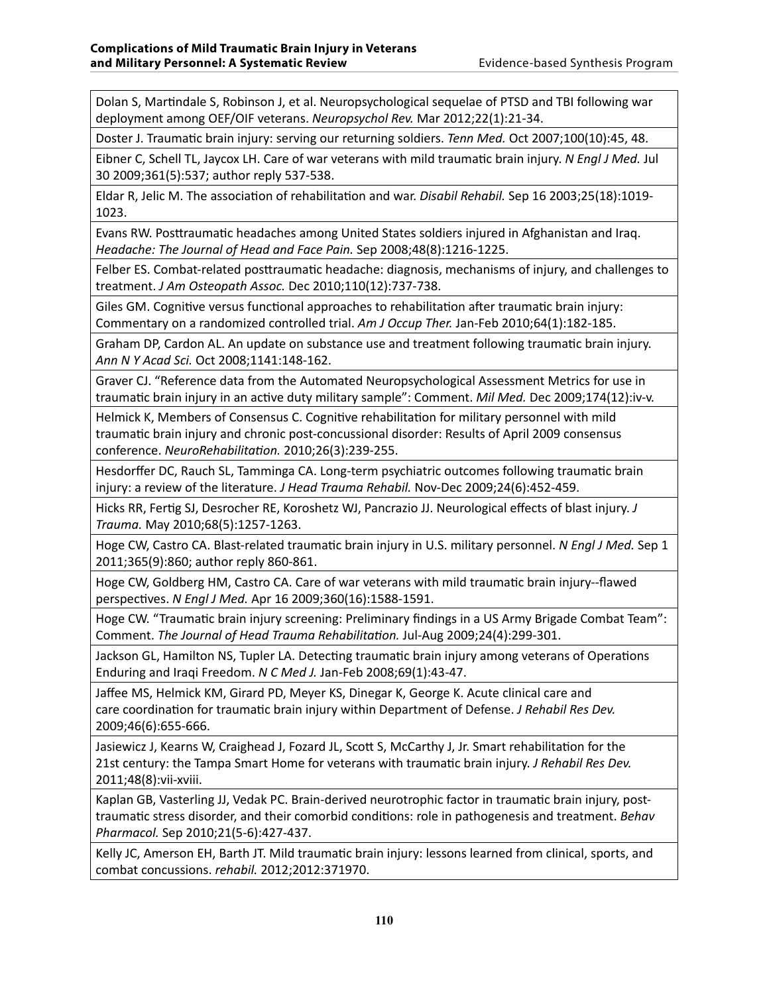Dolan S, Martindale S, Robinson J, et al. Neuropsychological sequelae of PTSD and TBI following war deployment among OEF/OIF veterans. *Neuropsychol Rev.* Mar 2012;22(1):21-34.

Doster J. Traumatic brain injury: serving our returning soldiers. *Tenn Med.* Oct 2007;100(10):45, 48.

Eibner C, Schell TL, Jaycox LH. Care of war veterans with mild traumatic brain injury. *N Engl J Med.* Jul 30 2009;361(5):537; author reply 537-538.

Eldar R, Jelic M. The association of rehabilitation and war. *Disabil Rehabil.* Sep 16 2003;25(18):1019- 1023.

Evans RW. Posttraumatic headaches among United States soldiers injured in Afghanistan and Iraq. *Headache: The Journal of Head and Face Pain.* Sep 2008;48(8):1216-1225.

Felber ES. Combat-related posttraumatic headache: diagnosis, mechanisms of injury, and challenges to treatment. *J Am Osteopath Assoc.* Dec 2010;110(12):737-738.

Giles GM. Cognitive versus functional approaches to rehabilitation after traumatic brain injury: Commentary on a randomized controlled trial. *Am J Occup Ther.* Jan-Feb 2010;64(1):182-185.

Graham DP, Cardon AL. An update on substance use and treatment following traumatic brain injury. *Ann N Y Acad Sci.* Oct 2008;1141:148-162.

Graver CJ. "Reference data from the Automated Neuropsychological Assessment Metrics for use in traumatic brain injury in an active duty military sample": Comment. *Mil Med.* Dec 2009;174(12):iv-v.

Helmick K, Members of Consensus C. Cognitive rehabilitation for military personnel with mild traumatic brain injury and chronic post-concussional disorder: Results of April 2009 consensus conference. *NeuroRehabilitation.* 2010;26(3):239-255.

Hesdorffer DC, Rauch SL, Tamminga CA. Long-term psychiatric outcomes following traumatic brain injury: a review of the literature. *J Head Trauma Rehabil.* Nov-Dec 2009;24(6):452-459.

Hicks RR, Fertig SJ, Desrocher RE, Koroshetz WJ, Pancrazio JJ. Neurological effects of blast injury. *J Trauma.* May 2010;68(5):1257-1263.

Hoge CW, Castro CA. Blast-related traumatic brain injury in U.S. military personnel. *N Engl J Med.* Sep 1 2011;365(9):860; author reply 860-861.

Hoge CW, Goldberg HM, Castro CA. Care of war veterans with mild traumatic brain injury--flawed perspectives. *N Engl J Med.* Apr 16 2009;360(16):1588-1591.

Hoge CW. "Traumatic brain injury screening: Preliminary findings in a US Army Brigade Combat Team": Comment. *The Journal of Head Trauma Rehabilitation.* Jul-Aug 2009;24(4):299-301.

Jackson GL, Hamilton NS, Tupler LA. Detecting traumatic brain injury among veterans of Operations Enduring and Iraqi Freedom. *N C Med J.* Jan-Feb 2008;69(1):43-47.

Jaffee MS, Helmick KM, Girard PD, Meyer KS, Dinegar K, George K. Acute clinical care and care coordination for traumatic brain injury within Department of Defense. *J Rehabil Res Dev.*  2009;46(6):655-666.

Jasiewicz J, Kearns W, Craighead J, Fozard JL, Scott S, McCarthy J, Jr. Smart rehabilitation for the 21st century: the Tampa Smart Home for veterans with traumatic brain injury. *J Rehabil Res Dev.*  2011;48(8):vii-xviii.

Kaplan GB, Vasterling JJ, Vedak PC. Brain-derived neurotrophic factor in traumatic brain injury, posttraumatic stress disorder, and their comorbid conditions: role in pathogenesis and treatment. *Behav Pharmacol.* Sep 2010;21(5-6):427-437.

Kelly JC, Amerson EH, Barth JT. Mild traumatic brain injury: lessons learned from clinical, sports, and combat concussions. *rehabil.* 2012;2012:371970.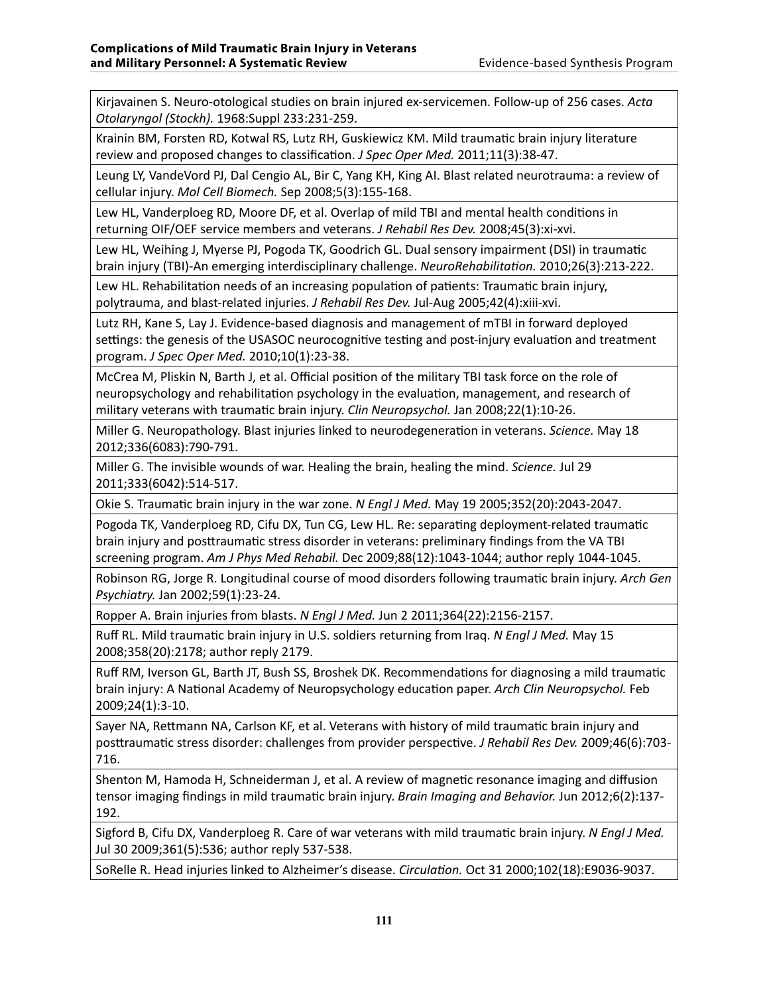Kirjavainen S. Neuro-otological studies on brain injured ex-servicemen. Follow-up of 256 cases. *Acta Otolaryngol (Stockh).* 1968:Suppl 233:231-259.

Krainin BM, Forsten RD, Kotwal RS, Lutz RH, Guskiewicz KM. Mild traumatic brain injury literature review and proposed changes to classification. *J Spec Oper Med.* 2011;11(3):38-47.

Leung LY, VandeVord PJ, Dal Cengio AL, Bir C, Yang KH, King AI. Blast related neurotrauma: a review of cellular injury. *Mol Cell Biomech.* Sep 2008;5(3):155-168.

Lew HL, Vanderploeg RD, Moore DF, et al. Overlap of mild TBI and mental health conditions in returning OIF/OEF service members and veterans. *J Rehabil Res Dev.* 2008;45(3):xi-xvi.

Lew HL, Weihing J, Myerse PJ, Pogoda TK, Goodrich GL. Dual sensory impairment (DSI) in traumatic brain injury (TBI)-An emerging interdisciplinary challenge. *NeuroRehabilitation.* 2010;26(3):213-222.

Lew HL. Rehabilitation needs of an increasing population of patients: Traumatic brain injury, polytrauma, and blast-related injuries. *J Rehabil Res Dev.* Jul-Aug 2005;42(4):xiii-xvi.

Lutz RH, Kane S, Lay J. Evidence-based diagnosis and management of mTBI in forward deployed settings: the genesis of the USASOC neurocognitive testing and post-injury evaluation and treatment program. *J Spec Oper Med.* 2010;10(1):23-38.

McCrea M, Pliskin N, Barth J, et al. Official position of the military TBI task force on the role of neuropsychology and rehabilitation psychology in the evaluation, management, and research of military veterans with traumatic brain injury. *Clin Neuropsychol.* Jan 2008;22(1):10-26.

Miller G. Neuropathology. Blast injuries linked to neurodegeneration in veterans. *Science.* May 18 2012;336(6083):790-791.

Miller G. The invisible wounds of war. Healing the brain, healing the mind. *Science.* Jul 29 2011;333(6042):514-517.

Okie S. Traumatic brain injury in the war zone. *N Engl J Med.* May 19 2005;352(20):2043-2047.

Pogoda TK, Vanderploeg RD, Cifu DX, Tun CG, Lew HL. Re: separating deployment-related traumatic brain injury and posttraumatic stress disorder in veterans: preliminary findings from the VA TBI screening program. *Am J Phys Med Rehabil.* Dec 2009;88(12):1043-1044; author reply 1044-1045.

Robinson RG, Jorge R. Longitudinal course of mood disorders following traumatic brain injury. *Arch Gen Psychiatry.* Jan 2002;59(1):23-24.

Ropper A. Brain injuries from blasts. *N Engl J Med.* Jun 2 2011;364(22):2156-2157.

Ruff RL. Mild traumatic brain injury in U.S. soldiers returning from Iraq. *N Engl J Med.* May 15 2008;358(20):2178; author reply 2179.

Ruff RM, Iverson GL, Barth JT, Bush SS, Broshek DK. Recommendations for diagnosing a mild traumatic brain injury: A National Academy of Neuropsychology education paper. *Arch Clin Neuropsychol.* Feb 2009;24(1):3-10.

Sayer NA, Rettmann NA, Carlson KF, et al. Veterans with history of mild traumatic brain injury and posttraumatic stress disorder: challenges from provider perspective. *J Rehabil Res Dev.* 2009;46(6):703- 716.

Shenton M, Hamoda H, Schneiderman J, et al. A review of magnetic resonance imaging and diffusion tensor imaging findings in mild traumatic brain injury. *Brain Imaging and Behavior.* Jun 2012;6(2):137- 192.

Sigford B, Cifu DX, Vanderploeg R. Care of war veterans with mild traumatic brain injury. *N Engl J Med.*  Jul 30 2009;361(5):536; author reply 537-538.

SoRelle R. Head injuries linked to Alzheimer's disease. *Circulation.* Oct 31 2000;102(18):E9036-9037.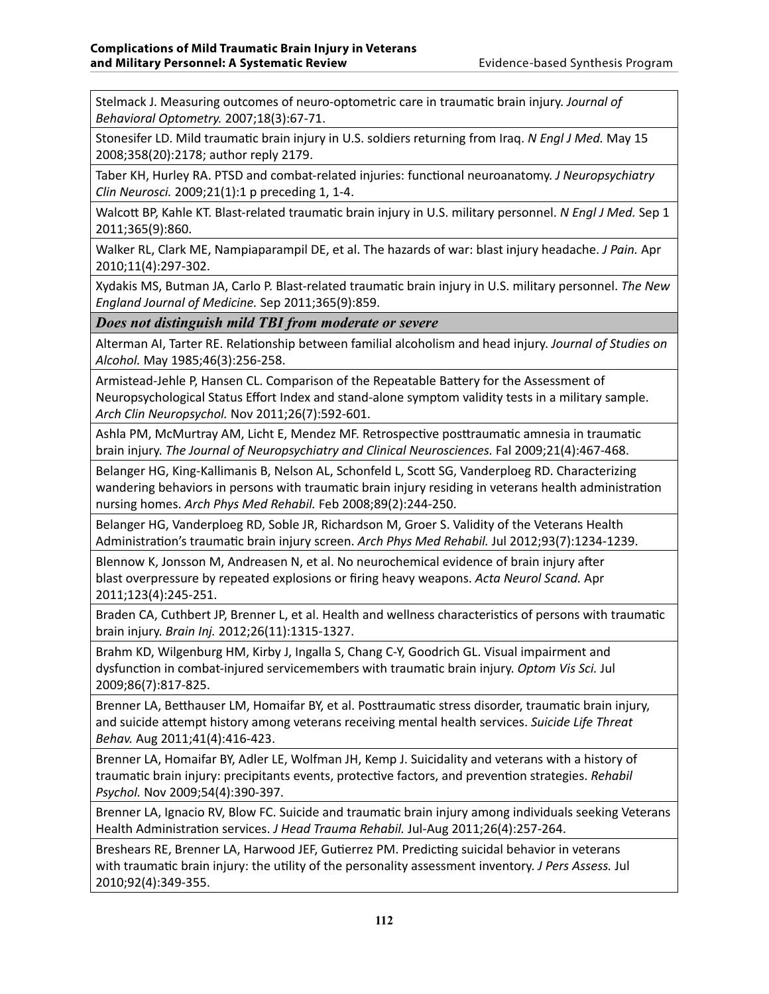Stelmack J. Measuring outcomes of neuro-optometric care in traumatic brain injury. *Journal of Behavioral Optometry.* 2007;18(3):67-71.

Stonesifer LD. Mild traumatic brain injury in U.S. soldiers returning from Iraq. *N Engl J Med.* May 15 2008;358(20):2178; author reply 2179.

Taber KH, Hurley RA. PTSD and combat-related injuries: functional neuroanatomy. *J Neuropsychiatry Clin Neurosci.* 2009;21(1):1 p preceding 1, 1-4.

Walcott BP, Kahle KT. Blast-related traumatic brain injury in U.S. military personnel. *N Engl J Med.* Sep 1 2011;365(9):860.

Walker RL, Clark ME, Nampiaparampil DE, et al. The hazards of war: blast injury headache. *J Pain.* Apr 2010;11(4):297-302.

Xydakis MS, Butman JA, Carlo P. Blast-related traumatic brain injury in U.S. military personnel. *The New England Journal of Medicine.* Sep 2011;365(9):859.

*Does not distinguish mild TBI from moderate or severe*

Alterman AI, Tarter RE. Relationship between familial alcoholism and head injury. *Journal of Studies on Alcohol.* May 1985;46(3):256-258.

Armistead-Jehle P, Hansen CL. Comparison of the Repeatable Battery for the Assessment of Neuropsychological Status Effort Index and stand-alone symptom validity tests in a military sample. *Arch Clin Neuropsychol.* Nov 2011;26(7):592-601.

Ashla PM, McMurtray AM, Licht E, Mendez MF. Retrospective posttraumatic amnesia in traumatic brain injury. *The Journal of Neuropsychiatry and Clinical Neurosciences.* Fal 2009;21(4):467-468.

Belanger HG, King-Kallimanis B, Nelson AL, Schonfeld L, Scott SG, Vanderploeg RD. Characterizing wandering behaviors in persons with traumatic brain injury residing in veterans health administration nursing homes. *Arch Phys Med Rehabil.* Feb 2008;89(2):244-250.

Belanger HG, Vanderploeg RD, Soble JR, Richardson M, Groer S. Validity of the Veterans Health Administration's traumatic brain injury screen. *Arch Phys Med Rehabil.* Jul 2012;93(7):1234-1239.

Blennow K, Jonsson M, Andreasen N, et al. No neurochemical evidence of brain injury after blast overpressure by repeated explosions or firing heavy weapons. *Acta Neurol Scand.* Apr 2011;123(4):245-251.

Braden CA, Cuthbert JP, Brenner L, et al. Health and wellness characteristics of persons with traumatic brain injury. *Brain Inj.* 2012;26(11):1315-1327.

Brahm KD, Wilgenburg HM, Kirby J, Ingalla S, Chang C-Y, Goodrich GL. Visual impairment and dysfunction in combat-injured servicemembers with traumatic brain injury. *Optom Vis Sci.* Jul 2009;86(7):817-825.

Brenner LA, Betthauser LM, Homaifar BY, et al. Posttraumatic stress disorder, traumatic brain injury, and suicide attempt history among veterans receiving mental health services. *Suicide Life Threat Behav.* Aug 2011;41(4):416-423.

Brenner LA, Homaifar BY, Adler LE, Wolfman JH, Kemp J. Suicidality and veterans with a history of traumatic brain injury: precipitants events, protective factors, and prevention strategies. *Rehabil Psychol.* Nov 2009;54(4):390-397.

Brenner LA, Ignacio RV, Blow FC. Suicide and traumatic brain injury among individuals seeking Veterans Health Administration services. *J Head Trauma Rehabil.* Jul-Aug 2011;26(4):257-264.

Breshears RE, Brenner LA, Harwood JEF, Gutierrez PM. Predicting suicidal behavior in veterans with traumatic brain injury: the utility of the personality assessment inventory. *J Pers Assess.* Jul 2010;92(4):349-355.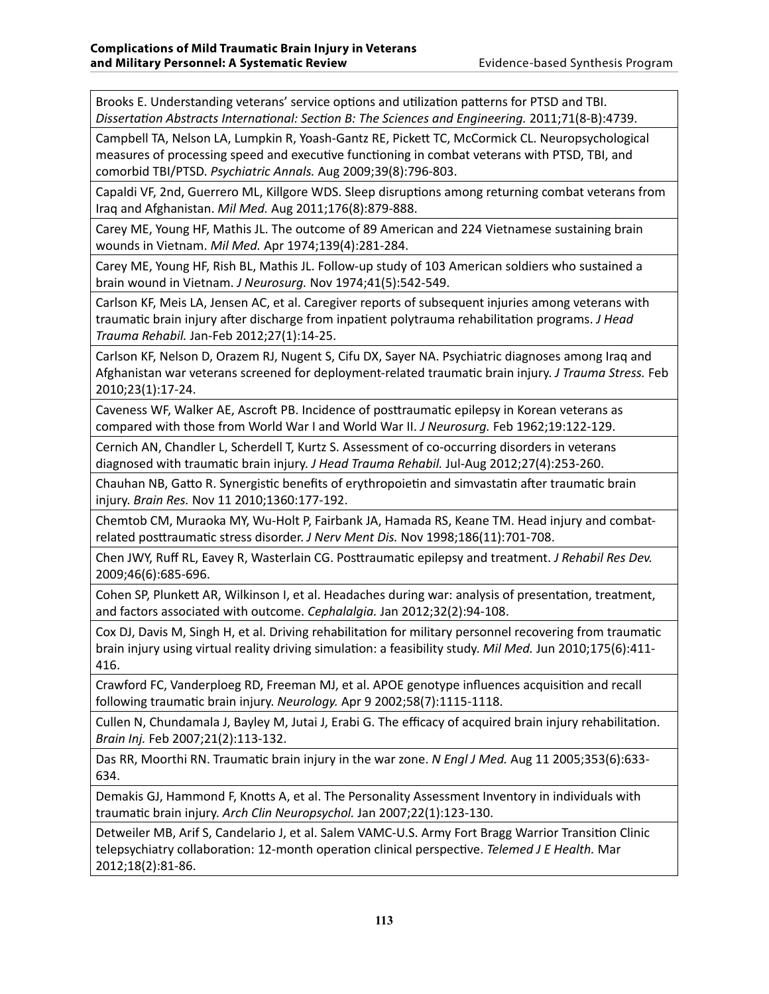Brooks E. Understanding veterans' service options and utilization patterns for PTSD and TBI. *Dissertation Abstracts International: Section B: The Sciences and Engineering.* 2011;71(8-B):4739.

Campbell TA, Nelson LA, Lumpkin R, Yoash-Gantz RE, Pickett TC, McCormick CL. Neuropsychological measures of processing speed and executive functioning in combat veterans with PTSD, TBI, and comorbid TBI/PTSD. *Psychiatric Annals.* Aug 2009;39(8):796-803.

Capaldi VF, 2nd, Guerrero ML, Killgore WDS. Sleep disruptions among returning combat veterans from Iraq and Afghanistan. *Mil Med.* Aug 2011;176(8):879-888.

Carey ME, Young HF, Mathis JL. The outcome of 89 American and 224 Vietnamese sustaining brain wounds in Vietnam. *Mil Med.* Apr 1974;139(4):281-284.

Carey ME, Young HF, Rish BL, Mathis JL. Follow-up study of 103 American soldiers who sustained a brain wound in Vietnam. *J Neurosurg.* Nov 1974;41(5):542-549.

Carlson KF, Meis LA, Jensen AC, et al. Caregiver reports of subsequent injuries among veterans with traumatic brain injury after discharge from inpatient polytrauma rehabilitation programs. *J Head Trauma Rehabil.* Jan-Feb 2012;27(1):14-25.

Carlson KF, Nelson D, Orazem RJ, Nugent S, Cifu DX, Sayer NA. Psychiatric diagnoses among Iraq and Afghanistan war veterans screened for deployment-related traumatic brain injury. *J Trauma Stress.* Feb 2010;23(1):17-24.

Caveness WF, Walker AE, Ascroft PB. Incidence of posttraumatic epilepsy in Korean veterans as compared with those from World War I and World War II. *J Neurosurg.* Feb 1962;19:122-129.

Cernich AN, Chandler L, Scherdell T, Kurtz S. Assessment of co-occurring disorders in veterans diagnosed with traumatic brain injury. *J Head Trauma Rehabil.* Jul-Aug 2012;27(4):253-260.

Chauhan NB, Gatto R. Synergistic benefits of erythropoietin and simvastatin after traumatic brain injury. *Brain Res.* Nov 11 2010;1360:177-192.

Chemtob CM, Muraoka MY, Wu-Holt P, Fairbank JA, Hamada RS, Keane TM. Head injury and combatrelated posttraumatic stress disorder. *J Nerv Ment Dis.* Nov 1998;186(11):701-708.

Chen JWY, Ruff RL, Eavey R, Wasterlain CG. Posttraumatic epilepsy and treatment. *J Rehabil Res Dev.*  2009;46(6):685-696.

Cohen SP, Plunkett AR, Wilkinson I, et al. Headaches during war: analysis of presentation, treatment, and factors associated with outcome. *Cephalalgia.* Jan 2012;32(2):94-108.

Cox DJ, Davis M, Singh H, et al. Driving rehabilitation for military personnel recovering from traumatic brain injury using virtual reality driving simulation: a feasibility study. *Mil Med.* Jun 2010;175(6):411- 416.

Crawford FC, Vanderploeg RD, Freeman MJ, et al. APOE genotype influences acquisition and recall following traumatic brain injury. *Neurology.* Apr 9 2002;58(7):1115-1118.

Cullen N, Chundamala J, Bayley M, Jutai J, Erabi G. The efficacy of acquired brain injury rehabilitation. *Brain Inj.* Feb 2007;21(2):113-132.

Das RR, Moorthi RN. Traumatic brain injury in the war zone. *N Engl J Med.* Aug 11 2005;353(6):633- 634.

Demakis GJ, Hammond F, Knotts A, et al. The Personality Assessment Inventory in individuals with traumatic brain injury. *Arch Clin Neuropsychol.* Jan 2007;22(1):123-130.

Detweiler MB, Arif S, Candelario J, et al. Salem VAMC-U.S. Army Fort Bragg Warrior Transition Clinic telepsychiatry collaboration: 12-month operation clinical perspective. *Telemed J E Health.* Mar 2012;18(2):81-86.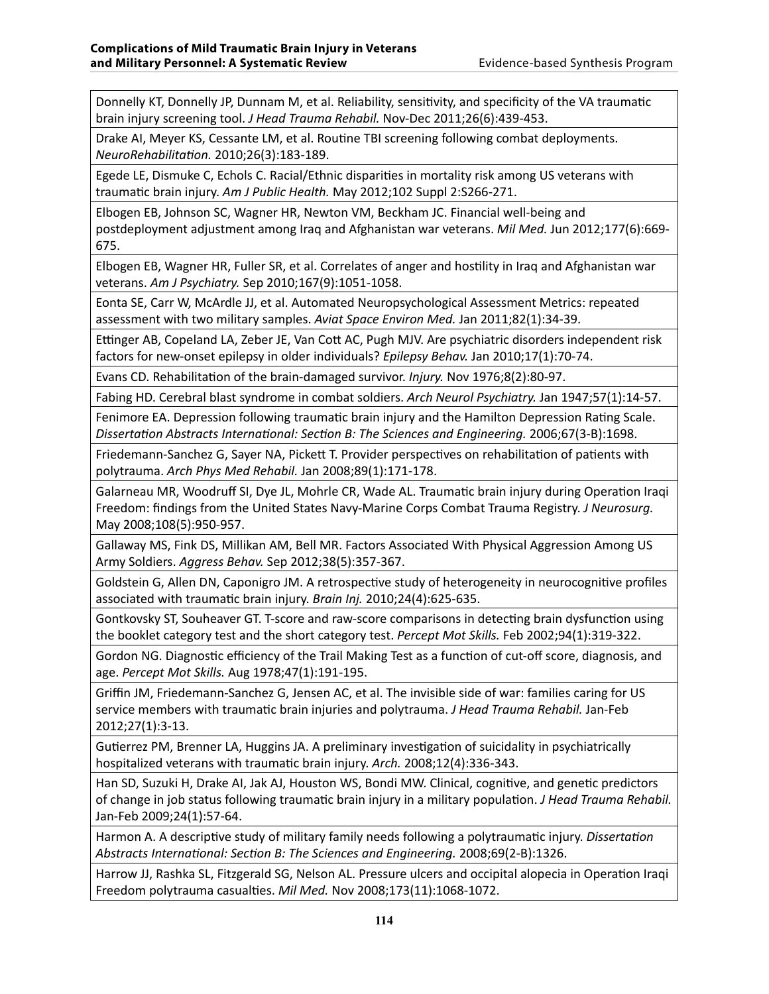Donnelly KT, Donnelly JP, Dunnam M, et al. Reliability, sensitivity, and specificity of the VA traumatic brain injury screening tool. *J Head Trauma Rehabil.* Nov-Dec 2011;26(6):439-453.

Drake AI, Meyer KS, Cessante LM, et al. Routine TBI screening following combat deployments. *NeuroRehabilitation.* 2010;26(3):183-189.

Egede LE, Dismuke C, Echols C. Racial/Ethnic disparities in mortality risk among US veterans with traumatic brain injury. *Am J Public Health.* May 2012;102 Suppl 2:S266-271.

Elbogen EB, Johnson SC, Wagner HR, Newton VM, Beckham JC. Financial well-being and postdeployment adjustment among Iraq and Afghanistan war veterans. *Mil Med.* Jun 2012;177(6):669- 675.

Elbogen EB, Wagner HR, Fuller SR, et al. Correlates of anger and hostility in Iraq and Afghanistan war veterans. *Am J Psychiatry.* Sep 2010;167(9):1051-1058.

Eonta SE, Carr W, McArdle JJ, et al. Automated Neuropsychological Assessment Metrics: repeated assessment with two military samples. *Aviat Space Environ Med.* Jan 2011;82(1):34-39.

Ettinger AB, Copeland LA, Zeber JE, Van Cott AC, Pugh MJV. Are psychiatric disorders independent risk factors for new-onset epilepsy in older individuals? *Epilepsy Behav.* Jan 2010;17(1):70-74.

Evans CD. Rehabilitation of the brain-damaged survivor. *Injury.* Nov 1976;8(2):80-97.

Fabing HD. Cerebral blast syndrome in combat soldiers. *Arch Neurol Psychiatry.* Jan 1947;57(1):14-57.

Fenimore EA. Depression following traumatic brain injury and the Hamilton Depression Rating Scale. *Dissertation Abstracts International: Section B: The Sciences and Engineering.* 2006;67(3-B):1698.

Friedemann-Sanchez G, Sayer NA, Pickett T. Provider perspectives on rehabilitation of patients with polytrauma. *Arch Phys Med Rehabil.* Jan 2008;89(1):171-178.

Galarneau MR, Woodruff SI, Dye JL, Mohrle CR, Wade AL. Traumatic brain injury during Operation Iraqi Freedom: findings from the United States Navy-Marine Corps Combat Trauma Registry. *J Neurosurg.*  May 2008;108(5):950-957.

Gallaway MS, Fink DS, Millikan AM, Bell MR. Factors Associated With Physical Aggression Among US Army Soldiers. *Aggress Behav.* Sep 2012;38(5):357-367.

Goldstein G, Allen DN, Caponigro JM. A retrospective study of heterogeneity in neurocognitive profiles associated with traumatic brain injury. *Brain Inj.* 2010;24(4):625-635.

Gontkovsky ST, Souheaver GT. T-score and raw-score comparisons in detecting brain dysfunction using the booklet category test and the short category test. *Percept Mot Skills.* Feb 2002;94(1):319-322.

Gordon NG. Diagnostic efficiency of the Trail Making Test as a function of cut-off score, diagnosis, and age. *Percept Mot Skills.* Aug 1978;47(1):191-195.

Griffin JM, Friedemann-Sanchez G, Jensen AC, et al. The invisible side of war: families caring for US service members with traumatic brain injuries and polytrauma. *J Head Trauma Rehabil.* Jan-Feb 2012;27(1):3-13.

Gutierrez PM, Brenner LA, Huggins JA. A preliminary investigation of suicidality in psychiatrically hospitalized veterans with traumatic brain injury. *Arch.* 2008;12(4):336-343.

Han SD, Suzuki H, Drake AI, Jak AJ, Houston WS, Bondi MW. Clinical, cognitive, and genetic predictors of change in job status following traumatic brain injury in a military population. *J Head Trauma Rehabil.*  Jan-Feb 2009;24(1):57-64.

Harmon A. A descriptive study of military family needs following a polytraumatic injury. *Dissertation Abstracts International: Section B: The Sciences and Engineering.* 2008;69(2-B):1326.

Harrow JJ, Rashka SL, Fitzgerald SG, Nelson AL. Pressure ulcers and occipital alopecia in Operation Iraqi Freedom polytrauma casualties. *Mil Med.* Nov 2008;173(11):1068-1072.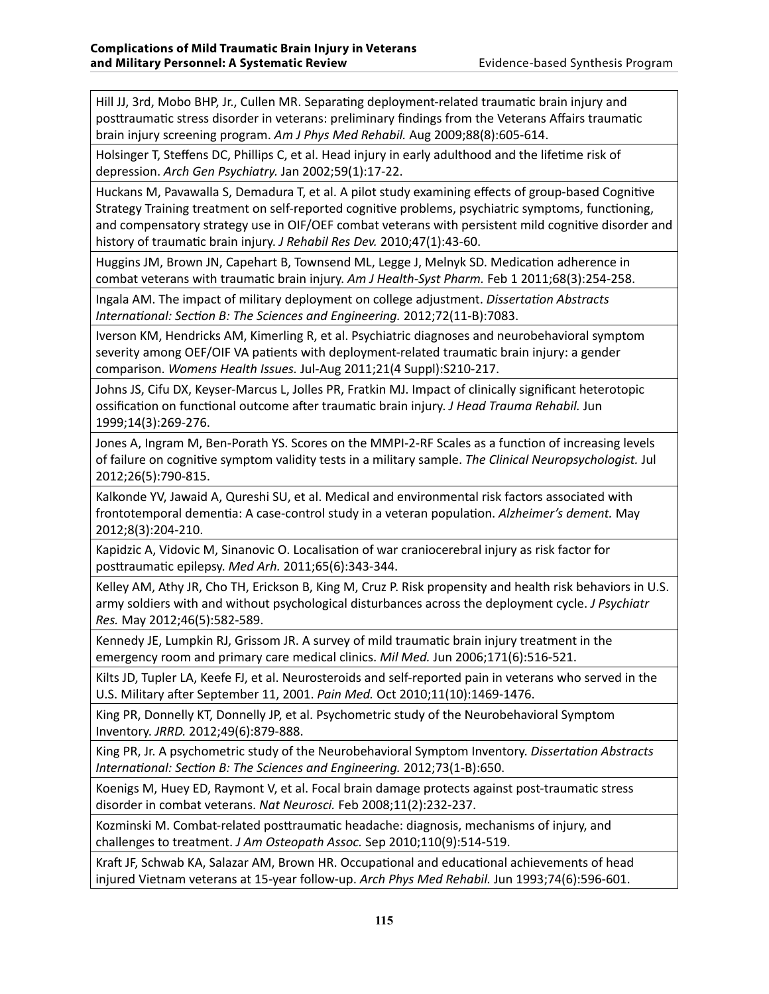Hill JJ, 3rd, Mobo BHP, Jr., Cullen MR. Separating deployment-related traumatic brain injury and posttraumatic stress disorder in veterans: preliminary findings from the Veterans Affairs traumatic brain injury screening program. *Am J Phys Med Rehabil.* Aug 2009;88(8):605-614.

Holsinger T, Steffens DC, Phillips C, et al. Head injury in early adulthood and the lifetime risk of depression. *Arch Gen Psychiatry.* Jan 2002;59(1):17-22.

Huckans M, Pavawalla S, Demadura T, et al. A pilot study examining effects of group-based Cognitive Strategy Training treatment on self-reported cognitive problems, psychiatric symptoms, functioning, and compensatory strategy use in OIF/OEF combat veterans with persistent mild cognitive disorder and history of traumatic brain injury. *J Rehabil Res Dev.* 2010;47(1):43-60.

Huggins JM, Brown JN, Capehart B, Townsend ML, Legge J, Melnyk SD. Medication adherence in combat veterans with traumatic brain injury. *Am J Health-Syst Pharm.* Feb 1 2011;68(3):254-258.

Ingala AM. The impact of military deployment on college adjustment. *Dissertation Abstracts International: Section B: The Sciences and Engineering.* 2012;72(11-B):7083.

Iverson KM, Hendricks AM, Kimerling R, et al. Psychiatric diagnoses and neurobehavioral symptom severity among OEF/OIF VA patients with deployment-related traumatic brain injury: a gender comparison. *Womens Health Issues.* Jul-Aug 2011;21(4 Suppl):S210-217.

Johns JS, Cifu DX, Keyser-Marcus L, Jolles PR, Fratkin MJ. Impact of clinically significant heterotopic ossification on functional outcome after traumatic brain injury. *J Head Trauma Rehabil.* Jun 1999;14(3):269-276.

Jones A, Ingram M, Ben-Porath YS. Scores on the MMPI-2-RF Scales as a function of increasing levels of failure on cognitive symptom validity tests in a military sample. *The Clinical Neuropsychologist.* Jul 2012;26(5):790-815.

Kalkonde YV, Jawaid A, Qureshi SU, et al. Medical and environmental risk factors associated with frontotemporal dementia: A case-control study in a veteran population. *Alzheimer's dement.* May 2012;8(3):204-210.

Kapidzic A, Vidovic M, Sinanovic O. Localisation of war craniocerebral injury as risk factor for posttraumatic epilepsy. *Med Arh.* 2011;65(6):343-344.

Kelley AM, Athy JR, Cho TH, Erickson B, King M, Cruz P. Risk propensity and health risk behaviors in U.S. army soldiers with and without psychological disturbances across the deployment cycle. *J Psychiatr Res.* May 2012;46(5):582-589.

Kennedy JE, Lumpkin RJ, Grissom JR. A survey of mild traumatic brain injury treatment in the emergency room and primary care medical clinics. *Mil Med.* Jun 2006;171(6):516-521.

Kilts JD, Tupler LA, Keefe FJ, et al. Neurosteroids and self-reported pain in veterans who served in the U.S. Military after September 11, 2001. *Pain Med.* Oct 2010;11(10):1469-1476.

King PR, Donnelly KT, Donnelly JP, et al. Psychometric study of the Neurobehavioral Symptom Inventory. *JRRD.* 2012;49(6):879-888.

King PR, Jr. A psychometric study of the Neurobehavioral Symptom Inventory. *Dissertation Abstracts International: Section B: The Sciences and Engineering.* 2012;73(1-B):650.

Koenigs M, Huey ED, Raymont V, et al. Focal brain damage protects against post-traumatic stress disorder in combat veterans. *Nat Neurosci.* Feb 2008;11(2):232-237.

Kozminski M. Combat-related posttraumatic headache: diagnosis, mechanisms of injury, and challenges to treatment. *J Am Osteopath Assoc.* Sep 2010;110(9):514-519.

Kraft JF, Schwab KA, Salazar AM, Brown HR. Occupational and educational achievements of head injured Vietnam veterans at 15-year follow-up. *Arch Phys Med Rehabil.* Jun 1993;74(6):596-601.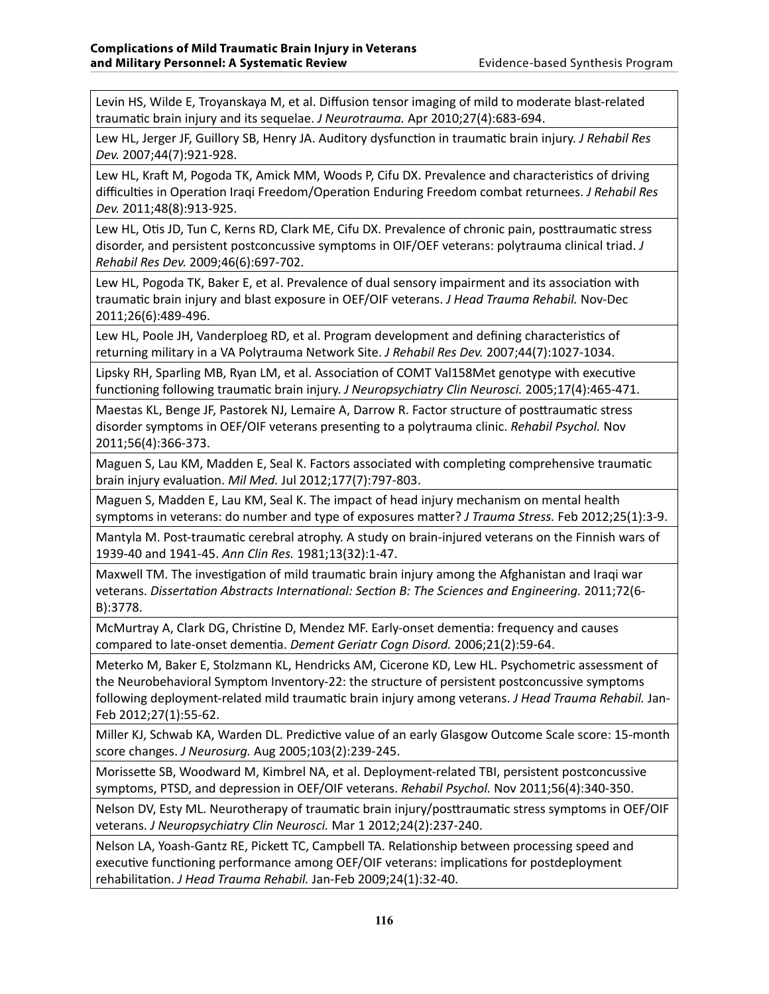Levin HS, Wilde E, Troyanskaya M, et al. Diffusion tensor imaging of mild to moderate blast-related traumatic brain injury and its sequelae. *J Neurotrauma.* Apr 2010;27(4):683-694.

Lew HL, Jerger JF, Guillory SB, Henry JA. Auditory dysfunction in traumatic brain injury. *J Rehabil Res Dev.* 2007;44(7):921-928.

Lew HL, Kraft M, Pogoda TK, Amick MM, Woods P, Cifu DX. Prevalence and characteristics of driving difficulties in Operation Iraqi Freedom/Operation Enduring Freedom combat returnees. *J Rehabil Res Dev.* 2011;48(8):913-925.

Lew HL, Otis JD, Tun C, Kerns RD, Clark ME, Cifu DX. Prevalence of chronic pain, posttraumatic stress disorder, and persistent postconcussive symptoms in OIF/OEF veterans: polytrauma clinical triad. *J Rehabil Res Dev.* 2009;46(6):697-702.

Lew HL, Pogoda TK, Baker E, et al. Prevalence of dual sensory impairment and its association with traumatic brain injury and blast exposure in OEF/OIF veterans. *J Head Trauma Rehabil.* Nov-Dec 2011;26(6):489-496.

Lew HL, Poole JH, Vanderploeg RD, et al. Program development and defining characteristics of returning military in a VA Polytrauma Network Site. *J Rehabil Res Dev.* 2007;44(7):1027-1034.

Lipsky RH, Sparling MB, Ryan LM, et al. Association of COMT Val158Met genotype with executive functioning following traumatic brain injury. *J Neuropsychiatry Clin Neurosci.* 2005;17(4):465-471.

Maestas KL, Benge JF, Pastorek NJ, Lemaire A, Darrow R. Factor structure of posttraumatic stress disorder symptoms in OEF/OIF veterans presenting to a polytrauma clinic. *Rehabil Psychol.* Nov 2011;56(4):366-373.

Maguen S, Lau KM, Madden E, Seal K. Factors associated with completing comprehensive traumatic brain injury evaluation. *Mil Med.* Jul 2012;177(7):797-803.

Maguen S, Madden E, Lau KM, Seal K. The impact of head injury mechanism on mental health symptoms in veterans: do number and type of exposures matter? *J Trauma Stress.* Feb 2012;25(1):3-9.

Mantyla M. Post-traumatic cerebral atrophy. A study on brain-injured veterans on the Finnish wars of 1939-40 and 1941-45. *Ann Clin Res.* 1981;13(32):1-47.

Maxwell TM. The investigation of mild traumatic brain injury among the Afghanistan and Iraqi war veterans. *Dissertation Abstracts International: Section B: The Sciences and Engineering.* 2011;72(6- B):3778.

McMurtray A, Clark DG, Christine D, Mendez MF. Early-onset dementia: frequency and causes compared to late-onset dementia. *Dement Geriatr Cogn Disord.* 2006;21(2):59-64.

Meterko M, Baker E, Stolzmann KL, Hendricks AM, Cicerone KD, Lew HL. Psychometric assessment of the Neurobehavioral Symptom Inventory-22: the structure of persistent postconcussive symptoms following deployment-related mild traumatic brain injury among veterans. *J Head Trauma Rehabil.* Jan-Feb 2012;27(1):55-62.

Miller KJ, Schwab KA, Warden DL. Predictive value of an early Glasgow Outcome Scale score: 15-month score changes. *J Neurosurg.* Aug 2005;103(2):239-245.

Morissette SB, Woodward M, Kimbrel NA, et al. Deployment-related TBI, persistent postconcussive symptoms, PTSD, and depression in OEF/OIF veterans. *Rehabil Psychol.* Nov 2011;56(4):340-350.

Nelson DV, Esty ML. Neurotherapy of traumatic brain injury/posttraumatic stress symptoms in OEF/OIF veterans. *J Neuropsychiatry Clin Neurosci.* Mar 1 2012;24(2):237-240.

Nelson LA, Yoash-Gantz RE, Pickett TC, Campbell TA. Relationship between processing speed and executive functioning performance among OEF/OIF veterans: implications for postdeployment rehabilitation. *J Head Trauma Rehabil.* Jan-Feb 2009;24(1):32-40.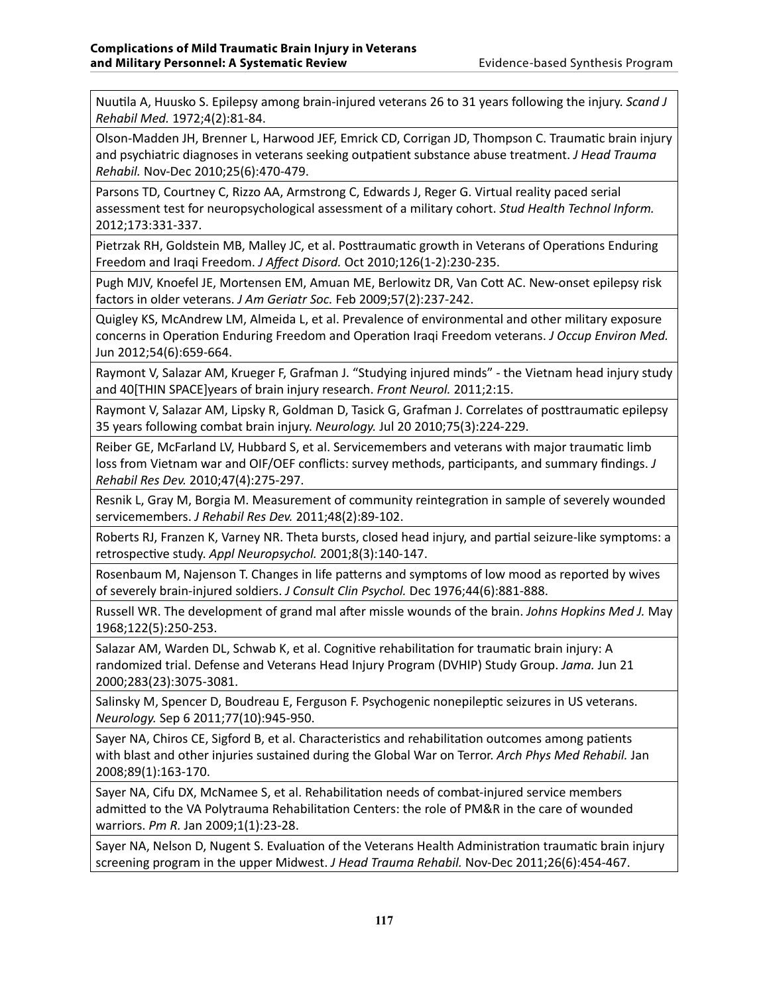Nuutila A, Huusko S. Epilepsy among brain-injured veterans 26 to 31 years following the injury. *Scand J Rehabil Med.* 1972;4(2):81-84.

Olson-Madden JH, Brenner L, Harwood JEF, Emrick CD, Corrigan JD, Thompson C. Traumatic brain injury and psychiatric diagnoses in veterans seeking outpatient substance abuse treatment. *J Head Trauma Rehabil.* Nov-Dec 2010;25(6):470-479.

Parsons TD, Courtney C, Rizzo AA, Armstrong C, Edwards J, Reger G. Virtual reality paced serial assessment test for neuropsychological assessment of a military cohort. *Stud Health Technol Inform.*  2012;173:331-337.

Pietrzak RH, Goldstein MB, Malley JC, et al. Posttraumatic growth in Veterans of Operations Enduring Freedom and Iraqi Freedom. *J Affect Disord.* Oct 2010;126(1-2):230-235.

Pugh MJV, Knoefel JE, Mortensen EM, Amuan ME, Berlowitz DR, Van Cott AC. New-onset epilepsy risk factors in older veterans. *J Am Geriatr Soc.* Feb 2009;57(2):237-242.

Quigley KS, McAndrew LM, Almeida L, et al. Prevalence of environmental and other military exposure concerns in Operation Enduring Freedom and Operation Iraqi Freedom veterans. *J Occup Environ Med.*  Jun 2012;54(6):659-664.

Raymont V, Salazar AM, Krueger F, Grafman J. "Studying injured minds" - the Vietnam head injury study and 40[THIN SPACE]years of brain injury research. *Front Neurol.* 2011;2:15.

Raymont V, Salazar AM, Lipsky R, Goldman D, Tasick G, Grafman J. Correlates of posttraumatic epilepsy 35 years following combat brain injury. *Neurology.* Jul 20 2010;75(3):224-229.

Reiber GE, McFarland LV, Hubbard S, et al. Servicemembers and veterans with major traumatic limb loss from Vietnam war and OIF/OEF conflicts: survey methods, participants, and summary findings. *J Rehabil Res Dev.* 2010;47(4):275-297.

Resnik L, Gray M, Borgia M. Measurement of community reintegration in sample of severely wounded servicemembers. *J Rehabil Res Dev.* 2011;48(2):89-102.

Roberts RJ, Franzen K, Varney NR. Theta bursts, closed head injury, and partial seizure-like symptoms: a retrospective study. *Appl Neuropsychol.* 2001;8(3):140-147.

Rosenbaum M, Najenson T. Changes in life patterns and symptoms of low mood as reported by wives of severely brain-injured soldiers. *J Consult Clin Psychol.* Dec 1976;44(6):881-888.

Russell WR. The development of grand mal after missle wounds of the brain. *Johns Hopkins Med J.* May 1968;122(5):250-253.

Salazar AM, Warden DL, Schwab K, et al. Cognitive rehabilitation for traumatic brain injury: A randomized trial. Defense and Veterans Head Injury Program (DVHIP) Study Group. *Jama.* Jun 21 2000;283(23):3075-3081.

Salinsky M, Spencer D, Boudreau E, Ferguson F. Psychogenic nonepileptic seizures in US veterans. *Neurology.* Sep 6 2011;77(10):945-950.

Sayer NA, Chiros CE, Sigford B, et al. Characteristics and rehabilitation outcomes among patients with blast and other injuries sustained during the Global War on Terror. *Arch Phys Med Rehabil.* Jan 2008;89(1):163-170.

Sayer NA, Cifu DX, McNamee S, et al. Rehabilitation needs of combat-injured service members admitted to the VA Polytrauma Rehabilitation Centers: the role of PM&R in the care of wounded warriors. *Pm R.* Jan 2009;1(1):23-28.

Sayer NA, Nelson D, Nugent S. Evaluation of the Veterans Health Administration traumatic brain injury screening program in the upper Midwest. *J Head Trauma Rehabil.* Nov-Dec 2011;26(6):454-467.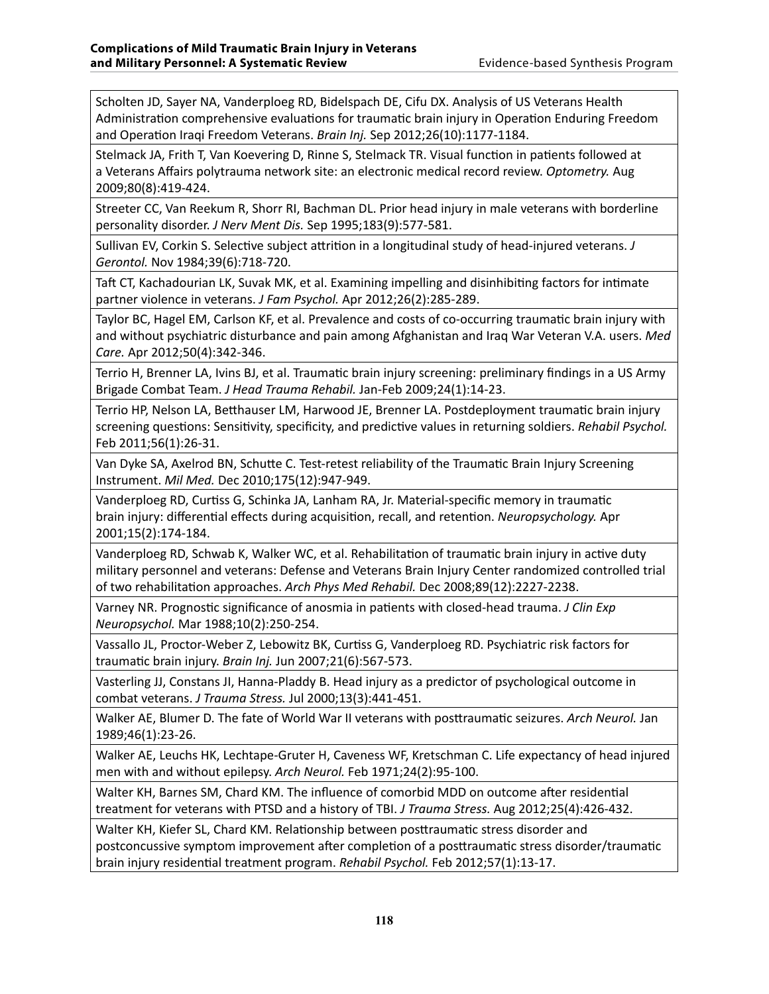Scholten JD, Sayer NA, Vanderploeg RD, Bidelspach DE, Cifu DX. Analysis of US Veterans Health Administration comprehensive evaluations for traumatic brain injury in Operation Enduring Freedom and Operation Iraqi Freedom Veterans. *Brain Inj.* Sep 2012;26(10):1177-1184.

Stelmack JA, Frith T, Van Koevering D, Rinne S, Stelmack TR. Visual function in patients followed at a Veterans Affairs polytrauma network site: an electronic medical record review. *Optometry.* Aug 2009;80(8):419-424.

Streeter CC, Van Reekum R, Shorr RI, Bachman DL. Prior head injury in male veterans with borderline personality disorder. *J Nerv Ment Dis.* Sep 1995;183(9):577-581.

Sullivan EV, Corkin S. Selective subject attrition in a longitudinal study of head-injured veterans. *J Gerontol.* Nov 1984;39(6):718-720.

Taft CT, Kachadourian LK, Suvak MK, et al. Examining impelling and disinhibiting factors for intimate partner violence in veterans. *J Fam Psychol.* Apr 2012;26(2):285-289.

Taylor BC, Hagel EM, Carlson KF, et al. Prevalence and costs of co-occurring traumatic brain injury with and without psychiatric disturbance and pain among Afghanistan and Iraq War Veteran V.A. users. *Med Care.* Apr 2012;50(4):342-346.

Terrio H, Brenner LA, Ivins BJ, et al. Traumatic brain injury screening: preliminary findings in a US Army Brigade Combat Team. *J Head Trauma Rehabil.* Jan-Feb 2009;24(1):14-23.

Terrio HP, Nelson LA, Betthauser LM, Harwood JE, Brenner LA. Postdeployment traumatic brain injury screening questions: Sensitivity, specificity, and predictive values in returning soldiers. *Rehabil Psychol.*  Feb 2011;56(1):26-31.

Van Dyke SA, Axelrod BN, Schutte C. Test-retest reliability of the Traumatic Brain Injury Screening Instrument. *Mil Med.* Dec 2010;175(12):947-949.

Vanderploeg RD, Curtiss G, Schinka JA, Lanham RA, Jr. Material-specific memory in traumatic brain injury: differential effects during acquisition, recall, and retention. *Neuropsychology.* Apr 2001;15(2):174-184.

Vanderploeg RD, Schwab K, Walker WC, et al. Rehabilitation of traumatic brain injury in active duty military personnel and veterans: Defense and Veterans Brain Injury Center randomized controlled trial of two rehabilitation approaches. *Arch Phys Med Rehabil.* Dec 2008;89(12):2227-2238.

Varney NR. Prognostic significance of anosmia in patients with closed-head trauma. *J Clin Exp Neuropsychol.* Mar 1988;10(2):250-254.

Vassallo JL, Proctor-Weber Z, Lebowitz BK, Curtiss G, Vanderploeg RD. Psychiatric risk factors for traumatic brain injury. *Brain Inj.* Jun 2007;21(6):567-573.

Vasterling JJ, Constans JI, Hanna-Pladdy B. Head injury as a predictor of psychological outcome in combat veterans. *J Trauma Stress.* Jul 2000;13(3):441-451.

Walker AE, Blumer D. The fate of World War II veterans with posttraumatic seizures. *Arch Neurol.* Jan 1989;46(1):23-26.

Walker AE, Leuchs HK, Lechtape-Gruter H, Caveness WF, Kretschman C. Life expectancy of head injured men with and without epilepsy. *Arch Neurol.* Feb 1971;24(2):95-100.

Walter KH, Barnes SM, Chard KM. The influence of comorbid MDD on outcome after residential treatment for veterans with PTSD and a history of TBI. *J Trauma Stress.* Aug 2012;25(4):426-432.

Walter KH, Kiefer SL, Chard KM. Relationship between posttraumatic stress disorder and postconcussive symptom improvement after completion of a posttraumatic stress disorder/traumatic brain injury residential treatment program. *Rehabil Psychol.* Feb 2012;57(1):13-17.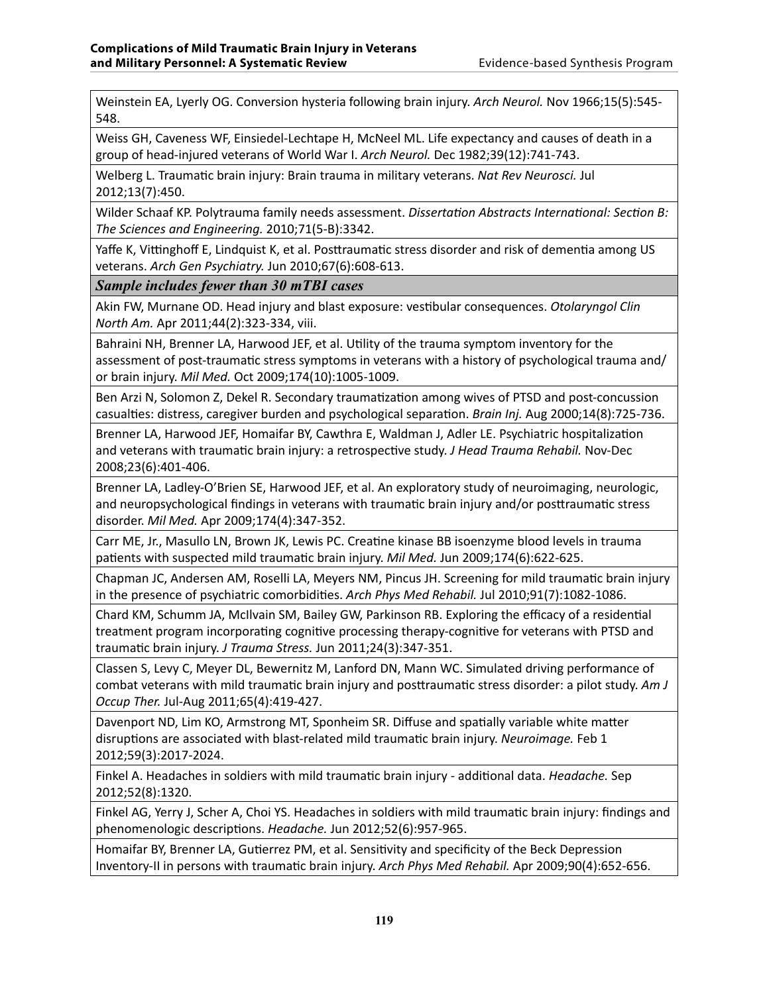Weinstein EA, Lyerly OG. Conversion hysteria following brain injury. *Arch Neurol.* Nov 1966;15(5):545- 548.

Weiss GH, Caveness WF, Einsiedel-Lechtape H, McNeel ML. Life expectancy and causes of death in a group of head-injured veterans of World War I. *Arch Neurol.* Dec 1982;39(12):741-743.

Welberg L. Traumatic brain injury: Brain trauma in military veterans. *Nat Rev Neurosci.* Jul 2012;13(7):450.

Wilder Schaaf KP. Polytrauma family needs assessment. *Dissertation Abstracts International: Section B: The Sciences and Engineering.* 2010;71(5-B):3342.

Yaffe K, Vittinghoff E, Lindquist K, et al. Posttraumatic stress disorder and risk of dementia among US veterans. *Arch Gen Psychiatry.* Jun 2010;67(6):608-613.

*Sample includes fewer than 30 mTBI cases*

Akin FW, Murnane OD. Head injury and blast exposure: vestibular consequences. *Otolaryngol Clin North Am.* Apr 2011;44(2):323-334, viii.

Bahraini NH, Brenner LA, Harwood JEF, et al. Utility of the trauma symptom inventory for the assessment of post-traumatic stress symptoms in veterans with a history of psychological trauma and/ or brain injury. *Mil Med.* Oct 2009;174(10):1005-1009.

Ben Arzi N, Solomon Z, Dekel R. Secondary traumatization among wives of PTSD and post-concussion casualties: distress, caregiver burden and psychological separation. *Brain Inj.* Aug 2000;14(8):725-736.

Brenner LA, Harwood JEF, Homaifar BY, Cawthra E, Waldman J, Adler LE. Psychiatric hospitalization and veterans with traumatic brain injury: a retrospective study. *J Head Trauma Rehabil.* Nov-Dec 2008;23(6):401-406.

Brenner LA, Ladley-O'Brien SE, Harwood JEF, et al. An exploratory study of neuroimaging, neurologic, and neuropsychological findings in veterans with traumatic brain injury and/or posttraumatic stress disorder. *Mil Med.* Apr 2009;174(4):347-352.

Carr ME, Jr., Masullo LN, Brown JK, Lewis PC. Creatine kinase BB isoenzyme blood levels in trauma patients with suspected mild traumatic brain injury. *Mil Med.* Jun 2009;174(6):622-625.

Chapman JC, Andersen AM, Roselli LA, Meyers NM, Pincus JH. Screening for mild traumatic brain injury in the presence of psychiatric comorbidities. *Arch Phys Med Rehabil.* Jul 2010;91(7):1082-1086.

Chard KM, Schumm JA, McIlvain SM, Bailey GW, Parkinson RB. Exploring the efficacy of a residential treatment program incorporating cognitive processing therapy-cognitive for veterans with PTSD and traumatic brain injury. *J Trauma Stress.* Jun 2011;24(3):347-351.

Classen S, Levy C, Meyer DL, Bewernitz M, Lanford DN, Mann WC. Simulated driving performance of combat veterans with mild traumatic brain injury and posttraumatic stress disorder: a pilot study. *Am J Occup Ther.* Jul-Aug 2011;65(4):419-427.

Davenport ND, Lim KO, Armstrong MT, Sponheim SR. Diffuse and spatially variable white matter disruptions are associated with blast-related mild traumatic brain injury. *Neuroimage.* Feb 1 2012;59(3):2017-2024.

Finkel A. Headaches in soldiers with mild traumatic brain injury - additional data. *Headache.* Sep 2012;52(8):1320.

Finkel AG, Yerry J, Scher A, Choi YS. Headaches in soldiers with mild traumatic brain injury: findings and phenomenologic descriptions. *Headache.* Jun 2012;52(6):957-965.

Homaifar BY, Brenner LA, Gutierrez PM, et al. Sensitivity and specificity of the Beck Depression Inventory-II in persons with traumatic brain injury. *Arch Phys Med Rehabil.* Apr 2009;90(4):652-656.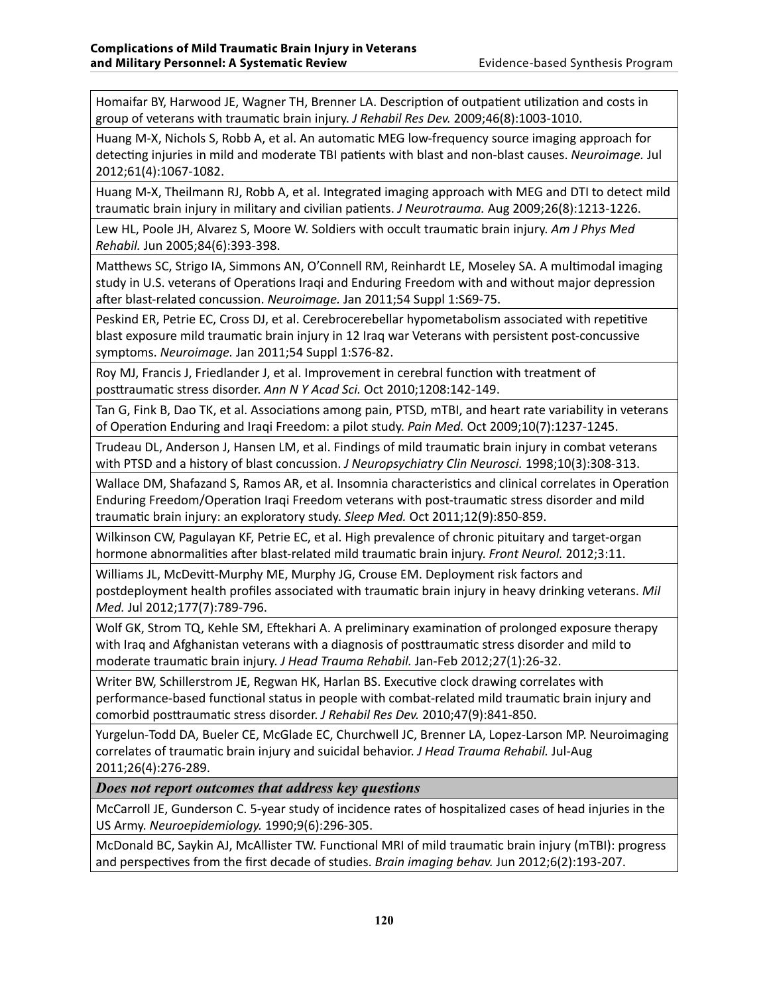Homaifar BY, Harwood JE, Wagner TH, Brenner LA. Description of outpatient utilization and costs in group of veterans with traumatic brain injury. *J Rehabil Res Dev.* 2009;46(8):1003-1010.

Huang M-X, Nichols S, Robb A, et al. An automatic MEG low-frequency source imaging approach for detecting injuries in mild and moderate TBI patients with blast and non-blast causes. *Neuroimage.* Jul 2012;61(4):1067-1082.

Huang M-X, Theilmann RJ, Robb A, et al. Integrated imaging approach with MEG and DTI to detect mild traumatic brain injury in military and civilian patients. *J Neurotrauma.* Aug 2009;26(8):1213-1226.

Lew HL, Poole JH, Alvarez S, Moore W. Soldiers with occult traumatic brain injury. *Am J Phys Med Rehabil.* Jun 2005;84(6):393-398.

Matthews SC, Strigo IA, Simmons AN, O'Connell RM, Reinhardt LE, Moseley SA. A multimodal imaging study in U.S. veterans of Operations Iraqi and Enduring Freedom with and without major depression after blast-related concussion. *Neuroimage.* Jan 2011;54 Suppl 1:S69-75.

Peskind ER, Petrie EC, Cross DJ, et al. Cerebrocerebellar hypometabolism associated with repetitive blast exposure mild traumatic brain injury in 12 Iraq war Veterans with persistent post-concussive symptoms. *Neuroimage.* Jan 2011;54 Suppl 1:S76-82.

Roy MJ, Francis J, Friedlander J, et al. Improvement in cerebral function with treatment of posttraumatic stress disorder. *Ann N Y Acad Sci.* Oct 2010;1208:142-149.

Tan G, Fink B, Dao TK, et al. Associations among pain, PTSD, mTBI, and heart rate variability in veterans of Operation Enduring and Iraqi Freedom: a pilot study. *Pain Med.* Oct 2009;10(7):1237-1245.

Trudeau DL, Anderson J, Hansen LM, et al. Findings of mild traumatic brain injury in combat veterans with PTSD and a history of blast concussion. *J Neuropsychiatry Clin Neurosci.* 1998;10(3):308-313.

Wallace DM, Shafazand S, Ramos AR, et al. Insomnia characteristics and clinical correlates in Operation Enduring Freedom/Operation Iraqi Freedom veterans with post-traumatic stress disorder and mild traumatic brain injury: an exploratory study. *Sleep Med.* Oct 2011;12(9):850-859.

Wilkinson CW, Pagulayan KF, Petrie EC, et al. High prevalence of chronic pituitary and target-organ hormone abnormalities after blast-related mild traumatic brain injury. *Front Neurol.* 2012;3:11.

Williams JL, McDevitt-Murphy ME, Murphy JG, Crouse EM. Deployment risk factors and postdeployment health profiles associated with traumatic brain injury in heavy drinking veterans. *Mil Med.* Jul 2012;177(7):789-796.

Wolf GK, Strom TQ, Kehle SM, Eftekhari A. A preliminary examination of prolonged exposure therapy with Iraq and Afghanistan veterans with a diagnosis of posttraumatic stress disorder and mild to moderate traumatic brain injury. *J Head Trauma Rehabil.* Jan-Feb 2012;27(1):26-32.

Writer BW, Schillerstrom JE, Regwan HK, Harlan BS. Executive clock drawing correlates with performance-based functional status in people with combat-related mild traumatic brain injury and comorbid posttraumatic stress disorder. *J Rehabil Res Dev.* 2010;47(9):841-850.

Yurgelun-Todd DA, Bueler CE, McGlade EC, Churchwell JC, Brenner LA, Lopez-Larson MP. Neuroimaging correlates of traumatic brain injury and suicidal behavior. *J Head Trauma Rehabil.* Jul-Aug 2011;26(4):276-289.

*Does not report outcomes that address key questions*

McCarroll JE, Gunderson C. 5-year study of incidence rates of hospitalized cases of head injuries in the US Army. *Neuroepidemiology.* 1990;9(6):296-305.

McDonald BC, Saykin AJ, McAllister TW. Functional MRI of mild traumatic brain injury (mTBI): progress and perspectives from the first decade of studies. *Brain imaging behav.* Jun 2012;6(2):193-207.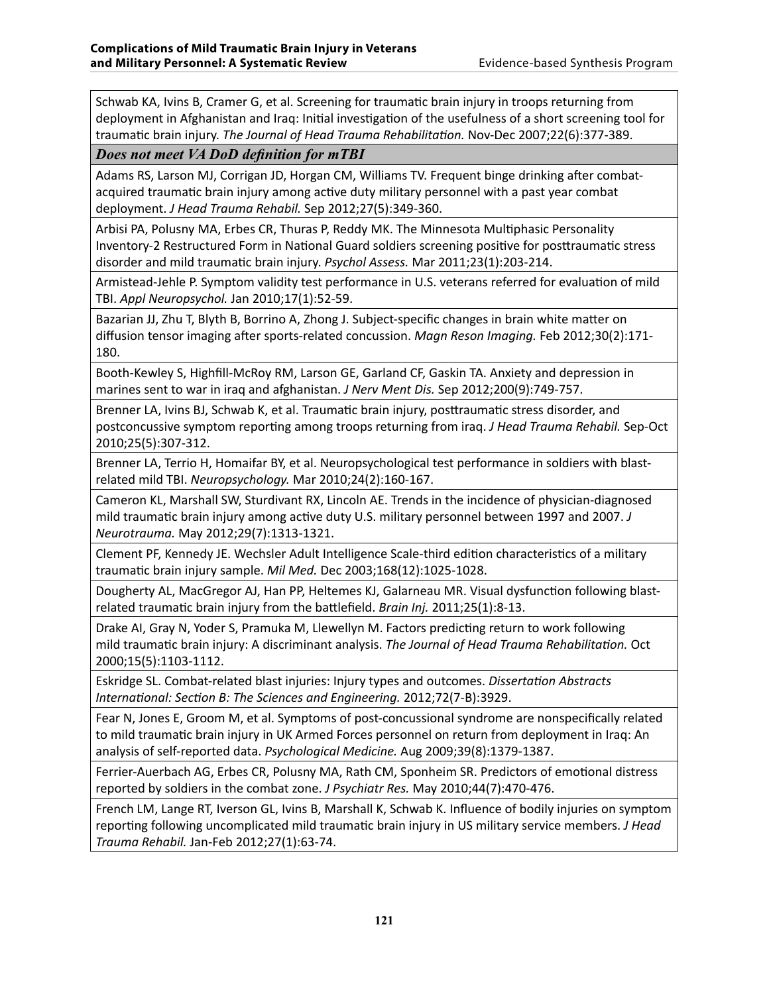Schwab KA, Ivins B, Cramer G, et al. Screening for traumatic brain injury in troops returning from deployment in Afghanistan and Iraq: Initial investigation of the usefulness of a short screening tool for traumatic brain injury. *The Journal of Head Trauma Rehabilitation.* Nov-Dec 2007;22(6):377-389.

*Does not meet VA DoD definition for mTBI*

Adams RS, Larson MJ, Corrigan JD, Horgan CM, Williams TV. Frequent binge drinking after combatacquired traumatic brain injury among active duty military personnel with a past year combat deployment. *J Head Trauma Rehabil.* Sep 2012;27(5):349-360.

Arbisi PA, Polusny MA, Erbes CR, Thuras P, Reddy MK. The Minnesota Multiphasic Personality Inventory-2 Restructured Form in National Guard soldiers screening positive for posttraumatic stress disorder and mild traumatic brain injury. *Psychol Assess.* Mar 2011;23(1):203-214.

Armistead-Jehle P. Symptom validity test performance in U.S. veterans referred for evaluation of mild TBI. *Appl Neuropsychol.* Jan 2010;17(1):52-59.

Bazarian JJ, Zhu T, Blyth B, Borrino A, Zhong J. Subject-specific changes in brain white matter on diffusion tensor imaging after sports-related concussion. *Magn Reson Imaging.* Feb 2012;30(2):171- 180.

Booth-Kewley S, Highfill-McRoy RM, Larson GE, Garland CF, Gaskin TA. Anxiety and depression in marines sent to war in iraq and afghanistan. *J Nerv Ment Dis.* Sep 2012;200(9):749-757.

Brenner LA, Ivins BJ, Schwab K, et al. Traumatic brain injury, posttraumatic stress disorder, and postconcussive symptom reporting among troops returning from iraq. *J Head Trauma Rehabil.* Sep-Oct 2010;25(5):307-312.

Brenner LA, Terrio H, Homaifar BY, et al. Neuropsychological test performance in soldiers with blastrelated mild TBI. *Neuropsychology.* Mar 2010;24(2):160-167.

Cameron KL, Marshall SW, Sturdivant RX, Lincoln AE. Trends in the incidence of physician-diagnosed mild traumatic brain injury among active duty U.S. military personnel between 1997 and 2007. *J Neurotrauma.* May 2012;29(7):1313-1321.

Clement PF, Kennedy JE. Wechsler Adult Intelligence Scale-third edition characteristics of a military traumatic brain injury sample. *Mil Med.* Dec 2003;168(12):1025-1028.

Dougherty AL, MacGregor AJ, Han PP, Heltemes KJ, Galarneau MR. Visual dysfunction following blastrelated traumatic brain injury from the battlefield. *Brain Inj.* 2011;25(1):8-13.

Drake AI, Gray N, Yoder S, Pramuka M, Llewellyn M. Factors predicting return to work following mild traumatic brain injury: A discriminant analysis. *The Journal of Head Trauma Rehabilitation.* Oct 2000;15(5):1103-1112.

Eskridge SL. Combat-related blast injuries: Injury types and outcomes. *Dissertation Abstracts International: Section B: The Sciences and Engineering.* 2012;72(7-B):3929.

Fear N, Jones E, Groom M, et al. Symptoms of post-concussional syndrome are nonspecifically related to mild traumatic brain injury in UK Armed Forces personnel on return from deployment in Iraq: An analysis of self-reported data. *Psychological Medicine.* Aug 2009;39(8):1379-1387.

Ferrier-Auerbach AG, Erbes CR, Polusny MA, Rath CM, Sponheim SR. Predictors of emotional distress reported by soldiers in the combat zone. *J Psychiatr Res.* May 2010;44(7):470-476.

French LM, Lange RT, Iverson GL, Ivins B, Marshall K, Schwab K. Influence of bodily injuries on symptom reporting following uncomplicated mild traumatic brain injury in US military service members. *J Head Trauma Rehabil.* Jan-Feb 2012;27(1):63-74.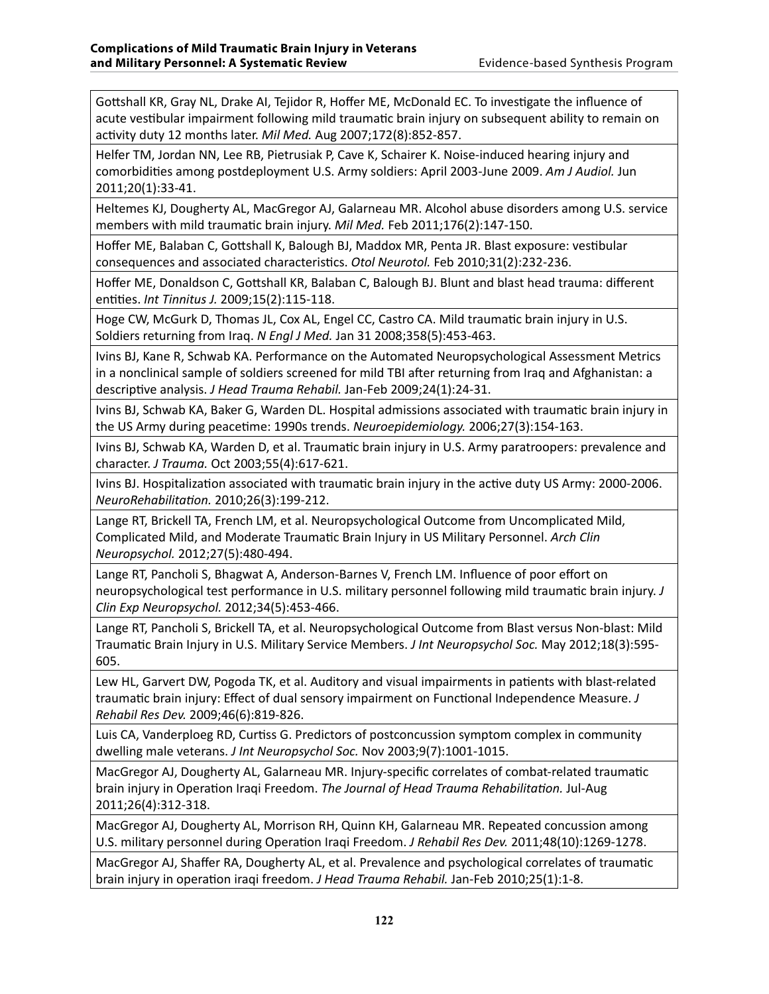Gottshall KR, Gray NL, Drake AI, Tejidor R, Hoffer ME, McDonald EC. To investigate the influence of acute vestibular impairment following mild traumatic brain injury on subsequent ability to remain on activity duty 12 months later. *Mil Med.* Aug 2007;172(8):852-857.

Helfer TM, Jordan NN, Lee RB, Pietrusiak P, Cave K, Schairer K. Noise-induced hearing injury and comorbidities among postdeployment U.S. Army soldiers: April 2003-June 2009. *Am J Audiol.* Jun 2011;20(1):33-41.

Heltemes KJ, Dougherty AL, MacGregor AJ, Galarneau MR. Alcohol abuse disorders among U.S. service members with mild traumatic brain injury. *Mil Med.* Feb 2011;176(2):147-150.

Hoffer ME, Balaban C, Gottshall K, Balough BJ, Maddox MR, Penta JR. Blast exposure: vestibular consequences and associated characteristics. *Otol Neurotol.* Feb 2010;31(2):232-236.

Hoffer ME, Donaldson C, Gottshall KR, Balaban C, Balough BJ. Blunt and blast head trauma: different entities. *Int Tinnitus J.* 2009;15(2):115-118.

Hoge CW, McGurk D, Thomas JL, Cox AL, Engel CC, Castro CA. Mild traumatic brain injury in U.S. Soldiers returning from Iraq. *N Engl J Med.* Jan 31 2008;358(5):453-463.

Ivins BJ, Kane R, Schwab KA. Performance on the Automated Neuropsychological Assessment Metrics in a nonclinical sample of soldiers screened for mild TBI after returning from Iraq and Afghanistan: a descriptive analysis. *J Head Trauma Rehabil.* Jan-Feb 2009;24(1):24-31.

Ivins BJ, Schwab KA, Baker G, Warden DL. Hospital admissions associated with traumatic brain injury in the US Army during peacetime: 1990s trends. *Neuroepidemiology.* 2006;27(3):154-163.

Ivins BJ, Schwab KA, Warden D, et al. Traumatic brain injury in U.S. Army paratroopers: prevalence and character. *J Trauma.* Oct 2003;55(4):617-621.

Ivins BJ. Hospitalization associated with traumatic brain injury in the active duty US Army: 2000-2006. *NeuroRehabilitation.* 2010;26(3):199-212.

Lange RT, Brickell TA, French LM, et al. Neuropsychological Outcome from Uncomplicated Mild, Complicated Mild, and Moderate Traumatic Brain Injury in US Military Personnel. *Arch Clin Neuropsychol.* 2012;27(5):480-494.

Lange RT, Pancholi S, Bhagwat A, Anderson-Barnes V, French LM. Influence of poor effort on neuropsychological test performance in U.S. military personnel following mild traumatic brain injury. *J Clin Exp Neuropsychol.* 2012;34(5):453-466.

Lange RT, Pancholi S, Brickell TA, et al. Neuropsychological Outcome from Blast versus Non-blast: Mild Traumatic Brain Injury in U.S. Military Service Members. *J Int Neuropsychol Soc.* May 2012;18(3):595- 605.

Lew HL, Garvert DW, Pogoda TK, et al. Auditory and visual impairments in patients with blast-related traumatic brain injury: Effect of dual sensory impairment on Functional Independence Measure. *J Rehabil Res Dev.* 2009;46(6):819-826.

Luis CA, Vanderploeg RD, Curtiss G. Predictors of postconcussion symptom complex in community dwelling male veterans. *J Int Neuropsychol Soc.* Nov 2003;9(7):1001-1015.

MacGregor AJ, Dougherty AL, Galarneau MR. Injury-specific correlates of combat-related traumatic brain injury in Operation Iraqi Freedom. *The Journal of Head Trauma Rehabilitation.* Jul-Aug 2011;26(4):312-318.

MacGregor AJ, Dougherty AL, Morrison RH, Quinn KH, Galarneau MR. Repeated concussion among U.S. military personnel during Operation Iraqi Freedom. *J Rehabil Res Dev.* 2011;48(10):1269-1278.

MacGregor AJ, Shaffer RA, Dougherty AL, et al. Prevalence and psychological correlates of traumatic brain injury in operation iraqi freedom. *J Head Trauma Rehabil.* Jan-Feb 2010;25(1):1-8.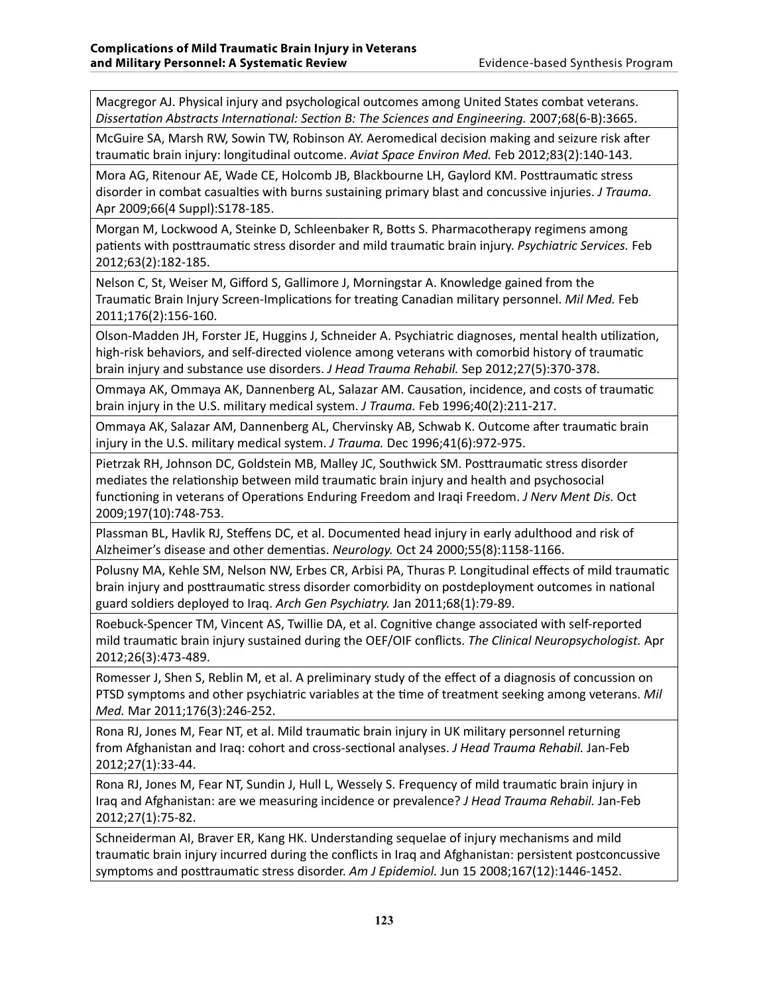Macgregor AJ. Physical injury and psychological outcomes among United States combat veterans. *Dissertation Abstracts International: Section B: The Sciences and Engineering.* 2007;68(6-B):3665.

McGuire SA, Marsh RW, Sowin TW, Robinson AY. Aeromedical decision making and seizure risk after traumatic brain injury: longitudinal outcome. *Aviat Space Environ Med.* Feb 2012;83(2):140-143.

Mora AG, Ritenour AE, Wade CE, Holcomb JB, Blackbourne LH, Gaylord KM. Posttraumatic stress disorder in combat casualties with burns sustaining primary blast and concussive injuries. *J Trauma.*  Apr 2009;66(4 Suppl):S178-185.

Morgan M, Lockwood A, Steinke D, Schleenbaker R, Botts S. Pharmacotherapy regimens among patients with posttraumatic stress disorder and mild traumatic brain injury. *Psychiatric Services.* Feb 2012;63(2):182-185.

Nelson C, St, Weiser M, Gifford S, Gallimore J, Morningstar A. Knowledge gained from the Traumatic Brain Injury Screen-Implications for treating Canadian military personnel. *Mil Med.* Feb 2011;176(2):156-160.

Olson-Madden JH, Forster JE, Huggins J, Schneider A. Psychiatric diagnoses, mental health utilization, high-risk behaviors, and self-directed violence among veterans with comorbid history of traumatic brain injury and substance use disorders. *J Head Trauma Rehabil.* Sep 2012;27(5):370-378.

Ommaya AK, Ommaya AK, Dannenberg AL, Salazar AM. Causation, incidence, and costs of traumatic brain injury in the U.S. military medical system. *J Trauma.* Feb 1996;40(2):211-217.

Ommaya AK, Salazar AM, Dannenberg AL, Chervinsky AB, Schwab K. Outcome after traumatic brain injury in the U.S. military medical system. *J Trauma.* Dec 1996;41(6):972-975.

Pietrzak RH, Johnson DC, Goldstein MB, Malley JC, Southwick SM. Posttraumatic stress disorder mediates the relationship between mild traumatic brain injury and health and psychosocial functioning in veterans of Operations Enduring Freedom and Iraqi Freedom. *J Nerv Ment Dis.* Oct 2009;197(10):748-753.

Plassman BL, Havlik RJ, Steffens DC, et al. Documented head injury in early adulthood and risk of Alzheimer's disease and other dementias. *Neurology.* Oct 24 2000;55(8):1158-1166.

Polusny MA, Kehle SM, Nelson NW, Erbes CR, Arbisi PA, Thuras P. Longitudinal effects of mild traumatic brain injury and posttraumatic stress disorder comorbidity on postdeployment outcomes in national guard soldiers deployed to Iraq. *Arch Gen Psychiatry.* Jan 2011;68(1):79-89.

Roebuck-Spencer TM, Vincent AS, Twillie DA, et al. Cognitive change associated with self-reported mild traumatic brain injury sustained during the OEF/OIF conflicts. *The Clinical Neuropsychologist.* Apr 2012;26(3):473-489.

Romesser J, Shen S, Reblin M, et al. A preliminary study of the effect of a diagnosis of concussion on PTSD symptoms and other psychiatric variables at the time of treatment seeking among veterans. *Mil Med.* Mar 2011;176(3):246-252.

Rona RJ, Jones M, Fear NT, et al. Mild traumatic brain injury in UK military personnel returning from Afghanistan and Iraq: cohort and cross-sectional analyses. *J Head Trauma Rehabil.* Jan-Feb 2012;27(1):33-44.

Rona RJ, Jones M, Fear NT, Sundin J, Hull L, Wessely S. Frequency of mild traumatic brain injury in Iraq and Afghanistan: are we measuring incidence or prevalence? *J Head Trauma Rehabil.* Jan-Feb 2012;27(1):75-82.

Schneiderman AI, Braver ER, Kang HK. Understanding sequelae of injury mechanisms and mild traumatic brain injury incurred during the conflicts in Iraq and Afghanistan: persistent postconcussive symptoms and posttraumatic stress disorder. *Am J Epidemiol.* Jun 15 2008;167(12):1446-1452.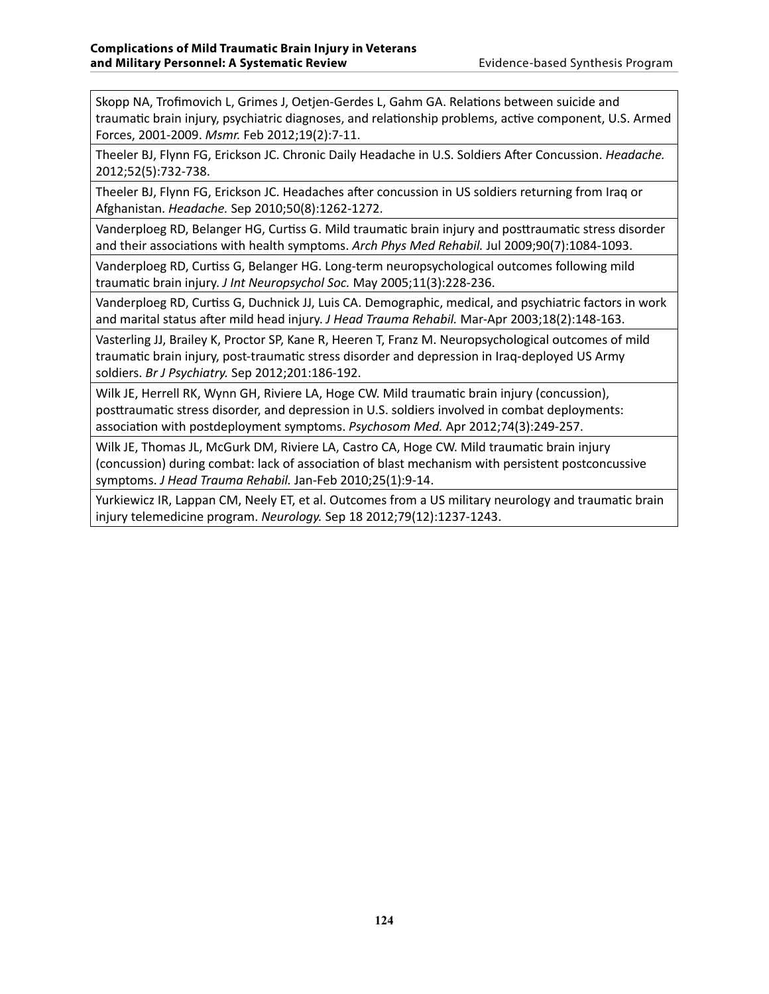Skopp NA, Trofimovich L, Grimes J, Oetjen-Gerdes L, Gahm GA. Relations between suicide and traumatic brain injury, psychiatric diagnoses, and relationship problems, active component, U.S. Armed Forces, 2001-2009. *Msmr.* Feb 2012;19(2):7-11.

Theeler BJ, Flynn FG, Erickson JC. Chronic Daily Headache in U.S. Soldiers After Concussion. *Headache.*  2012;52(5):732-738.

Theeler BJ, Flynn FG, Erickson JC. Headaches after concussion in US soldiers returning from Iraq or Afghanistan. *Headache.* Sep 2010;50(8):1262-1272.

Vanderploeg RD, Belanger HG, Curtiss G. Mild traumatic brain injury and posttraumatic stress disorder and their associations with health symptoms. *Arch Phys Med Rehabil.* Jul 2009;90(7):1084-1093.

Vanderploeg RD, Curtiss G, Belanger HG. Long-term neuropsychological outcomes following mild traumatic brain injury. *J Int Neuropsychol Soc.* May 2005;11(3):228-236.

Vanderploeg RD, Curtiss G, Duchnick JJ, Luis CA. Demographic, medical, and psychiatric factors in work and marital status after mild head injury. *J Head Trauma Rehabil.* Mar-Apr 2003;18(2):148-163.

Vasterling JJ, Brailey K, Proctor SP, Kane R, Heeren T, Franz M. Neuropsychological outcomes of mild traumatic brain injury, post-traumatic stress disorder and depression in Iraq-deployed US Army soldiers. *Br J Psychiatry.* Sep 2012;201:186-192.

Wilk JE, Herrell RK, Wynn GH, Riviere LA, Hoge CW. Mild traumatic brain injury (concussion), posttraumatic stress disorder, and depression in U.S. soldiers involved in combat deployments: association with postdeployment symptoms. *Psychosom Med.* Apr 2012;74(3):249-257.

Wilk JE, Thomas JL, McGurk DM, Riviere LA, Castro CA, Hoge CW. Mild traumatic brain injury (concussion) during combat: lack of association of blast mechanism with persistent postconcussive symptoms. *J Head Trauma Rehabil.* Jan-Feb 2010;25(1):9-14.

Yurkiewicz IR, Lappan CM, Neely ET, et al. Outcomes from a US military neurology and traumatic brain injury telemedicine program. *Neurology.* Sep 18 2012;79(12):1237-1243.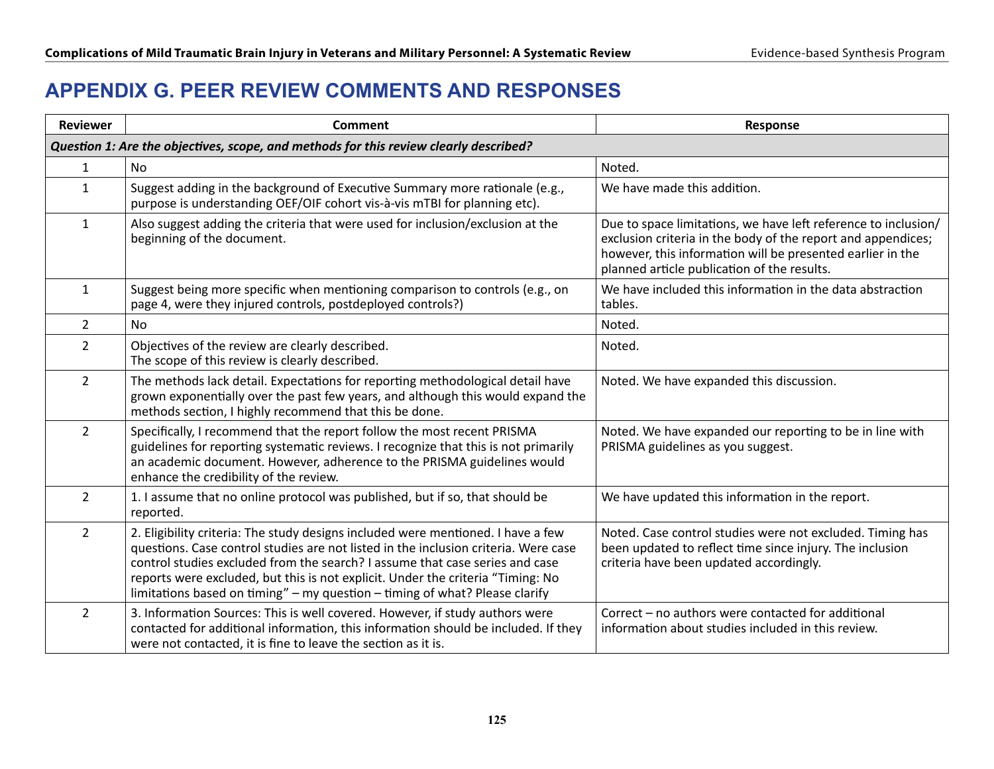# **APPENDIX G. PEER REVIEW COMMENTS AND RESPONSES**

| <b>Reviewer</b> | <b>Comment</b>                                                                                                                                                                                                                                                                                                                                                                                                            | Response                                                                                                                                                                                                                                    |
|-----------------|---------------------------------------------------------------------------------------------------------------------------------------------------------------------------------------------------------------------------------------------------------------------------------------------------------------------------------------------------------------------------------------------------------------------------|---------------------------------------------------------------------------------------------------------------------------------------------------------------------------------------------------------------------------------------------|
|                 | Question 1: Are the objectives, scope, and methods for this review clearly described?                                                                                                                                                                                                                                                                                                                                     |                                                                                                                                                                                                                                             |
| $\mathbf{1}$    | No                                                                                                                                                                                                                                                                                                                                                                                                                        | Noted.                                                                                                                                                                                                                                      |
| $\mathbf{1}$    | Suggest adding in the background of Executive Summary more rationale (e.g.,<br>purpose is understanding OEF/OIF cohort vis-à-vis mTBI for planning etc).                                                                                                                                                                                                                                                                  | We have made this addition.                                                                                                                                                                                                                 |
| $\mathbf{1}$    | Also suggest adding the criteria that were used for inclusion/exclusion at the<br>beginning of the document.                                                                                                                                                                                                                                                                                                              | Due to space limitations, we have left reference to inclusion/<br>exclusion criteria in the body of the report and appendices;<br>however, this information will be presented earlier in the<br>planned article publication of the results. |
| $\mathbf{1}$    | Suggest being more specific when mentioning comparison to controls (e.g., on<br>page 4, were they injured controls, postdeployed controls?)                                                                                                                                                                                                                                                                               | We have included this information in the data abstraction<br>tables.                                                                                                                                                                        |
| $\overline{2}$  | <b>No</b>                                                                                                                                                                                                                                                                                                                                                                                                                 | Noted.                                                                                                                                                                                                                                      |
| $\overline{2}$  | Objectives of the review are clearly described.<br>The scope of this review is clearly described.                                                                                                                                                                                                                                                                                                                         | Noted.                                                                                                                                                                                                                                      |
| $\overline{2}$  | The methods lack detail. Expectations for reporting methodological detail have<br>grown exponentially over the past few years, and although this would expand the<br>methods section, I highly recommend that this be done.                                                                                                                                                                                               | Noted. We have expanded this discussion.                                                                                                                                                                                                    |
| $\overline{2}$  | Specifically, I recommend that the report follow the most recent PRISMA<br>guidelines for reporting systematic reviews. I recognize that this is not primarily<br>an academic document. However, adherence to the PRISMA guidelines would<br>enhance the credibility of the review.                                                                                                                                       | Noted. We have expanded our reporting to be in line with<br>PRISMA guidelines as you suggest.                                                                                                                                               |
| $\overline{2}$  | 1. I assume that no online protocol was published, but if so, that should be<br>reported.                                                                                                                                                                                                                                                                                                                                 | We have updated this information in the report.                                                                                                                                                                                             |
| $\overline{2}$  | 2. Eligibility criteria: The study designs included were mentioned. I have a few<br>questions. Case control studies are not listed in the inclusion criteria. Were case<br>control studies excluded from the search? I assume that case series and case<br>reports were excluded, but this is not explicit. Under the criteria "Timing: No<br>limitations based on timing" - my question - timing of what? Please clarify | Noted. Case control studies were not excluded. Timing has<br>been updated to reflect time since injury. The inclusion<br>criteria have been updated accordingly.                                                                            |
| $\overline{2}$  | 3. Information Sources: This is well covered. However, if study authors were<br>contacted for additional information, this information should be included. If they<br>were not contacted, it is fine to leave the section as it is.                                                                                                                                                                                       | Correct - no authors were contacted for additional<br>information about studies included in this review.                                                                                                                                    |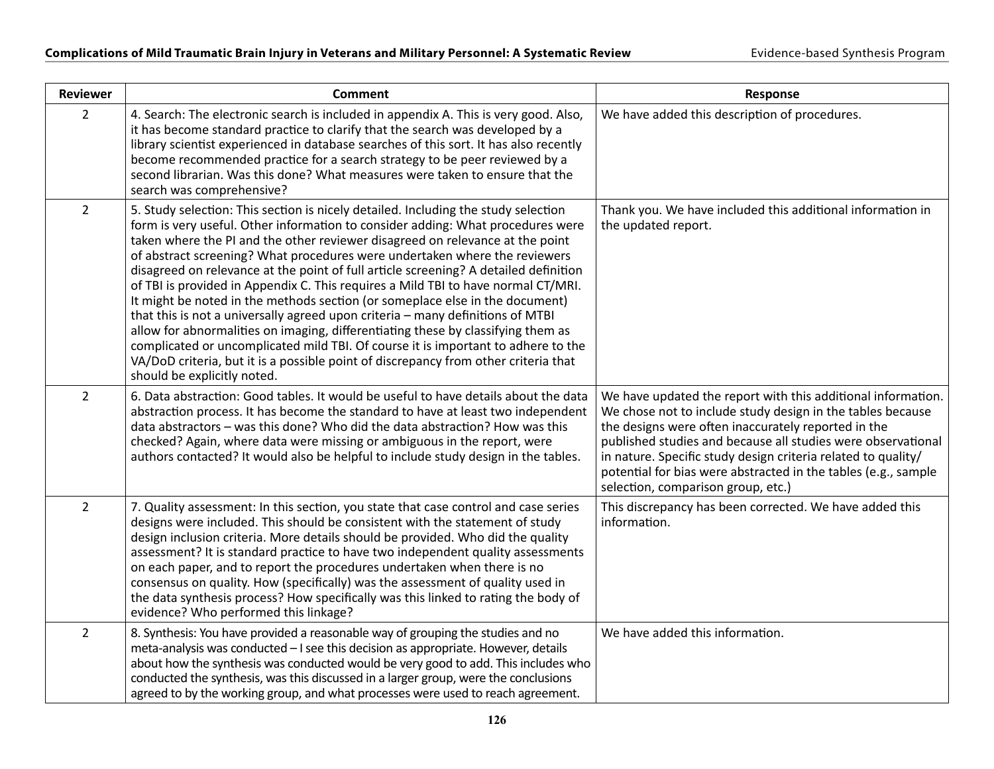| <b>Reviewer</b> | <b>Comment</b>                                                                                                                                                                                                                                                                                                                                                                                                                                                                                                                                                                                                                                                                                                                                                                                                                                                                                                                                                                     | Response                                                                                                                                                                                                                                                                                                                                                                                                                   |
|-----------------|------------------------------------------------------------------------------------------------------------------------------------------------------------------------------------------------------------------------------------------------------------------------------------------------------------------------------------------------------------------------------------------------------------------------------------------------------------------------------------------------------------------------------------------------------------------------------------------------------------------------------------------------------------------------------------------------------------------------------------------------------------------------------------------------------------------------------------------------------------------------------------------------------------------------------------------------------------------------------------|----------------------------------------------------------------------------------------------------------------------------------------------------------------------------------------------------------------------------------------------------------------------------------------------------------------------------------------------------------------------------------------------------------------------------|
| $\overline{2}$  | 4. Search: The electronic search is included in appendix A. This is very good. Also,<br>it has become standard practice to clarify that the search was developed by a<br>library scientist experienced in database searches of this sort. It has also recently<br>become recommended practice for a search strategy to be peer reviewed by a<br>second librarian. Was this done? What measures were taken to ensure that the<br>search was comprehensive?                                                                                                                                                                                                                                                                                                                                                                                                                                                                                                                          | We have added this description of procedures.                                                                                                                                                                                                                                                                                                                                                                              |
| $\overline{2}$  | 5. Study selection: This section is nicely detailed. Including the study selection<br>form is very useful. Other information to consider adding: What procedures were<br>taken where the PI and the other reviewer disagreed on relevance at the point<br>of abstract screening? What procedures were undertaken where the reviewers<br>disagreed on relevance at the point of full article screening? A detailed definition<br>of TBI is provided in Appendix C. This requires a Mild TBI to have normal CT/MRI.<br>It might be noted in the methods section (or someplace else in the document)<br>that this is not a universally agreed upon criteria - many definitions of MTBI<br>allow for abnormalities on imaging, differentiating these by classifying them as<br>complicated or uncomplicated mild TBI. Of course it is important to adhere to the<br>VA/DoD criteria, but it is a possible point of discrepancy from other criteria that<br>should be explicitly noted. | Thank you. We have included this additional information in<br>the updated report.                                                                                                                                                                                                                                                                                                                                          |
| $\overline{2}$  | 6. Data abstraction: Good tables. It would be useful to have details about the data<br>abstraction process. It has become the standard to have at least two independent<br>data abstractors – was this done? Who did the data abstraction? How was this<br>checked? Again, where data were missing or ambiguous in the report, were<br>authors contacted? It would also be helpful to include study design in the tables.                                                                                                                                                                                                                                                                                                                                                                                                                                                                                                                                                          | We have updated the report with this additional information.<br>We chose not to include study design in the tables because<br>the designs were often inaccurately reported in the<br>published studies and because all studies were observational<br>in nature. Specific study design criteria related to quality/<br>potential for bias were abstracted in the tables (e.g., sample<br>selection, comparison group, etc.) |
| $\overline{2}$  | 7. Quality assessment: In this section, you state that case control and case series<br>designs were included. This should be consistent with the statement of study<br>design inclusion criteria. More details should be provided. Who did the quality<br>assessment? It is standard practice to have two independent quality assessments<br>on each paper, and to report the procedures undertaken when there is no<br>consensus on quality. How (specifically) was the assessment of quality used in<br>the data synthesis process? How specifically was this linked to rating the body of<br>evidence? Who performed this linkage?                                                                                                                                                                                                                                                                                                                                              | This discrepancy has been corrected. We have added this<br>information.                                                                                                                                                                                                                                                                                                                                                    |
| $\overline{2}$  | 8. Synthesis: You have provided a reasonable way of grouping the studies and no<br>meta-analysis was conducted - I see this decision as appropriate. However, details<br>about how the synthesis was conducted would be very good to add. This includes who<br>conducted the synthesis, was this discussed in a larger group, were the conclusions<br>agreed to by the working group, and what processes were used to reach agreement.                                                                                                                                                                                                                                                                                                                                                                                                                                                                                                                                             | We have added this information.                                                                                                                                                                                                                                                                                                                                                                                            |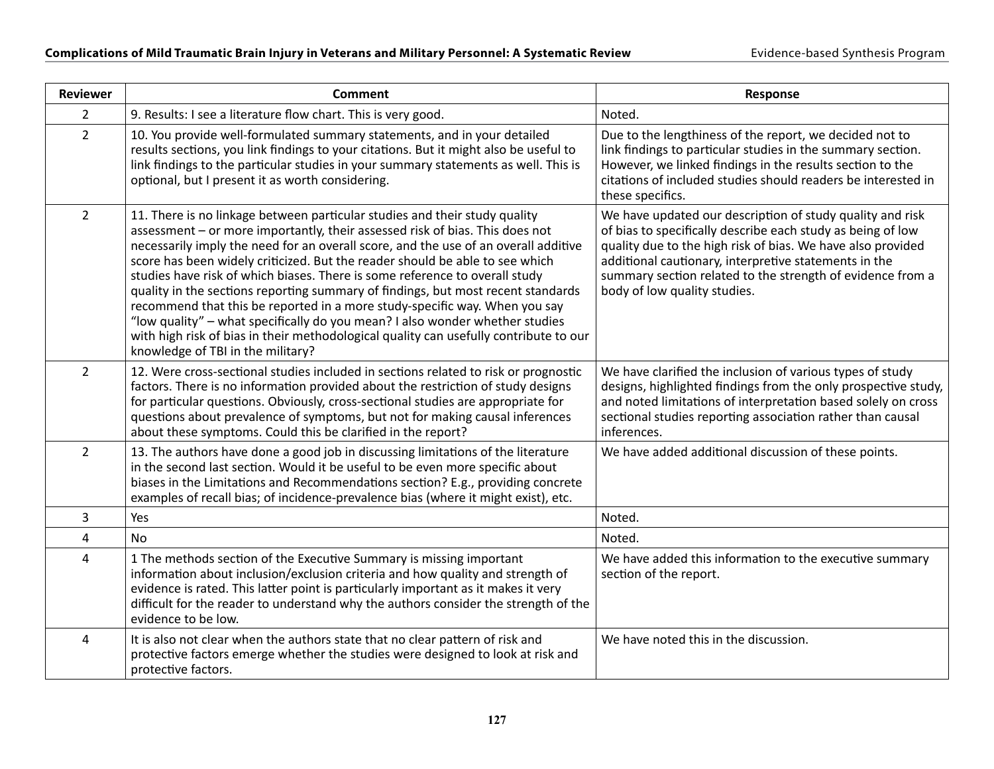| <b>Reviewer</b> | <b>Comment</b>                                                                                                                                                                                                                                                                                                                                                                                                                                                                                                                                                                                                                                                                                                                                                                                   | <b>Response</b>                                                                                                                                                                                                                                                                                                                                |
|-----------------|--------------------------------------------------------------------------------------------------------------------------------------------------------------------------------------------------------------------------------------------------------------------------------------------------------------------------------------------------------------------------------------------------------------------------------------------------------------------------------------------------------------------------------------------------------------------------------------------------------------------------------------------------------------------------------------------------------------------------------------------------------------------------------------------------|------------------------------------------------------------------------------------------------------------------------------------------------------------------------------------------------------------------------------------------------------------------------------------------------------------------------------------------------|
| $\overline{2}$  | 9. Results: I see a literature flow chart. This is very good.                                                                                                                                                                                                                                                                                                                                                                                                                                                                                                                                                                                                                                                                                                                                    | Noted.                                                                                                                                                                                                                                                                                                                                         |
| $\overline{2}$  | 10. You provide well-formulated summary statements, and in your detailed<br>results sections, you link findings to your citations. But it might also be useful to<br>link findings to the particular studies in your summary statements as well. This is<br>optional, but I present it as worth considering.                                                                                                                                                                                                                                                                                                                                                                                                                                                                                     | Due to the lengthiness of the report, we decided not to<br>link findings to particular studies in the summary section.<br>However, we linked findings in the results section to the<br>citations of included studies should readers be interested in<br>these specifics.                                                                       |
| $\overline{2}$  | 11. There is no linkage between particular studies and their study quality<br>assessment - or more importantly, their assessed risk of bias. This does not<br>necessarily imply the need for an overall score, and the use of an overall additive<br>score has been widely criticized. But the reader should be able to see which<br>studies have risk of which biases. There is some reference to overall study<br>quality in the sections reporting summary of findings, but most recent standards<br>recommend that this be reported in a more study-specific way. When you say<br>"low quality" - what specifically do you mean? I also wonder whether studies<br>with high risk of bias in their methodological quality can usefully contribute to our<br>knowledge of TBI in the military? | We have updated our description of study quality and risk<br>of bias to specifically describe each study as being of low<br>quality due to the high risk of bias. We have also provided<br>additional cautionary, interpretive statements in the<br>summary section related to the strength of evidence from a<br>body of low quality studies. |
| $\overline{2}$  | 12. Were cross-sectional studies included in sections related to risk or prognostic<br>factors. There is no information provided about the restriction of study designs<br>for particular questions. Obviously, cross-sectional studies are appropriate for<br>questions about prevalence of symptoms, but not for making causal inferences<br>about these symptoms. Could this be clarified in the report?                                                                                                                                                                                                                                                                                                                                                                                      | We have clarified the inclusion of various types of study<br>designs, highlighted findings from the only prospective study,<br>and noted limitations of interpretation based solely on cross<br>sectional studies reporting association rather than causal<br>inferences.                                                                      |
| $\overline{2}$  | 13. The authors have done a good job in discussing limitations of the literature<br>in the second last section. Would it be useful to be even more specific about<br>biases in the Limitations and Recommendations section? E.g., providing concrete<br>examples of recall bias; of incidence-prevalence bias (where it might exist), etc.                                                                                                                                                                                                                                                                                                                                                                                                                                                       | We have added additional discussion of these points.                                                                                                                                                                                                                                                                                           |
| 3               | Yes                                                                                                                                                                                                                                                                                                                                                                                                                                                                                                                                                                                                                                                                                                                                                                                              | Noted.                                                                                                                                                                                                                                                                                                                                         |
| 4               | <b>No</b>                                                                                                                                                                                                                                                                                                                                                                                                                                                                                                                                                                                                                                                                                                                                                                                        | Noted.                                                                                                                                                                                                                                                                                                                                         |
| $\overline{4}$  | 1 The methods section of the Executive Summary is missing important<br>information about inclusion/exclusion criteria and how quality and strength of<br>evidence is rated. This latter point is particularly important as it makes it very<br>difficult for the reader to understand why the authors consider the strength of the<br>evidence to be low.                                                                                                                                                                                                                                                                                                                                                                                                                                        | We have added this information to the executive summary<br>section of the report.                                                                                                                                                                                                                                                              |
| 4               | It is also not clear when the authors state that no clear pattern of risk and<br>protective factors emerge whether the studies were designed to look at risk and<br>protective factors.                                                                                                                                                                                                                                                                                                                                                                                                                                                                                                                                                                                                          | We have noted this in the discussion.                                                                                                                                                                                                                                                                                                          |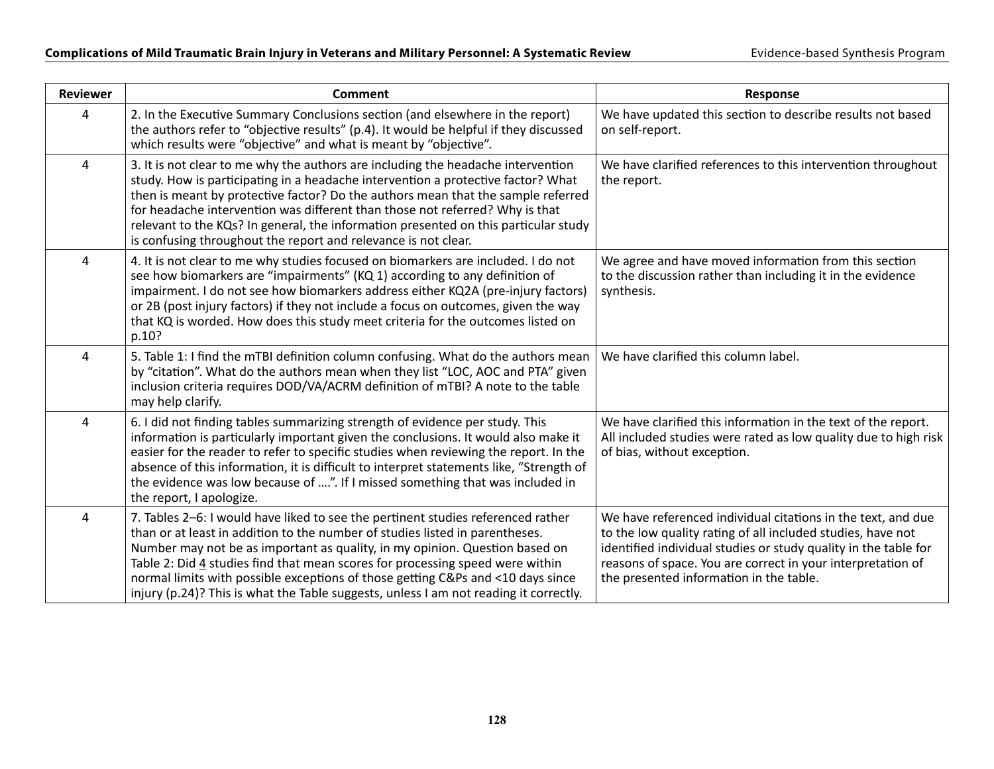| <b>Reviewer</b> | <b>Comment</b>                                                                                                                                                                                                                                                                                                                                                                                                                                                                                               | Response                                                                                                                                                                                                                                                                                                 |
|-----------------|--------------------------------------------------------------------------------------------------------------------------------------------------------------------------------------------------------------------------------------------------------------------------------------------------------------------------------------------------------------------------------------------------------------------------------------------------------------------------------------------------------------|----------------------------------------------------------------------------------------------------------------------------------------------------------------------------------------------------------------------------------------------------------------------------------------------------------|
| 4               | 2. In the Executive Summary Conclusions section (and elsewhere in the report)<br>the authors refer to "objective results" (p.4). It would be helpful if they discussed<br>which results were "objective" and what is meant by "objective".                                                                                                                                                                                                                                                                   | We have updated this section to describe results not based<br>on self-report.                                                                                                                                                                                                                            |
| $\overline{4}$  | 3. It is not clear to me why the authors are including the headache intervention<br>study. How is participating in a headache intervention a protective factor? What<br>then is meant by protective factor? Do the authors mean that the sample referred<br>for headache intervention was different than those not referred? Why is that<br>relevant to the KQs? In general, the information presented on this particular study<br>is confusing throughout the report and relevance is not clear.            | We have clarified references to this intervention throughout<br>the report.                                                                                                                                                                                                                              |
| $\overline{4}$  | 4. It is not clear to me why studies focused on biomarkers are included. I do not<br>see how biomarkers are "impairments" (KQ 1) according to any definition of<br>impairment. I do not see how biomarkers address either KQ2A (pre-injury factors)<br>or 2B (post injury factors) if they not include a focus on outcomes, given the way<br>that KQ is worded. How does this study meet criteria for the outcomes listed on<br>p.10?                                                                        | We agree and have moved information from this section<br>to the discussion rather than including it in the evidence<br>synthesis.                                                                                                                                                                        |
| $\overline{4}$  | 5. Table 1: I find the mTBI definition column confusing. What do the authors mean<br>by "citation". What do the authors mean when they list "LOC, AOC and PTA" given<br>inclusion criteria requires DOD/VA/ACRM definition of mTBI? A note to the table<br>may help clarify.                                                                                                                                                                                                                                 | We have clarified this column label.                                                                                                                                                                                                                                                                     |
| $\overline{4}$  | 6. I did not finding tables summarizing strength of evidence per study. This<br>information is particularly important given the conclusions. It would also make it<br>easier for the reader to refer to specific studies when reviewing the report. In the<br>absence of this information, it is difficult to interpret statements like, "Strength of<br>the evidence was low because of ". If I missed something that was included in<br>the report, I apologize.                                           | We have clarified this information in the text of the report.<br>All included studies were rated as low quality due to high risk<br>of bias, without exception.                                                                                                                                          |
| $\overline{4}$  | 7. Tables 2-6: I would have liked to see the pertinent studies referenced rather<br>than or at least in addition to the number of studies listed in parentheses.<br>Number may not be as important as quality, in my opinion. Question based on<br>Table 2: Did 4 studies find that mean scores for processing speed were within<br>normal limits with possible exceptions of those getting C&Ps and <10 days since<br>injury (p.24)? This is what the Table suggests, unless I am not reading it correctly. | We have referenced individual citations in the text, and due<br>to the low quality rating of all included studies, have not<br>identified individual studies or study quality in the table for<br>reasons of space. You are correct in your interpretation of<br>the presented information in the table. |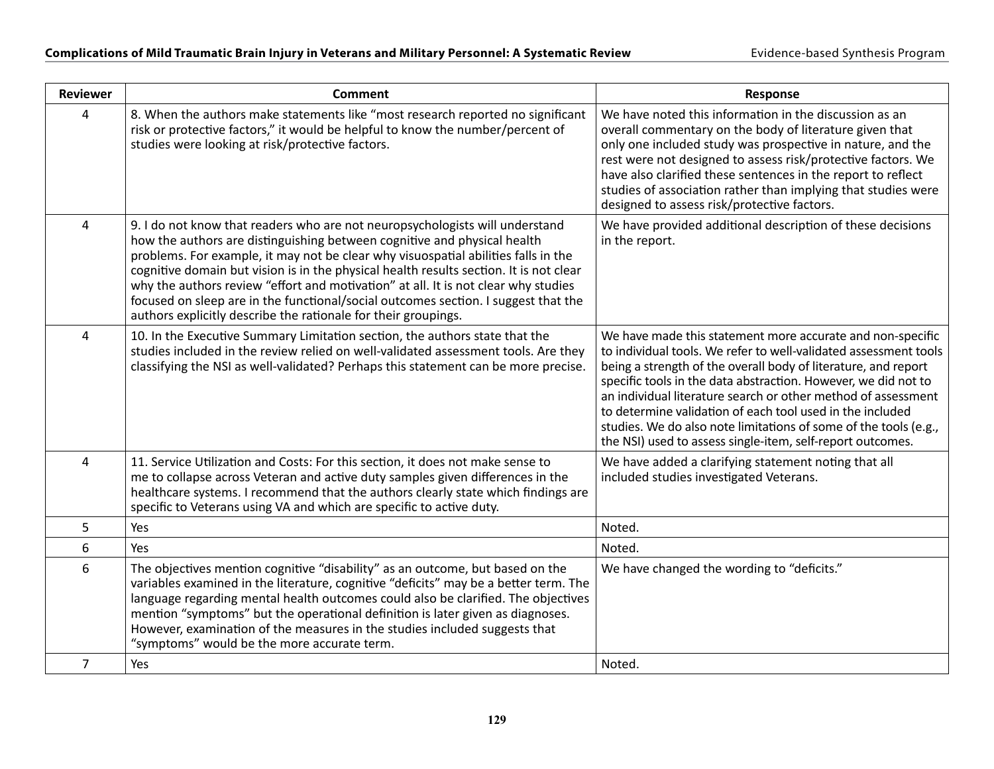| <b>Reviewer</b> | <b>Comment</b>                                                                                                                                                                                                                                                                                                                                                                                                                                                                                                                                                                         | <b>Response</b>                                                                                                                                                                                                                                                                                                                                                                                                                                                                                                                    |
|-----------------|----------------------------------------------------------------------------------------------------------------------------------------------------------------------------------------------------------------------------------------------------------------------------------------------------------------------------------------------------------------------------------------------------------------------------------------------------------------------------------------------------------------------------------------------------------------------------------------|------------------------------------------------------------------------------------------------------------------------------------------------------------------------------------------------------------------------------------------------------------------------------------------------------------------------------------------------------------------------------------------------------------------------------------------------------------------------------------------------------------------------------------|
| 4               | 8. When the authors make statements like "most research reported no significant<br>risk or protective factors," it would be helpful to know the number/percent of<br>studies were looking at risk/protective factors.                                                                                                                                                                                                                                                                                                                                                                  | We have noted this information in the discussion as an<br>overall commentary on the body of literature given that<br>only one included study was prospective in nature, and the<br>rest were not designed to assess risk/protective factors. We<br>have also clarified these sentences in the report to reflect<br>studies of association rather than implying that studies were<br>designed to assess risk/protective factors.                                                                                                    |
| 4               | 9. I do not know that readers who are not neuropsychologists will understand<br>how the authors are distinguishing between cognitive and physical health<br>problems. For example, it may not be clear why visuospatial abilities falls in the<br>cognitive domain but vision is in the physical health results section. It is not clear<br>why the authors review "effort and motivation" at all. It is not clear why studies<br>focused on sleep are in the functional/social outcomes section. I suggest that the<br>authors explicitly describe the rationale for their groupings. | We have provided additional description of these decisions<br>in the report.                                                                                                                                                                                                                                                                                                                                                                                                                                                       |
| 4               | 10. In the Executive Summary Limitation section, the authors state that the<br>studies included in the review relied on well-validated assessment tools. Are they<br>classifying the NSI as well-validated? Perhaps this statement can be more precise.                                                                                                                                                                                                                                                                                                                                | We have made this statement more accurate and non-specific<br>to individual tools. We refer to well-validated assessment tools<br>being a strength of the overall body of literature, and report<br>specific tools in the data abstraction. However, we did not to<br>an individual literature search or other method of assessment<br>to determine validation of each tool used in the included<br>studies. We do also note limitations of some of the tools (e.g.,<br>the NSI) used to assess single-item, self-report outcomes. |
| 4               | 11. Service Utilization and Costs: For this section, it does not make sense to<br>me to collapse across Veteran and active duty samples given differences in the<br>healthcare systems. I recommend that the authors clearly state which findings are<br>specific to Veterans using VA and which are specific to active duty.                                                                                                                                                                                                                                                          | We have added a clarifying statement noting that all<br>included studies investigated Veterans.                                                                                                                                                                                                                                                                                                                                                                                                                                    |
| 5               | Yes                                                                                                                                                                                                                                                                                                                                                                                                                                                                                                                                                                                    | Noted.                                                                                                                                                                                                                                                                                                                                                                                                                                                                                                                             |
| 6               | Yes                                                                                                                                                                                                                                                                                                                                                                                                                                                                                                                                                                                    | Noted.                                                                                                                                                                                                                                                                                                                                                                                                                                                                                                                             |
| 6               | The objectives mention cognitive "disability" as an outcome, but based on the<br>variables examined in the literature, cognitive "deficits" may be a better term. The<br>language regarding mental health outcomes could also be clarified. The objectives<br>mention "symptoms" but the operational definition is later given as diagnoses.<br>However, examination of the measures in the studies included suggests that<br>"symptoms" would be the more accurate term.                                                                                                              | We have changed the wording to "deficits."                                                                                                                                                                                                                                                                                                                                                                                                                                                                                         |
| $\overline{7}$  | Yes                                                                                                                                                                                                                                                                                                                                                                                                                                                                                                                                                                                    | Noted.                                                                                                                                                                                                                                                                                                                                                                                                                                                                                                                             |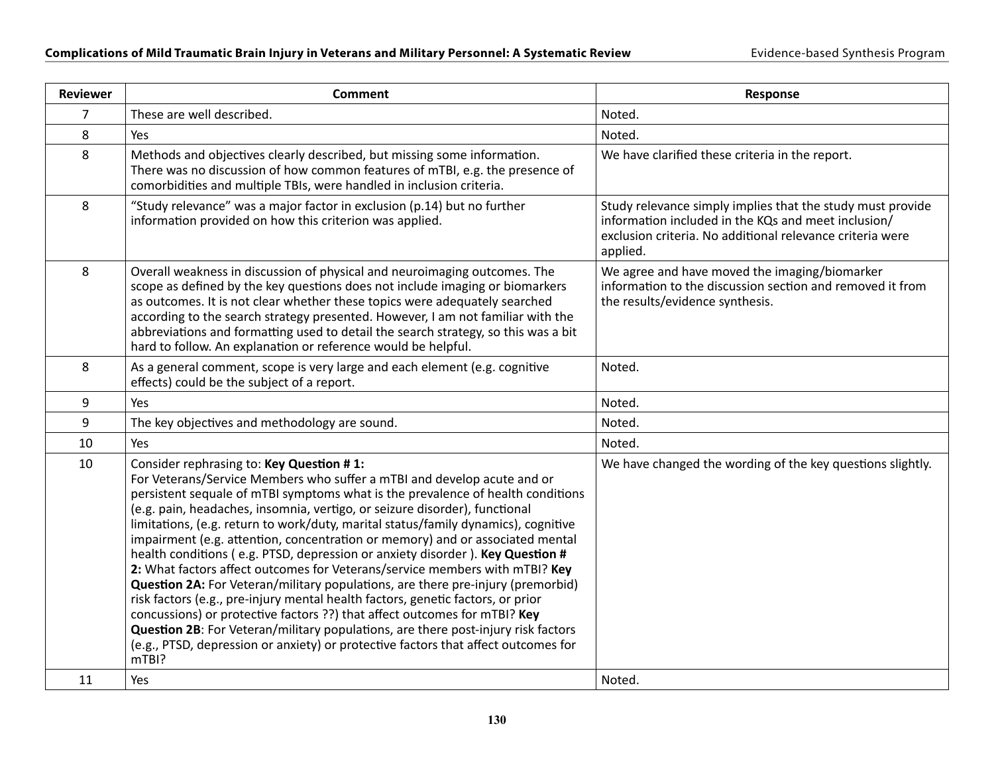| <b>Reviewer</b> | <b>Comment</b>                                                                                                                                                                                                                                                                                                                                                                                                                                                                                                                                                                                                                                                                                                                                                                                                                                                                                                                                                                                                                                                     | <b>Response</b>                                                                                                                                                                            |
|-----------------|--------------------------------------------------------------------------------------------------------------------------------------------------------------------------------------------------------------------------------------------------------------------------------------------------------------------------------------------------------------------------------------------------------------------------------------------------------------------------------------------------------------------------------------------------------------------------------------------------------------------------------------------------------------------------------------------------------------------------------------------------------------------------------------------------------------------------------------------------------------------------------------------------------------------------------------------------------------------------------------------------------------------------------------------------------------------|--------------------------------------------------------------------------------------------------------------------------------------------------------------------------------------------|
| $\overline{7}$  | These are well described.                                                                                                                                                                                                                                                                                                                                                                                                                                                                                                                                                                                                                                                                                                                                                                                                                                                                                                                                                                                                                                          | Noted.                                                                                                                                                                                     |
| 8               | Yes                                                                                                                                                                                                                                                                                                                                                                                                                                                                                                                                                                                                                                                                                                                                                                                                                                                                                                                                                                                                                                                                | Noted.                                                                                                                                                                                     |
| 8               | Methods and objectives clearly described, but missing some information.<br>There was no discussion of how common features of mTBI, e.g. the presence of<br>comorbidities and multiple TBIs, were handled in inclusion criteria.                                                                                                                                                                                                                                                                                                                                                                                                                                                                                                                                                                                                                                                                                                                                                                                                                                    | We have clarified these criteria in the report.                                                                                                                                            |
| 8               | "Study relevance" was a major factor in exclusion (p.14) but no further<br>information provided on how this criterion was applied.                                                                                                                                                                                                                                                                                                                                                                                                                                                                                                                                                                                                                                                                                                                                                                                                                                                                                                                                 | Study relevance simply implies that the study must provide<br>information included in the KQs and meet inclusion/<br>exclusion criteria. No additional relevance criteria were<br>applied. |
| 8               | Overall weakness in discussion of physical and neuroimaging outcomes. The<br>scope as defined by the key questions does not include imaging or biomarkers<br>as outcomes. It is not clear whether these topics were adequately searched<br>according to the search strategy presented. However, I am not familiar with the<br>abbreviations and formatting used to detail the search strategy, so this was a bit<br>hard to follow. An explanation or reference would be helpful.                                                                                                                                                                                                                                                                                                                                                                                                                                                                                                                                                                                  | We agree and have moved the imaging/biomarker<br>information to the discussion section and removed it from<br>the results/evidence synthesis.                                              |
| 8               | As a general comment, scope is very large and each element (e.g. cognitive<br>effects) could be the subject of a report.                                                                                                                                                                                                                                                                                                                                                                                                                                                                                                                                                                                                                                                                                                                                                                                                                                                                                                                                           | Noted.                                                                                                                                                                                     |
| 9               | Yes                                                                                                                                                                                                                                                                                                                                                                                                                                                                                                                                                                                                                                                                                                                                                                                                                                                                                                                                                                                                                                                                | Noted.                                                                                                                                                                                     |
| $9\,$           | The key objectives and methodology are sound.                                                                                                                                                                                                                                                                                                                                                                                                                                                                                                                                                                                                                                                                                                                                                                                                                                                                                                                                                                                                                      | Noted.                                                                                                                                                                                     |
| 10              | Yes                                                                                                                                                                                                                                                                                                                                                                                                                                                                                                                                                                                                                                                                                                                                                                                                                                                                                                                                                                                                                                                                | Noted.                                                                                                                                                                                     |
| 10              | Consider rephrasing to: Key Question #1:<br>For Veterans/Service Members who suffer a mTBI and develop acute and or<br>persistent sequale of mTBI symptoms what is the prevalence of health conditions<br>(e.g. pain, headaches, insomnia, vertigo, or seizure disorder), functional<br>limitations, (e.g. return to work/duty, marital status/family dynamics), cognitive<br>impairment (e.g. attention, concentration or memory) and or associated mental<br>health conditions (e.g. PTSD, depression or anxiety disorder). Key Question #<br>2: What factors affect outcomes for Veterans/service members with mTBI? Key<br>Question 2A: For Veteran/military populations, are there pre-injury (premorbid)<br>risk factors (e.g., pre-injury mental health factors, genetic factors, or prior<br>concussions) or protective factors ??) that affect outcomes for mTBI? Key<br>Question 2B: For Veteran/military populations, are there post-injury risk factors<br>(e.g., PTSD, depression or anxiety) or protective factors that affect outcomes for<br>mTBI? | We have changed the wording of the key questions slightly.                                                                                                                                 |
| 11              | Yes                                                                                                                                                                                                                                                                                                                                                                                                                                                                                                                                                                                                                                                                                                                                                                                                                                                                                                                                                                                                                                                                | Noted.                                                                                                                                                                                     |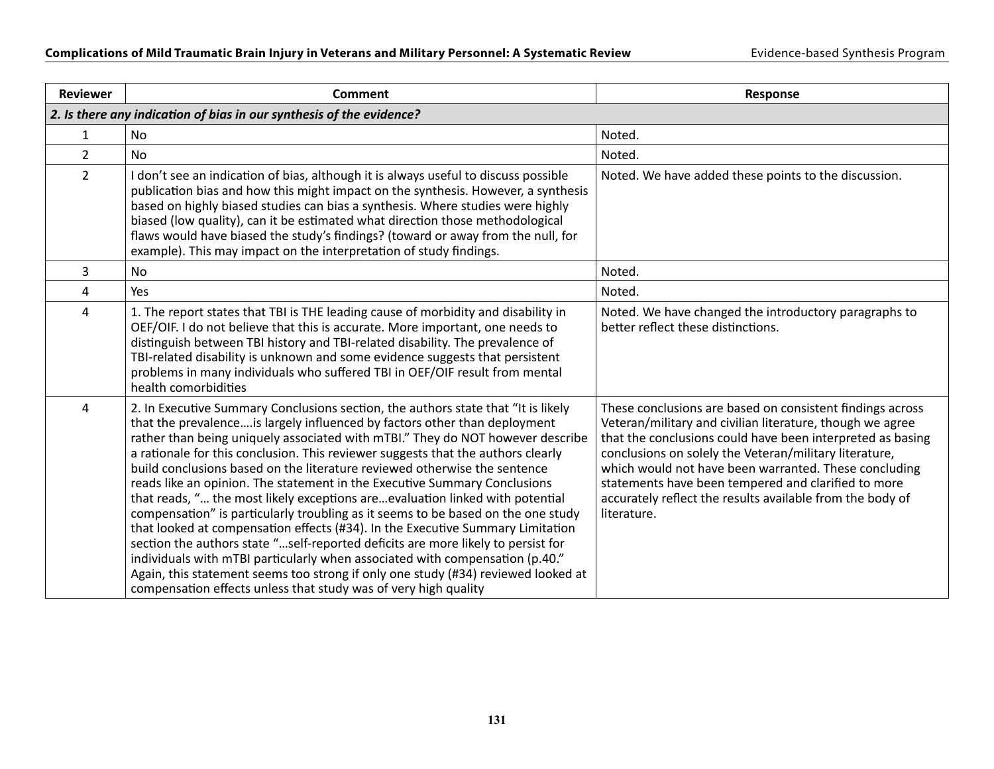| <b>Reviewer</b>         | Comment                                                                                                                                                                                                                                                                                                                                                                                                                                                                                                                                                                                                                                                                                                                                                                                                                                                                                                                                                                                                                                                                          | Response                                                                                                                                                                                                                                                                                                                                                                                                                                   |  |
|-------------------------|----------------------------------------------------------------------------------------------------------------------------------------------------------------------------------------------------------------------------------------------------------------------------------------------------------------------------------------------------------------------------------------------------------------------------------------------------------------------------------------------------------------------------------------------------------------------------------------------------------------------------------------------------------------------------------------------------------------------------------------------------------------------------------------------------------------------------------------------------------------------------------------------------------------------------------------------------------------------------------------------------------------------------------------------------------------------------------|--------------------------------------------------------------------------------------------------------------------------------------------------------------------------------------------------------------------------------------------------------------------------------------------------------------------------------------------------------------------------------------------------------------------------------------------|--|
|                         | 2. Is there any indication of bias in our synthesis of the evidence?                                                                                                                                                                                                                                                                                                                                                                                                                                                                                                                                                                                                                                                                                                                                                                                                                                                                                                                                                                                                             |                                                                                                                                                                                                                                                                                                                                                                                                                                            |  |
| 1                       | No                                                                                                                                                                                                                                                                                                                                                                                                                                                                                                                                                                                                                                                                                                                                                                                                                                                                                                                                                                                                                                                                               | Noted.                                                                                                                                                                                                                                                                                                                                                                                                                                     |  |
| $\overline{2}$          | <b>No</b>                                                                                                                                                                                                                                                                                                                                                                                                                                                                                                                                                                                                                                                                                                                                                                                                                                                                                                                                                                                                                                                                        | Noted.                                                                                                                                                                                                                                                                                                                                                                                                                                     |  |
| $\overline{2}$          | I don't see an indication of bias, although it is always useful to discuss possible<br>publication bias and how this might impact on the synthesis. However, a synthesis<br>based on highly biased studies can bias a synthesis. Where studies were highly<br>biased (low quality), can it be estimated what direction those methodological<br>flaws would have biased the study's findings? (toward or away from the null, for<br>example). This may impact on the interpretation of study findings.                                                                                                                                                                                                                                                                                                                                                                                                                                                                                                                                                                            | Noted. We have added these points to the discussion.                                                                                                                                                                                                                                                                                                                                                                                       |  |
| 3                       | <b>No</b>                                                                                                                                                                                                                                                                                                                                                                                                                                                                                                                                                                                                                                                                                                                                                                                                                                                                                                                                                                                                                                                                        | Noted.                                                                                                                                                                                                                                                                                                                                                                                                                                     |  |
| $\overline{\mathbf{4}}$ | Yes                                                                                                                                                                                                                                                                                                                                                                                                                                                                                                                                                                                                                                                                                                                                                                                                                                                                                                                                                                                                                                                                              | Noted.                                                                                                                                                                                                                                                                                                                                                                                                                                     |  |
| $\overline{4}$          | 1. The report states that TBI is THE leading cause of morbidity and disability in<br>OEF/OIF. I do not believe that this is accurate. More important, one needs to<br>distinguish between TBI history and TBI-related disability. The prevalence of<br>TBI-related disability is unknown and some evidence suggests that persistent<br>problems in many individuals who suffered TBI in OEF/OIF result from mental<br>health comorbidities                                                                                                                                                                                                                                                                                                                                                                                                                                                                                                                                                                                                                                       | Noted. We have changed the introductory paragraphs to<br>better reflect these distinctions.                                                                                                                                                                                                                                                                                                                                                |  |
| 4                       | 2. In Executive Summary Conclusions section, the authors state that "It is likely<br>that the prevalenceis largely influenced by factors other than deployment<br>rather than being uniquely associated with mTBI." They do NOT however describe<br>a rationale for this conclusion. This reviewer suggests that the authors clearly<br>build conclusions based on the literature reviewed otherwise the sentence<br>reads like an opinion. The statement in the Executive Summary Conclusions<br>that reads, " the most likely exceptions areevaluation linked with potential<br>compensation" is particularly troubling as it seems to be based on the one study<br>that looked at compensation effects (#34). In the Executive Summary Limitation<br>section the authors state "self-reported deficits are more likely to persist for<br>individuals with mTBI particularly when associated with compensation (p.40."<br>Again, this statement seems too strong if only one study (#34) reviewed looked at<br>compensation effects unless that study was of very high quality | These conclusions are based on consistent findings across<br>Veteran/military and civilian literature, though we agree<br>that the conclusions could have been interpreted as basing<br>conclusions on solely the Veteran/military literature,<br>which would not have been warranted. These concluding<br>statements have been tempered and clarified to more<br>accurately reflect the results available from the body of<br>literature. |  |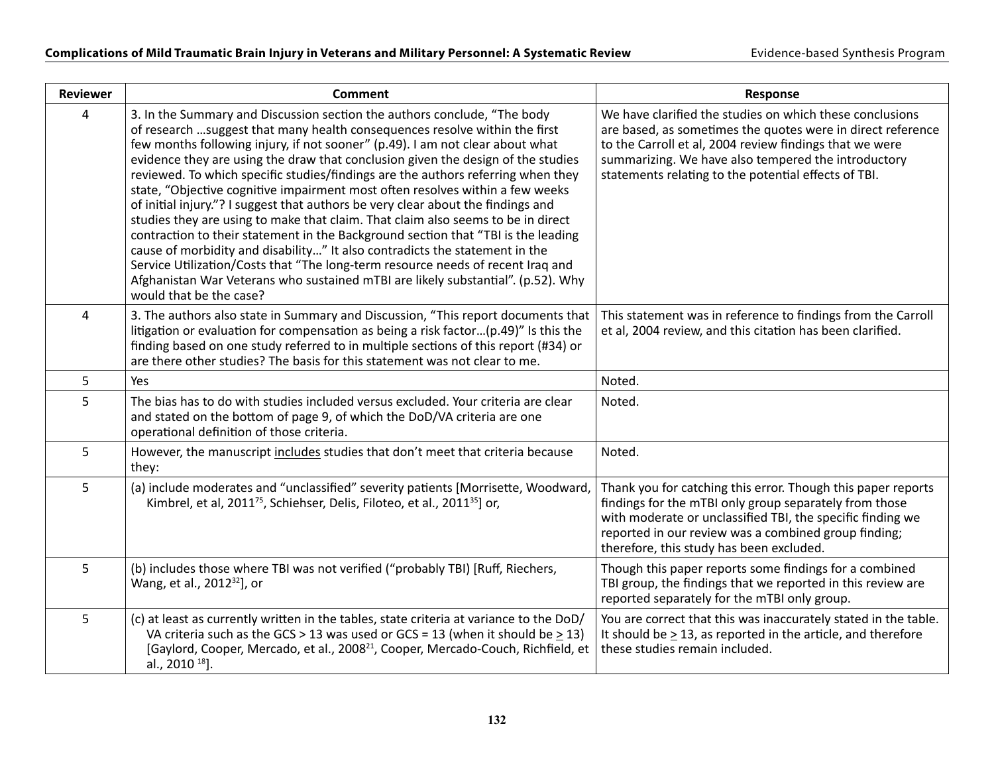| <b>Reviewer</b> | <b>Comment</b>                                                                                                                                                                                                                                                                                                                                                                                                                                                                                                                                                                                                                                                                                                                                                                                                                                                                                                                                                                                                                                  | Response                                                                                                                                                                                                                                                                                          |
|-----------------|-------------------------------------------------------------------------------------------------------------------------------------------------------------------------------------------------------------------------------------------------------------------------------------------------------------------------------------------------------------------------------------------------------------------------------------------------------------------------------------------------------------------------------------------------------------------------------------------------------------------------------------------------------------------------------------------------------------------------------------------------------------------------------------------------------------------------------------------------------------------------------------------------------------------------------------------------------------------------------------------------------------------------------------------------|---------------------------------------------------------------------------------------------------------------------------------------------------------------------------------------------------------------------------------------------------------------------------------------------------|
| 4               | 3. In the Summary and Discussion section the authors conclude, "The body<br>of research  suggest that many health consequences resolve within the first<br>few months following injury, if not sooner" (p.49). I am not clear about what<br>evidence they are using the draw that conclusion given the design of the studies<br>reviewed. To which specific studies/findings are the authors referring when they<br>state, "Objective cognitive impairment most often resolves within a few weeks<br>of initial injury."? I suggest that authors be very clear about the findings and<br>studies they are using to make that claim. That claim also seems to be in direct<br>contraction to their statement in the Background section that "TBI is the leading<br>cause of morbidity and disability" It also contradicts the statement in the<br>Service Utilization/Costs that "The long-term resource needs of recent Iraq and<br>Afghanistan War Veterans who sustained mTBI are likely substantial". (p.52). Why<br>would that be the case? | We have clarified the studies on which these conclusions<br>are based, as sometimes the quotes were in direct reference<br>to the Carroll et al, 2004 review findings that we were<br>summarizing. We have also tempered the introductory<br>statements relating to the potential effects of TBI. |
| 4               | 3. The authors also state in Summary and Discussion, "This report documents that<br>litigation or evaluation for compensation as being a risk factor(p.49)" Is this the<br>finding based on one study referred to in multiple sections of this report (#34) or<br>are there other studies? The basis for this statement was not clear to me.                                                                                                                                                                                                                                                                                                                                                                                                                                                                                                                                                                                                                                                                                                    | This statement was in reference to findings from the Carroll<br>et al, 2004 review, and this citation has been clarified.                                                                                                                                                                         |
| 5               | Yes                                                                                                                                                                                                                                                                                                                                                                                                                                                                                                                                                                                                                                                                                                                                                                                                                                                                                                                                                                                                                                             | Noted.                                                                                                                                                                                                                                                                                            |
| 5               | The bias has to do with studies included versus excluded. Your criteria are clear<br>and stated on the bottom of page 9, of which the DoD/VA criteria are one<br>operational definition of those criteria.                                                                                                                                                                                                                                                                                                                                                                                                                                                                                                                                                                                                                                                                                                                                                                                                                                      | Noted.                                                                                                                                                                                                                                                                                            |
| 5               | However, the manuscript includes studies that don't meet that criteria because<br>they:                                                                                                                                                                                                                                                                                                                                                                                                                                                                                                                                                                                                                                                                                                                                                                                                                                                                                                                                                         | Noted.                                                                                                                                                                                                                                                                                            |
| 5               | (a) include moderates and "unclassified" severity patients [Morrisette, Woodward,<br>Kimbrel, et al, 2011 <sup>75</sup> , Schiehser, Delis, Filoteo, et al., 2011 <sup>35</sup> ] or,                                                                                                                                                                                                                                                                                                                                                                                                                                                                                                                                                                                                                                                                                                                                                                                                                                                           | Thank you for catching this error. Though this paper reports<br>findings for the mTBI only group separately from those<br>with moderate or unclassified TBI, the specific finding we<br>reported in our review was a combined group finding;<br>therefore, this study has been excluded.          |
| 5               | (b) includes those where TBI was not verified ("probably TBI) [Ruff, Riechers,<br>Wang, et al., 2012 <sup>32</sup> ], or                                                                                                                                                                                                                                                                                                                                                                                                                                                                                                                                                                                                                                                                                                                                                                                                                                                                                                                        | Though this paper reports some findings for a combined<br>TBI group, the findings that we reported in this review are<br>reported separately for the mTBI only group.                                                                                                                             |
| 5               | (c) at least as currently written in the tables, state criteria at variance to the DoD/<br>VA criteria such as the GCS > 13 was used or GCS = 13 (when it should be $\geq$ 13)<br>[Gaylord, Cooper, Mercado, et al., 2008 <sup>21</sup> , Cooper, Mercado-Couch, Richfield, et<br>al., 2010 <sup>18</sup> ].                                                                                                                                                                                                                                                                                                                                                                                                                                                                                                                                                                                                                                                                                                                                    | You are correct that this was inaccurately stated in the table.<br>It should be $\geq$ 13, as reported in the article, and therefore<br>these studies remain included.                                                                                                                            |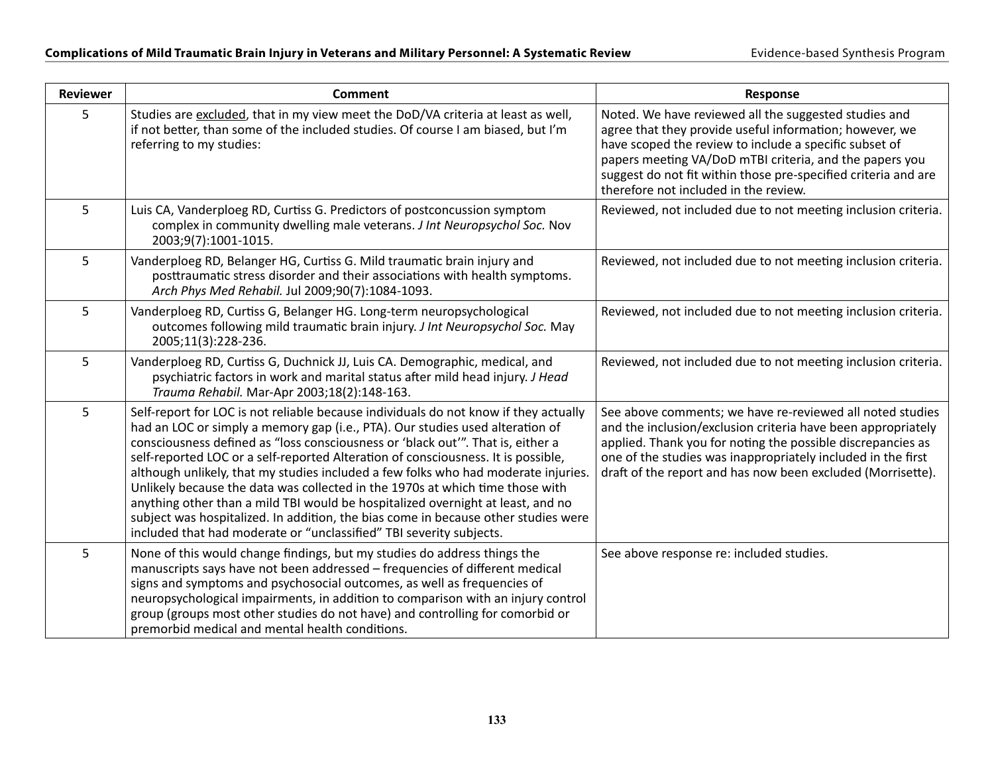| <b>Reviewer</b> | <b>Comment</b>                                                                                                                                                                                                                                                                                                                                                                                                                                                                                                                                                                                                                                                                                                                                                       | <b>Response</b>                                                                                                                                                                                                                                                                                                                                  |
|-----------------|----------------------------------------------------------------------------------------------------------------------------------------------------------------------------------------------------------------------------------------------------------------------------------------------------------------------------------------------------------------------------------------------------------------------------------------------------------------------------------------------------------------------------------------------------------------------------------------------------------------------------------------------------------------------------------------------------------------------------------------------------------------------|--------------------------------------------------------------------------------------------------------------------------------------------------------------------------------------------------------------------------------------------------------------------------------------------------------------------------------------------------|
| 5               | Studies are excluded, that in my view meet the DoD/VA criteria at least as well,<br>if not better, than some of the included studies. Of course I am biased, but I'm<br>referring to my studies:                                                                                                                                                                                                                                                                                                                                                                                                                                                                                                                                                                     | Noted. We have reviewed all the suggested studies and<br>agree that they provide useful information; however, we<br>have scoped the review to include a specific subset of<br>papers meeting VA/DoD mTBI criteria, and the papers you<br>suggest do not fit within those pre-specified criteria and are<br>therefore not included in the review. |
| 5               | Luis CA, Vanderploeg RD, Curtiss G. Predictors of postconcussion symptom<br>complex in community dwelling male veterans. J Int Neuropsychol Soc. Nov<br>2003;9(7):1001-1015.                                                                                                                                                                                                                                                                                                                                                                                                                                                                                                                                                                                         | Reviewed, not included due to not meeting inclusion criteria.                                                                                                                                                                                                                                                                                    |
| 5               | Vanderploeg RD, Belanger HG, Curtiss G. Mild traumatic brain injury and<br>posttraumatic stress disorder and their associations with health symptoms.<br>Arch Phys Med Rehabil. Jul 2009;90(7):1084-1093.                                                                                                                                                                                                                                                                                                                                                                                                                                                                                                                                                            | Reviewed, not included due to not meeting inclusion criteria.                                                                                                                                                                                                                                                                                    |
| 5               | Vanderploeg RD, Curtiss G, Belanger HG. Long-term neuropsychological<br>outcomes following mild traumatic brain injury. J Int Neuropsychol Soc. May<br>2005;11(3):228-236.                                                                                                                                                                                                                                                                                                                                                                                                                                                                                                                                                                                           | Reviewed, not included due to not meeting inclusion criteria.                                                                                                                                                                                                                                                                                    |
| 5               | Vanderploeg RD, Curtiss G, Duchnick JJ, Luis CA. Demographic, medical, and<br>psychiatric factors in work and marital status after mild head injury. J Head<br>Trauma Rehabil. Mar-Apr 2003;18(2):148-163.                                                                                                                                                                                                                                                                                                                                                                                                                                                                                                                                                           | Reviewed, not included due to not meeting inclusion criteria.                                                                                                                                                                                                                                                                                    |
| 5               | Self-report for LOC is not reliable because individuals do not know if they actually<br>had an LOC or simply a memory gap (i.e., PTA). Our studies used alteration of<br>consciousness defined as "loss consciousness or 'black out'". That is, either a<br>self-reported LOC or a self-reported Alteration of consciousness. It is possible,<br>although unlikely, that my studies included a few folks who had moderate injuries.<br>Unlikely because the data was collected in the 1970s at which time those with<br>anything other than a mild TBI would be hospitalized overnight at least, and no<br>subject was hospitalized. In addition, the bias come in because other studies were<br>included that had moderate or "unclassified" TBI severity subjects. | See above comments; we have re-reviewed all noted studies<br>and the inclusion/exclusion criteria have been appropriately<br>applied. Thank you for noting the possible discrepancies as<br>one of the studies was inappropriately included in the first<br>draft of the report and has now been excluded (Morrisette).                          |
| 5               | None of this would change findings, but my studies do address things the<br>manuscripts says have not been addressed - frequencies of different medical<br>signs and symptoms and psychosocial outcomes, as well as frequencies of<br>neuropsychological impairments, in addition to comparison with an injury control<br>group (groups most other studies do not have) and controlling for comorbid or<br>premorbid medical and mental health conditions.                                                                                                                                                                                                                                                                                                           | See above response re: included studies.                                                                                                                                                                                                                                                                                                         |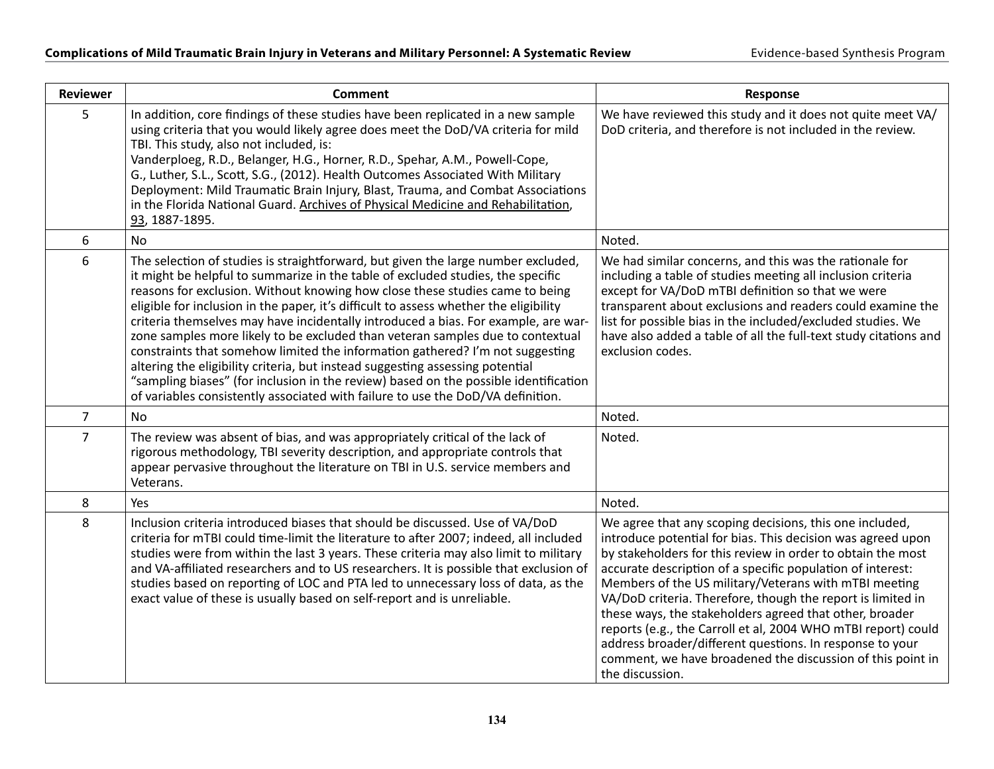| <b>Reviewer</b> | <b>Comment</b>                                                                                                                                                                                                                                                                                                                                                                                                                                                                                                                                                                                                                                                                                                                                                                                                                                                     | Response                                                                                                                                                                                                                                                                                                                                                                                                                                                                                                                                                                                                                                             |
|-----------------|--------------------------------------------------------------------------------------------------------------------------------------------------------------------------------------------------------------------------------------------------------------------------------------------------------------------------------------------------------------------------------------------------------------------------------------------------------------------------------------------------------------------------------------------------------------------------------------------------------------------------------------------------------------------------------------------------------------------------------------------------------------------------------------------------------------------------------------------------------------------|------------------------------------------------------------------------------------------------------------------------------------------------------------------------------------------------------------------------------------------------------------------------------------------------------------------------------------------------------------------------------------------------------------------------------------------------------------------------------------------------------------------------------------------------------------------------------------------------------------------------------------------------------|
| 5               | In addition, core findings of these studies have been replicated in a new sample<br>using criteria that you would likely agree does meet the DoD/VA criteria for mild<br>TBI. This study, also not included, is:<br>Vanderploeg, R.D., Belanger, H.G., Horner, R.D., Spehar, A.M., Powell-Cope,<br>G., Luther, S.L., Scott, S.G., (2012). Health Outcomes Associated With Military<br>Deployment: Mild Traumatic Brain Injury, Blast, Trauma, and Combat Associations<br>in the Florida National Guard. Archives of Physical Medicine and Rehabilitation,<br>93, 1887-1895.                                                                                                                                                                                                                                                                                        | We have reviewed this study and it does not quite meet VA/<br>DoD criteria, and therefore is not included in the review.                                                                                                                                                                                                                                                                                                                                                                                                                                                                                                                             |
| 6               | <b>No</b>                                                                                                                                                                                                                                                                                                                                                                                                                                                                                                                                                                                                                                                                                                                                                                                                                                                          | Noted.                                                                                                                                                                                                                                                                                                                                                                                                                                                                                                                                                                                                                                               |
| 6               | The selection of studies is straightforward, but given the large number excluded,<br>it might be helpful to summarize in the table of excluded studies, the specific<br>reasons for exclusion. Without knowing how close these studies came to being<br>eligible for inclusion in the paper, it's difficult to assess whether the eligibility<br>criteria themselves may have incidentally introduced a bias. For example, are war-<br>zone samples more likely to be excluded than veteran samples due to contextual<br>constraints that somehow limited the information gathered? I'm not suggesting<br>altering the eligibility criteria, but instead suggesting assessing potential<br>"sampling biases" (for inclusion in the review) based on the possible identification<br>of variables consistently associated with failure to use the DoD/VA definition. | We had similar concerns, and this was the rationale for<br>including a table of studies meeting all inclusion criteria<br>except for VA/DoD mTBI definition so that we were<br>transparent about exclusions and readers could examine the<br>list for possible bias in the included/excluded studies. We<br>have also added a table of all the full-text study citations and<br>exclusion codes.                                                                                                                                                                                                                                                     |
| $\overline{7}$  | <b>No</b>                                                                                                                                                                                                                                                                                                                                                                                                                                                                                                                                                                                                                                                                                                                                                                                                                                                          | Noted.                                                                                                                                                                                                                                                                                                                                                                                                                                                                                                                                                                                                                                               |
| $\overline{7}$  | The review was absent of bias, and was appropriately critical of the lack of<br>rigorous methodology, TBI severity description, and appropriate controls that<br>appear pervasive throughout the literature on TBI in U.S. service members and<br>Veterans.                                                                                                                                                                                                                                                                                                                                                                                                                                                                                                                                                                                                        | Noted.                                                                                                                                                                                                                                                                                                                                                                                                                                                                                                                                                                                                                                               |
| 8               | Yes                                                                                                                                                                                                                                                                                                                                                                                                                                                                                                                                                                                                                                                                                                                                                                                                                                                                | Noted.                                                                                                                                                                                                                                                                                                                                                                                                                                                                                                                                                                                                                                               |
| 8               | Inclusion criteria introduced biases that should be discussed. Use of VA/DoD<br>criteria for mTBI could time-limit the literature to after 2007; indeed, all included<br>studies were from within the last 3 years. These criteria may also limit to military<br>and VA-affiliated researchers and to US researchers. It is possible that exclusion of<br>studies based on reporting of LOC and PTA led to unnecessary loss of data, as the<br>exact value of these is usually based on self-report and is unreliable.                                                                                                                                                                                                                                                                                                                                             | We agree that any scoping decisions, this one included,<br>introduce potential for bias. This decision was agreed upon<br>by stakeholders for this review in order to obtain the most<br>accurate description of a specific population of interest:<br>Members of the US military/Veterans with mTBI meeting<br>VA/DoD criteria. Therefore, though the report is limited in<br>these ways, the stakeholders agreed that other, broader<br>reports (e.g., the Carroll et al, 2004 WHO mTBI report) could<br>address broader/different questions. In response to your<br>comment, we have broadened the discussion of this point in<br>the discussion. |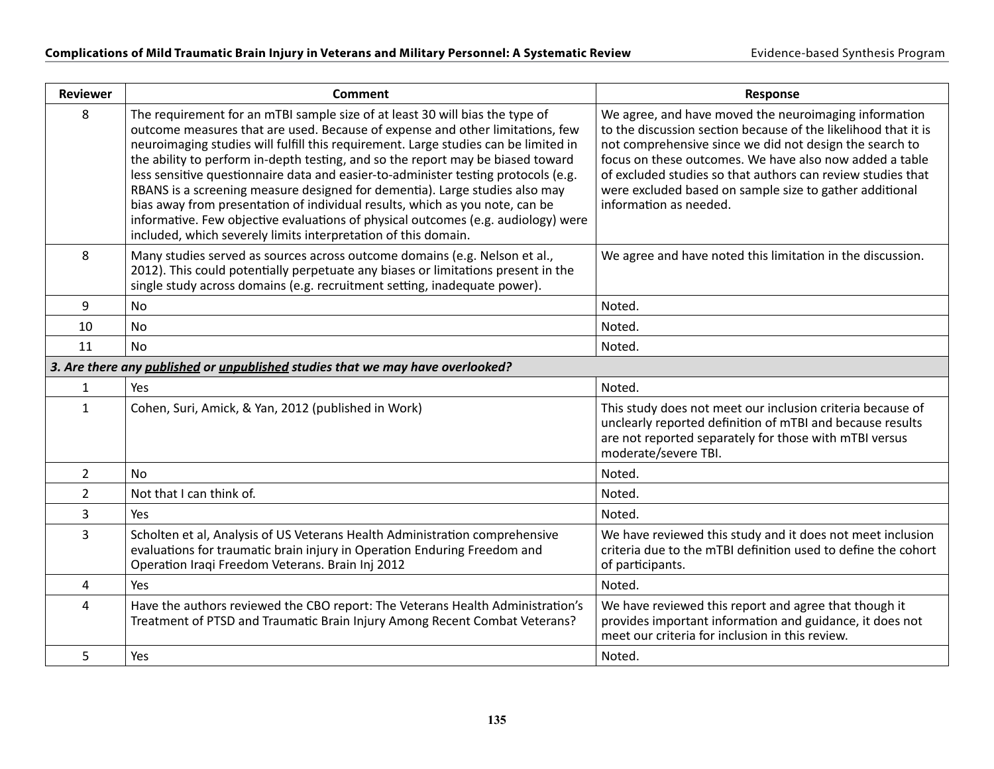| <b>Reviewer</b> | <b>Comment</b>                                                                                                                                                                                                                                                                                                                                                                                                                                                                                                                                                                                                                                                                                                                                      | Response                                                                                                                                                                                                                                                                                                                                                                                          |
|-----------------|-----------------------------------------------------------------------------------------------------------------------------------------------------------------------------------------------------------------------------------------------------------------------------------------------------------------------------------------------------------------------------------------------------------------------------------------------------------------------------------------------------------------------------------------------------------------------------------------------------------------------------------------------------------------------------------------------------------------------------------------------------|---------------------------------------------------------------------------------------------------------------------------------------------------------------------------------------------------------------------------------------------------------------------------------------------------------------------------------------------------------------------------------------------------|
| 8               | The requirement for an mTBI sample size of at least 30 will bias the type of<br>outcome measures that are used. Because of expense and other limitations, few<br>neuroimaging studies will fulfill this requirement. Large studies can be limited in<br>the ability to perform in-depth testing, and so the report may be biased toward<br>less sensitive questionnaire data and easier-to-administer testing protocols (e.g.<br>RBANS is a screening measure designed for dementia). Large studies also may<br>bias away from presentation of individual results, which as you note, can be<br>informative. Few objective evaluations of physical outcomes (e.g. audiology) were<br>included, which severely limits interpretation of this domain. | We agree, and have moved the neuroimaging information<br>to the discussion section because of the likelihood that it is<br>not comprehensive since we did not design the search to<br>focus on these outcomes. We have also now added a table<br>of excluded studies so that authors can review studies that<br>were excluded based on sample size to gather additional<br>information as needed. |
| 8               | Many studies served as sources across outcome domains (e.g. Nelson et al.,<br>2012). This could potentially perpetuate any biases or limitations present in the<br>single study across domains (e.g. recruitment setting, inadequate power).                                                                                                                                                                                                                                                                                                                                                                                                                                                                                                        | We agree and have noted this limitation in the discussion.                                                                                                                                                                                                                                                                                                                                        |
| 9               | <b>No</b>                                                                                                                                                                                                                                                                                                                                                                                                                                                                                                                                                                                                                                                                                                                                           | Noted.                                                                                                                                                                                                                                                                                                                                                                                            |
| 10              | <b>No</b>                                                                                                                                                                                                                                                                                                                                                                                                                                                                                                                                                                                                                                                                                                                                           | Noted.                                                                                                                                                                                                                                                                                                                                                                                            |
| 11              | <b>No</b>                                                                                                                                                                                                                                                                                                                                                                                                                                                                                                                                                                                                                                                                                                                                           | Noted.                                                                                                                                                                                                                                                                                                                                                                                            |
|                 | 3. Are there any published or unpublished studies that we may have overlooked?                                                                                                                                                                                                                                                                                                                                                                                                                                                                                                                                                                                                                                                                      |                                                                                                                                                                                                                                                                                                                                                                                                   |
| $\mathbf{1}$    | Yes                                                                                                                                                                                                                                                                                                                                                                                                                                                                                                                                                                                                                                                                                                                                                 | Noted.                                                                                                                                                                                                                                                                                                                                                                                            |
| $\mathbf{1}$    | Cohen, Suri, Amick, & Yan, 2012 (published in Work)                                                                                                                                                                                                                                                                                                                                                                                                                                                                                                                                                                                                                                                                                                 | This study does not meet our inclusion criteria because of<br>unclearly reported definition of mTBI and because results<br>are not reported separately for those with mTBI versus<br>moderate/severe TBI.                                                                                                                                                                                         |
| $\overline{2}$  | <b>No</b>                                                                                                                                                                                                                                                                                                                                                                                                                                                                                                                                                                                                                                                                                                                                           | Noted.                                                                                                                                                                                                                                                                                                                                                                                            |
| $\overline{2}$  | Not that I can think of.                                                                                                                                                                                                                                                                                                                                                                                                                                                                                                                                                                                                                                                                                                                            | Noted.                                                                                                                                                                                                                                                                                                                                                                                            |
| 3               | Yes                                                                                                                                                                                                                                                                                                                                                                                                                                                                                                                                                                                                                                                                                                                                                 | Noted.                                                                                                                                                                                                                                                                                                                                                                                            |
| 3               | Scholten et al, Analysis of US Veterans Health Administration comprehensive<br>evaluations for traumatic brain injury in Operation Enduring Freedom and<br>Operation Iraqi Freedom Veterans. Brain Inj 2012                                                                                                                                                                                                                                                                                                                                                                                                                                                                                                                                         | We have reviewed this study and it does not meet inclusion<br>criteria due to the mTBI definition used to define the cohort<br>of participants.                                                                                                                                                                                                                                                   |
| $\pmb{4}$       | Yes                                                                                                                                                                                                                                                                                                                                                                                                                                                                                                                                                                                                                                                                                                                                                 | Noted.                                                                                                                                                                                                                                                                                                                                                                                            |
| $\overline{4}$  | Have the authors reviewed the CBO report: The Veterans Health Administration's<br>Treatment of PTSD and Traumatic Brain Injury Among Recent Combat Veterans?                                                                                                                                                                                                                                                                                                                                                                                                                                                                                                                                                                                        | We have reviewed this report and agree that though it<br>provides important information and guidance, it does not<br>meet our criteria for inclusion in this review.                                                                                                                                                                                                                              |
| 5               | Yes                                                                                                                                                                                                                                                                                                                                                                                                                                                                                                                                                                                                                                                                                                                                                 | Noted.                                                                                                                                                                                                                                                                                                                                                                                            |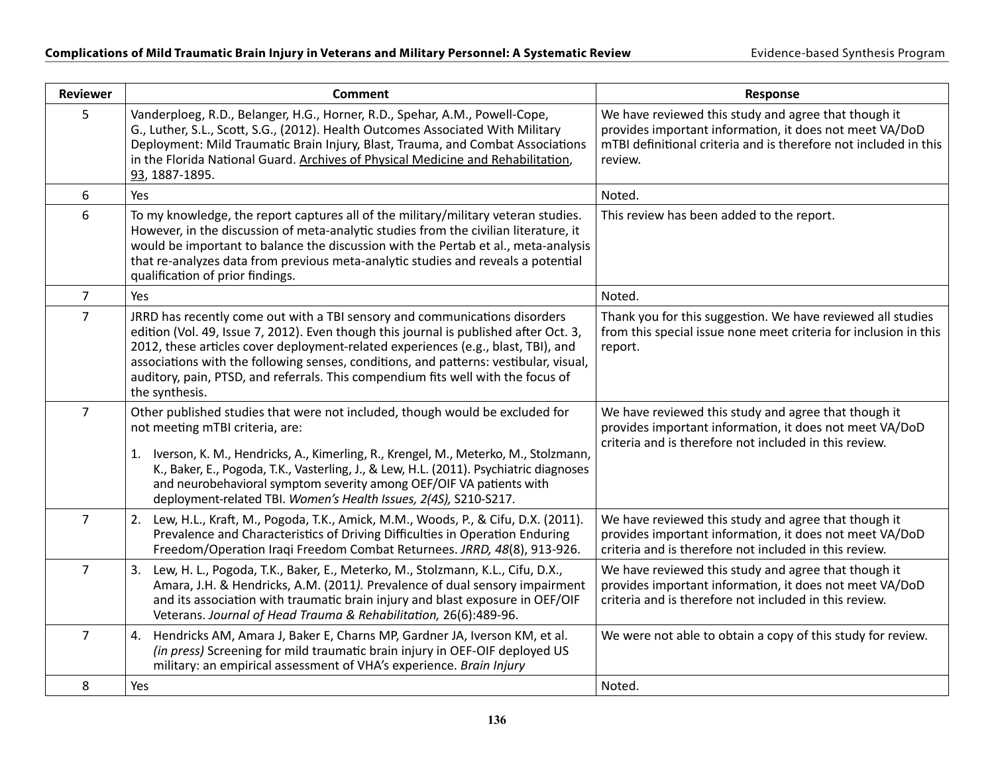| <b>Reviewer</b> | <b>Comment</b>                                                                                                                                                                                                                                                                                                                                                                                                                                          | Response                                                                                                                                                                                       |
|-----------------|---------------------------------------------------------------------------------------------------------------------------------------------------------------------------------------------------------------------------------------------------------------------------------------------------------------------------------------------------------------------------------------------------------------------------------------------------------|------------------------------------------------------------------------------------------------------------------------------------------------------------------------------------------------|
| 5               | Vanderploeg, R.D., Belanger, H.G., Horner, R.D., Spehar, A.M., Powell-Cope,<br>G., Luther, S.L., Scott, S.G., (2012). Health Outcomes Associated With Military<br>Deployment: Mild Traumatic Brain Injury, Blast, Trauma, and Combat Associations<br>in the Florida National Guard. Archives of Physical Medicine and Rehabilitation,<br>93, 1887-1895.                                                                                                 | We have reviewed this study and agree that though it<br>provides important information, it does not meet VA/DoD<br>mTBI definitional criteria and is therefore not included in this<br>review. |
| 6               | Yes                                                                                                                                                                                                                                                                                                                                                                                                                                                     | Noted.                                                                                                                                                                                         |
| 6               | To my knowledge, the report captures all of the military/military veteran studies.<br>However, in the discussion of meta-analytic studies from the civilian literature, it<br>would be important to balance the discussion with the Pertab et al., meta-analysis<br>that re-analyzes data from previous meta-analytic studies and reveals a potential<br>qualification of prior findings.                                                               | This review has been added to the report.                                                                                                                                                      |
| $\overline{7}$  | Yes                                                                                                                                                                                                                                                                                                                                                                                                                                                     | Noted.                                                                                                                                                                                         |
| $\overline{7}$  | JRRD has recently come out with a TBI sensory and communications disorders<br>edition (Vol. 49, Issue 7, 2012). Even though this journal is published after Oct. 3,<br>2012, these articles cover deployment-related experiences (e.g., blast, TBI), and<br>associations with the following senses, conditions, and patterns: vestibular, visual,<br>auditory, pain, PTSD, and referrals. This compendium fits well with the focus of<br>the synthesis. | Thank you for this suggestion. We have reviewed all studies<br>from this special issue none meet criteria for inclusion in this<br>report.                                                     |
| $\overline{7}$  | Other published studies that were not included, though would be excluded for<br>not meeting mTBI criteria, are:<br>1. Iverson, K. M., Hendricks, A., Kimerling, R., Krengel, M., Meterko, M., Stolzmann,<br>K., Baker, E., Pogoda, T.K., Vasterling, J., & Lew, H.L. (2011). Psychiatric diagnoses<br>and neurobehavioral symptom severity among OEF/OIF VA patients with<br>deployment-related TBI. Women's Health Issues, 2(4S), S210-S217.           | We have reviewed this study and agree that though it<br>provides important information, it does not meet VA/DoD<br>criteria and is therefore not included in this review.                      |
| $\overline{7}$  | 2. Lew, H.L., Kraft, M., Pogoda, T.K., Amick, M.M., Woods, P., & Cifu, D.X. (2011).<br>Prevalence and Characteristics of Driving Difficulties in Operation Enduring<br>Freedom/Operation Iraqi Freedom Combat Returnees. JRRD, 48(8), 913-926.                                                                                                                                                                                                          | We have reviewed this study and agree that though it<br>provides important information, it does not meet VA/DoD<br>criteria and is therefore not included in this review.                      |
| $\overline{7}$  | 3. Lew, H. L., Pogoda, T.K., Baker, E., Meterko, M., Stolzmann, K.L., Cifu, D.X.,<br>Amara, J.H. & Hendricks, A.M. (2011). Prevalence of dual sensory impairment<br>and its association with traumatic brain injury and blast exposure in OEF/OIF<br>Veterans. Journal of Head Trauma & Rehabilitation, 26(6):489-96.                                                                                                                                   | We have reviewed this study and agree that though it<br>provides important information, it does not meet VA/DoD<br>criteria and is therefore not included in this review.                      |
| $\overline{7}$  | 4. Hendricks AM, Amara J, Baker E, Charns MP, Gardner JA, Iverson KM, et al.<br>(in press) Screening for mild traumatic brain injury in OEF-OIF deployed US<br>military: an empirical assessment of VHA's experience. Brain Injury                                                                                                                                                                                                                      | We were not able to obtain a copy of this study for review.                                                                                                                                    |
| 8               | Yes                                                                                                                                                                                                                                                                                                                                                                                                                                                     | Noted.                                                                                                                                                                                         |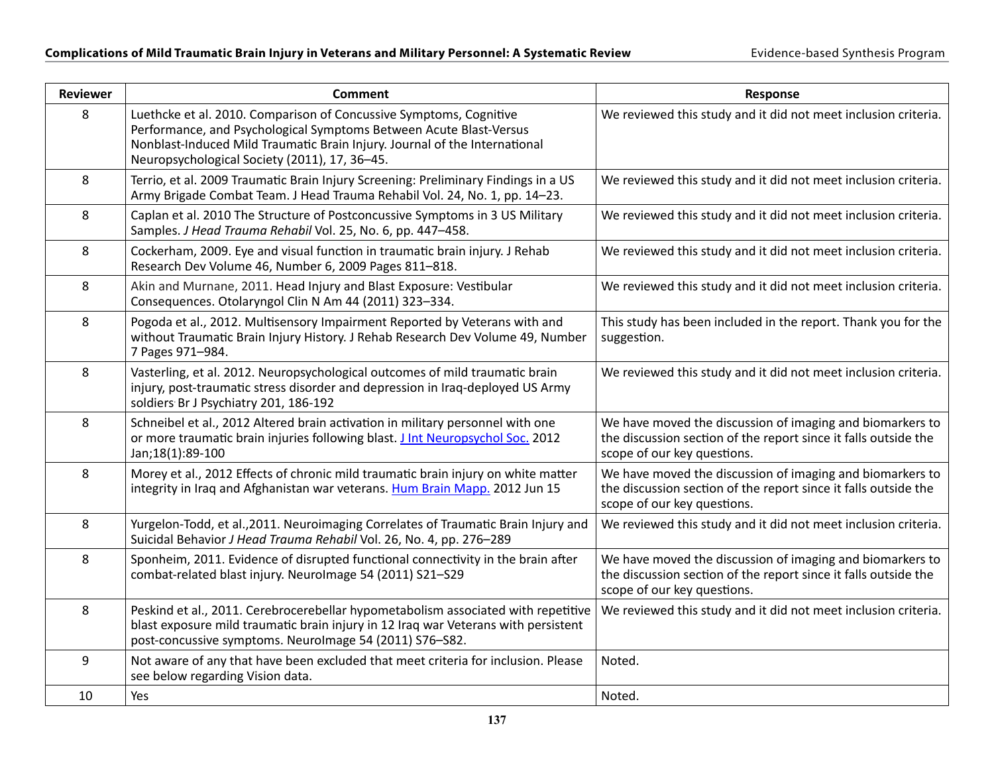| <b>Reviewer</b> | <b>Comment</b>                                                                                                                                                                                                                                                          | Response                                                                                                                                                    |
|-----------------|-------------------------------------------------------------------------------------------------------------------------------------------------------------------------------------------------------------------------------------------------------------------------|-------------------------------------------------------------------------------------------------------------------------------------------------------------|
| 8               | Luethcke et al. 2010. Comparison of Concussive Symptoms, Cognitive<br>Performance, and Psychological Symptoms Between Acute Blast-Versus<br>Nonblast-Induced Mild Traumatic Brain Injury. Journal of the International<br>Neuropsychological Society (2011), 17, 36-45. | We reviewed this study and it did not meet inclusion criteria.                                                                                              |
| 8               | Terrio, et al. 2009 Traumatic Brain Injury Screening: Preliminary Findings in a US<br>Army Brigade Combat Team. J Head Trauma Rehabil Vol. 24, No. 1, pp. 14-23.                                                                                                        | We reviewed this study and it did not meet inclusion criteria.                                                                                              |
| 8               | Caplan et al. 2010 The Structure of Postconcussive Symptoms in 3 US Military<br>Samples. J Head Trauma Rehabil Vol. 25, No. 6, pp. 447-458.                                                                                                                             | We reviewed this study and it did not meet inclusion criteria.                                                                                              |
| 8               | Cockerham, 2009. Eye and visual function in traumatic brain injury. J Rehab<br>Research Dev Volume 46, Number 6, 2009 Pages 811-818.                                                                                                                                    | We reviewed this study and it did not meet inclusion criteria.                                                                                              |
| 8               | Akin and Murnane, 2011. Head Injury and Blast Exposure: Vestibular<br>Consequences. Otolaryngol Clin N Am 44 (2011) 323-334.                                                                                                                                            | We reviewed this study and it did not meet inclusion criteria.                                                                                              |
| 8               | Pogoda et al., 2012. Multisensory Impairment Reported by Veterans with and<br>without Traumatic Brain Injury History. J Rehab Research Dev Volume 49, Number<br>7 Pages 971-984.                                                                                        | This study has been included in the report. Thank you for the<br>suggestion.                                                                                |
| 8               | Vasterling, et al. 2012. Neuropsychological outcomes of mild traumatic brain<br>injury, post-traumatic stress disorder and depression in Iraq-deployed US Army<br>soldiers Br J Psychiatry 201, 186-192                                                                 | We reviewed this study and it did not meet inclusion criteria.                                                                                              |
| 8               | Schneibel et al., 2012 Altered brain activation in military personnel with one<br>or more traumatic brain injuries following blast. J Int Neuropsychol Soc. 2012<br>Jan;18(1):89-100                                                                                    | We have moved the discussion of imaging and biomarkers to<br>the discussion section of the report since it falls outside the<br>scope of our key questions. |
| 8               | Morey et al., 2012 Effects of chronic mild traumatic brain injury on white matter<br>integrity in Iraq and Afghanistan war veterans. Hum Brain Mapp. 2012 Jun 15                                                                                                        | We have moved the discussion of imaging and biomarkers to<br>the discussion section of the report since it falls outside the<br>scope of our key questions. |
| 8               | Yurgelon-Todd, et al., 2011. Neuroimaging Correlates of Traumatic Brain Injury and<br>Suicidal Behavior J Head Trauma Rehabil Vol. 26, No. 4, pp. 276-289                                                                                                               | We reviewed this study and it did not meet inclusion criteria.                                                                                              |
| 8               | Sponheim, 2011. Evidence of disrupted functional connectivity in the brain after<br>combat-related blast injury. NeuroImage 54 (2011) S21-S29                                                                                                                           | We have moved the discussion of imaging and biomarkers to<br>the discussion section of the report since it falls outside the<br>scope of our key questions. |
| 8               | Peskind et al., 2011. Cerebrocerebellar hypometabolism associated with repetitive<br>blast exposure mild traumatic brain injury in 12 Iraq war Veterans with persistent<br>post-concussive symptoms. Neurolmage 54 (2011) S76-S82.                                      | We reviewed this study and it did not meet inclusion criteria.                                                                                              |
| 9               | Not aware of any that have been excluded that meet criteria for inclusion. Please<br>see below regarding Vision data.                                                                                                                                                   | Noted.                                                                                                                                                      |
| 10              | Yes                                                                                                                                                                                                                                                                     | Noted.                                                                                                                                                      |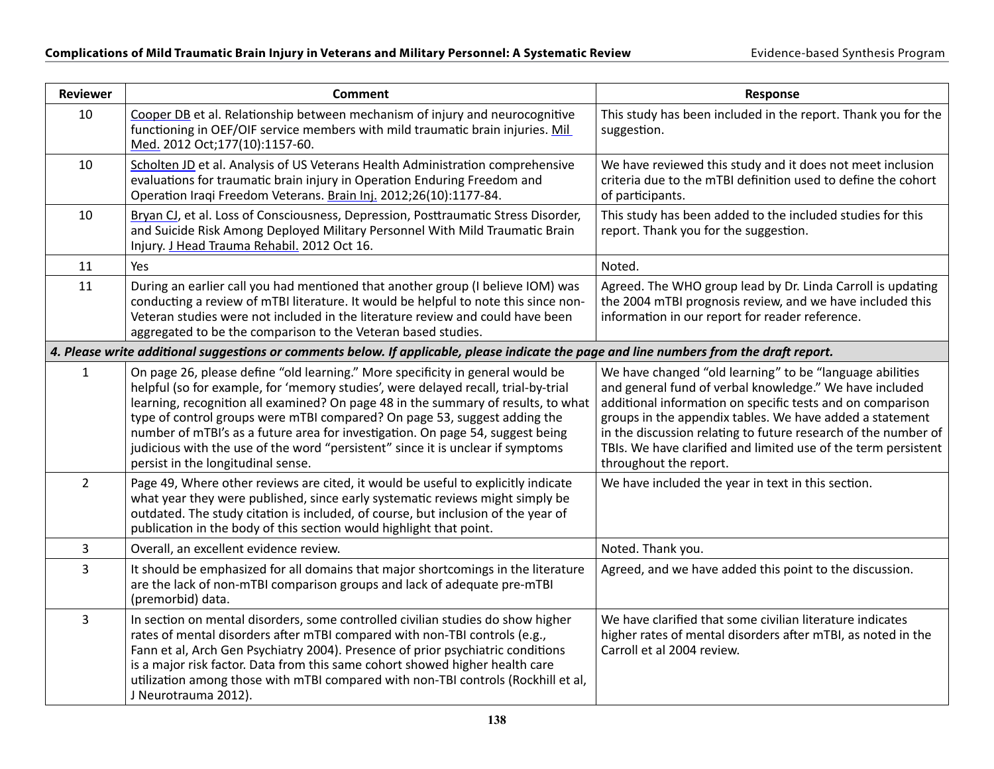| <b>Reviewer</b> | <b>Comment</b>                                                                                                                                                                                                                                                                                                                                                                                                                                                                                                                                    | <b>Response</b>                                                                                                                                                                                                                                                                                                                                                                                             |
|-----------------|---------------------------------------------------------------------------------------------------------------------------------------------------------------------------------------------------------------------------------------------------------------------------------------------------------------------------------------------------------------------------------------------------------------------------------------------------------------------------------------------------------------------------------------------------|-------------------------------------------------------------------------------------------------------------------------------------------------------------------------------------------------------------------------------------------------------------------------------------------------------------------------------------------------------------------------------------------------------------|
| 10              | Cooper DB et al. Relationship between mechanism of injury and neurocognitive<br>functioning in OEF/OIF service members with mild traumatic brain injuries. Mil<br>Med. 2012 Oct;177(10):1157-60.                                                                                                                                                                                                                                                                                                                                                  | This study has been included in the report. Thank you for the<br>suggestion.                                                                                                                                                                                                                                                                                                                                |
| 10              | Scholten JD et al. Analysis of US Veterans Health Administration comprehensive<br>evaluations for traumatic brain injury in Operation Enduring Freedom and<br>Operation Iraqi Freedom Veterans. Brain Inj. 2012;26(10):1177-84.                                                                                                                                                                                                                                                                                                                   | We have reviewed this study and it does not meet inclusion<br>criteria due to the mTBI definition used to define the cohort<br>of participants.                                                                                                                                                                                                                                                             |
| 10              | Bryan CJ, et al. Loss of Consciousness, Depression, Posttraumatic Stress Disorder,<br>and Suicide Risk Among Deployed Military Personnel With Mild Traumatic Brain<br>Injury. J Head Trauma Rehabil. 2012 Oct 16.                                                                                                                                                                                                                                                                                                                                 | This study has been added to the included studies for this<br>report. Thank you for the suggestion.                                                                                                                                                                                                                                                                                                         |
| 11              | Yes                                                                                                                                                                                                                                                                                                                                                                                                                                                                                                                                               | Noted.                                                                                                                                                                                                                                                                                                                                                                                                      |
| 11              | During an earlier call you had mentioned that another group (I believe IOM) was<br>conducting a review of mTBI literature. It would be helpful to note this since non-<br>Veteran studies were not included in the literature review and could have been<br>aggregated to be the comparison to the Veteran based studies.                                                                                                                                                                                                                         | Agreed. The WHO group lead by Dr. Linda Carroll is updating<br>the 2004 mTBI prognosis review, and we have included this<br>information in our report for reader reference.                                                                                                                                                                                                                                 |
|                 | 4. Please write additional suggestions or comments below. If applicable, please indicate the page and line numbers from the draft report.                                                                                                                                                                                                                                                                                                                                                                                                         |                                                                                                                                                                                                                                                                                                                                                                                                             |
| $\mathbf{1}$    | On page 26, please define "old learning." More specificity in general would be<br>helpful (so for example, for 'memory studies', were delayed recall, trial-by-trial<br>learning, recognition all examined? On page 48 in the summary of results, to what<br>type of control groups were mTBI compared? On page 53, suggest adding the<br>number of mTBI's as a future area for investigation. On page 54, suggest being<br>judicious with the use of the word "persistent" since it is unclear if symptoms<br>persist in the longitudinal sense. | We have changed "old learning" to be "language abilities<br>and general fund of verbal knowledge." We have included<br>additional information on specific tests and on comparison<br>groups in the appendix tables. We have added a statement<br>in the discussion relating to future research of the number of<br>TBIs. We have clarified and limited use of the term persistent<br>throughout the report. |
| $\overline{2}$  | Page 49, Where other reviews are cited, it would be useful to explicitly indicate<br>what year they were published, since early systematic reviews might simply be<br>outdated. The study citation is included, of course, but inclusion of the year of<br>publication in the body of this section would highlight that point.                                                                                                                                                                                                                    | We have included the year in text in this section.                                                                                                                                                                                                                                                                                                                                                          |
| $\mathsf 3$     | Overall, an excellent evidence review.                                                                                                                                                                                                                                                                                                                                                                                                                                                                                                            | Noted. Thank you.                                                                                                                                                                                                                                                                                                                                                                                           |
| 3               | It should be emphasized for all domains that major shortcomings in the literature<br>are the lack of non-mTBI comparison groups and lack of adequate pre-mTBI<br>(premorbid) data.                                                                                                                                                                                                                                                                                                                                                                | Agreed, and we have added this point to the discussion.                                                                                                                                                                                                                                                                                                                                                     |
| 3               | In section on mental disorders, some controlled civilian studies do show higher<br>rates of mental disorders after mTBI compared with non-TBI controls (e.g.,<br>Fann et al, Arch Gen Psychiatry 2004). Presence of prior psychiatric conditions<br>is a major risk factor. Data from this same cohort showed higher health care<br>utilization among those with mTBI compared with non-TBI controls (Rockhill et al,<br>J Neurotrauma 2012).                                                                                                     | We have clarified that some civilian literature indicates<br>higher rates of mental disorders after mTBI, as noted in the<br>Carroll et al 2004 review.                                                                                                                                                                                                                                                     |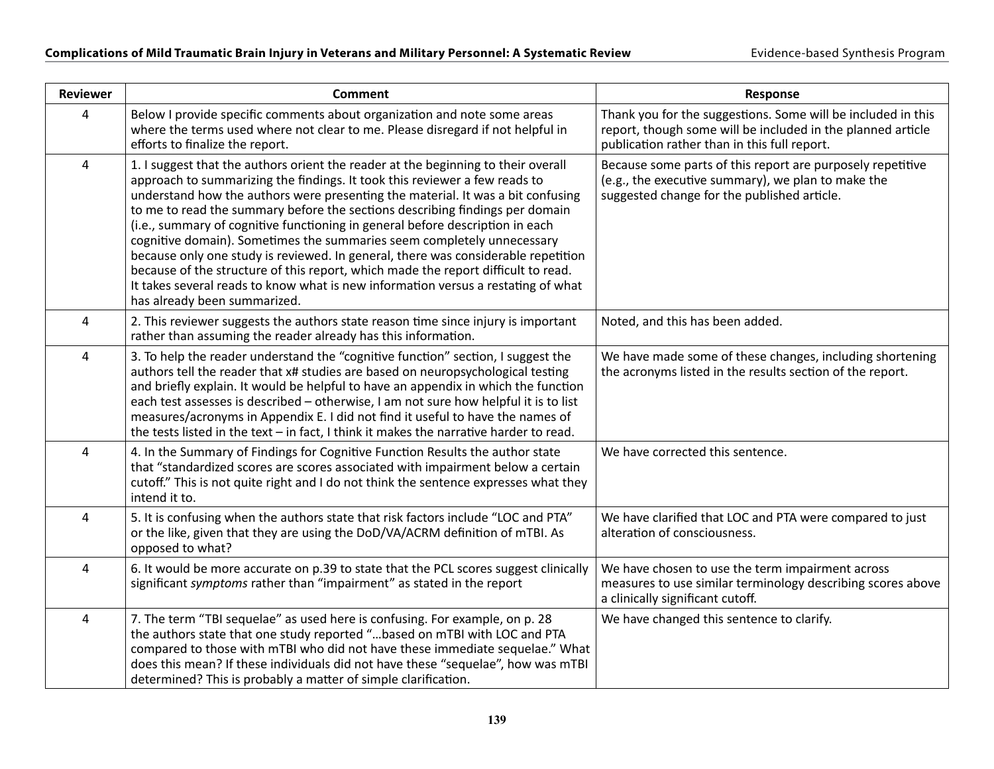| <b>Reviewer</b> | <b>Comment</b>                                                                                                                                                                                                                                                                                                                                                                                                                                                                                                                                                                                                                                                                                                                                                                               | Response                                                                                                                                                                    |
|-----------------|----------------------------------------------------------------------------------------------------------------------------------------------------------------------------------------------------------------------------------------------------------------------------------------------------------------------------------------------------------------------------------------------------------------------------------------------------------------------------------------------------------------------------------------------------------------------------------------------------------------------------------------------------------------------------------------------------------------------------------------------------------------------------------------------|-----------------------------------------------------------------------------------------------------------------------------------------------------------------------------|
| $\overline{4}$  | Below I provide specific comments about organization and note some areas<br>where the terms used where not clear to me. Please disregard if not helpful in<br>efforts to finalize the report.                                                                                                                                                                                                                                                                                                                                                                                                                                                                                                                                                                                                | Thank you for the suggestions. Some will be included in this<br>report, though some will be included in the planned article<br>publication rather than in this full report. |
| $\overline{4}$  | 1. I suggest that the authors orient the reader at the beginning to their overall<br>approach to summarizing the findings. It took this reviewer a few reads to<br>understand how the authors were presenting the material. It was a bit confusing<br>to me to read the summary before the sections describing findings per domain<br>(i.e., summary of cognitive functioning in general before description in each<br>cognitive domain). Sometimes the summaries seem completely unnecessary<br>because only one study is reviewed. In general, there was considerable repetition<br>because of the structure of this report, which made the report difficult to read.<br>It takes several reads to know what is new information versus a restating of what<br>has already been summarized. | Because some parts of this report are purposely repetitive<br>(e.g., the executive summary), we plan to make the<br>suggested change for the published article.             |
| $\pmb{4}$       | 2. This reviewer suggests the authors state reason time since injury is important<br>rather than assuming the reader already has this information.                                                                                                                                                                                                                                                                                                                                                                                                                                                                                                                                                                                                                                           | Noted, and this has been added.                                                                                                                                             |
| $\overline{4}$  | 3. To help the reader understand the "cognitive function" section, I suggest the<br>authors tell the reader that x# studies are based on neuropsychological testing<br>and briefly explain. It would be helpful to have an appendix in which the function<br>each test assesses is described - otherwise, I am not sure how helpful it is to list<br>measures/acronyms in Appendix E. I did not find it useful to have the names of<br>the tests listed in the text - in fact, I think it makes the narrative harder to read.                                                                                                                                                                                                                                                                | We have made some of these changes, including shortening<br>the acronyms listed in the results section of the report.                                                       |
| $\overline{4}$  | 4. In the Summary of Findings for Cognitive Function Results the author state<br>that "standardized scores are scores associated with impairment below a certain<br>cutoff." This is not quite right and I do not think the sentence expresses what they<br>intend it to.                                                                                                                                                                                                                                                                                                                                                                                                                                                                                                                    | We have corrected this sentence.                                                                                                                                            |
| $\overline{4}$  | 5. It is confusing when the authors state that risk factors include "LOC and PTA"<br>or the like, given that they are using the DoD/VA/ACRM definition of mTBI. As<br>opposed to what?                                                                                                                                                                                                                                                                                                                                                                                                                                                                                                                                                                                                       | We have clarified that LOC and PTA were compared to just<br>alteration of consciousness.                                                                                    |
| $\overline{4}$  | 6. It would be more accurate on p.39 to state that the PCL scores suggest clinically<br>significant symptoms rather than "impairment" as stated in the report                                                                                                                                                                                                                                                                                                                                                                                                                                                                                                                                                                                                                                | We have chosen to use the term impairment across<br>measures to use similar terminology describing scores above<br>a clinically significant cutoff.                         |
| $\pmb{4}$       | 7. The term "TBI sequelae" as used here is confusing. For example, on p. 28<br>the authors state that one study reported " based on mTBI with LOC and PTA<br>compared to those with mTBI who did not have these immediate sequelae." What<br>does this mean? If these individuals did not have these "sequelae", how was mTBI<br>determined? This is probably a matter of simple clarification.                                                                                                                                                                                                                                                                                                                                                                                              | We have changed this sentence to clarify.                                                                                                                                   |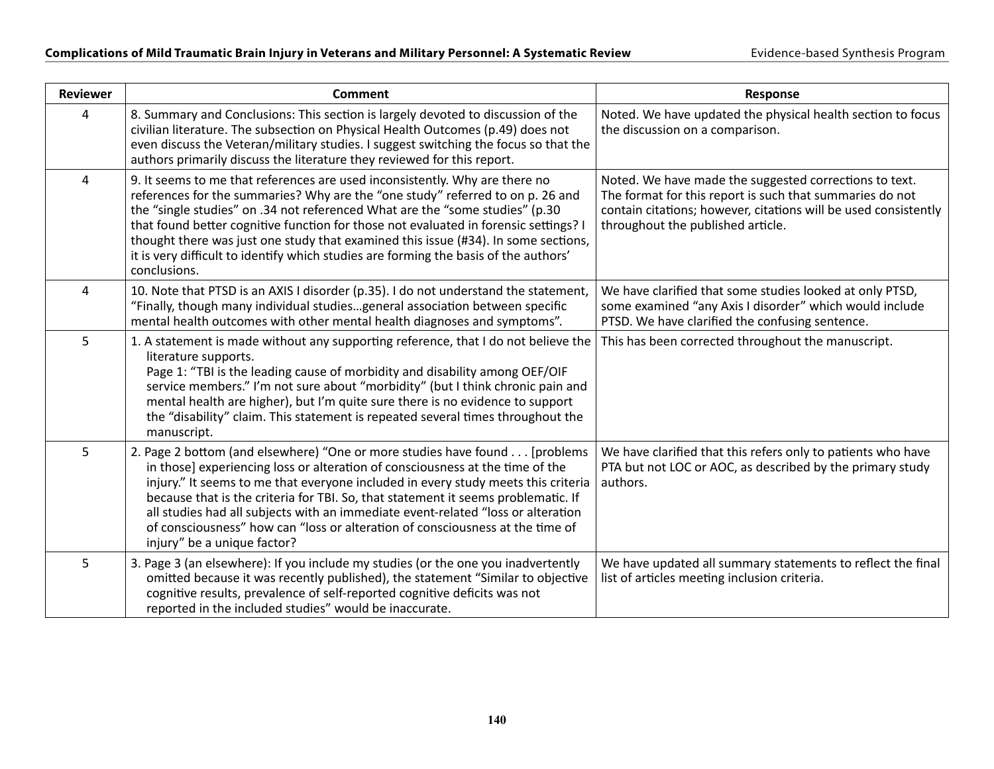| <b>Reviewer</b> | <b>Comment</b>                                                                                                                                                                                                                                                                                                                                                                                                                                                                                                                            | <b>Response</b>                                                                                                                                                                                                            |
|-----------------|-------------------------------------------------------------------------------------------------------------------------------------------------------------------------------------------------------------------------------------------------------------------------------------------------------------------------------------------------------------------------------------------------------------------------------------------------------------------------------------------------------------------------------------------|----------------------------------------------------------------------------------------------------------------------------------------------------------------------------------------------------------------------------|
| 4               | 8. Summary and Conclusions: This section is largely devoted to discussion of the<br>civilian literature. The subsection on Physical Health Outcomes (p.49) does not<br>even discuss the Veteran/military studies. I suggest switching the focus so that the<br>authors primarily discuss the literature they reviewed for this report.                                                                                                                                                                                                    | Noted. We have updated the physical health section to focus<br>the discussion on a comparison.                                                                                                                             |
| 4               | 9. It seems to me that references are used inconsistently. Why are there no<br>references for the summaries? Why are the "one study" referred to on p. 26 and<br>the "single studies" on .34 not referenced What are the "some studies" (p.30<br>that found better cognitive function for those not evaluated in forensic settings?<br>thought there was just one study that examined this issue (#34). In some sections,<br>it is very difficult to identify which studies are forming the basis of the authors'<br>conclusions.         | Noted. We have made the suggested corrections to text.<br>The format for this report is such that summaries do not<br>contain citations; however, citations will be used consistently<br>throughout the published article. |
| $\overline{4}$  | 10. Note that PTSD is an AXIS I disorder (p.35). I do not understand the statement,<br>"Finally, though many individual studiesgeneral association between specific<br>mental health outcomes with other mental health diagnoses and symptoms".                                                                                                                                                                                                                                                                                           | We have clarified that some studies looked at only PTSD,<br>some examined "any Axis I disorder" which would include<br>PTSD. We have clarified the confusing sentence.                                                     |
| 5               | 1. A statement is made without any supporting reference, that I do not believe the<br>literature supports.<br>Page 1: "TBI is the leading cause of morbidity and disability among OEF/OIF<br>service members." I'm not sure about "morbidity" (but I think chronic pain and<br>mental health are higher), but I'm quite sure there is no evidence to support<br>the "disability" claim. This statement is repeated several times throughout the<br>manuscript.                                                                            | This has been corrected throughout the manuscript.                                                                                                                                                                         |
| 5               | 2. Page 2 bottom (and elsewhere) "One or more studies have found [problems<br>in those] experiencing loss or alteration of consciousness at the time of the<br>injury." It seems to me that everyone included in every study meets this criteria<br>because that is the criteria for TBI. So, that statement it seems problematic. If<br>all studies had all subjects with an immediate event-related "loss or alteration<br>of consciousness" how can "loss or alteration of consciousness at the time of<br>injury" be a unique factor? | We have clarified that this refers only to patients who have<br>PTA but not LOC or AOC, as described by the primary study<br>authors.                                                                                      |
| 5               | 3. Page 3 (an elsewhere): If you include my studies (or the one you inadvertently<br>omitted because it was recently published), the statement "Similar to objective<br>cognitive results, prevalence of self-reported cognitive deficits was not<br>reported in the included studies" would be inaccurate.                                                                                                                                                                                                                               | We have updated all summary statements to reflect the final<br>list of articles meeting inclusion criteria.                                                                                                                |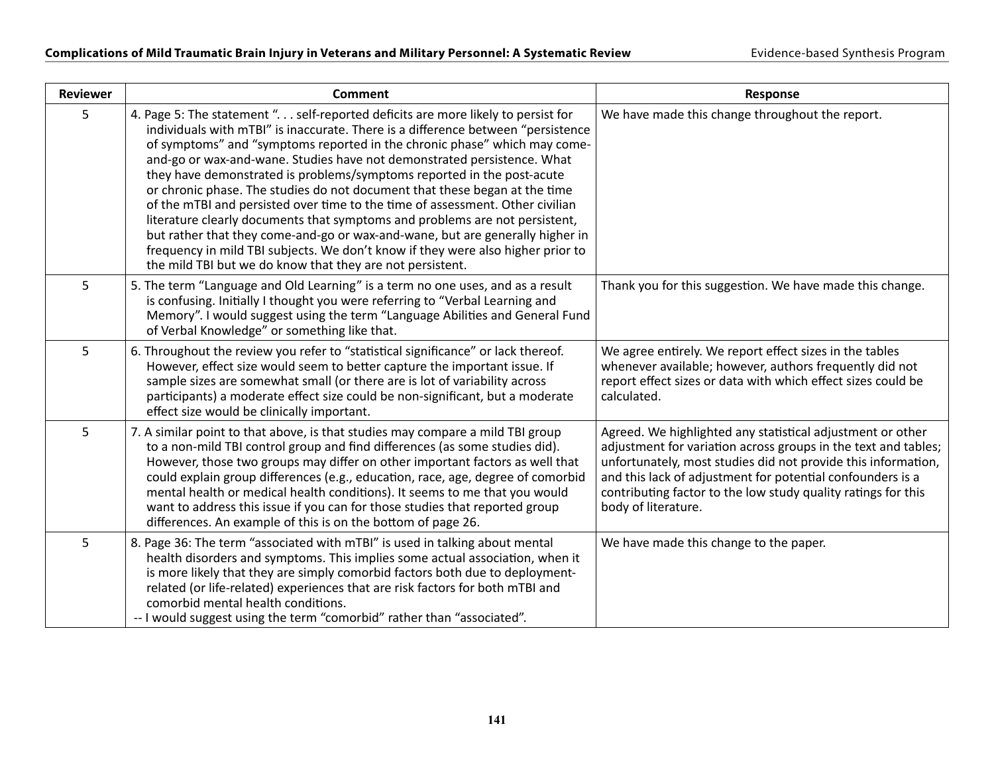| <b>Reviewer</b> | <b>Comment</b>                                                                                                                                                                                                                                                                                                                                                                                                                                                                                                                                                                                                                                                                                                                                                                                                                                                                         | Response                                                                                                                                                                                                                                                                                                                                            |
|-----------------|----------------------------------------------------------------------------------------------------------------------------------------------------------------------------------------------------------------------------------------------------------------------------------------------------------------------------------------------------------------------------------------------------------------------------------------------------------------------------------------------------------------------------------------------------------------------------------------------------------------------------------------------------------------------------------------------------------------------------------------------------------------------------------------------------------------------------------------------------------------------------------------|-----------------------------------------------------------------------------------------------------------------------------------------------------------------------------------------------------------------------------------------------------------------------------------------------------------------------------------------------------|
| 5               | 4. Page 5: The statement ". self-reported deficits are more likely to persist for<br>individuals with mTBI" is inaccurate. There is a difference between "persistence<br>of symptoms" and "symptoms reported in the chronic phase" which may come-<br>and-go or wax-and-wane. Studies have not demonstrated persistence. What<br>they have demonstrated is problems/symptoms reported in the post-acute<br>or chronic phase. The studies do not document that these began at the time<br>of the mTBI and persisted over time to the time of assessment. Other civilian<br>literature clearly documents that symptoms and problems are not persistent,<br>but rather that they come-and-go or wax-and-wane, but are generally higher in<br>frequency in mild TBI subjects. We don't know if they were also higher prior to<br>the mild TBI but we do know that they are not persistent. | We have made this change throughout the report.                                                                                                                                                                                                                                                                                                     |
| 5               | 5. The term "Language and Old Learning" is a term no one uses, and as a result<br>is confusing. Initially I thought you were referring to "Verbal Learning and<br>Memory". I would suggest using the term "Language Abilities and General Fund<br>of Verbal Knowledge" or something like that.                                                                                                                                                                                                                                                                                                                                                                                                                                                                                                                                                                                         | Thank you for this suggestion. We have made this change.                                                                                                                                                                                                                                                                                            |
| 5               | 6. Throughout the review you refer to "statistical significance" or lack thereof.<br>However, effect size would seem to better capture the important issue. If<br>sample sizes are somewhat small (or there are is lot of variability across<br>participants) a moderate effect size could be non-significant, but a moderate<br>effect size would be clinically important.                                                                                                                                                                                                                                                                                                                                                                                                                                                                                                            | We agree entirely. We report effect sizes in the tables<br>whenever available; however, authors frequently did not<br>report effect sizes or data with which effect sizes could be<br>calculated.                                                                                                                                                   |
| 5               | 7. A similar point to that above, is that studies may compare a mild TBI group<br>to a non-mild TBI control group and find differences (as some studies did).<br>However, those two groups may differ on other important factors as well that<br>could explain group differences (e.g., education, race, age, degree of comorbid<br>mental health or medical health conditions). It seems to me that you would<br>want to address this issue if you can for those studies that reported group<br>differences. An example of this is on the bottom of page 26.                                                                                                                                                                                                                                                                                                                          | Agreed. We highlighted any statistical adjustment or other<br>adjustment for variation across groups in the text and tables;<br>unfortunately, most studies did not provide this information,<br>and this lack of adjustment for potential confounders is a<br>contributing factor to the low study quality ratings for this<br>body of literature. |
| 5               | 8. Page 36: The term "associated with mTBI" is used in talking about mental<br>health disorders and symptoms. This implies some actual association, when it<br>is more likely that they are simply comorbid factors both due to deployment-<br>related (or life-related) experiences that are risk factors for both mTBI and<br>comorbid mental health conditions.<br>-- I would suggest using the term "comorbid" rather than "associated".                                                                                                                                                                                                                                                                                                                                                                                                                                           | We have made this change to the paper.                                                                                                                                                                                                                                                                                                              |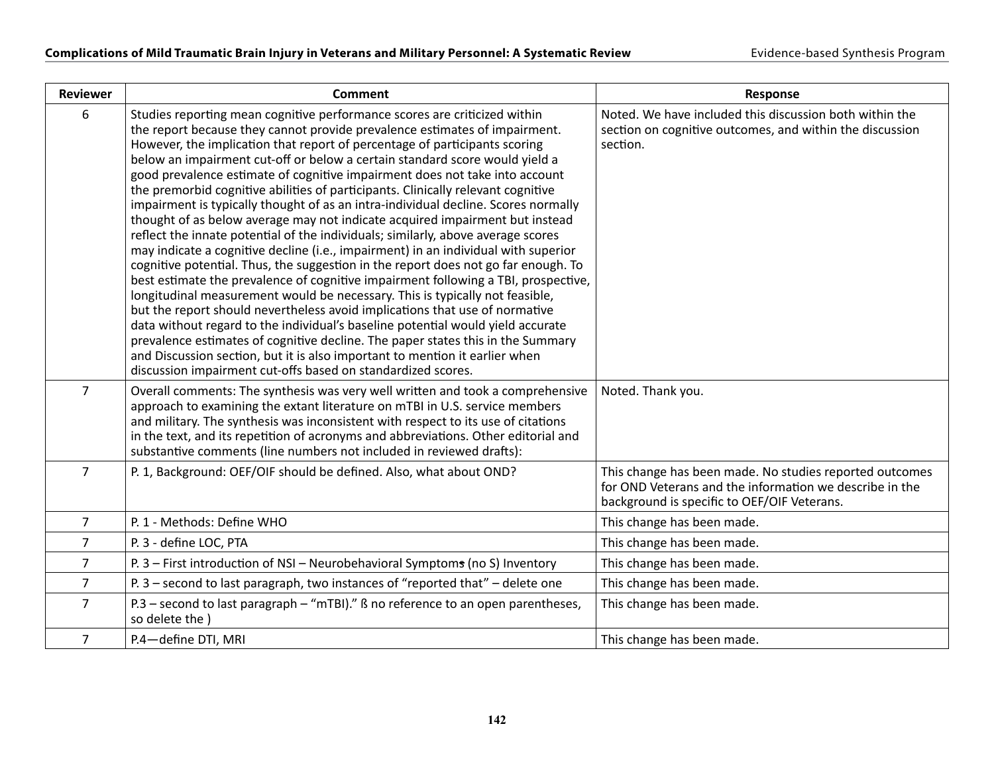| <b>Reviewer</b> | <b>Comment</b>                                                                                                                                                                                                                                                                                                                                                                                                                                                                                                                                                                                                                                                                                                                                                                                                                                                                                                                                                                                                                                                                                                                                                                                                                                                                                                                                                                                                                                                                                          | <b>Response</b>                                                                                                                                                   |
|-----------------|---------------------------------------------------------------------------------------------------------------------------------------------------------------------------------------------------------------------------------------------------------------------------------------------------------------------------------------------------------------------------------------------------------------------------------------------------------------------------------------------------------------------------------------------------------------------------------------------------------------------------------------------------------------------------------------------------------------------------------------------------------------------------------------------------------------------------------------------------------------------------------------------------------------------------------------------------------------------------------------------------------------------------------------------------------------------------------------------------------------------------------------------------------------------------------------------------------------------------------------------------------------------------------------------------------------------------------------------------------------------------------------------------------------------------------------------------------------------------------------------------------|-------------------------------------------------------------------------------------------------------------------------------------------------------------------|
| 6               | Studies reporting mean cognitive performance scores are criticized within<br>the report because they cannot provide prevalence estimates of impairment.<br>However, the implication that report of percentage of participants scoring<br>below an impairment cut-off or below a certain standard score would yield a<br>good prevalence estimate of cognitive impairment does not take into account<br>the premorbid cognitive abilities of participants. Clinically relevant cognitive<br>impairment is typically thought of as an intra-individual decline. Scores normally<br>thought of as below average may not indicate acquired impairment but instead<br>reflect the innate potential of the individuals; similarly, above average scores<br>may indicate a cognitive decline (i.e., impairment) in an individual with superior<br>cognitive potential. Thus, the suggestion in the report does not go far enough. To<br>best estimate the prevalence of cognitive impairment following a TBI, prospective,<br>longitudinal measurement would be necessary. This is typically not feasible,<br>but the report should nevertheless avoid implications that use of normative<br>data without regard to the individual's baseline potential would yield accurate<br>prevalence estimates of cognitive decline. The paper states this in the Summary<br>and Discussion section, but it is also important to mention it earlier when<br>discussion impairment cut-offs based on standardized scores. | Noted. We have included this discussion both within the<br>section on cognitive outcomes, and within the discussion<br>section.                                   |
| $\overline{7}$  | Overall comments: The synthesis was very well written and took a comprehensive<br>approach to examining the extant literature on mTBI in U.S. service members<br>and military. The synthesis was inconsistent with respect to its use of citations<br>in the text, and its repetition of acronyms and abbreviations. Other editorial and<br>substantive comments (line numbers not included in reviewed drafts):                                                                                                                                                                                                                                                                                                                                                                                                                                                                                                                                                                                                                                                                                                                                                                                                                                                                                                                                                                                                                                                                                        | Noted. Thank you.                                                                                                                                                 |
| $\overline{7}$  | P. 1, Background: OEF/OIF should be defined. Also, what about OND?                                                                                                                                                                                                                                                                                                                                                                                                                                                                                                                                                                                                                                                                                                                                                                                                                                                                                                                                                                                                                                                                                                                                                                                                                                                                                                                                                                                                                                      | This change has been made. No studies reported outcomes<br>for OND Veterans and the information we describe in the<br>background is specific to OEF/OIF Veterans. |
| 7               | P. 1 - Methods: Define WHO                                                                                                                                                                                                                                                                                                                                                                                                                                                                                                                                                                                                                                                                                                                                                                                                                                                                                                                                                                                                                                                                                                                                                                                                                                                                                                                                                                                                                                                                              | This change has been made.                                                                                                                                        |
| $\overline{7}$  | P. 3 - define LOC, PTA                                                                                                                                                                                                                                                                                                                                                                                                                                                                                                                                                                                                                                                                                                                                                                                                                                                                                                                                                                                                                                                                                                                                                                                                                                                                                                                                                                                                                                                                                  | This change has been made.                                                                                                                                        |
| $\overline{7}$  | P. 3 - First introduction of NSI - Neurobehavioral Symptoms (no S) Inventory                                                                                                                                                                                                                                                                                                                                                                                                                                                                                                                                                                                                                                                                                                                                                                                                                                                                                                                                                                                                                                                                                                                                                                                                                                                                                                                                                                                                                            | This change has been made.                                                                                                                                        |
| 7               | P. 3 - second to last paragraph, two instances of "reported that" - delete one                                                                                                                                                                                                                                                                                                                                                                                                                                                                                                                                                                                                                                                                                                                                                                                                                                                                                                                                                                                                                                                                                                                                                                                                                                                                                                                                                                                                                          | This change has been made.                                                                                                                                        |
| 7               | P.3 - second to last paragraph - "mTBI)." B no reference to an open parentheses,<br>so delete the)                                                                                                                                                                                                                                                                                                                                                                                                                                                                                                                                                                                                                                                                                                                                                                                                                                                                                                                                                                                                                                                                                                                                                                                                                                                                                                                                                                                                      | This change has been made.                                                                                                                                        |
| $\overline{7}$  | P.4-define DTI, MRI                                                                                                                                                                                                                                                                                                                                                                                                                                                                                                                                                                                                                                                                                                                                                                                                                                                                                                                                                                                                                                                                                                                                                                                                                                                                                                                                                                                                                                                                                     | This change has been made.                                                                                                                                        |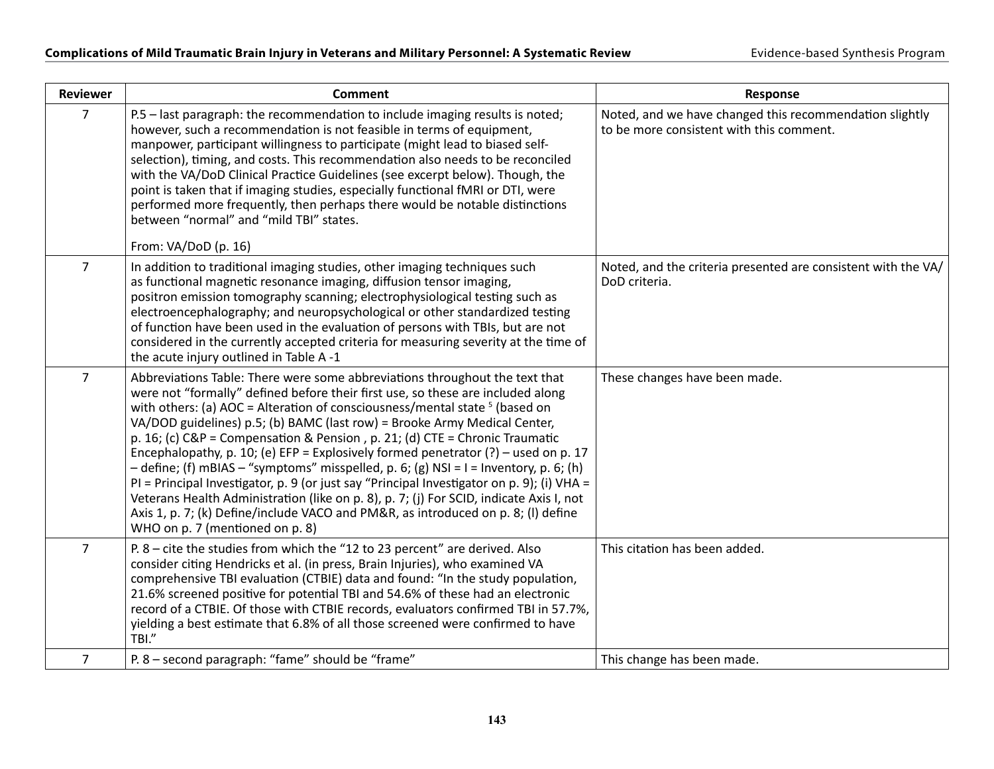| <b>Reviewer</b> | <b>Comment</b>                                                                                                                                                                                                                                                                                                                                                                                                                                                                                                                                                                                                                                                                                                                                                                                                                                                                                                       | <b>Response</b>                                                                                     |
|-----------------|----------------------------------------------------------------------------------------------------------------------------------------------------------------------------------------------------------------------------------------------------------------------------------------------------------------------------------------------------------------------------------------------------------------------------------------------------------------------------------------------------------------------------------------------------------------------------------------------------------------------------------------------------------------------------------------------------------------------------------------------------------------------------------------------------------------------------------------------------------------------------------------------------------------------|-----------------------------------------------------------------------------------------------------|
| 7               | P.5 - last paragraph: the recommendation to include imaging results is noted;<br>however, such a recommendation is not feasible in terms of equipment,<br>manpower, participant willingness to participate (might lead to biased self-<br>selection), timing, and costs. This recommendation also needs to be reconciled<br>with the VA/DoD Clinical Practice Guidelines (see excerpt below). Though, the<br>point is taken that if imaging studies, especially functional fMRI or DTI, were<br>performed more frequently, then perhaps there would be notable distinctions<br>between "normal" and "mild TBI" states.<br>From: VA/DoD (p. 16)                                                                                                                                                                                                                                                                       | Noted, and we have changed this recommendation slightly<br>to be more consistent with this comment. |
| $\overline{7}$  | In addition to traditional imaging studies, other imaging techniques such<br>as functional magnetic resonance imaging, diffusion tensor imaging,<br>positron emission tomography scanning; electrophysiological testing such as<br>electroencephalography; and neuropsychological or other standardized testing<br>of function have been used in the evaluation of persons with TBIs, but are not<br>considered in the currently accepted criteria for measuring severity at the time of<br>the acute injury outlined in Table A-1                                                                                                                                                                                                                                                                                                                                                                                   | Noted, and the criteria presented are consistent with the VA/<br>DoD criteria.                      |
| $\overline{7}$  | Abbreviations Table: There were some abbreviations throughout the text that<br>were not "formally" defined before their first use, so these are included along<br>with others: (a) AOC = Alteration of consciousness/mental state $5$ (based on<br>VA/DOD guidelines) p.5; (b) BAMC (last row) = Brooke Army Medical Center,<br>p. 16; (c) $C\&P =$ Compensation & Pension, p. 21; (d) $CTE =$ Chronic Traumatic<br>Encephalopathy, p. 10; (e) EFP = Explosively formed penetrator (?) – used on p. 17<br>$-$ define; (f) mBIAS $-$ "symptoms" misspelled, p. 6; (g) NSI = I = Inventory, p. 6; (h)<br>PI = Principal Investigator, p. 9 (or just say "Principal Investigator on p. 9); (i) VHA =<br>Veterans Health Administration (like on p. 8), p. 7; (j) For SCID, indicate Axis I, not<br>Axis 1, p. 7; (k) Define/include VACO and PM&R, as introduced on p. 8; (I) define<br>WHO on p. 7 (mentioned on p. 8) | These changes have been made.                                                                       |
| $\overline{7}$  | P. 8 - cite the studies from which the "12 to 23 percent" are derived. Also<br>consider citing Hendricks et al. (in press, Brain Injuries), who examined VA<br>comprehensive TBI evaluation (CTBIE) data and found: "In the study population,<br>21.6% screened positive for potential TBI and 54.6% of these had an electronic<br>record of a CTBIE. Of those with CTBIE records, evaluators confirmed TBI in 57.7%,<br>yielding a best estimate that 6.8% of all those screened were confirmed to have<br>TBI."                                                                                                                                                                                                                                                                                                                                                                                                    | This citation has been added.                                                                       |
| $\overline{7}$  | P. 8 - second paragraph: "fame" should be "frame"                                                                                                                                                                                                                                                                                                                                                                                                                                                                                                                                                                                                                                                                                                                                                                                                                                                                    | This change has been made.                                                                          |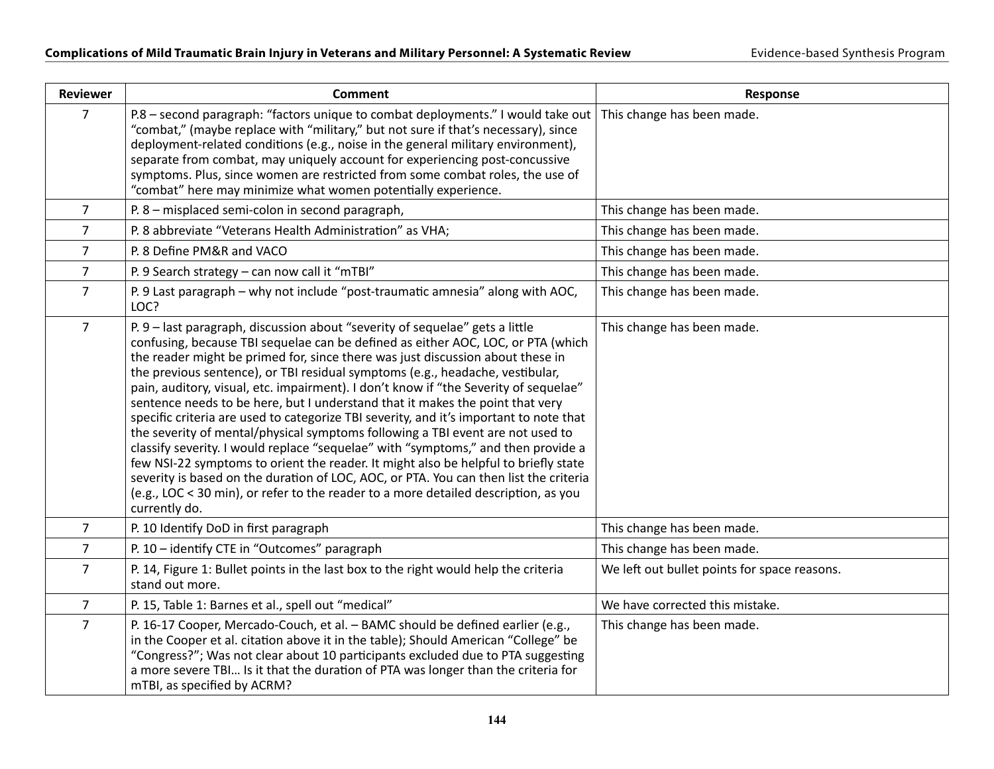| <b>Reviewer</b> | <b>Comment</b>                                                                                                                                                                                                                                                                                                                                                                                                                                                                                                                                                                                                                                                                                                                                                                                                                                                                                                                                                                                                                                                        | Response                                     |
|-----------------|-----------------------------------------------------------------------------------------------------------------------------------------------------------------------------------------------------------------------------------------------------------------------------------------------------------------------------------------------------------------------------------------------------------------------------------------------------------------------------------------------------------------------------------------------------------------------------------------------------------------------------------------------------------------------------------------------------------------------------------------------------------------------------------------------------------------------------------------------------------------------------------------------------------------------------------------------------------------------------------------------------------------------------------------------------------------------|----------------------------------------------|
| $\overline{7}$  | P.8 – second paragraph: "factors unique to combat deployments." I would take out<br>"combat," (maybe replace with "military," but not sure if that's necessary), since<br>deployment-related conditions (e.g., noise in the general military environment),<br>separate from combat, may uniquely account for experiencing post-concussive<br>symptoms. Plus, since women are restricted from some combat roles, the use of<br>"combat" here may minimize what women potentially experience.                                                                                                                                                                                                                                                                                                                                                                                                                                                                                                                                                                           | This change has been made.                   |
| $\overline{7}$  | P. 8 - misplaced semi-colon in second paragraph,                                                                                                                                                                                                                                                                                                                                                                                                                                                                                                                                                                                                                                                                                                                                                                                                                                                                                                                                                                                                                      | This change has been made.                   |
| $\overline{7}$  | P. 8 abbreviate "Veterans Health Administration" as VHA;                                                                                                                                                                                                                                                                                                                                                                                                                                                                                                                                                                                                                                                                                                                                                                                                                                                                                                                                                                                                              | This change has been made.                   |
| $\overline{7}$  | P. 8 Define PM&R and VACO                                                                                                                                                                                                                                                                                                                                                                                                                                                                                                                                                                                                                                                                                                                                                                                                                                                                                                                                                                                                                                             | This change has been made.                   |
| $\overline{7}$  | P. 9 Search strategy - can now call it "mTBI"                                                                                                                                                                                                                                                                                                                                                                                                                                                                                                                                                                                                                                                                                                                                                                                                                                                                                                                                                                                                                         | This change has been made.                   |
| $\overline{7}$  | P. 9 Last paragraph - why not include "post-traumatic amnesia" along with AOC,<br>LOC?                                                                                                                                                                                                                                                                                                                                                                                                                                                                                                                                                                                                                                                                                                                                                                                                                                                                                                                                                                                | This change has been made.                   |
| $\overline{7}$  | P. 9 - last paragraph, discussion about "severity of sequelae" gets a little<br>confusing, because TBI sequelae can be defined as either AOC, LOC, or PTA (which<br>the reader might be primed for, since there was just discussion about these in<br>the previous sentence), or TBI residual symptoms (e.g., headache, vestibular,<br>pain, auditory, visual, etc. impairment). I don't know if "the Severity of sequelae"<br>sentence needs to be here, but I understand that it makes the point that very<br>specific criteria are used to categorize TBI severity, and it's important to note that<br>the severity of mental/physical symptoms following a TBI event are not used to<br>classify severity. I would replace "sequelae" with "symptoms," and then provide a<br>few NSI-22 symptoms to orient the reader. It might also be helpful to briefly state<br>severity is based on the duration of LOC, AOC, or PTA. You can then list the criteria<br>(e.g., LOC < 30 min), or refer to the reader to a more detailed description, as you<br>currently do. | This change has been made.                   |
| $\overline{7}$  | P. 10 Identify DoD in first paragraph                                                                                                                                                                                                                                                                                                                                                                                                                                                                                                                                                                                                                                                                                                                                                                                                                                                                                                                                                                                                                                 | This change has been made.                   |
| $\overline{7}$  | P. 10 - identify CTE in "Outcomes" paragraph                                                                                                                                                                                                                                                                                                                                                                                                                                                                                                                                                                                                                                                                                                                                                                                                                                                                                                                                                                                                                          | This change has been made.                   |
| $\overline{7}$  | P. 14, Figure 1: Bullet points in the last box to the right would help the criteria<br>stand out more.                                                                                                                                                                                                                                                                                                                                                                                                                                                                                                                                                                                                                                                                                                                                                                                                                                                                                                                                                                | We left out bullet points for space reasons. |
| $\overline{7}$  | P. 15, Table 1: Barnes et al., spell out "medical"                                                                                                                                                                                                                                                                                                                                                                                                                                                                                                                                                                                                                                                                                                                                                                                                                                                                                                                                                                                                                    | We have corrected this mistake.              |
| $\overline{7}$  | P. 16-17 Cooper, Mercado-Couch, et al. - BAMC should be defined earlier (e.g.,<br>in the Cooper et al. citation above it in the table); Should American "College" be<br>"Congress?"; Was not clear about 10 participants excluded due to PTA suggesting<br>a more severe TBI Is it that the duration of PTA was longer than the criteria for<br>mTBI, as specified by ACRM?                                                                                                                                                                                                                                                                                                                                                                                                                                                                                                                                                                                                                                                                                           | This change has been made.                   |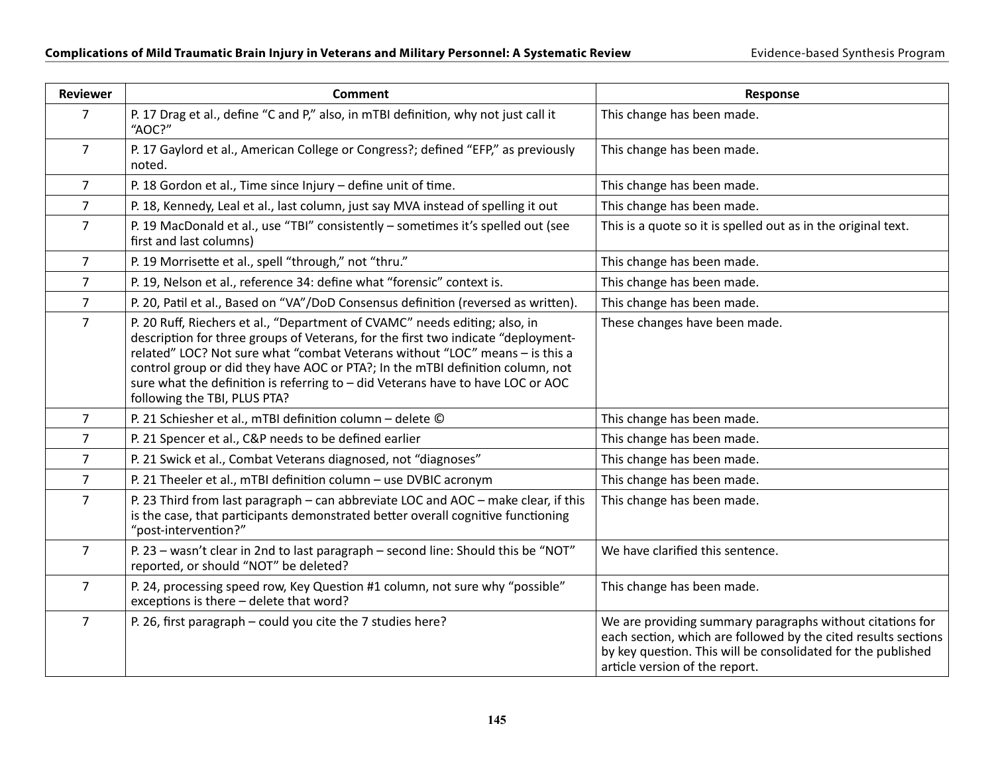| <b>Reviewer</b> | <b>Comment</b>                                                                                                                                                                                                                                                                                                                                                                                                                                       | Response                                                                                                                                                                                                                      |
|-----------------|------------------------------------------------------------------------------------------------------------------------------------------------------------------------------------------------------------------------------------------------------------------------------------------------------------------------------------------------------------------------------------------------------------------------------------------------------|-------------------------------------------------------------------------------------------------------------------------------------------------------------------------------------------------------------------------------|
| $\overline{7}$  | P. 17 Drag et al., define "C and P," also, in mTBI definition, why not just call it<br>"AOC?"                                                                                                                                                                                                                                                                                                                                                        | This change has been made.                                                                                                                                                                                                    |
| $\overline{7}$  | P. 17 Gaylord et al., American College or Congress?; defined "EFP," as previously<br>noted.                                                                                                                                                                                                                                                                                                                                                          | This change has been made.                                                                                                                                                                                                    |
| $\overline{7}$  | P. 18 Gordon et al., Time since Injury - define unit of time.                                                                                                                                                                                                                                                                                                                                                                                        | This change has been made.                                                                                                                                                                                                    |
| $\overline{7}$  | P. 18, Kennedy, Leal et al., last column, just say MVA instead of spelling it out                                                                                                                                                                                                                                                                                                                                                                    | This change has been made.                                                                                                                                                                                                    |
| $\overline{7}$  | P. 19 MacDonald et al., use "TBI" consistently - sometimes it's spelled out (see<br>first and last columns)                                                                                                                                                                                                                                                                                                                                          | This is a quote so it is spelled out as in the original text.                                                                                                                                                                 |
| $\overline{7}$  | P. 19 Morrisette et al., spell "through," not "thru."                                                                                                                                                                                                                                                                                                                                                                                                | This change has been made.                                                                                                                                                                                                    |
| $\overline{7}$  | P. 19, Nelson et al., reference 34: define what "forensic" context is.                                                                                                                                                                                                                                                                                                                                                                               | This change has been made.                                                                                                                                                                                                    |
| $\overline{7}$  | P. 20, Patil et al., Based on "VA"/DoD Consensus definition (reversed as written).                                                                                                                                                                                                                                                                                                                                                                   | This change has been made.                                                                                                                                                                                                    |
| $\overline{7}$  | P. 20 Ruff, Riechers et al., "Department of CVAMC" needs editing; also, in<br>description for three groups of Veterans, for the first two indicate "deployment-<br>related" LOC? Not sure what "combat Veterans without "LOC" means - is this a<br>control group or did they have AOC or PTA?; In the mTBI definition column, not<br>sure what the definition is referring to - did Veterans have to have LOC or AOC<br>following the TBI, PLUS PTA? | These changes have been made.                                                                                                                                                                                                 |
| $\overline{7}$  | P. 21 Schiesher et al., mTBI definition column - delete ©                                                                                                                                                                                                                                                                                                                                                                                            | This change has been made.                                                                                                                                                                                                    |
| $\overline{7}$  | P. 21 Spencer et al., C&P needs to be defined earlier                                                                                                                                                                                                                                                                                                                                                                                                | This change has been made.                                                                                                                                                                                                    |
| $\overline{7}$  | P. 21 Swick et al., Combat Veterans diagnosed, not "diagnoses"                                                                                                                                                                                                                                                                                                                                                                                       | This change has been made.                                                                                                                                                                                                    |
| $\overline{7}$  | P. 21 Theeler et al., mTBI definition column - use DVBIC acronym                                                                                                                                                                                                                                                                                                                                                                                     | This change has been made.                                                                                                                                                                                                    |
| $\overline{7}$  | P. 23 Third from last paragraph - can abbreviate LOC and AOC - make clear, if this<br>is the case, that participants demonstrated better overall cognitive functioning<br>"post-intervention?"                                                                                                                                                                                                                                                       | This change has been made.                                                                                                                                                                                                    |
| $\overline{7}$  | P. 23 - wasn't clear in 2nd to last paragraph - second line: Should this be "NOT"<br>reported, or should "NOT" be deleted?                                                                                                                                                                                                                                                                                                                           | We have clarified this sentence.                                                                                                                                                                                              |
| $\overline{7}$  | P. 24, processing speed row, Key Question #1 column, not sure why "possible"<br>exceptions is there - delete that word?                                                                                                                                                                                                                                                                                                                              | This change has been made.                                                                                                                                                                                                    |
| $\overline{7}$  | P. 26, first paragraph - could you cite the 7 studies here?                                                                                                                                                                                                                                                                                                                                                                                          | We are providing summary paragraphs without citations for<br>each section, which are followed by the cited results sections<br>by key question. This will be consolidated for the published<br>article version of the report. |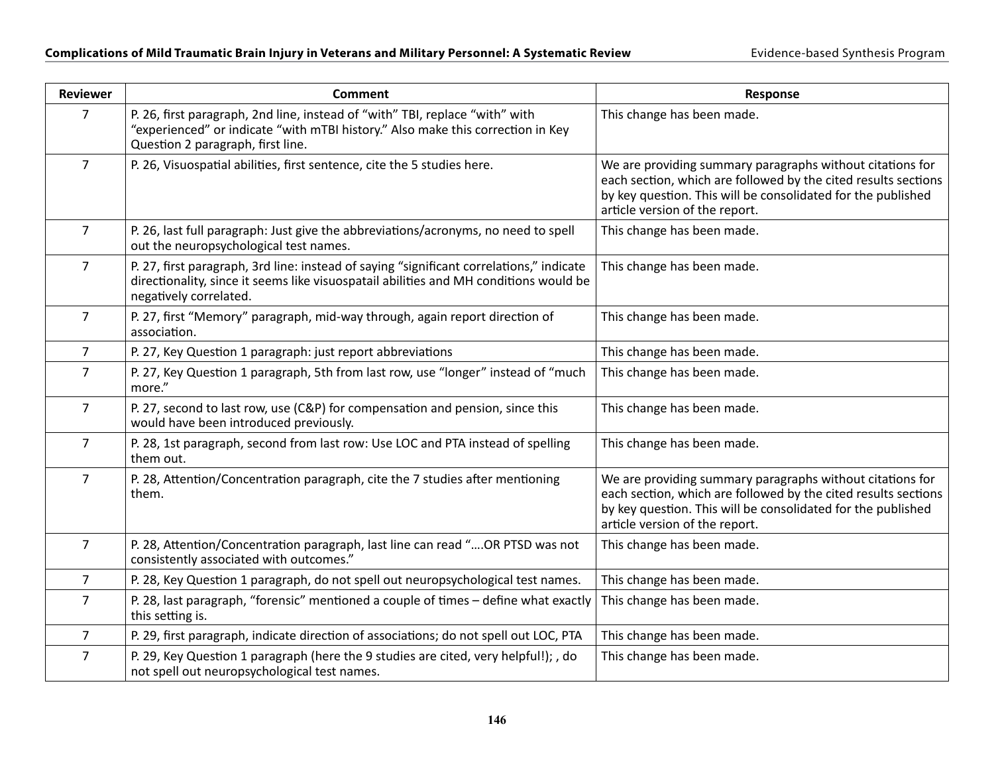| <b>Reviewer</b> | <b>Comment</b>                                                                                                                                                                                              | Response                                                                                                                                                                                                                      |
|-----------------|-------------------------------------------------------------------------------------------------------------------------------------------------------------------------------------------------------------|-------------------------------------------------------------------------------------------------------------------------------------------------------------------------------------------------------------------------------|
| $\overline{7}$  | P. 26, first paragraph, 2nd line, instead of "with" TBI, replace "with" with<br>"experienced" or indicate "with mTBI history." Also make this correction in Key<br>Question 2 paragraph, first line.        | This change has been made.                                                                                                                                                                                                    |
| $\overline{7}$  | P. 26, Visuospatial abilities, first sentence, cite the 5 studies here.                                                                                                                                     | We are providing summary paragraphs without citations for<br>each section, which are followed by the cited results sections<br>by key question. This will be consolidated for the published<br>article version of the report. |
| $\overline{7}$  | P. 26, last full paragraph: Just give the abbreviations/acronyms, no need to spell<br>out the neuropsychological test names.                                                                                | This change has been made.                                                                                                                                                                                                    |
| $\overline{7}$  | P. 27, first paragraph, 3rd line: instead of saying "significant correlations," indicate<br>directionality, since it seems like visuospatail abilities and MH conditions would be<br>negatively correlated. | This change has been made.                                                                                                                                                                                                    |
| $\overline{7}$  | P. 27, first "Memory" paragraph, mid-way through, again report direction of<br>association.                                                                                                                 | This change has been made.                                                                                                                                                                                                    |
| $\overline{7}$  | P. 27, Key Question 1 paragraph: just report abbreviations                                                                                                                                                  | This change has been made.                                                                                                                                                                                                    |
| $\overline{7}$  | P. 27, Key Question 1 paragraph, 5th from last row, use "longer" instead of "much<br>more."                                                                                                                 | This change has been made.                                                                                                                                                                                                    |
| $\overline{7}$  | P. 27, second to last row, use (C&P) for compensation and pension, since this<br>would have been introduced previously.                                                                                     | This change has been made.                                                                                                                                                                                                    |
| $\overline{7}$  | P. 28, 1st paragraph, second from last row: Use LOC and PTA instead of spelling<br>them out.                                                                                                                | This change has been made.                                                                                                                                                                                                    |
| $\overline{7}$  | P. 28, Attention/Concentration paragraph, cite the 7 studies after mentioning<br>them.                                                                                                                      | We are providing summary paragraphs without citations for<br>each section, which are followed by the cited results sections<br>by key question. This will be consolidated for the published<br>article version of the report. |
| $\overline{7}$  | P. 28, Attention/Concentration paragraph, last line can read "OR PTSD was not<br>consistently associated with outcomes."                                                                                    | This change has been made.                                                                                                                                                                                                    |
| 7               | P. 28, Key Question 1 paragraph, do not spell out neuropsychological test names.                                                                                                                            | This change has been made.                                                                                                                                                                                                    |
| $\overline{7}$  | P. 28, last paragraph, "forensic" mentioned a couple of times - define what exactly<br>this setting is.                                                                                                     | This change has been made.                                                                                                                                                                                                    |
| 7               | P. 29, first paragraph, indicate direction of associations; do not spell out LOC, PTA                                                                                                                       | This change has been made.                                                                                                                                                                                                    |
| $\overline{7}$  | P. 29, Key Question 1 paragraph (here the 9 studies are cited, very helpful!); , do<br>not spell out neuropsychological test names.                                                                         | This change has been made.                                                                                                                                                                                                    |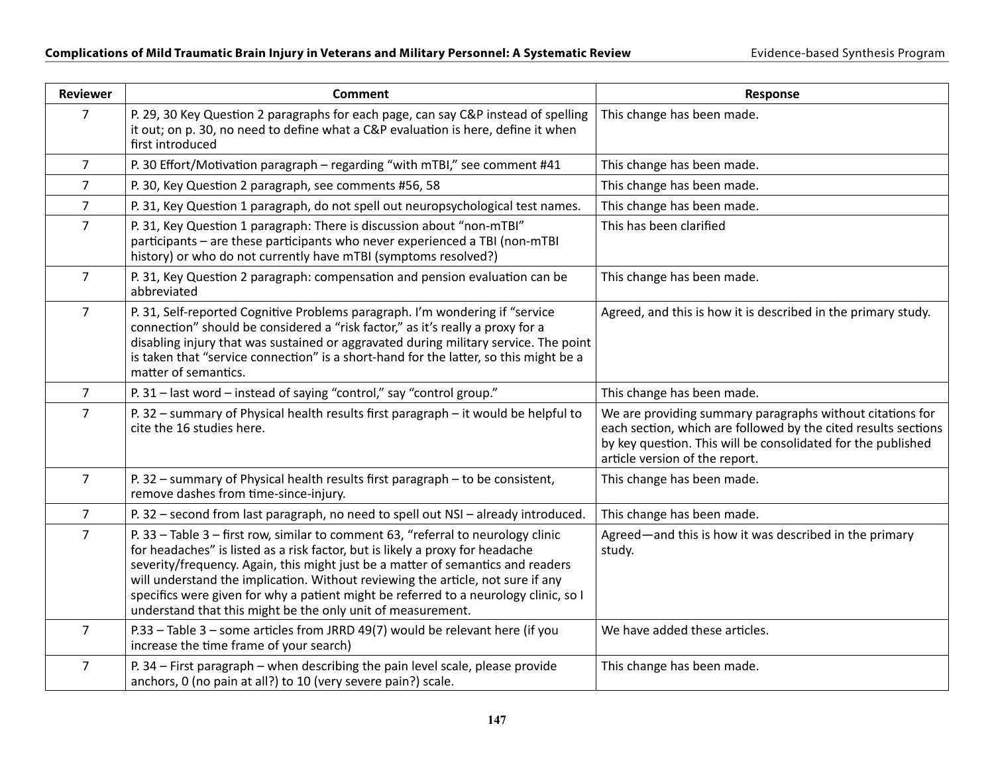| <b>Reviewer</b> | <b>Comment</b>                                                                                                                                                                                                                                                                                                                                                                                                                                                                                  | Response                                                                                                                                                                                                                      |
|-----------------|-------------------------------------------------------------------------------------------------------------------------------------------------------------------------------------------------------------------------------------------------------------------------------------------------------------------------------------------------------------------------------------------------------------------------------------------------------------------------------------------------|-------------------------------------------------------------------------------------------------------------------------------------------------------------------------------------------------------------------------------|
| $\overline{7}$  | P. 29, 30 Key Question 2 paragraphs for each page, can say C&P instead of spelling<br>it out; on p. 30, no need to define what a C&P evaluation is here, define it when<br>first introduced                                                                                                                                                                                                                                                                                                     | This change has been made.                                                                                                                                                                                                    |
| $\overline{7}$  | P. 30 Effort/Motivation paragraph - regarding "with mTBI," see comment #41                                                                                                                                                                                                                                                                                                                                                                                                                      | This change has been made.                                                                                                                                                                                                    |
| $\overline{7}$  | P. 30, Key Question 2 paragraph, see comments #56, 58                                                                                                                                                                                                                                                                                                                                                                                                                                           | This change has been made.                                                                                                                                                                                                    |
| $\overline{7}$  | P. 31, Key Question 1 paragraph, do not spell out neuropsychological test names.                                                                                                                                                                                                                                                                                                                                                                                                                | This change has been made.                                                                                                                                                                                                    |
| $\overline{7}$  | P. 31, Key Question 1 paragraph: There is discussion about "non-mTBI"<br>participants - are these participants who never experienced a TBI (non-mTBI<br>history) or who do not currently have mTBI (symptoms resolved?)                                                                                                                                                                                                                                                                         | This has been clarified                                                                                                                                                                                                       |
| $\overline{7}$  | P. 31, Key Question 2 paragraph: compensation and pension evaluation can be<br>abbreviated                                                                                                                                                                                                                                                                                                                                                                                                      | This change has been made.                                                                                                                                                                                                    |
| $\overline{7}$  | P. 31, Self-reported Cognitive Problems paragraph. I'm wondering if "service<br>connection" should be considered a "risk factor," as it's really a proxy for a<br>disabling injury that was sustained or aggravated during military service. The point<br>is taken that "service connection" is a short-hand for the latter, so this might be a<br>matter of semantics.                                                                                                                         | Agreed, and this is how it is described in the primary study.                                                                                                                                                                 |
| $\overline{7}$  | P. 31 - last word - instead of saying "control," say "control group."                                                                                                                                                                                                                                                                                                                                                                                                                           | This change has been made.                                                                                                                                                                                                    |
| $\overline{7}$  | P. 32 - summary of Physical health results first paragraph - it would be helpful to<br>cite the 16 studies here.                                                                                                                                                                                                                                                                                                                                                                                | We are providing summary paragraphs without citations for<br>each section, which are followed by the cited results sections<br>by key question. This will be consolidated for the published<br>article version of the report. |
| $\overline{7}$  | P. 32 - summary of Physical health results first paragraph - to be consistent,<br>remove dashes from time-since-injury.                                                                                                                                                                                                                                                                                                                                                                         | This change has been made.                                                                                                                                                                                                    |
| $\overline{7}$  | P. 32 - second from last paragraph, no need to spell out NSI - already introduced.                                                                                                                                                                                                                                                                                                                                                                                                              | This change has been made.                                                                                                                                                                                                    |
| $\overline{7}$  | P. 33 - Table 3 - first row, similar to comment 63, "referral to neurology clinic<br>for headaches" is listed as a risk factor, but is likely a proxy for headache<br>severity/frequency. Again, this might just be a matter of semantics and readers<br>will understand the implication. Without reviewing the article, not sure if any<br>specifics were given for why a patient might be referred to a neurology clinic, so I<br>understand that this might be the only unit of measurement. | Agreed-and this is how it was described in the primary<br>study.                                                                                                                                                              |
| $\overline{7}$  | P.33 - Table 3 - some articles from JRRD 49(7) would be relevant here (if you<br>increase the time frame of your search)                                                                                                                                                                                                                                                                                                                                                                        | We have added these articles.                                                                                                                                                                                                 |
| $\overline{7}$  | P. 34 - First paragraph - when describing the pain level scale, please provide<br>anchors, 0 (no pain at all?) to 10 (very severe pain?) scale.                                                                                                                                                                                                                                                                                                                                                 | This change has been made.                                                                                                                                                                                                    |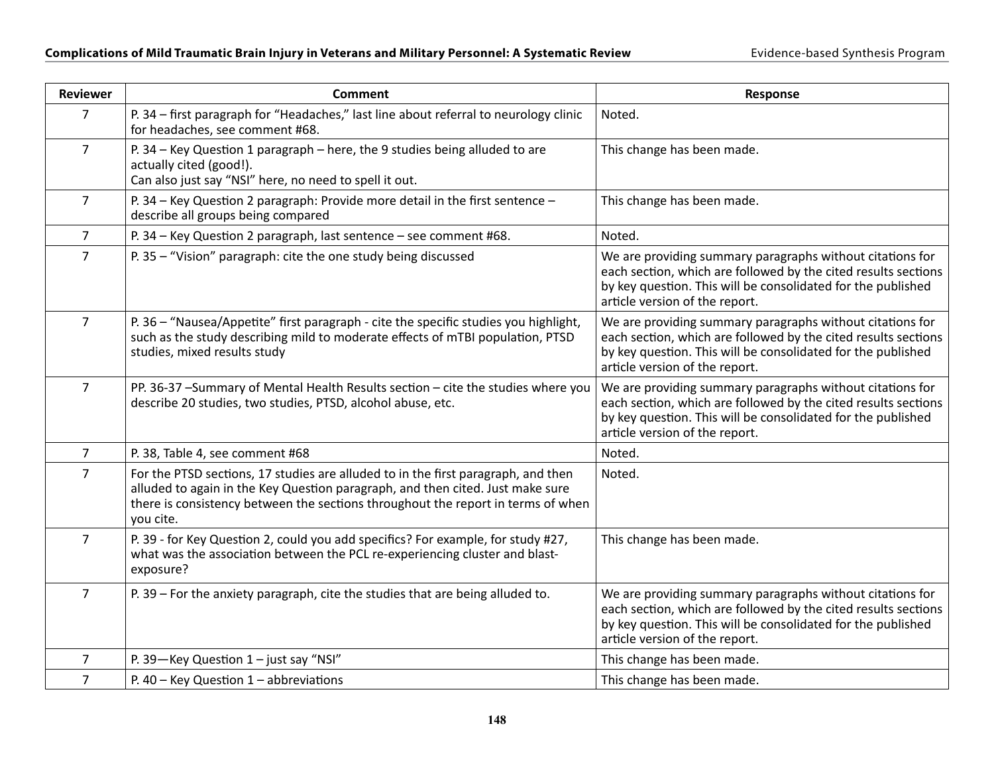| <b>Reviewer</b> | <b>Comment</b>                                                                                                                                                                                                                                                       | Response                                                                                                                                                                                                                      |
|-----------------|----------------------------------------------------------------------------------------------------------------------------------------------------------------------------------------------------------------------------------------------------------------------|-------------------------------------------------------------------------------------------------------------------------------------------------------------------------------------------------------------------------------|
| $\overline{7}$  | P. 34 - first paragraph for "Headaches," last line about referral to neurology clinic<br>for headaches, see comment #68.                                                                                                                                             | Noted.                                                                                                                                                                                                                        |
| $\overline{7}$  | P. 34 - Key Question 1 paragraph - here, the 9 studies being alluded to are<br>actually cited (good!).<br>Can also just say "NSI" here, no need to spell it out.                                                                                                     | This change has been made.                                                                                                                                                                                                    |
| $\overline{7}$  | P. 34 – Key Question 2 paragraph: Provide more detail in the first sentence –<br>describe all groups being compared                                                                                                                                                  | This change has been made.                                                                                                                                                                                                    |
| $\overline{7}$  | P. 34 - Key Question 2 paragraph, last sentence - see comment #68.                                                                                                                                                                                                   | Noted.                                                                                                                                                                                                                        |
| $\overline{7}$  | P. 35 - "Vision" paragraph: cite the one study being discussed                                                                                                                                                                                                       | We are providing summary paragraphs without citations for<br>each section, which are followed by the cited results sections<br>by key question. This will be consolidated for the published<br>article version of the report. |
| $\overline{7}$  | P. 36 - "Nausea/Appetite" first paragraph - cite the specific studies you highlight,<br>such as the study describing mild to moderate effects of mTBI population, PTSD<br>studies, mixed results study                                                               | We are providing summary paragraphs without citations for<br>each section, which are followed by the cited results sections<br>by key question. This will be consolidated for the published<br>article version of the report. |
| $\overline{7}$  | PP. 36-37 -Summary of Mental Health Results section - cite the studies where you<br>describe 20 studies, two studies, PTSD, alcohol abuse, etc.                                                                                                                      | We are providing summary paragraphs without citations for<br>each section, which are followed by the cited results sections<br>by key question. This will be consolidated for the published<br>article version of the report. |
| $\overline{7}$  | P. 38, Table 4, see comment #68                                                                                                                                                                                                                                      | Noted.                                                                                                                                                                                                                        |
| $\overline{7}$  | For the PTSD sections, 17 studies are alluded to in the first paragraph, and then<br>alluded to again in the Key Question paragraph, and then cited. Just make sure<br>there is consistency between the sections throughout the report in terms of when<br>you cite. | Noted.                                                                                                                                                                                                                        |
| $\overline{7}$  | P. 39 - for Key Question 2, could you add specifics? For example, for study #27,<br>what was the association between the PCL re-experiencing cluster and blast-<br>exposure?                                                                                         | This change has been made.                                                                                                                                                                                                    |
| $\overline{7}$  | P. 39 - For the anxiety paragraph, cite the studies that are being alluded to.                                                                                                                                                                                       | We are providing summary paragraphs without citations for<br>each section, which are followed by the cited results sections<br>by key question. This will be consolidated for the published<br>article version of the report. |
| 7               | P. 39-Key Question $1 -$ just say "NSI"                                                                                                                                                                                                                              | This change has been made.                                                                                                                                                                                                    |
| $\overline{7}$  | P. $40 -$ Key Question $1 -$ abbreviations                                                                                                                                                                                                                           | This change has been made.                                                                                                                                                                                                    |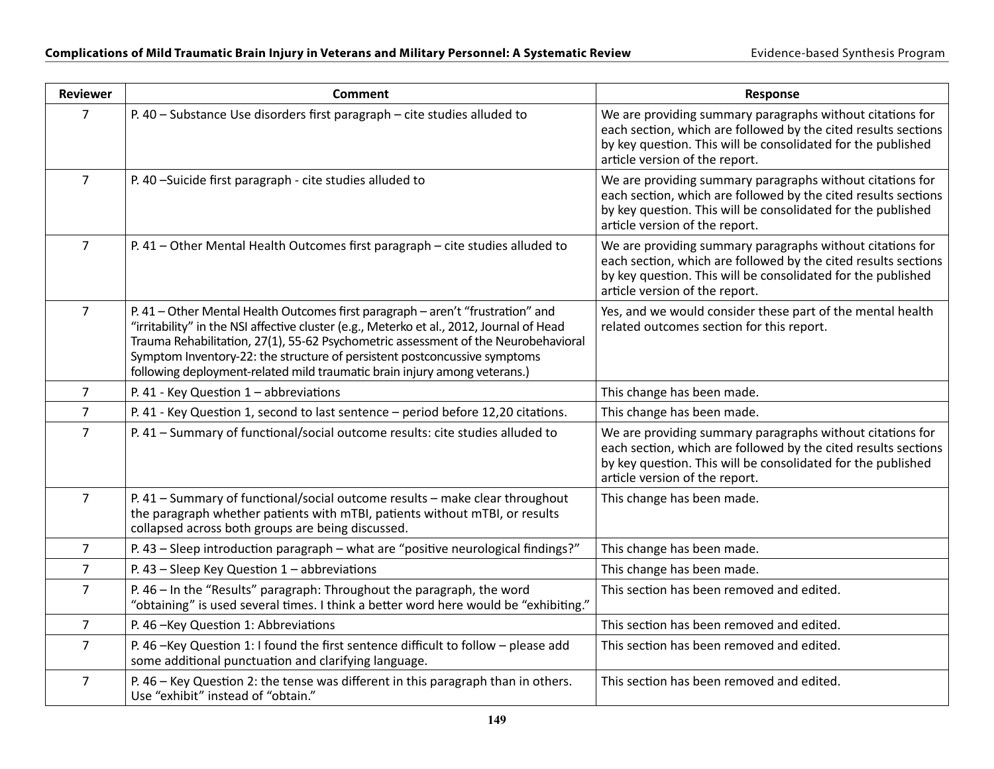| <b>Reviewer</b> | <b>Comment</b>                                                                                                                                                                                                                                                                                                                                                                                                              | Response                                                                                                                                                                                                                      |
|-----------------|-----------------------------------------------------------------------------------------------------------------------------------------------------------------------------------------------------------------------------------------------------------------------------------------------------------------------------------------------------------------------------------------------------------------------------|-------------------------------------------------------------------------------------------------------------------------------------------------------------------------------------------------------------------------------|
| $\overline{7}$  | P. 40 - Substance Use disorders first paragraph - cite studies alluded to                                                                                                                                                                                                                                                                                                                                                   | We are providing summary paragraphs without citations for<br>each section, which are followed by the cited results sections<br>by key question. This will be consolidated for the published<br>article version of the report. |
| $\overline{7}$  | P. 40 -Suicide first paragraph - cite studies alluded to                                                                                                                                                                                                                                                                                                                                                                    | We are providing summary paragraphs without citations for<br>each section, which are followed by the cited results sections<br>by key question. This will be consolidated for the published<br>article version of the report. |
| 7               | P. 41 - Other Mental Health Outcomes first paragraph - cite studies alluded to                                                                                                                                                                                                                                                                                                                                              | We are providing summary paragraphs without citations for<br>each section, which are followed by the cited results sections<br>by key question. This will be consolidated for the published<br>article version of the report. |
| $\overline{7}$  | P. 41 - Other Mental Health Outcomes first paragraph - aren't "frustration" and<br>"irritability" in the NSI affective cluster (e.g., Meterko et al., 2012, Journal of Head<br>Trauma Rehabilitation, 27(1), 55-62 Psychometric assessment of the Neurobehavioral<br>Symptom Inventory-22: the structure of persistent postconcussive symptoms<br>following deployment-related mild traumatic brain injury among veterans.) | Yes, and we would consider these part of the mental health<br>related outcomes section for this report.                                                                                                                       |
| $\overline{7}$  | P. 41 - Key Question $1$ – abbreviations                                                                                                                                                                                                                                                                                                                                                                                    | This change has been made.                                                                                                                                                                                                    |
| $\overline{7}$  | P. 41 - Key Question 1, second to last sentence - period before 12,20 citations.                                                                                                                                                                                                                                                                                                                                            | This change has been made.                                                                                                                                                                                                    |
| $\overline{7}$  | P. 41 - Summary of functional/social outcome results: cite studies alluded to                                                                                                                                                                                                                                                                                                                                               | We are providing summary paragraphs without citations for<br>each section, which are followed by the cited results sections<br>by key question. This will be consolidated for the published<br>article version of the report. |
| $\overline{7}$  | P. 41 - Summary of functional/social outcome results - make clear throughout<br>the paragraph whether patients with mTBI, patients without mTBI, or results<br>collapsed across both groups are being discussed.                                                                                                                                                                                                            | This change has been made.                                                                                                                                                                                                    |
| $\overline{7}$  | P. 43 - Sleep introduction paragraph - what are "positive neurological findings?"                                                                                                                                                                                                                                                                                                                                           | This change has been made.                                                                                                                                                                                                    |
| $\overline{7}$  | P. 43 - Sleep Key Question $1$ - abbreviations                                                                                                                                                                                                                                                                                                                                                                              | This change has been made.                                                                                                                                                                                                    |
| $\overline{7}$  | P. 46 - In the "Results" paragraph: Throughout the paragraph, the word<br>"obtaining" is used several times. I think a better word here would be "exhibiting."                                                                                                                                                                                                                                                              | This section has been removed and edited.                                                                                                                                                                                     |
| $\overline{7}$  | P. 46 - Key Question 1: Abbreviations                                                                                                                                                                                                                                                                                                                                                                                       | This section has been removed and edited.                                                                                                                                                                                     |
| $\overline{7}$  | P. 46 -Key Question 1: I found the first sentence difficult to follow - please add<br>some additional punctuation and clarifying language.                                                                                                                                                                                                                                                                                  | This section has been removed and edited.                                                                                                                                                                                     |
| $\overline{7}$  | P. 46 - Key Question 2: the tense was different in this paragraph than in others.<br>Use "exhibit" instead of "obtain."                                                                                                                                                                                                                                                                                                     | This section has been removed and edited.                                                                                                                                                                                     |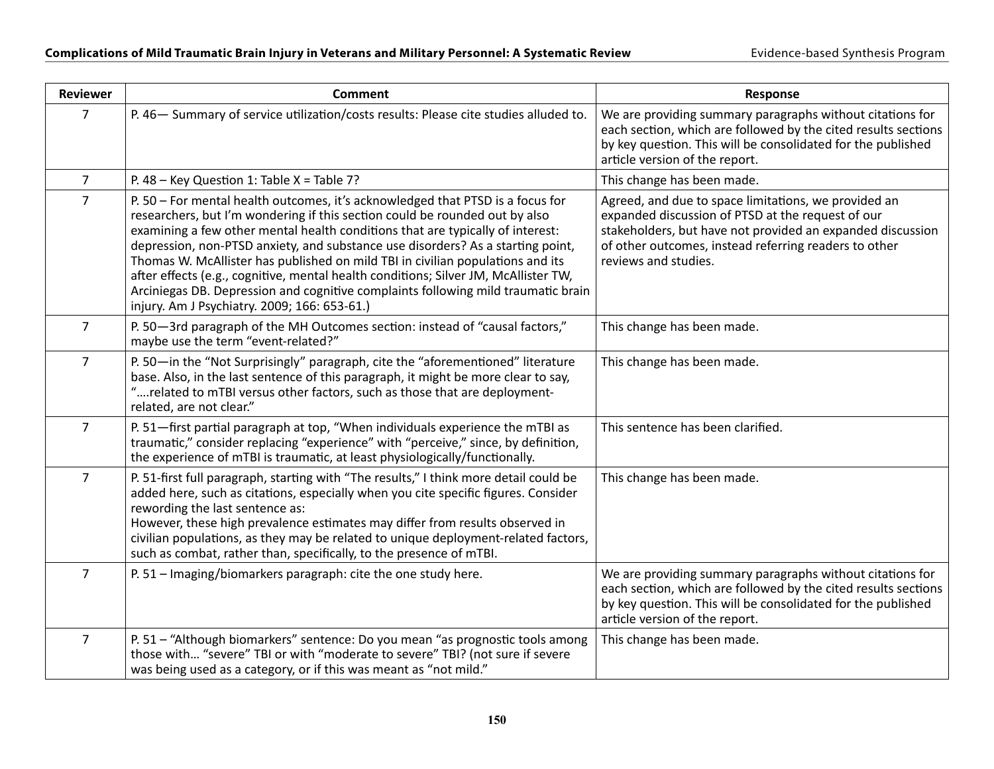| <b>Reviewer</b> | <b>Comment</b>                                                                                                                                                                                                                                                                                                                                                                                                                                                                                                                                                                                                                                   | <b>Response</b>                                                                                                                                                                                                                                          |
|-----------------|--------------------------------------------------------------------------------------------------------------------------------------------------------------------------------------------------------------------------------------------------------------------------------------------------------------------------------------------------------------------------------------------------------------------------------------------------------------------------------------------------------------------------------------------------------------------------------------------------------------------------------------------------|----------------------------------------------------------------------------------------------------------------------------------------------------------------------------------------------------------------------------------------------------------|
| $\overline{7}$  | P. 46- Summary of service utilization/costs results: Please cite studies alluded to.                                                                                                                                                                                                                                                                                                                                                                                                                                                                                                                                                             | We are providing summary paragraphs without citations for<br>each section, which are followed by the cited results sections<br>by key question. This will be consolidated for the published<br>article version of the report.                            |
| $\overline{7}$  | P. 48 - Key Question 1: Table $X = Table 7$ ?                                                                                                                                                                                                                                                                                                                                                                                                                                                                                                                                                                                                    | This change has been made.                                                                                                                                                                                                                               |
| $\overline{7}$  | P. 50 - For mental health outcomes, it's acknowledged that PTSD is a focus for<br>researchers, but I'm wondering if this section could be rounded out by also<br>examining a few other mental health conditions that are typically of interest:<br>depression, non-PTSD anxiety, and substance use disorders? As a starting point,<br>Thomas W. McAllister has published on mild TBI in civilian populations and its<br>after effects (e.g., cognitive, mental health conditions; Silver JM, McAllister TW,<br>Arciniegas DB. Depression and cognitive complaints following mild traumatic brain<br>injury. Am J Psychiatry. 2009; 166: 653-61.) | Agreed, and due to space limitations, we provided an<br>expanded discussion of PTSD at the request of our<br>stakeholders, but have not provided an expanded discussion<br>of other outcomes, instead referring readers to other<br>reviews and studies. |
| $\overline{7}$  | P. 50-3rd paragraph of the MH Outcomes section: instead of "causal factors,"<br>maybe use the term "event-related?"                                                                                                                                                                                                                                                                                                                                                                                                                                                                                                                              | This change has been made.                                                                                                                                                                                                                               |
| $\overline{7}$  | P. 50-in the "Not Surprisingly" paragraph, cite the "aforementioned" literature<br>base. Also, in the last sentence of this paragraph, it might be more clear to say,<br>"related to mTBI versus other factors, such as those that are deployment-<br>related, are not clear."                                                                                                                                                                                                                                                                                                                                                                   | This change has been made.                                                                                                                                                                                                                               |
| $\overline{7}$  | P. 51-first partial paragraph at top, "When individuals experience the mTBI as<br>traumatic," consider replacing "experience" with "perceive," since, by definition,<br>the experience of mTBI is traumatic, at least physiologically/functionally.                                                                                                                                                                                                                                                                                                                                                                                              | This sentence has been clarified.                                                                                                                                                                                                                        |
| $\overline{7}$  | P. 51-first full paragraph, starting with "The results," I think more detail could be<br>added here, such as citations, especially when you cite specific figures. Consider<br>rewording the last sentence as:<br>However, these high prevalence estimates may differ from results observed in<br>civilian populations, as they may be related to unique deployment-related factors,<br>such as combat, rather than, specifically, to the presence of mTBI.                                                                                                                                                                                      | This change has been made.                                                                                                                                                                                                                               |
| $\overline{7}$  | P. 51 - Imaging/biomarkers paragraph: cite the one study here.                                                                                                                                                                                                                                                                                                                                                                                                                                                                                                                                                                                   | We are providing summary paragraphs without citations for<br>each section, which are followed by the cited results sections<br>by key question. This will be consolidated for the published<br>article version of the report.                            |
| $\overline{7}$  | P. 51 - "Although biomarkers" sentence: Do you mean "as prognostic tools among<br>those with "severe" TBI or with "moderate to severe" TBI? (not sure if severe<br>was being used as a category, or if this was meant as "not mild."                                                                                                                                                                                                                                                                                                                                                                                                             | This change has been made.                                                                                                                                                                                                                               |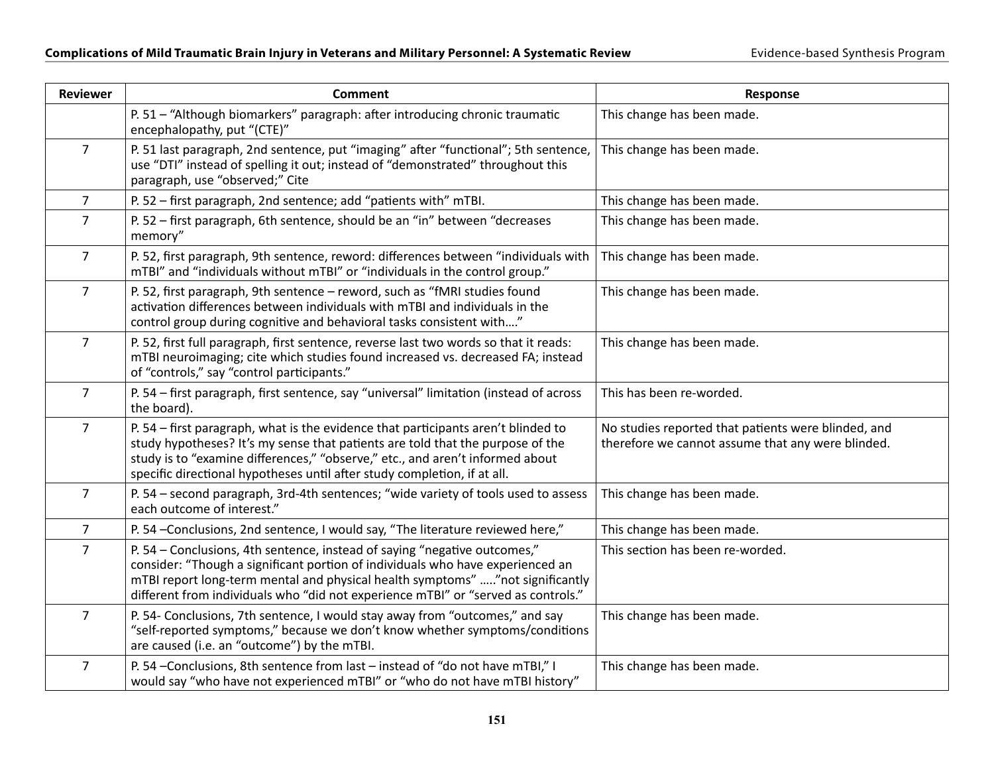| <b>Reviewer</b> | <b>Comment</b>                                                                                                                                                                                                                                                                                                                    | Response                                                                                                 |
|-----------------|-----------------------------------------------------------------------------------------------------------------------------------------------------------------------------------------------------------------------------------------------------------------------------------------------------------------------------------|----------------------------------------------------------------------------------------------------------|
|                 | P. 51 - "Although biomarkers" paragraph: after introducing chronic traumatic<br>encephalopathy, put "(CTE)"                                                                                                                                                                                                                       | This change has been made.                                                                               |
| $\overline{7}$  | P. 51 last paragraph, 2nd sentence, put "imaging" after "functional"; 5th sentence,<br>use "DTI" instead of spelling it out; instead of "demonstrated" throughout this<br>paragraph, use "observed;" Cite                                                                                                                         | This change has been made.                                                                               |
| $\overline{7}$  | P. 52 - first paragraph, 2nd sentence; add "patients with" mTBI.                                                                                                                                                                                                                                                                  | This change has been made.                                                                               |
| $\overline{7}$  | P. 52 - first paragraph, 6th sentence, should be an "in" between "decreases<br>memory"                                                                                                                                                                                                                                            | This change has been made.                                                                               |
| $\overline{7}$  | P. 52, first paragraph, 9th sentence, reword: differences between "individuals with<br>mTBI" and "individuals without mTBI" or "individuals in the control group."                                                                                                                                                                | This change has been made.                                                                               |
| $\overline{7}$  | P. 52, first paragraph, 9th sentence - reword, such as "fMRI studies found<br>activation differences between individuals with mTBI and individuals in the<br>control group during cognitive and behavioral tasks consistent with"                                                                                                 | This change has been made.                                                                               |
| $\overline{7}$  | P. 52, first full paragraph, first sentence, reverse last two words so that it reads:<br>mTBI neuroimaging; cite which studies found increased vs. decreased FA; instead<br>of "controls," say "control participants."                                                                                                            | This change has been made.                                                                               |
| $\overline{7}$  | P. 54 - first paragraph, first sentence, say "universal" limitation (instead of across<br>the board).                                                                                                                                                                                                                             | This has been re-worded.                                                                                 |
| $\overline{7}$  | P. 54 - first paragraph, what is the evidence that participants aren't blinded to<br>study hypotheses? It's my sense that patients are told that the purpose of the<br>study is to "examine differences," "observe," etc., and aren't informed about<br>specific directional hypotheses until after study completion, if at all.  | No studies reported that patients were blinded, and<br>therefore we cannot assume that any were blinded. |
| $\overline{7}$  | P. 54 - second paragraph, 3rd-4th sentences; "wide variety of tools used to assess<br>each outcome of interest."                                                                                                                                                                                                                  | This change has been made.                                                                               |
| $\overline{7}$  | P. 54 -Conclusions, 2nd sentence, I would say, "The literature reviewed here,"                                                                                                                                                                                                                                                    | This change has been made.                                                                               |
| $\overline{7}$  | P. 54 - Conclusions, 4th sentence, instead of saying "negative outcomes,"<br>consider: "Though a significant portion of individuals who have experienced an<br>mTBI report long-term mental and physical health symptoms" "not significantly<br>different from individuals who "did not experience mTBI" or "served as controls." | This section has been re-worded.                                                                         |
| $\overline{7}$  | P. 54- Conclusions, 7th sentence, I would stay away from "outcomes," and say<br>"self-reported symptoms," because we don't know whether symptoms/conditions<br>are caused (i.e. an "outcome") by the mTBI.                                                                                                                        | This change has been made.                                                                               |
| $\overline{7}$  | P. 54 -Conclusions, 8th sentence from last - instead of "do not have mTBI," I<br>would say "who have not experienced mTBI" or "who do not have mTBI history"                                                                                                                                                                      | This change has been made.                                                                               |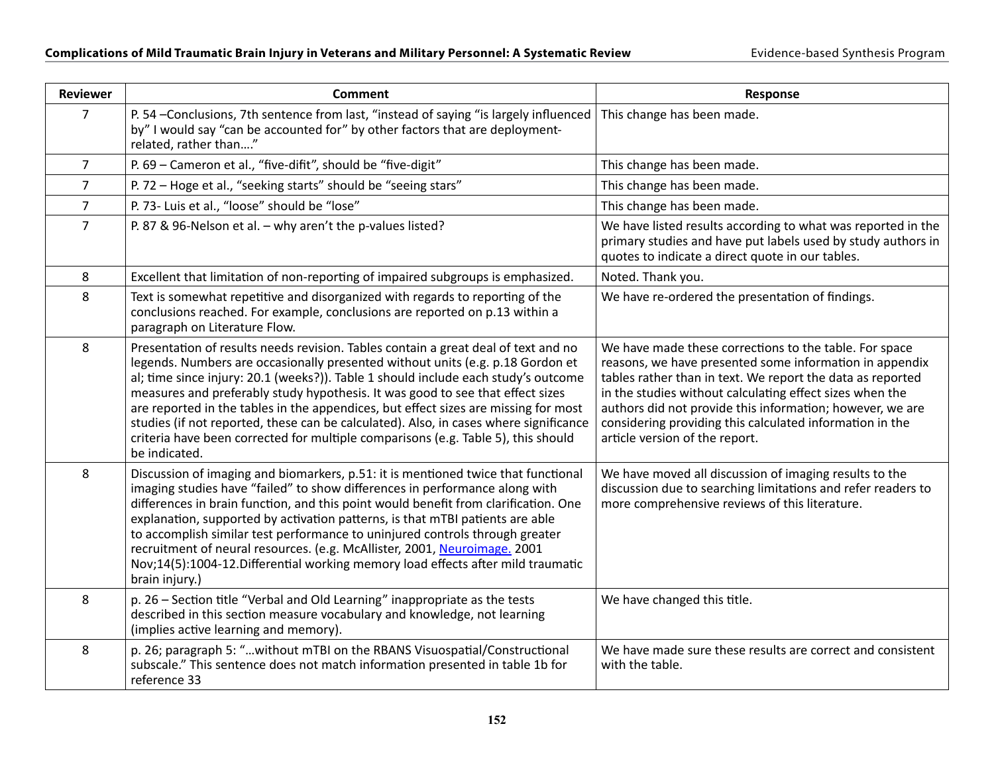| <b>Reviewer</b> | <b>Comment</b>                                                                                                                                                                                                                                                                                                                                                                                                                                                                                                                                                                                                                     | Response                                                                                                                                                                                                                                                                                                                                                                                               |
|-----------------|------------------------------------------------------------------------------------------------------------------------------------------------------------------------------------------------------------------------------------------------------------------------------------------------------------------------------------------------------------------------------------------------------------------------------------------------------------------------------------------------------------------------------------------------------------------------------------------------------------------------------------|--------------------------------------------------------------------------------------------------------------------------------------------------------------------------------------------------------------------------------------------------------------------------------------------------------------------------------------------------------------------------------------------------------|
| 7               | P. 54 -Conclusions, 7th sentence from last, "instead of saying "is largely influenced<br>by" I would say "can be accounted for" by other factors that are deployment-<br>related, rather than"                                                                                                                                                                                                                                                                                                                                                                                                                                     | This change has been made.                                                                                                                                                                                                                                                                                                                                                                             |
| $\overline{7}$  | P. 69 - Cameron et al., "five-difit", should be "five-digit"                                                                                                                                                                                                                                                                                                                                                                                                                                                                                                                                                                       | This change has been made.                                                                                                                                                                                                                                                                                                                                                                             |
| $\overline{7}$  | P. 72 - Hoge et al., "seeking starts" should be "seeing stars"                                                                                                                                                                                                                                                                                                                                                                                                                                                                                                                                                                     | This change has been made.                                                                                                                                                                                                                                                                                                                                                                             |
| $\overline{7}$  | P. 73- Luis et al., "loose" should be "lose"                                                                                                                                                                                                                                                                                                                                                                                                                                                                                                                                                                                       | This change has been made.                                                                                                                                                                                                                                                                                                                                                                             |
| $\overline{7}$  | P. 87 & 96-Nelson et al. - why aren't the p-values listed?                                                                                                                                                                                                                                                                                                                                                                                                                                                                                                                                                                         | We have listed results according to what was reported in the<br>primary studies and have put labels used by study authors in<br>quotes to indicate a direct quote in our tables.                                                                                                                                                                                                                       |
| 8               | Excellent that limitation of non-reporting of impaired subgroups is emphasized.                                                                                                                                                                                                                                                                                                                                                                                                                                                                                                                                                    | Noted. Thank you.                                                                                                                                                                                                                                                                                                                                                                                      |
| 8               | Text is somewhat repetitive and disorganized with regards to reporting of the<br>conclusions reached. For example, conclusions are reported on p.13 within a<br>paragraph on Literature Flow.                                                                                                                                                                                                                                                                                                                                                                                                                                      | We have re-ordered the presentation of findings.                                                                                                                                                                                                                                                                                                                                                       |
| 8               | Presentation of results needs revision. Tables contain a great deal of text and no<br>legends. Numbers are occasionally presented without units (e.g. p.18 Gordon et<br>al; time since injury: 20.1 (weeks?)). Table 1 should include each study's outcome<br>measures and preferably study hypothesis. It was good to see that effect sizes<br>are reported in the tables in the appendices, but effect sizes are missing for most<br>studies (if not reported, these can be calculated). Also, in cases where significance<br>criteria have been corrected for multiple comparisons (e.g. Table 5), this should<br>be indicated. | We have made these corrections to the table. For space<br>reasons, we have presented some information in appendix<br>tables rather than in text. We report the data as reported<br>in the studies without calculating effect sizes when the<br>authors did not provide this information; however, we are<br>considering providing this calculated information in the<br>article version of the report. |
| 8               | Discussion of imaging and biomarkers, p.51: it is mentioned twice that functional<br>imaging studies have "failed" to show differences in performance along with<br>differences in brain function, and this point would benefit from clarification. One<br>explanation, supported by activation patterns, is that mTBI patients are able<br>to accomplish similar test performance to uninjured controls through greater<br>recruitment of neural resources. (e.g. McAllister, 2001, Neuroimage. 2001<br>Nov;14(5):1004-12. Differential working memory load effects after mild traumatic<br>brain injury.)                        | We have moved all discussion of imaging results to the<br>discussion due to searching limitations and refer readers to<br>more comprehensive reviews of this literature.                                                                                                                                                                                                                               |
| 8               | p. 26 - Section title "Verbal and Old Learning" inappropriate as the tests<br>described in this section measure vocabulary and knowledge, not learning<br>(implies active learning and memory).                                                                                                                                                                                                                                                                                                                                                                                                                                    | We have changed this title.                                                                                                                                                                                                                                                                                                                                                                            |
| 8               | p. 26; paragraph 5: "without mTBI on the RBANS Visuospatial/Constructional<br>subscale." This sentence does not match information presented in table 1b for<br>reference 33                                                                                                                                                                                                                                                                                                                                                                                                                                                        | We have made sure these results are correct and consistent<br>with the table.                                                                                                                                                                                                                                                                                                                          |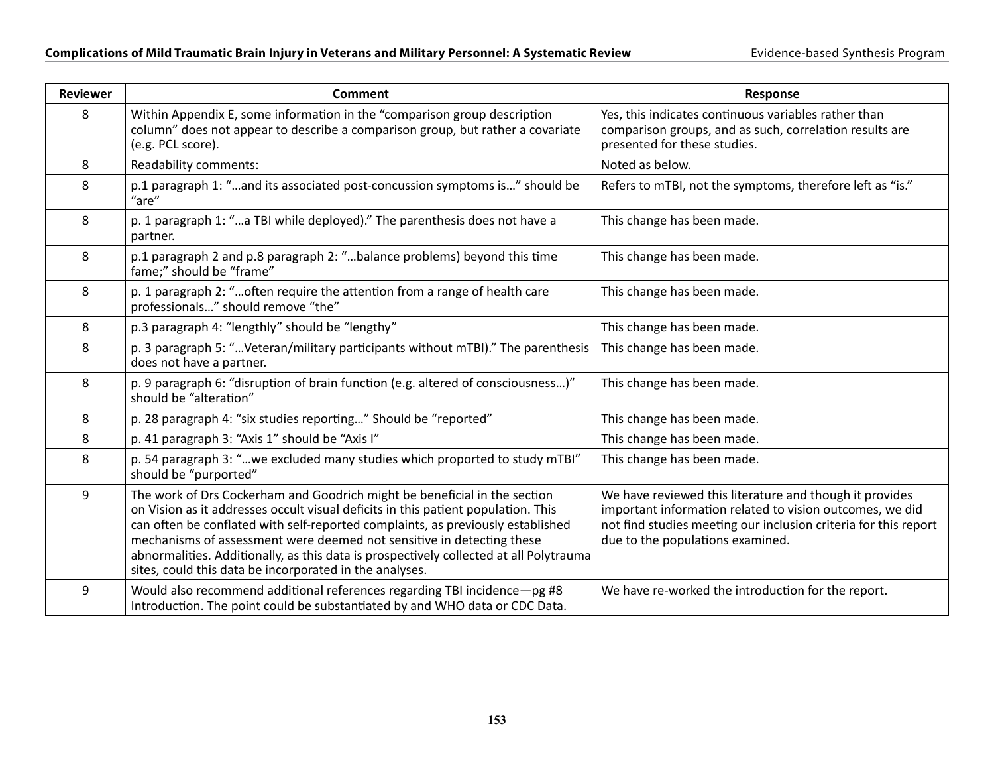| <b>Reviewer</b>  | <b>Comment</b>                                                                                                                                                                                                                                                                                                                                                                                                                                                                  | <b>Response</b>                                                                                                                                                                                                            |
|------------------|---------------------------------------------------------------------------------------------------------------------------------------------------------------------------------------------------------------------------------------------------------------------------------------------------------------------------------------------------------------------------------------------------------------------------------------------------------------------------------|----------------------------------------------------------------------------------------------------------------------------------------------------------------------------------------------------------------------------|
| 8                | Within Appendix E, some information in the "comparison group description<br>column" does not appear to describe a comparison group, but rather a covariate<br>(e.g. PCL score).                                                                                                                                                                                                                                                                                                 | Yes, this indicates continuous variables rather than<br>comparison groups, and as such, correlation results are<br>presented for these studies.                                                                            |
| 8                | Readability comments:                                                                                                                                                                                                                                                                                                                                                                                                                                                           | Noted as below.                                                                                                                                                                                                            |
| 8                | p.1 paragraph 1: "and its associated post-concussion symptoms is" should be<br>"are"                                                                                                                                                                                                                                                                                                                                                                                            | Refers to mTBI, not the symptoms, therefore left as "is."                                                                                                                                                                  |
| 8                | p. 1 paragraph 1: "a TBI while deployed)." The parenthesis does not have a<br>partner.                                                                                                                                                                                                                                                                                                                                                                                          | This change has been made.                                                                                                                                                                                                 |
| 8                | p.1 paragraph 2 and p.8 paragraph 2: "balance problems) beyond this time<br>fame;" should be "frame"                                                                                                                                                                                                                                                                                                                                                                            | This change has been made.                                                                                                                                                                                                 |
| 8                | p. 1 paragraph 2: "often require the attention from a range of health care<br>professionals" should remove "the"                                                                                                                                                                                                                                                                                                                                                                | This change has been made.                                                                                                                                                                                                 |
| 8                | p.3 paragraph 4: "lengthly" should be "lengthy"                                                                                                                                                                                                                                                                                                                                                                                                                                 | This change has been made.                                                                                                                                                                                                 |
| 8                | p. 3 paragraph 5: "Veteran/military participants without mTBI)." The parenthesis<br>does not have a partner.                                                                                                                                                                                                                                                                                                                                                                    | This change has been made.                                                                                                                                                                                                 |
| 8                | p. 9 paragraph 6: "disruption of brain function (e.g. altered of consciousness)"<br>should be "alteration"                                                                                                                                                                                                                                                                                                                                                                      | This change has been made.                                                                                                                                                                                                 |
| 8                | p. 28 paragraph 4: "six studies reporting" Should be "reported"                                                                                                                                                                                                                                                                                                                                                                                                                 | This change has been made.                                                                                                                                                                                                 |
| 8                | p. 41 paragraph 3: "Axis 1" should be "Axis I"                                                                                                                                                                                                                                                                                                                                                                                                                                  | This change has been made.                                                                                                                                                                                                 |
| 8                | p. 54 paragraph 3: "we excluded many studies which proported to study mTBI"<br>should be "purported"                                                                                                                                                                                                                                                                                                                                                                            | This change has been made.                                                                                                                                                                                                 |
| $\boldsymbol{9}$ | The work of Drs Cockerham and Goodrich might be beneficial in the section<br>on Vision as it addresses occult visual deficits in this patient population. This<br>can often be conflated with self-reported complaints, as previously established<br>mechanisms of assessment were deemed not sensitive in detecting these<br>abnormalities. Additionally, as this data is prospectively collected at all Polytrauma<br>sites, could this data be incorporated in the analyses. | We have reviewed this literature and though it provides<br>important information related to vision outcomes, we did<br>not find studies meeting our inclusion criteria for this report<br>due to the populations examined. |
| 9                | Would also recommend additional references regarding TBI incidence-pg #8<br>Introduction. The point could be substantiated by and WHO data or CDC Data.                                                                                                                                                                                                                                                                                                                         | We have re-worked the introduction for the report.                                                                                                                                                                         |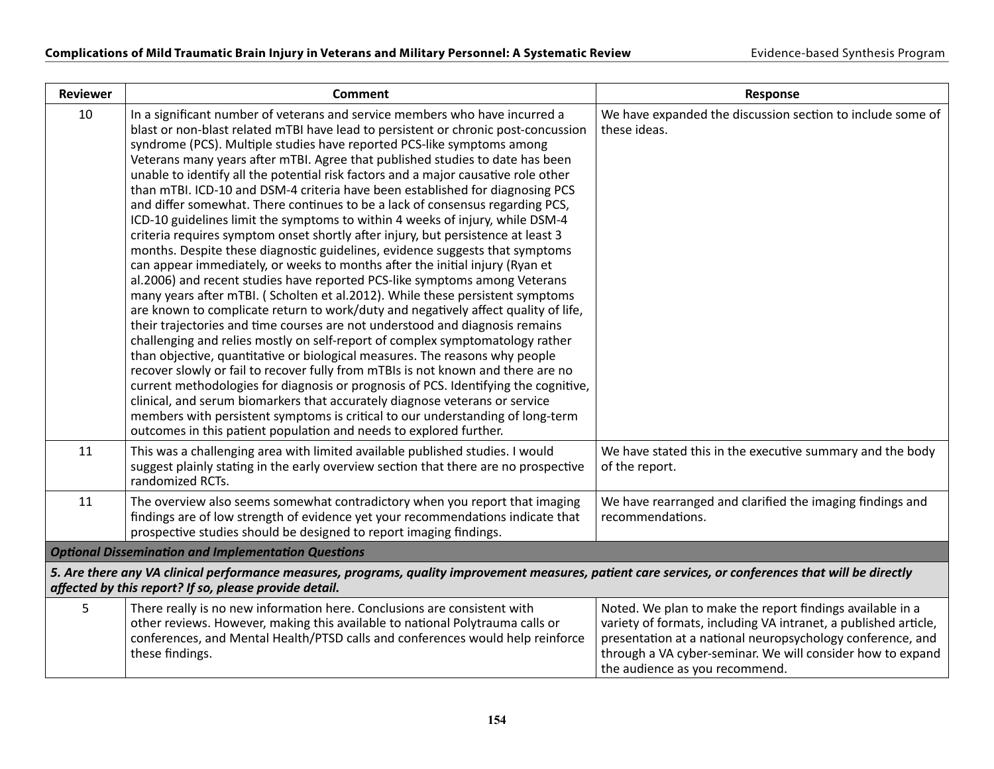| <b>Reviewer</b>                                                                                                                                                                                                  | <b>Comment</b>                                                                                                                                                                                                                                                                                                                                                                                                                                                                                                                                                                                                                                                                                                                                                                                                                                                                                                                                                                                                                                                                                                                                                                                                                                                                                                                                                                                                                                                                                                                                                                                                                                                                                                                                                                                                                                   | Response                                                                                                                                                                                                                                                                                   |
|------------------------------------------------------------------------------------------------------------------------------------------------------------------------------------------------------------------|--------------------------------------------------------------------------------------------------------------------------------------------------------------------------------------------------------------------------------------------------------------------------------------------------------------------------------------------------------------------------------------------------------------------------------------------------------------------------------------------------------------------------------------------------------------------------------------------------------------------------------------------------------------------------------------------------------------------------------------------------------------------------------------------------------------------------------------------------------------------------------------------------------------------------------------------------------------------------------------------------------------------------------------------------------------------------------------------------------------------------------------------------------------------------------------------------------------------------------------------------------------------------------------------------------------------------------------------------------------------------------------------------------------------------------------------------------------------------------------------------------------------------------------------------------------------------------------------------------------------------------------------------------------------------------------------------------------------------------------------------------------------------------------------------------------------------------------------------|--------------------------------------------------------------------------------------------------------------------------------------------------------------------------------------------------------------------------------------------------------------------------------------------|
| 10                                                                                                                                                                                                               | In a significant number of veterans and service members who have incurred a<br>blast or non-blast related mTBI have lead to persistent or chronic post-concussion<br>syndrome (PCS). Multiple studies have reported PCS-like symptoms among<br>Veterans many years after mTBI. Agree that published studies to date has been<br>unable to identify all the potential risk factors and a major causative role other<br>than mTBI. ICD-10 and DSM-4 criteria have been established for diagnosing PCS<br>and differ somewhat. There continues to be a lack of consensus regarding PCS,<br>ICD-10 guidelines limit the symptoms to within 4 weeks of injury, while DSM-4<br>criteria requires symptom onset shortly after injury, but persistence at least 3<br>months. Despite these diagnostic guidelines, evidence suggests that symptoms<br>can appear immediately, or weeks to months after the initial injury (Ryan et<br>al.2006) and recent studies have reported PCS-like symptoms among Veterans<br>many years after mTBI. (Scholten et al.2012). While these persistent symptoms<br>are known to complicate return to work/duty and negatively affect quality of life,<br>their trajectories and time courses are not understood and diagnosis remains<br>challenging and relies mostly on self-report of complex symptomatology rather<br>than objective, quantitative or biological measures. The reasons why people<br>recover slowly or fail to recover fully from mTBIs is not known and there are no<br>current methodologies for diagnosis or prognosis of PCS. Identifying the cognitive,<br>clinical, and serum biomarkers that accurately diagnose veterans or service<br>members with persistent symptoms is critical to our understanding of long-term<br>outcomes in this patient population and needs to explored further. | We have expanded the discussion section to include some of<br>these ideas.                                                                                                                                                                                                                 |
| 11                                                                                                                                                                                                               | This was a challenging area with limited available published studies. I would<br>suggest plainly stating in the early overview section that there are no prospective<br>randomized RCTs.                                                                                                                                                                                                                                                                                                                                                                                                                                                                                                                                                                                                                                                                                                                                                                                                                                                                                                                                                                                                                                                                                                                                                                                                                                                                                                                                                                                                                                                                                                                                                                                                                                                         | We have stated this in the executive summary and the body<br>of the report.                                                                                                                                                                                                                |
| 11                                                                                                                                                                                                               | The overview also seems somewhat contradictory when you report that imaging<br>findings are of low strength of evidence yet your recommendations indicate that<br>prospective studies should be designed to report imaging findings.                                                                                                                                                                                                                                                                                                                                                                                                                                                                                                                                                                                                                                                                                                                                                                                                                                                                                                                                                                                                                                                                                                                                                                                                                                                                                                                                                                                                                                                                                                                                                                                                             | We have rearranged and clarified the imaging findings and<br>recommendations.                                                                                                                                                                                                              |
| <b>Optional Dissemination and Implementation Questions</b>                                                                                                                                                       |                                                                                                                                                                                                                                                                                                                                                                                                                                                                                                                                                                                                                                                                                                                                                                                                                                                                                                                                                                                                                                                                                                                                                                                                                                                                                                                                                                                                                                                                                                                                                                                                                                                                                                                                                                                                                                                  |                                                                                                                                                                                                                                                                                            |
| 5. Are there any VA clinical performance measures, programs, quality improvement measures, patient care services, or conferences that will be directly<br>affected by this report? If so, please provide detail. |                                                                                                                                                                                                                                                                                                                                                                                                                                                                                                                                                                                                                                                                                                                                                                                                                                                                                                                                                                                                                                                                                                                                                                                                                                                                                                                                                                                                                                                                                                                                                                                                                                                                                                                                                                                                                                                  |                                                                                                                                                                                                                                                                                            |
| 5                                                                                                                                                                                                                | There really is no new information here. Conclusions are consistent with<br>other reviews. However, making this available to national Polytrauma calls or<br>conferences, and Mental Health/PTSD calls and conferences would help reinforce<br>these findings.                                                                                                                                                                                                                                                                                                                                                                                                                                                                                                                                                                                                                                                                                                                                                                                                                                                                                                                                                                                                                                                                                                                                                                                                                                                                                                                                                                                                                                                                                                                                                                                   | Noted. We plan to make the report findings available in a<br>variety of formats, including VA intranet, a published article,<br>presentation at a national neuropsychology conference, and<br>through a VA cyber-seminar. We will consider how to expand<br>the audience as you recommend. |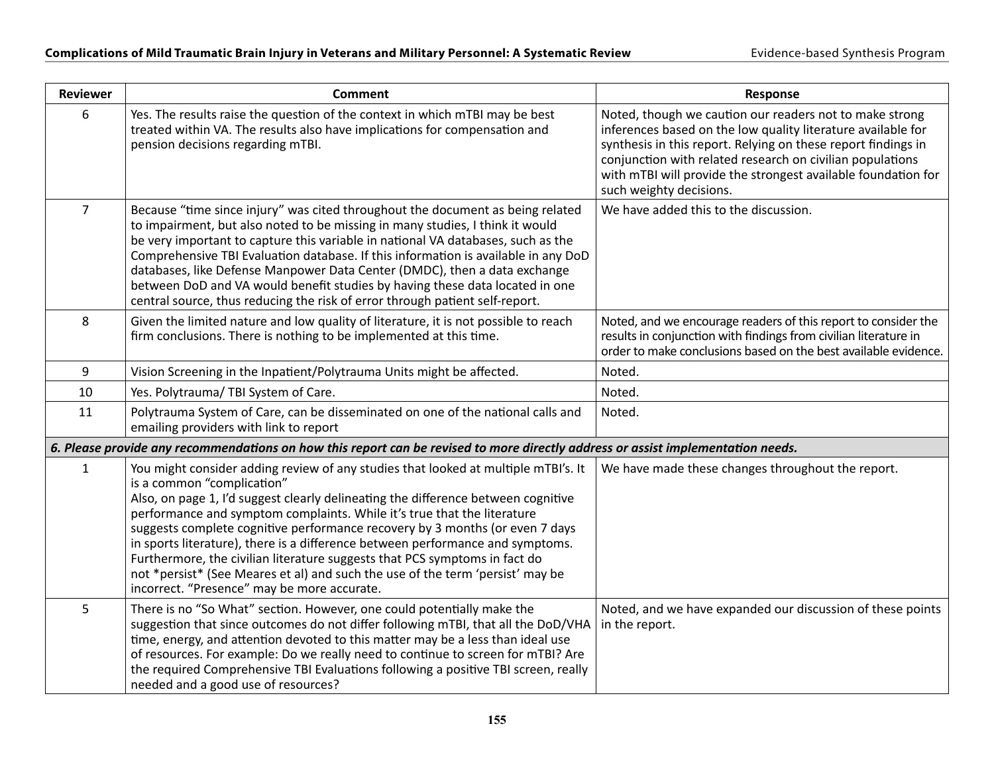| <b>Reviewer</b> | <b>Comment</b>                                                                                                                                                                                                                                                                                                                                                                                                                                                                                                                                                                                                                                                    | <b>Response</b>                                                                                                                                                                                                                                                                                                                                   |
|-----------------|-------------------------------------------------------------------------------------------------------------------------------------------------------------------------------------------------------------------------------------------------------------------------------------------------------------------------------------------------------------------------------------------------------------------------------------------------------------------------------------------------------------------------------------------------------------------------------------------------------------------------------------------------------------------|---------------------------------------------------------------------------------------------------------------------------------------------------------------------------------------------------------------------------------------------------------------------------------------------------------------------------------------------------|
| 6               | Yes. The results raise the question of the context in which mTBI may be best<br>treated within VA. The results also have implications for compensation and<br>pension decisions regarding mTBI.                                                                                                                                                                                                                                                                                                                                                                                                                                                                   | Noted, though we caution our readers not to make strong<br>inferences based on the low quality literature available for<br>synthesis in this report. Relying on these report findings in<br>conjunction with related research on civilian populations<br>with mTBI will provide the strongest available foundation for<br>such weighty decisions. |
| $\overline{7}$  | Because "time since injury" was cited throughout the document as being related<br>to impairment, but also noted to be missing in many studies, I think it would<br>be very important to capture this variable in national VA databases, such as the<br>Comprehensive TBI Evaluation database. If this information is available in any DoD<br>databases, like Defense Manpower Data Center (DMDC), then a data exchange<br>between DoD and VA would benefit studies by having these data located in one<br>central source, thus reducing the risk of error through patient self-report.                                                                            | We have added this to the discussion.                                                                                                                                                                                                                                                                                                             |
| 8               | Given the limited nature and low quality of literature, it is not possible to reach<br>firm conclusions. There is nothing to be implemented at this time.                                                                                                                                                                                                                                                                                                                                                                                                                                                                                                         | Noted, and we encourage readers of this report to consider the<br>results in conjunction with findings from civilian literature in<br>order to make conclusions based on the best available evidence.                                                                                                                                             |
| 9               | Vision Screening in the Inpatient/Polytrauma Units might be affected.                                                                                                                                                                                                                                                                                                                                                                                                                                                                                                                                                                                             | Noted.                                                                                                                                                                                                                                                                                                                                            |
| 10              | Yes. Polytrauma/ TBI System of Care.                                                                                                                                                                                                                                                                                                                                                                                                                                                                                                                                                                                                                              | Noted.                                                                                                                                                                                                                                                                                                                                            |
| 11              | Polytrauma System of Care, can be disseminated on one of the national calls and<br>emailing providers with link to report                                                                                                                                                                                                                                                                                                                                                                                                                                                                                                                                         | Noted.                                                                                                                                                                                                                                                                                                                                            |
|                 | 6. Please provide any recommendations on how this report can be revised to more directly address or assist implementation needs.                                                                                                                                                                                                                                                                                                                                                                                                                                                                                                                                  |                                                                                                                                                                                                                                                                                                                                                   |
| $\mathbf{1}$    | You might consider adding review of any studies that looked at multiple mTBI's. It<br>is a common "complication"<br>Also, on page 1, I'd suggest clearly delineating the difference between cognitive<br>performance and symptom complaints. While it's true that the literature<br>suggests complete cognitive performance recovery by 3 months (or even 7 days<br>in sports literature), there is a difference between performance and symptoms.<br>Furthermore, the civilian literature suggests that PCS symptoms in fact do<br>not *persist* (See Meares et al) and such the use of the term 'persist' may be<br>incorrect. "Presence" may be more accurate. | We have made these changes throughout the report.                                                                                                                                                                                                                                                                                                 |
| 5               | There is no "So What" section. However, one could potentially make the<br>suggestion that since outcomes do not differ following mTBI, that all the DoD/VHA<br>time, energy, and attention devoted to this matter may be a less than ideal use<br>of resources. For example: Do we really need to continue to screen for mTBI? Are<br>the required Comprehensive TBI Evaluations following a positive TBI screen, really<br>needed and a good use of resources?                                                                                                                                                                                                   | Noted, and we have expanded our discussion of these points<br>in the report.                                                                                                                                                                                                                                                                      |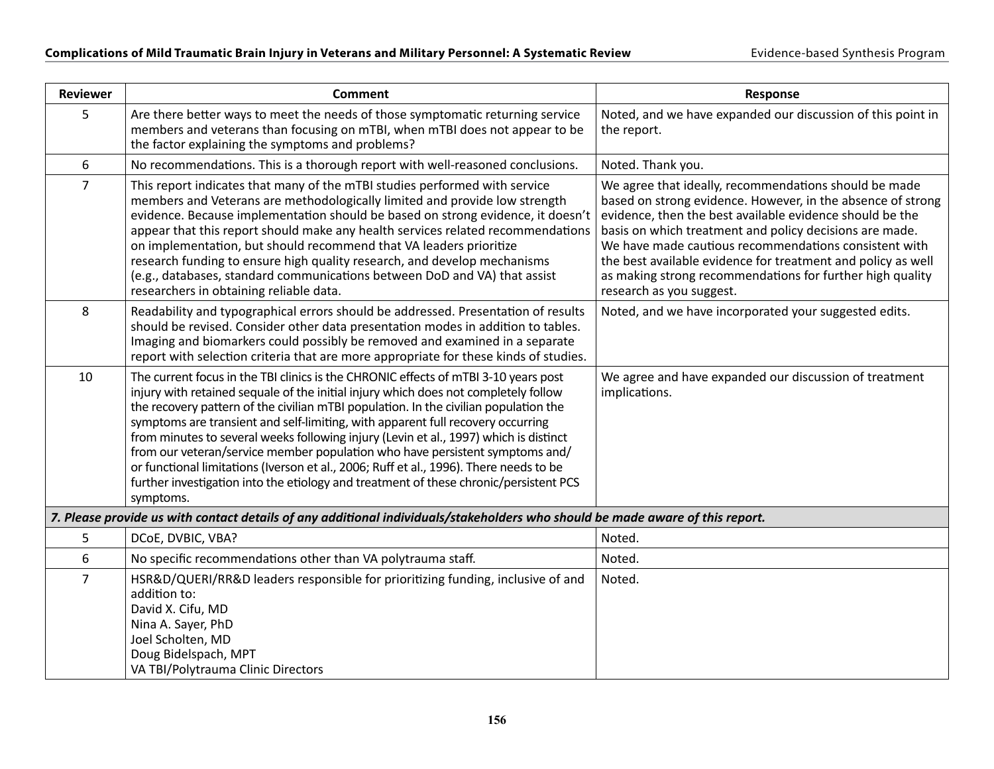| <b>Reviewer</b>                                                                                                               | <b>Comment</b>                                                                                                                                                                                                                                                                                                                                                                                                                                                                                                                                                                                                                                                                                                                 | Response                                                                                                                                                                                                                                                                                                                                                                                                                                                      |
|-------------------------------------------------------------------------------------------------------------------------------|--------------------------------------------------------------------------------------------------------------------------------------------------------------------------------------------------------------------------------------------------------------------------------------------------------------------------------------------------------------------------------------------------------------------------------------------------------------------------------------------------------------------------------------------------------------------------------------------------------------------------------------------------------------------------------------------------------------------------------|---------------------------------------------------------------------------------------------------------------------------------------------------------------------------------------------------------------------------------------------------------------------------------------------------------------------------------------------------------------------------------------------------------------------------------------------------------------|
| 5                                                                                                                             | Are there better ways to meet the needs of those symptomatic returning service<br>members and veterans than focusing on mTBI, when mTBI does not appear to be<br>the factor explaining the symptoms and problems?                                                                                                                                                                                                                                                                                                                                                                                                                                                                                                              | Noted, and we have expanded our discussion of this point in<br>the report.                                                                                                                                                                                                                                                                                                                                                                                    |
| 6                                                                                                                             | No recommendations. This is a thorough report with well-reasoned conclusions.                                                                                                                                                                                                                                                                                                                                                                                                                                                                                                                                                                                                                                                  | Noted. Thank you.                                                                                                                                                                                                                                                                                                                                                                                                                                             |
| $\overline{7}$                                                                                                                | This report indicates that many of the mTBI studies performed with service<br>members and Veterans are methodologically limited and provide low strength<br>evidence. Because implementation should be based on strong evidence, it doesn't<br>appear that this report should make any health services related recommendations<br>on implementation, but should recommend that VA leaders prioritize<br>research funding to ensure high quality research, and develop mechanisms<br>(e.g., databases, standard communications between DoD and VA) that assist<br>researchers in obtaining reliable data.                                                                                                                       | We agree that ideally, recommendations should be made<br>based on strong evidence. However, in the absence of strong<br>evidence, then the best available evidence should be the<br>basis on which treatment and policy decisions are made.<br>We have made cautious recommendations consistent with<br>the best available evidence for treatment and policy as well<br>as making strong recommendations for further high quality<br>research as you suggest. |
| 8                                                                                                                             | Readability and typographical errors should be addressed. Presentation of results<br>should be revised. Consider other data presentation modes in addition to tables.<br>Imaging and biomarkers could possibly be removed and examined in a separate<br>report with selection criteria that are more appropriate for these kinds of studies.                                                                                                                                                                                                                                                                                                                                                                                   | Noted, and we have incorporated your suggested edits.                                                                                                                                                                                                                                                                                                                                                                                                         |
| 10                                                                                                                            | The current focus in the TBI clinics is the CHRONIC effects of mTBI 3-10 years post<br>injury with retained sequale of the initial injury which does not completely follow<br>the recovery pattern of the civilian mTBI population. In the civilian population the<br>symptoms are transient and self-limiting, with apparent full recovery occurring<br>from minutes to several weeks following injury (Levin et al., 1997) which is distinct<br>from our veteran/service member population who have persistent symptoms and/<br>or functional limitations (Iverson et al., 2006; Ruff et al., 1996). There needs to be<br>further investigation into the etiology and treatment of these chronic/persistent PCS<br>symptoms. | We agree and have expanded our discussion of treatment<br>implications.                                                                                                                                                                                                                                                                                                                                                                                       |
| 7. Please provide us with contact details of any additional individuals/stakeholders who should be made aware of this report. |                                                                                                                                                                                                                                                                                                                                                                                                                                                                                                                                                                                                                                                                                                                                |                                                                                                                                                                                                                                                                                                                                                                                                                                                               |
| 5                                                                                                                             | DCoE, DVBIC, VBA?                                                                                                                                                                                                                                                                                                                                                                                                                                                                                                                                                                                                                                                                                                              | Noted.                                                                                                                                                                                                                                                                                                                                                                                                                                                        |
| 6                                                                                                                             | No specific recommendations other than VA polytrauma staff.                                                                                                                                                                                                                                                                                                                                                                                                                                                                                                                                                                                                                                                                    | Noted.                                                                                                                                                                                                                                                                                                                                                                                                                                                        |
| $\overline{7}$                                                                                                                | HSR&D/QUERI/RR&D leaders responsible for prioritizing funding, inclusive of and<br>addition to:<br>David X. Cifu, MD<br>Nina A. Sayer, PhD<br>Joel Scholten, MD<br>Doug Bidelspach, MPT<br>VA TBI/Polytrauma Clinic Directors                                                                                                                                                                                                                                                                                                                                                                                                                                                                                                  | Noted.                                                                                                                                                                                                                                                                                                                                                                                                                                                        |